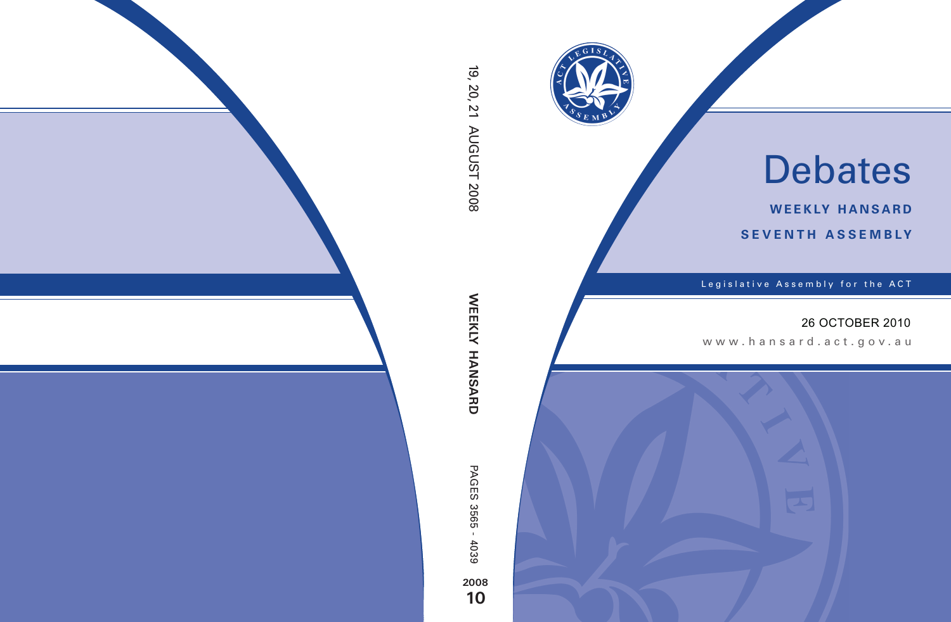

# Debates

**weekly hansard seventh asseMBly**

Legislative Assembly for the ACT

## 26 OCTOBER 2010

www.hansard.act.gov .au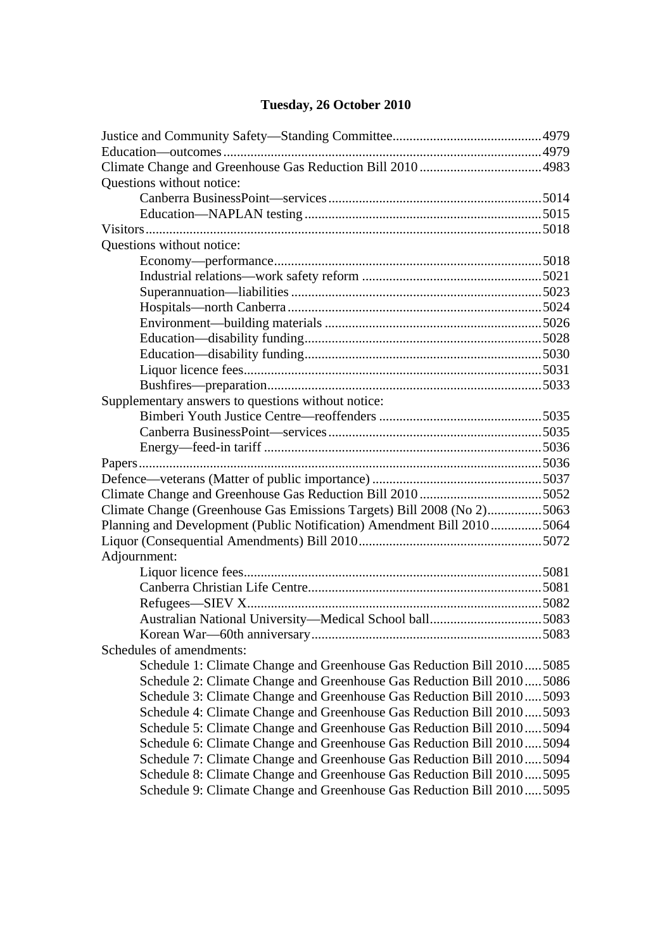#### **Tuesday, 26 October 2010**

| Questions without notice:                                              |  |
|------------------------------------------------------------------------|--|
|                                                                        |  |
|                                                                        |  |
|                                                                        |  |
| Questions without notice:                                              |  |
|                                                                        |  |
|                                                                        |  |
|                                                                        |  |
|                                                                        |  |
|                                                                        |  |
|                                                                        |  |
|                                                                        |  |
|                                                                        |  |
|                                                                        |  |
| Supplementary answers to questions without notice:                     |  |
|                                                                        |  |
|                                                                        |  |
|                                                                        |  |
|                                                                        |  |
|                                                                        |  |
|                                                                        |  |
| Climate Change (Greenhouse Gas Emissions Targets) Bill 2008 (No 2)5063 |  |
| Planning and Development (Public Notification) Amendment Bill 20105064 |  |
|                                                                        |  |
| Adjournment:                                                           |  |
|                                                                        |  |
|                                                                        |  |
|                                                                        |  |
|                                                                        |  |
|                                                                        |  |
| Schedules of amendments:                                               |  |
| Schedule 1: Climate Change and Greenhouse Gas Reduction Bill 20105085  |  |
| Schedule 2: Climate Change and Greenhouse Gas Reduction Bill 20105086  |  |
| Schedule 3: Climate Change and Greenhouse Gas Reduction Bill 20105093  |  |
| Schedule 4: Climate Change and Greenhouse Gas Reduction Bill 20105093  |  |
| Schedule 5: Climate Change and Greenhouse Gas Reduction Bill 20105094  |  |
| Schedule 6: Climate Change and Greenhouse Gas Reduction Bill 20105094  |  |
| Schedule 7: Climate Change and Greenhouse Gas Reduction Bill 20105094  |  |
| Schedule 8: Climate Change and Greenhouse Gas Reduction Bill 20105095  |  |
| Schedule 9: Climate Change and Greenhouse Gas Reduction Bill 20105095  |  |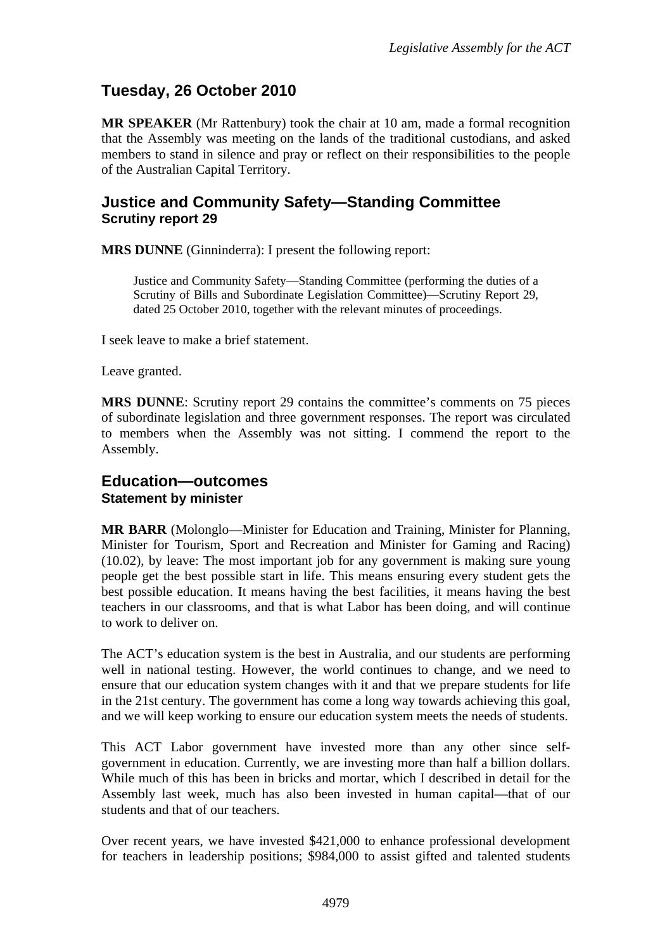## **Tuesday, 26 October 2010**

**MR SPEAKER** (Mr Rattenbury) took the chair at 10 am, made a formal recognition that the Assembly was meeting on the lands of the traditional custodians, and asked members to stand in silence and pray or reflect on their responsibilities to the people of the Australian Capital Territory.

### <span id="page-2-0"></span>**Justice and Community Safety—Standing Committee Scrutiny report 29**

**MRS DUNNE** (Ginninderra): I present the following report:

Justice and Community Safety—Standing Committee (performing the duties of a Scrutiny of Bills and Subordinate Legislation Committee)—Scrutiny Report 29*,*  dated 25 October 2010, together with the relevant minutes of proceedings.

I seek leave to make a brief statement.

Leave granted.

**MRS DUNNE**: Scrutiny report 29 contains the committee's comments on 75 pieces of subordinate legislation and three government responses. The report was circulated to members when the Assembly was not sitting. I commend the report to the Assembly.

#### <span id="page-2-1"></span>**Education—outcomes Statement by minister**

**MR BARR** (Molonglo—Minister for Education and Training, Minister for Planning, Minister for Tourism, Sport and Recreation and Minister for Gaming and Racing) (10.02), by leave: The most important job for any government is making sure young people get the best possible start in life. This means ensuring every student gets the best possible education. It means having the best facilities, it means having the best teachers in our classrooms, and that is what Labor has been doing, and will continue to work to deliver on.

The ACT's education system is the best in Australia, and our students are performing well in national testing. However, the world continues to change, and we need to ensure that our education system changes with it and that we prepare students for life in the 21st century. The government has come a long way towards achieving this goal, and we will keep working to ensure our education system meets the needs of students.

This ACT Labor government have invested more than any other since selfgovernment in education. Currently, we are investing more than half a billion dollars. While much of this has been in bricks and mortar, which I described in detail for the Assembly last week, much has also been invested in human capital—that of our students and that of our teachers.

Over recent years, we have invested \$421,000 to enhance professional development for teachers in leadership positions; \$984,000 to assist gifted and talented students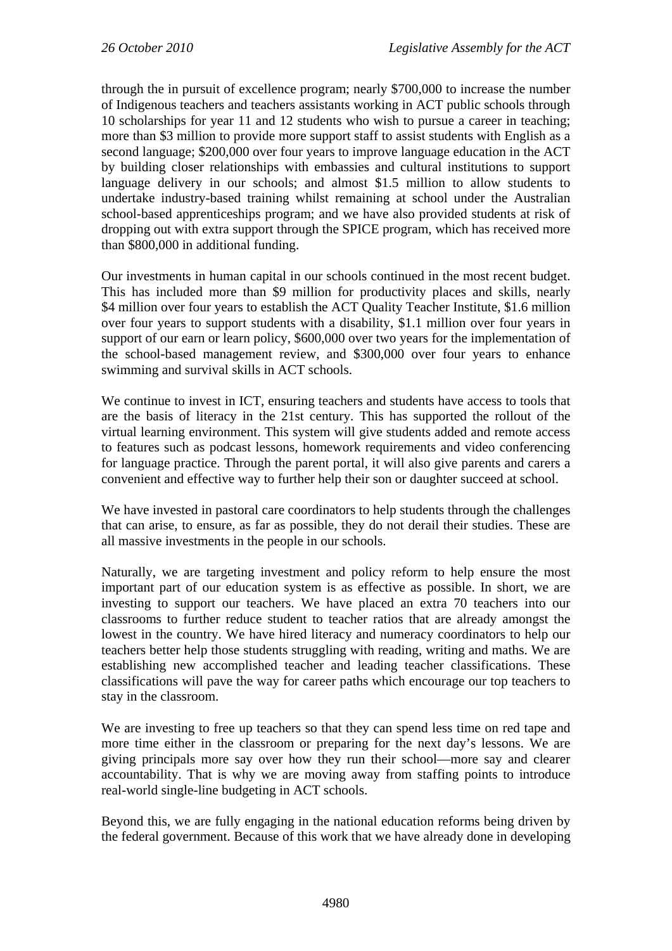through the in pursuit of excellence program; nearly \$700,000 to increase the number of Indigenous teachers and teachers assistants working in ACT public schools through 10 scholarships for year 11 and 12 students who wish to pursue a career in teaching; more than \$3 million to provide more support staff to assist students with English as a second language; \$200,000 over four years to improve language education in the ACT by building closer relationships with embassies and cultural institutions to support language delivery in our schools; and almost \$1.5 million to allow students to undertake industry-based training whilst remaining at school under the Australian school-based apprenticeships program; and we have also provided students at risk of dropping out with extra support through the SPICE program, which has received more than \$800,000 in additional funding.

Our investments in human capital in our schools continued in the most recent budget. This has included more than \$9 million for productivity places and skills, nearly \$4 million over four years to establish the ACT Quality Teacher Institute, \$1.6 million over four years to support students with a disability, \$1.1 million over four years in support of our earn or learn policy, \$600,000 over two years for the implementation of the school-based management review, and \$300,000 over four years to enhance swimming and survival skills in ACT schools.

We continue to invest in ICT, ensuring teachers and students have access to tools that are the basis of literacy in the 21st century. This has supported the rollout of the virtual learning environment. This system will give students added and remote access to features such as podcast lessons, homework requirements and video conferencing for language practice. Through the parent portal, it will also give parents and carers a convenient and effective way to further help their son or daughter succeed at school.

We have invested in pastoral care coordinators to help students through the challenges that can arise, to ensure, as far as possible, they do not derail their studies. These are all massive investments in the people in our schools.

Naturally, we are targeting investment and policy reform to help ensure the most important part of our education system is as effective as possible. In short, we are investing to support our teachers. We have placed an extra 70 teachers into our classrooms to further reduce student to teacher ratios that are already amongst the lowest in the country. We have hired literacy and numeracy coordinators to help our teachers better help those students struggling with reading, writing and maths. We are establishing new accomplished teacher and leading teacher classifications. These classifications will pave the way for career paths which encourage our top teachers to stay in the classroom.

We are investing to free up teachers so that they can spend less time on red tape and more time either in the classroom or preparing for the next day's lessons. We are giving principals more say over how they run their school—more say and clearer accountability. That is why we are moving away from staffing points to introduce real-world single-line budgeting in ACT schools.

Beyond this, we are fully engaging in the national education reforms being driven by the federal government. Because of this work that we have already done in developing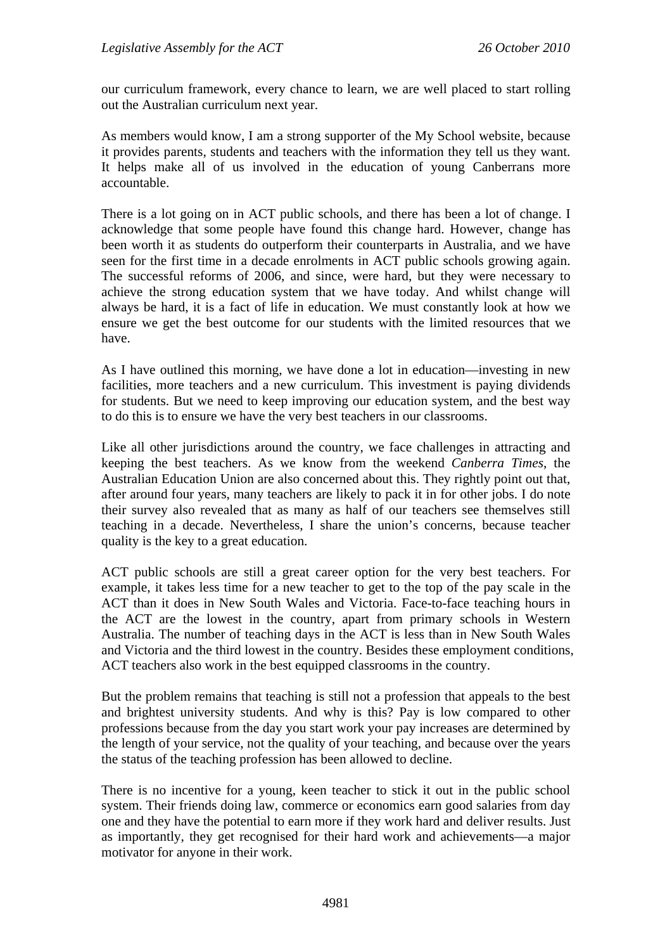our curriculum framework, every chance to learn, we are well placed to start rolling out the Australian curriculum next year.

As members would know, I am a strong supporter of the My School website, because it provides parents, students and teachers with the information they tell us they want. It helps make all of us involved in the education of young Canberrans more accountable.

There is a lot going on in ACT public schools, and there has been a lot of change. I acknowledge that some people have found this change hard. However, change has been worth it as students do outperform their counterparts in Australia, and we have seen for the first time in a decade enrolments in ACT public schools growing again. The successful reforms of 2006, and since, were hard, but they were necessary to achieve the strong education system that we have today. And whilst change will always be hard, it is a fact of life in education. We must constantly look at how we ensure we get the best outcome for our students with the limited resources that we have.

As I have outlined this morning, we have done a lot in education—investing in new facilities, more teachers and a new curriculum. This investment is paying dividends for students. But we need to keep improving our education system, and the best way to do this is to ensure we have the very best teachers in our classrooms.

Like all other jurisdictions around the country, we face challenges in attracting and keeping the best teachers. As we know from the weekend *Canberra Times*, the Australian Education Union are also concerned about this. They rightly point out that, after around four years, many teachers are likely to pack it in for other jobs. I do note their survey also revealed that as many as half of our teachers see themselves still teaching in a decade. Nevertheless, I share the union's concerns, because teacher quality is the key to a great education.

ACT public schools are still a great career option for the very best teachers. For example, it takes less time for a new teacher to get to the top of the pay scale in the ACT than it does in New South Wales and Victoria. Face-to-face teaching hours in the ACT are the lowest in the country, apart from primary schools in Western Australia. The number of teaching days in the ACT is less than in New South Wales and Victoria and the third lowest in the country. Besides these employment conditions, ACT teachers also work in the best equipped classrooms in the country.

But the problem remains that teaching is still not a profession that appeals to the best and brightest university students. And why is this? Pay is low compared to other professions because from the day you start work your pay increases are determined by the length of your service, not the quality of your teaching, and because over the years the status of the teaching profession has been allowed to decline.

There is no incentive for a young, keen teacher to stick it out in the public school system. Their friends doing law, commerce or economics earn good salaries from day one and they have the potential to earn more if they work hard and deliver results. Just as importantly, they get recognised for their hard work and achievements—a major motivator for anyone in their work.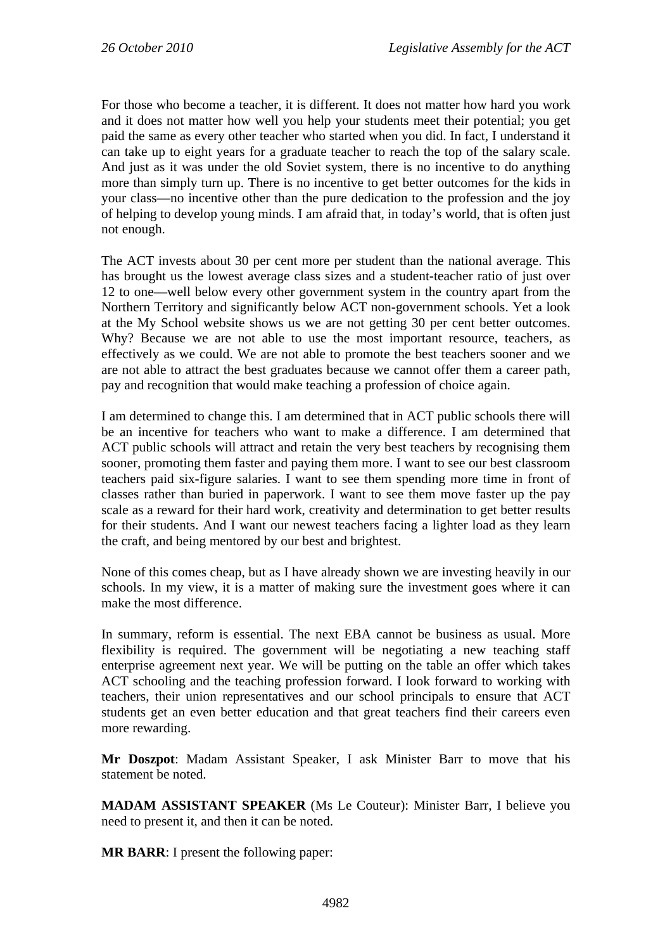For those who become a teacher, it is different. It does not matter how hard you work and it does not matter how well you help your students meet their potential; you get paid the same as every other teacher who started when you did. In fact, I understand it can take up to eight years for a graduate teacher to reach the top of the salary scale. And just as it was under the old Soviet system, there is no incentive to do anything more than simply turn up. There is no incentive to get better outcomes for the kids in your class—no incentive other than the pure dedication to the profession and the joy of helping to develop young minds. I am afraid that, in today's world, that is often just not enough.

The ACT invests about 30 per cent more per student than the national average. This has brought us the lowest average class sizes and a student-teacher ratio of just over 12 to one—well below every other government system in the country apart from the Northern Territory and significantly below ACT non-government schools. Yet a look at the My School website shows us we are not getting 30 per cent better outcomes. Why? Because we are not able to use the most important resource, teachers, as effectively as we could. We are not able to promote the best teachers sooner and we are not able to attract the best graduates because we cannot offer them a career path, pay and recognition that would make teaching a profession of choice again.

I am determined to change this. I am determined that in ACT public schools there will be an incentive for teachers who want to make a difference. I am determined that ACT public schools will attract and retain the very best teachers by recognising them sooner, promoting them faster and paying them more. I want to see our best classroom teachers paid six-figure salaries. I want to see them spending more time in front of classes rather than buried in paperwork. I want to see them move faster up the pay scale as a reward for their hard work, creativity and determination to get better results for their students. And I want our newest teachers facing a lighter load as they learn the craft, and being mentored by our best and brightest.

None of this comes cheap, but as I have already shown we are investing heavily in our schools. In my view, it is a matter of making sure the investment goes where it can make the most difference.

In summary, reform is essential. The next EBA cannot be business as usual. More flexibility is required. The government will be negotiating a new teaching staff enterprise agreement next year. We will be putting on the table an offer which takes ACT schooling and the teaching profession forward. I look forward to working with teachers, their union representatives and our school principals to ensure that ACT students get an even better education and that great teachers find their careers even more rewarding.

**Mr Doszpot**: Madam Assistant Speaker, I ask Minister Barr to move that his statement be noted.

**MADAM ASSISTANT SPEAKER** (Ms Le Couteur): Minister Barr, I believe you need to present it, and then it can be noted.

**MR BARR**: I present the following paper: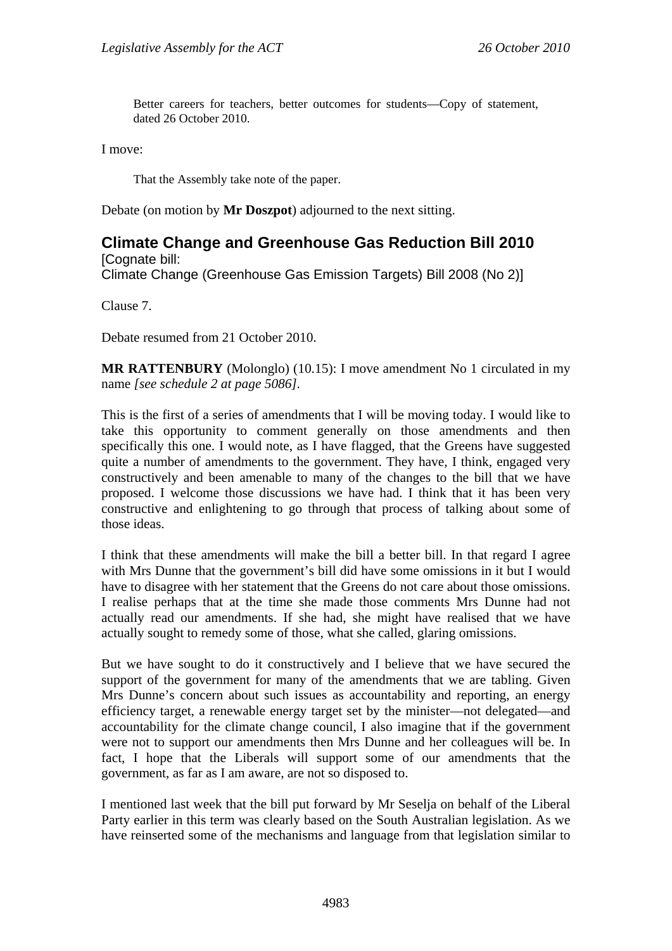Better careers for teachers, better outcomes for students—Copy of statement, dated 26 October 2010.

I move:

That the Assembly take note of the paper.

Debate (on motion by **Mr Doszpot**) adjourned to the next sitting.

## <span id="page-6-0"></span>**Climate Change and Greenhouse Gas Reduction Bill 2010**

[Cognate bill: Climate Change (Greenhouse Gas Emission Targets) Bill 2008 (No 2)]

Clause 7.

Debate resumed from 21 October 2010.

**MR RATTENBURY** (Molonglo) (10.15): I move amendment No 1 circulated in my name *[see schedule 2 at page 5086].*

This is the first of a series of amendments that I will be moving today. I would like to take this opportunity to comment generally on those amendments and then specifically this one. I would note, as I have flagged, that the Greens have suggested quite a number of amendments to the government. They have, I think, engaged very constructively and been amenable to many of the changes to the bill that we have proposed. I welcome those discussions we have had. I think that it has been very constructive and enlightening to go through that process of talking about some of those ideas.

I think that these amendments will make the bill a better bill. In that regard I agree with Mrs Dunne that the government's bill did have some omissions in it but I would have to disagree with her statement that the Greens do not care about those omissions. I realise perhaps that at the time she made those comments Mrs Dunne had not actually read our amendments. If she had, she might have realised that we have actually sought to remedy some of those, what she called, glaring omissions.

But we have sought to do it constructively and I believe that we have secured the support of the government for many of the amendments that we are tabling. Given Mrs Dunne's concern about such issues as accountability and reporting, an energy efficiency target, a renewable energy target set by the minister—not delegated—and accountability for the climate change council, I also imagine that if the government were not to support our amendments then Mrs Dunne and her colleagues will be. In fact, I hope that the Liberals will support some of our amendments that the government, as far as I am aware, are not so disposed to.

I mentioned last week that the bill put forward by Mr Seselja on behalf of the Liberal Party earlier in this term was clearly based on the South Australian legislation. As we have reinserted some of the mechanisms and language from that legislation similar to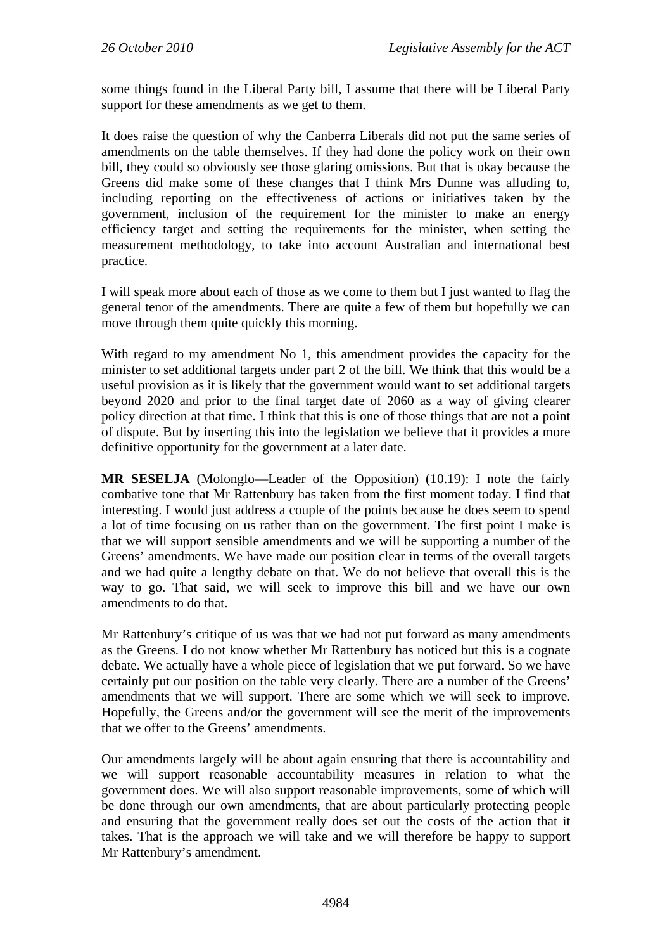some things found in the Liberal Party bill, I assume that there will be Liberal Party support for these amendments as we get to them.

It does raise the question of why the Canberra Liberals did not put the same series of amendments on the table themselves. If they had done the policy work on their own bill, they could so obviously see those glaring omissions. But that is okay because the Greens did make some of these changes that I think Mrs Dunne was alluding to, including reporting on the effectiveness of actions or initiatives taken by the government, inclusion of the requirement for the minister to make an energy efficiency target and setting the requirements for the minister, when setting the measurement methodology, to take into account Australian and international best practice.

I will speak more about each of those as we come to them but I just wanted to flag the general tenor of the amendments. There are quite a few of them but hopefully we can move through them quite quickly this morning.

With regard to my amendment No 1, this amendment provides the capacity for the minister to set additional targets under part 2 of the bill. We think that this would be a useful provision as it is likely that the government would want to set additional targets beyond 2020 and prior to the final target date of 2060 as a way of giving clearer policy direction at that time. I think that this is one of those things that are not a point of dispute. But by inserting this into the legislation we believe that it provides a more definitive opportunity for the government at a later date.

**MR SESELJA** (Molonglo—Leader of the Opposition) (10.19): I note the fairly combative tone that Mr Rattenbury has taken from the first moment today. I find that interesting. I would just address a couple of the points because he does seem to spend a lot of time focusing on us rather than on the government. The first point I make is that we will support sensible amendments and we will be supporting a number of the Greens' amendments. We have made our position clear in terms of the overall targets and we had quite a lengthy debate on that. We do not believe that overall this is the way to go. That said, we will seek to improve this bill and we have our own amendments to do that.

Mr Rattenbury's critique of us was that we had not put forward as many amendments as the Greens. I do not know whether Mr Rattenbury has noticed but this is a cognate debate. We actually have a whole piece of legislation that we put forward. So we have certainly put our position on the table very clearly. There are a number of the Greens' amendments that we will support. There are some which we will seek to improve. Hopefully, the Greens and/or the government will see the merit of the improvements that we offer to the Greens' amendments.

Our amendments largely will be about again ensuring that there is accountability and we will support reasonable accountability measures in relation to what the government does. We will also support reasonable improvements, some of which will be done through our own amendments, that are about particularly protecting people and ensuring that the government really does set out the costs of the action that it takes. That is the approach we will take and we will therefore be happy to support Mr Rattenbury's amendment.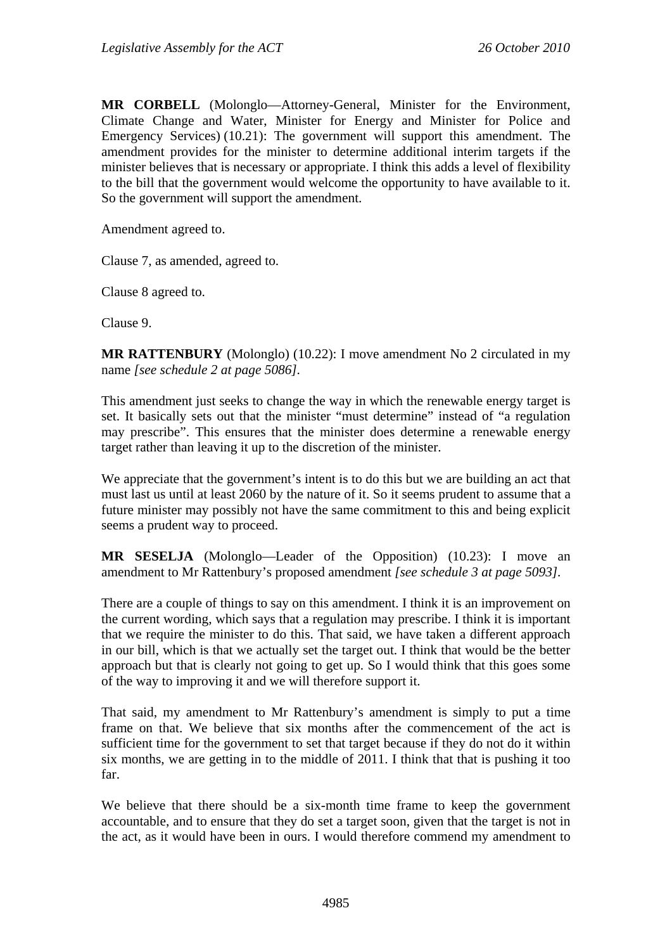**MR CORBELL** (Molonglo—Attorney-General, Minister for the Environment, Climate Change and Water, Minister for Energy and Minister for Police and Emergency Services) (10.21): The government will support this amendment. The amendment provides for the minister to determine additional interim targets if the minister believes that is necessary or appropriate. I think this adds a level of flexibility to the bill that the government would welcome the opportunity to have available to it. So the government will support the amendment.

Amendment agreed to.

Clause 7, as amended, agreed to.

Clause 8 agreed to.

Clause 9.

**MR RATTENBURY** (Molonglo) (10.22): I move amendment No 2 circulated in my name *[see schedule 2 at page 5086].*

This amendment just seeks to change the way in which the renewable energy target is set. It basically sets out that the minister "must determine" instead of "a regulation may prescribe". This ensures that the minister does determine a renewable energy target rather than leaving it up to the discretion of the minister.

We appreciate that the government's intent is to do this but we are building an act that must last us until at least 2060 by the nature of it. So it seems prudent to assume that a future minister may possibly not have the same commitment to this and being explicit seems a prudent way to proceed.

**MR SESELJA** (Molonglo—Leader of the Opposition) (10.23): I move an amendment to Mr Rattenbury's proposed amendment *[see schedule 3 at page 5093].*

There are a couple of things to say on this amendment. I think it is an improvement on the current wording, which says that a regulation may prescribe. I think it is important that we require the minister to do this. That said, we have taken a different approach in our bill, which is that we actually set the target out. I think that would be the better approach but that is clearly not going to get up. So I would think that this goes some of the way to improving it and we will therefore support it.

That said, my amendment to Mr Rattenbury's amendment is simply to put a time frame on that. We believe that six months after the commencement of the act is sufficient time for the government to set that target because if they do not do it within six months, we are getting in to the middle of 2011. I think that that is pushing it too far.

We believe that there should be a six-month time frame to keep the government accountable, and to ensure that they do set a target soon, given that the target is not in the act, as it would have been in ours. I would therefore commend my amendment to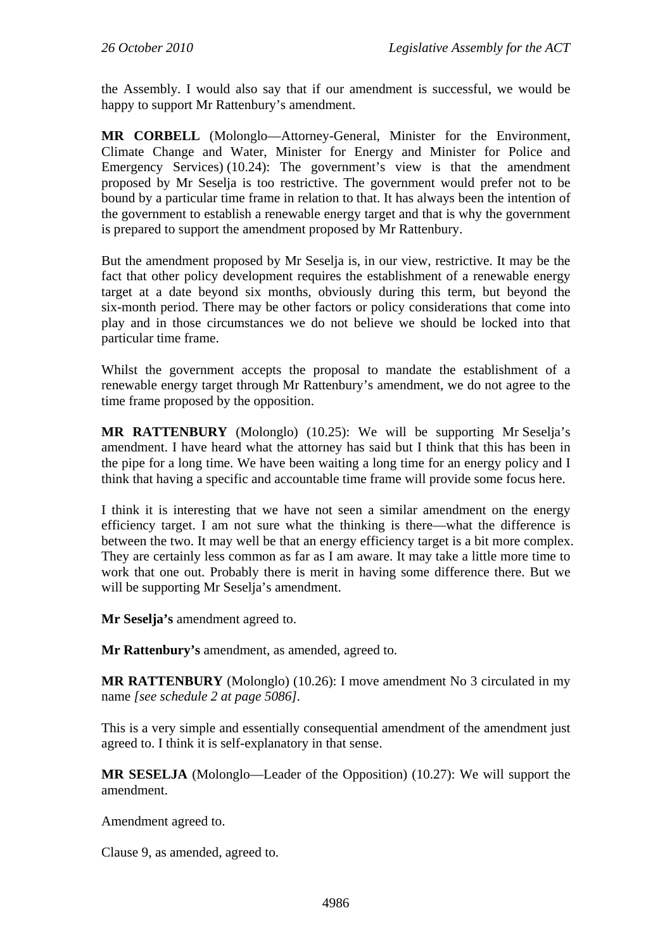the Assembly. I would also say that if our amendment is successful, we would be happy to support Mr Rattenbury's amendment.

**MR CORBELL** (Molonglo—Attorney-General, Minister for the Environment, Climate Change and Water, Minister for Energy and Minister for Police and Emergency Services) (10.24): The government's view is that the amendment proposed by Mr Seselja is too restrictive. The government would prefer not to be bound by a particular time frame in relation to that. It has always been the intention of the government to establish a renewable energy target and that is why the government is prepared to support the amendment proposed by Mr Rattenbury.

But the amendment proposed by Mr Seselja is, in our view, restrictive. It may be the fact that other policy development requires the establishment of a renewable energy target at a date beyond six months, obviously during this term, but beyond the six-month period. There may be other factors or policy considerations that come into play and in those circumstances we do not believe we should be locked into that particular time frame.

Whilst the government accepts the proposal to mandate the establishment of a renewable energy target through Mr Rattenbury's amendment, we do not agree to the time frame proposed by the opposition.

**MR RATTENBURY** (Molonglo) (10.25): We will be supporting Mr Seselja's amendment. I have heard what the attorney has said but I think that this has been in the pipe for a long time. We have been waiting a long time for an energy policy and I think that having a specific and accountable time frame will provide some focus here.

I think it is interesting that we have not seen a similar amendment on the energy efficiency target. I am not sure what the thinking is there—what the difference is between the two. It may well be that an energy efficiency target is a bit more complex. They are certainly less common as far as I am aware. It may take a little more time to work that one out. Probably there is merit in having some difference there. But we will be supporting Mr Seselja's amendment.

**Mr Seselja's** amendment agreed to.

**Mr Rattenbury's** amendment, as amended, agreed to.

**MR RATTENBURY** (Molonglo) (10.26): I move amendment No 3 circulated in my name *[see schedule 2 at page 5086].*

This is a very simple and essentially consequential amendment of the amendment just agreed to. I think it is self-explanatory in that sense.

**MR SESELJA** (Molonglo—Leader of the Opposition) (10.27): We will support the amendment.

Amendment agreed to.

Clause 9, as amended, agreed to.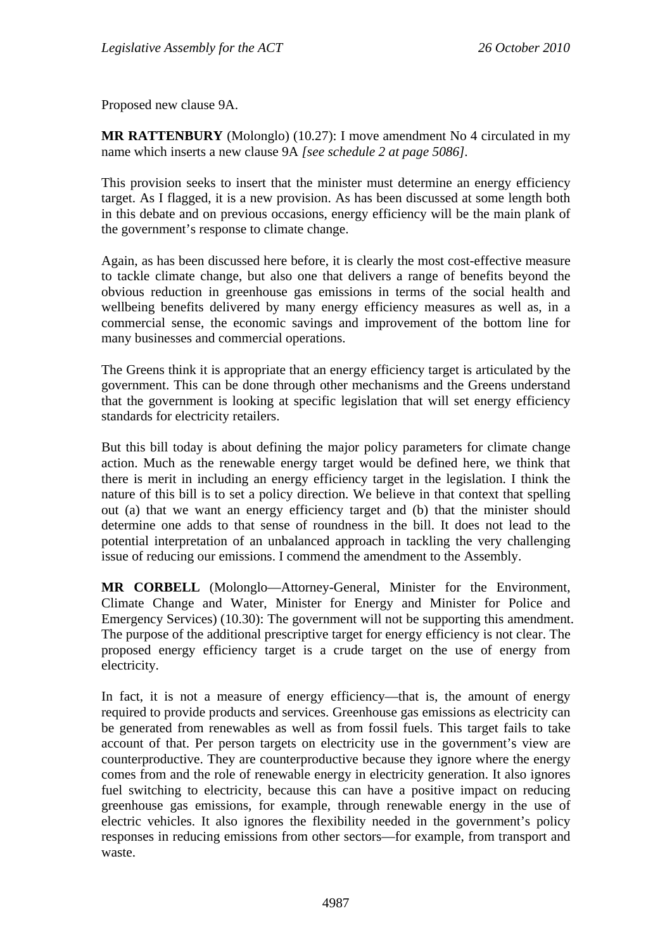Proposed new clause 9A.

**MR RATTENBURY** (Molonglo) (10.27): I move amendment No 4 circulated in my name which inserts a new clause 9A *[see schedule 2 at page 5086].*

This provision seeks to insert that the minister must determine an energy efficiency target. As I flagged, it is a new provision. As has been discussed at some length both in this debate and on previous occasions, energy efficiency will be the main plank of the government's response to climate change.

Again, as has been discussed here before, it is clearly the most cost-effective measure to tackle climate change, but also one that delivers a range of benefits beyond the obvious reduction in greenhouse gas emissions in terms of the social health and wellbeing benefits delivered by many energy efficiency measures as well as, in a commercial sense, the economic savings and improvement of the bottom line for many businesses and commercial operations.

The Greens think it is appropriate that an energy efficiency target is articulated by the government. This can be done through other mechanisms and the Greens understand that the government is looking at specific legislation that will set energy efficiency standards for electricity retailers.

But this bill today is about defining the major policy parameters for climate change action. Much as the renewable energy target would be defined here, we think that there is merit in including an energy efficiency target in the legislation. I think the nature of this bill is to set a policy direction. We believe in that context that spelling out (a) that we want an energy efficiency target and (b) that the minister should determine one adds to that sense of roundness in the bill. It does not lead to the potential interpretation of an unbalanced approach in tackling the very challenging issue of reducing our emissions. I commend the amendment to the Assembly.

**MR CORBELL** (Molonglo—Attorney-General, Minister for the Environment, Climate Change and Water, Minister for Energy and Minister for Police and Emergency Services) (10.30): The government will not be supporting this amendment. The purpose of the additional prescriptive target for energy efficiency is not clear. The proposed energy efficiency target is a crude target on the use of energy from electricity.

In fact, it is not a measure of energy efficiency—that is, the amount of energy required to provide products and services. Greenhouse gas emissions as electricity can be generated from renewables as well as from fossil fuels. This target fails to take account of that. Per person targets on electricity use in the government's view are counterproductive. They are counterproductive because they ignore where the energy comes from and the role of renewable energy in electricity generation. It also ignores fuel switching to electricity, because this can have a positive impact on reducing greenhouse gas emissions, for example, through renewable energy in the use of electric vehicles. It also ignores the flexibility needed in the government's policy responses in reducing emissions from other sectors—for example, from transport and waste.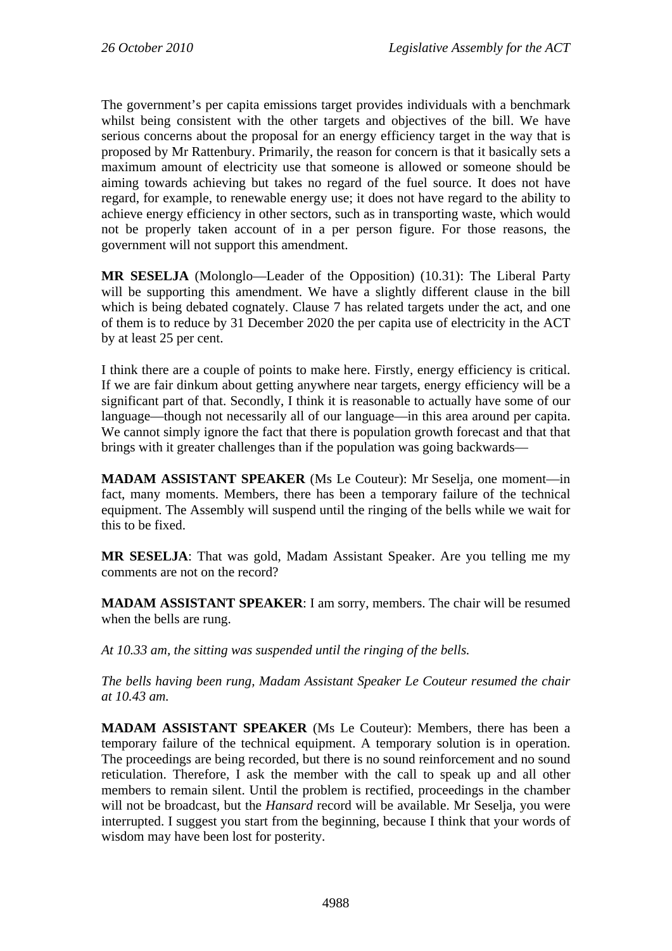The government's per capita emissions target provides individuals with a benchmark whilst being consistent with the other targets and objectives of the bill. We have serious concerns about the proposal for an energy efficiency target in the way that is proposed by Mr Rattenbury. Primarily, the reason for concern is that it basically sets a maximum amount of electricity use that someone is allowed or someone should be aiming towards achieving but takes no regard of the fuel source. It does not have regard, for example, to renewable energy use; it does not have regard to the ability to achieve energy efficiency in other sectors, such as in transporting waste, which would not be properly taken account of in a per person figure. For those reasons, the government will not support this amendment.

**MR SESELJA** (Molonglo—Leader of the Opposition) (10.31): The Liberal Party will be supporting this amendment. We have a slightly different clause in the bill which is being debated cognately. Clause 7 has related targets under the act, and one of them is to reduce by 31 December 2020 the per capita use of electricity in the ACT by at least 25 per cent.

I think there are a couple of points to make here. Firstly, energy efficiency is critical. If we are fair dinkum about getting anywhere near targets, energy efficiency will be a significant part of that. Secondly, I think it is reasonable to actually have some of our language—though not necessarily all of our language—in this area around per capita. We cannot simply ignore the fact that there is population growth forecast and that that brings with it greater challenges than if the population was going backwards—

**MADAM ASSISTANT SPEAKER** (Ms Le Couteur): Mr Seselja, one moment—in fact, many moments. Members, there has been a temporary failure of the technical equipment. The Assembly will suspend until the ringing of the bells while we wait for this to be fixed.

**MR SESELJA**: That was gold, Madam Assistant Speaker. Are you telling me my comments are not on the record?

**MADAM ASSISTANT SPEAKER**: I am sorry, members. The chair will be resumed when the bells are rung.

*At 10.33 am, the sitting was suspended until the ringing of the bells.* 

*The bells having been rung, Madam Assistant Speaker Le Couteur resumed the chair at 10.43 am.* 

**MADAM ASSISTANT SPEAKER** (Ms Le Couteur): Members, there has been a temporary failure of the technical equipment. A temporary solution is in operation. The proceedings are being recorded, but there is no sound reinforcement and no sound reticulation. Therefore, I ask the member with the call to speak up and all other members to remain silent. Until the problem is rectified, proceedings in the chamber will not be broadcast, but the *Hansard* record will be available. Mr Seselja, you were interrupted. I suggest you start from the beginning, because I think that your words of wisdom may have been lost for posterity.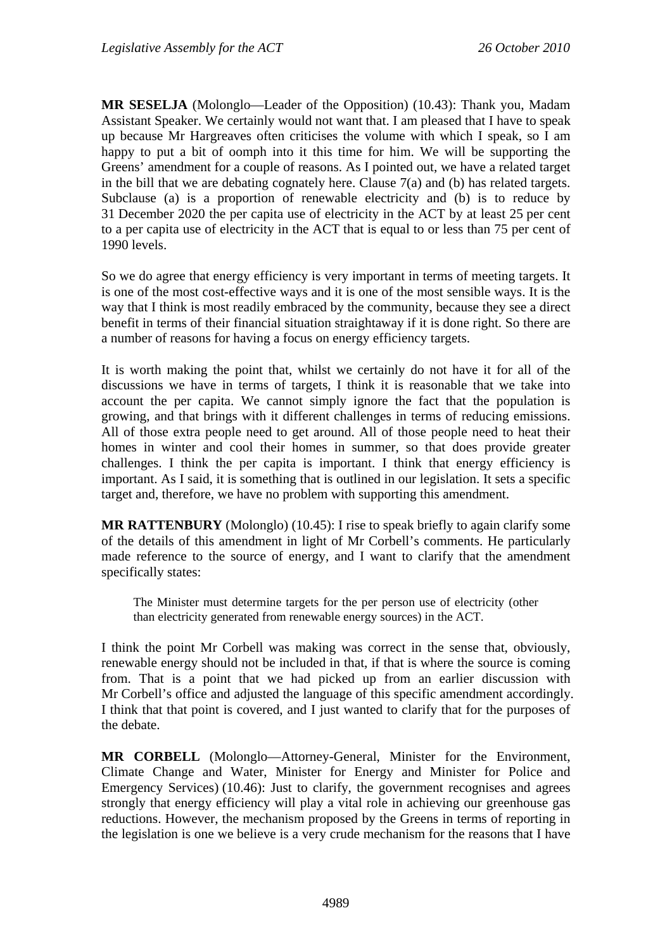**MR SESELJA** (Molonglo—Leader of the Opposition) (10.43): Thank you, Madam Assistant Speaker. We certainly would not want that. I am pleased that I have to speak up because Mr Hargreaves often criticises the volume with which I speak, so I am happy to put a bit of oomph into it this time for him. We will be supporting the Greens' amendment for a couple of reasons. As I pointed out, we have a related target in the bill that we are debating cognately here. Clause 7(a) and (b) has related targets. Subclause (a) is a proportion of renewable electricity and (b) is to reduce by 31 December 2020 the per capita use of electricity in the ACT by at least 25 per cent to a per capita use of electricity in the ACT that is equal to or less than 75 per cent of 1990 levels.

So we do agree that energy efficiency is very important in terms of meeting targets. It is one of the most cost-effective ways and it is one of the most sensible ways. It is the way that I think is most readily embraced by the community, because they see a direct benefit in terms of their financial situation straightaway if it is done right. So there are a number of reasons for having a focus on energy efficiency targets.

It is worth making the point that, whilst we certainly do not have it for all of the discussions we have in terms of targets, I think it is reasonable that we take into account the per capita. We cannot simply ignore the fact that the population is growing, and that brings with it different challenges in terms of reducing emissions. All of those extra people need to get around. All of those people need to heat their homes in winter and cool their homes in summer, so that does provide greater challenges. I think the per capita is important. I think that energy efficiency is important. As I said, it is something that is outlined in our legislation. It sets a specific target and, therefore, we have no problem with supporting this amendment.

**MR RATTENBURY** (Molonglo) (10.45): I rise to speak briefly to again clarify some of the details of this amendment in light of Mr Corbell's comments. He particularly made reference to the source of energy, and I want to clarify that the amendment specifically states:

The Minister must determine targets for the per person use of electricity (other than electricity generated from renewable energy sources) in the ACT.

I think the point Mr Corbell was making was correct in the sense that, obviously, renewable energy should not be included in that, if that is where the source is coming from. That is a point that we had picked up from an earlier discussion with Mr Corbell's office and adjusted the language of this specific amendment accordingly. I think that that point is covered, and I just wanted to clarify that for the purposes of the debate.

**MR CORBELL** (Molonglo—Attorney-General, Minister for the Environment, Climate Change and Water, Minister for Energy and Minister for Police and Emergency Services) (10.46): Just to clarify, the government recognises and agrees strongly that energy efficiency will play a vital role in achieving our greenhouse gas reductions. However, the mechanism proposed by the Greens in terms of reporting in the legislation is one we believe is a very crude mechanism for the reasons that I have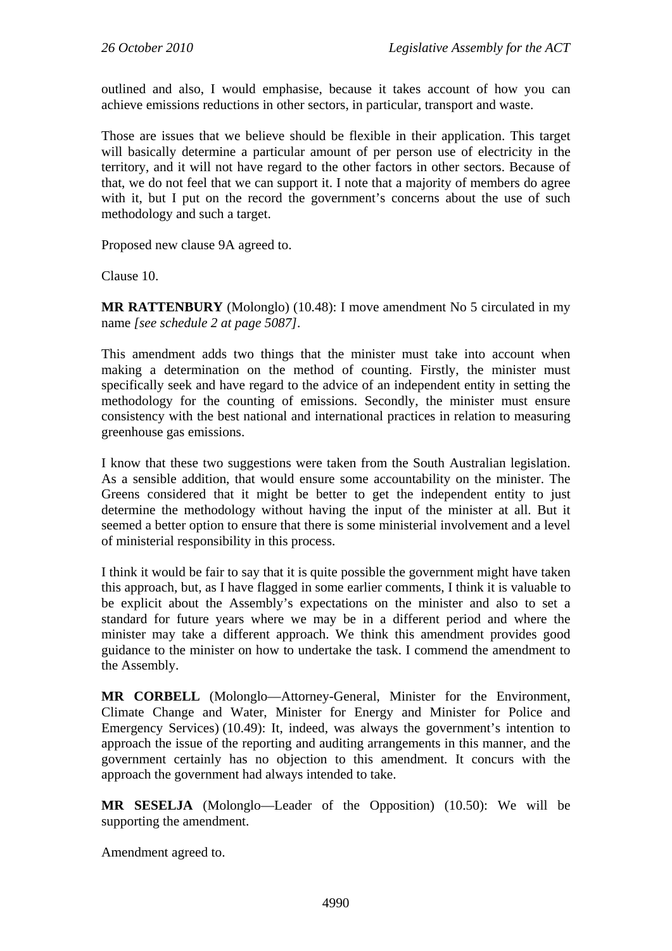outlined and also, I would emphasise, because it takes account of how you can achieve emissions reductions in other sectors, in particular, transport and waste.

Those are issues that we believe should be flexible in their application. This target will basically determine a particular amount of per person use of electricity in the territory, and it will not have regard to the other factors in other sectors. Because of that, we do not feel that we can support it. I note that a majority of members do agree with it, but I put on the record the government's concerns about the use of such methodology and such a target.

Proposed new clause 9A agreed to.

Clause 10.

**MR RATTENBURY** (Molonglo) (10.48): I move amendment No 5 circulated in my name *[see schedule 2 at page 5087]*.

This amendment adds two things that the minister must take into account when making a determination on the method of counting. Firstly, the minister must specifically seek and have regard to the advice of an independent entity in setting the methodology for the counting of emissions. Secondly, the minister must ensure consistency with the best national and international practices in relation to measuring greenhouse gas emissions.

I know that these two suggestions were taken from the South Australian legislation. As a sensible addition, that would ensure some accountability on the minister. The Greens considered that it might be better to get the independent entity to just determine the methodology without having the input of the minister at all. But it seemed a better option to ensure that there is some ministerial involvement and a level of ministerial responsibility in this process.

I think it would be fair to say that it is quite possible the government might have taken this approach, but, as I have flagged in some earlier comments, I think it is valuable to be explicit about the Assembly's expectations on the minister and also to set a standard for future years where we may be in a different period and where the minister may take a different approach. We think this amendment provides good guidance to the minister on how to undertake the task. I commend the amendment to the Assembly.

**MR CORBELL** (Molonglo—Attorney-General, Minister for the Environment, Climate Change and Water, Minister for Energy and Minister for Police and Emergency Services) (10.49): It, indeed, was always the government's intention to approach the issue of the reporting and auditing arrangements in this manner, and the government certainly has no objection to this amendment. It concurs with the approach the government had always intended to take.

**MR SESELJA** (Molonglo—Leader of the Opposition) (10.50): We will be supporting the amendment.

Amendment agreed to.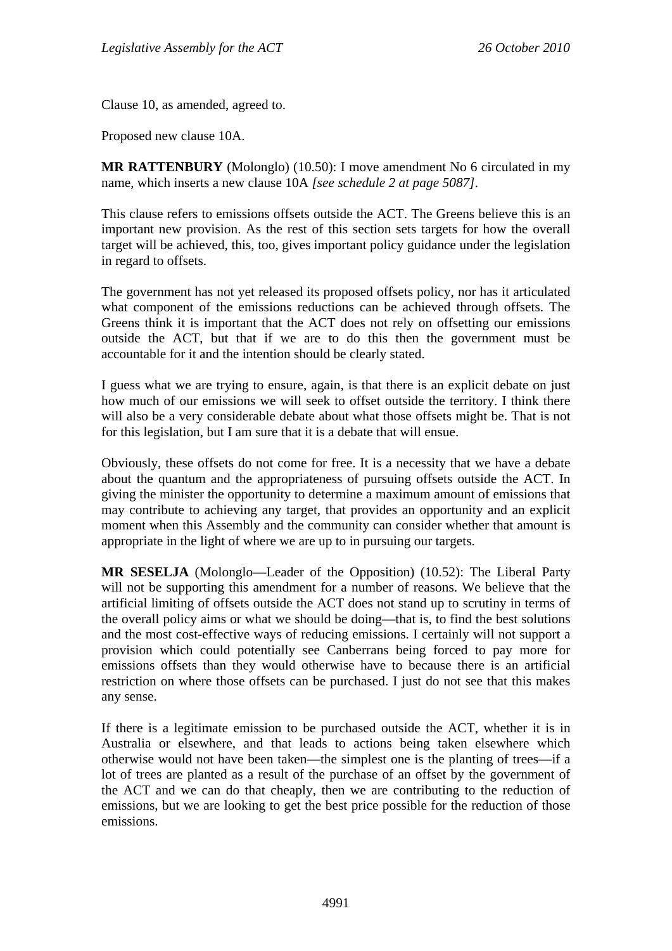Clause 10, as amended, agreed to.

Proposed new clause 10A.

**MR RATTENBURY** (Molonglo) (10.50): I move amendment No 6 circulated in my name, which inserts a new clause 10A *[see schedule 2 at page 5087]*.

This clause refers to emissions offsets outside the ACT. The Greens believe this is an important new provision. As the rest of this section sets targets for how the overall target will be achieved, this, too, gives important policy guidance under the legislation in regard to offsets.

The government has not yet released its proposed offsets policy, nor has it articulated what component of the emissions reductions can be achieved through offsets. The Greens think it is important that the ACT does not rely on offsetting our emissions outside the ACT, but that if we are to do this then the government must be accountable for it and the intention should be clearly stated.

I guess what we are trying to ensure, again, is that there is an explicit debate on just how much of our emissions we will seek to offset outside the territory. I think there will also be a very considerable debate about what those offsets might be. That is not for this legislation, but I am sure that it is a debate that will ensue.

Obviously, these offsets do not come for free. It is a necessity that we have a debate about the quantum and the appropriateness of pursuing offsets outside the ACT. In giving the minister the opportunity to determine a maximum amount of emissions that may contribute to achieving any target, that provides an opportunity and an explicit moment when this Assembly and the community can consider whether that amount is appropriate in the light of where we are up to in pursuing our targets.

**MR SESELJA** (Molonglo—Leader of the Opposition) (10.52): The Liberal Party will not be supporting this amendment for a number of reasons. We believe that the artificial limiting of offsets outside the ACT does not stand up to scrutiny in terms of the overall policy aims or what we should be doing—that is, to find the best solutions and the most cost-effective ways of reducing emissions. I certainly will not support a provision which could potentially see Canberrans being forced to pay more for emissions offsets than they would otherwise have to because there is an artificial restriction on where those offsets can be purchased. I just do not see that this makes any sense.

If there is a legitimate emission to be purchased outside the ACT, whether it is in Australia or elsewhere, and that leads to actions being taken elsewhere which otherwise would not have been taken—the simplest one is the planting of trees—if a lot of trees are planted as a result of the purchase of an offset by the government of the ACT and we can do that cheaply, then we are contributing to the reduction of emissions, but we are looking to get the best price possible for the reduction of those emissions.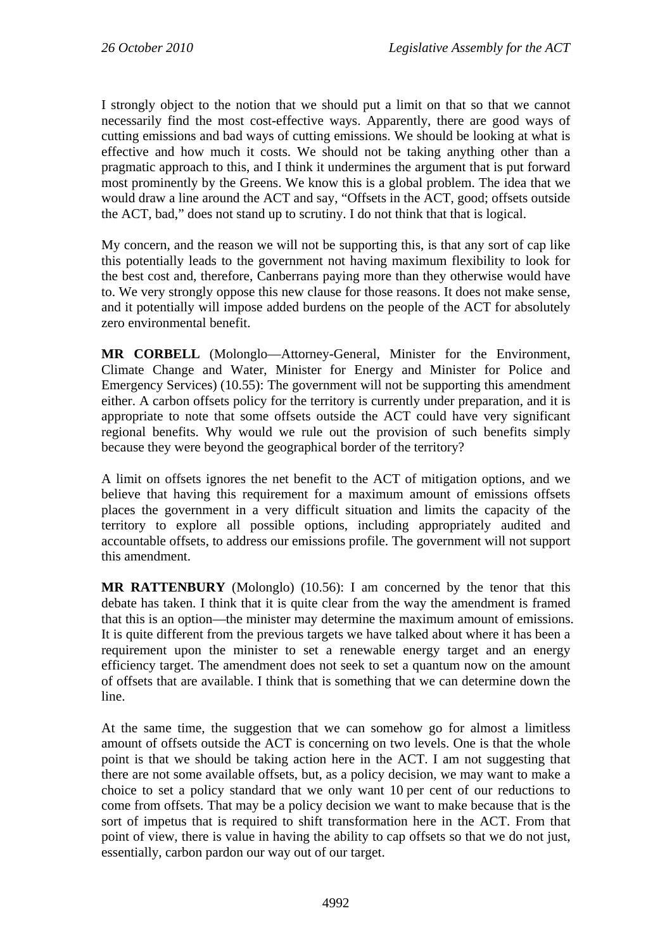I strongly object to the notion that we should put a limit on that so that we cannot necessarily find the most cost-effective ways. Apparently, there are good ways of cutting emissions and bad ways of cutting emissions. We should be looking at what is effective and how much it costs. We should not be taking anything other than a pragmatic approach to this, and I think it undermines the argument that is put forward most prominently by the Greens. We know this is a global problem. The idea that we would draw a line around the ACT and say, "Offsets in the ACT, good; offsets outside the ACT, bad," does not stand up to scrutiny. I do not think that that is logical.

My concern, and the reason we will not be supporting this, is that any sort of cap like this potentially leads to the government not having maximum flexibility to look for the best cost and, therefore, Canberrans paying more than they otherwise would have to. We very strongly oppose this new clause for those reasons. It does not make sense, and it potentially will impose added burdens on the people of the ACT for absolutely zero environmental benefit.

**MR CORBELL** (Molonglo—Attorney-General, Minister for the Environment, Climate Change and Water, Minister for Energy and Minister for Police and Emergency Services) (10.55): The government will not be supporting this amendment either. A carbon offsets policy for the territory is currently under preparation, and it is appropriate to note that some offsets outside the ACT could have very significant regional benefits. Why would we rule out the provision of such benefits simply because they were beyond the geographical border of the territory?

A limit on offsets ignores the net benefit to the ACT of mitigation options, and we believe that having this requirement for a maximum amount of emissions offsets places the government in a very difficult situation and limits the capacity of the territory to explore all possible options, including appropriately audited and accountable offsets, to address our emissions profile. The government will not support this amendment.

**MR RATTENBURY** (Molonglo) (10.56): I am concerned by the tenor that this debate has taken. I think that it is quite clear from the way the amendment is framed that this is an option—the minister may determine the maximum amount of emissions. It is quite different from the previous targets we have talked about where it has been a requirement upon the minister to set a renewable energy target and an energy efficiency target. The amendment does not seek to set a quantum now on the amount of offsets that are available. I think that is something that we can determine down the line.

At the same time, the suggestion that we can somehow go for almost a limitless amount of offsets outside the ACT is concerning on two levels. One is that the whole point is that we should be taking action here in the ACT. I am not suggesting that there are not some available offsets, but, as a policy decision, we may want to make a choice to set a policy standard that we only want 10 per cent of our reductions to come from offsets. That may be a policy decision we want to make because that is the sort of impetus that is required to shift transformation here in the ACT. From that point of view, there is value in having the ability to cap offsets so that we do not just, essentially, carbon pardon our way out of our target.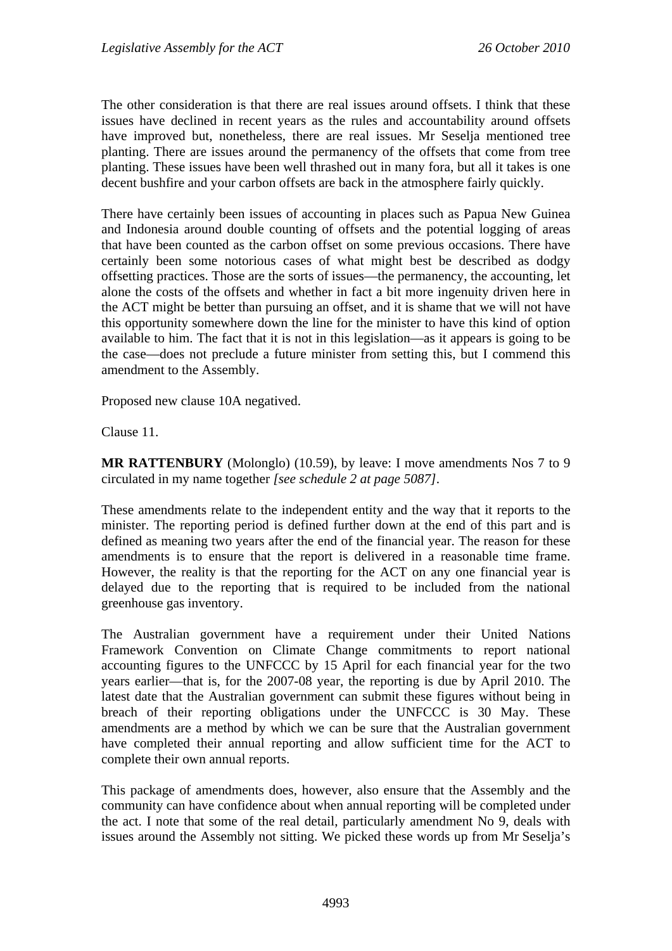The other consideration is that there are real issues around offsets. I think that these issues have declined in recent years as the rules and accountability around offsets have improved but, nonetheless, there are real issues. Mr Seselja mentioned tree planting. There are issues around the permanency of the offsets that come from tree planting. These issues have been well thrashed out in many fora, but all it takes is one decent bushfire and your carbon offsets are back in the atmosphere fairly quickly.

There have certainly been issues of accounting in places such as Papua New Guinea and Indonesia around double counting of offsets and the potential logging of areas that have been counted as the carbon offset on some previous occasions. There have certainly been some notorious cases of what might best be described as dodgy offsetting practices. Those are the sorts of issues—the permanency, the accounting, let alone the costs of the offsets and whether in fact a bit more ingenuity driven here in the ACT might be better than pursuing an offset, and it is shame that we will not have this opportunity somewhere down the line for the minister to have this kind of option available to him. The fact that it is not in this legislation—as it appears is going to be the case—does not preclude a future minister from setting this, but I commend this amendment to the Assembly.

Proposed new clause 10A negatived.

Clause 11.

MR RATTENBURY (Molonglo) (10.59), by leave: I move amendments Nos 7 to 9 circulated in my name together *[see schedule 2 at page 5087]*.

These amendments relate to the independent entity and the way that it reports to the minister. The reporting period is defined further down at the end of this part and is defined as meaning two years after the end of the financial year. The reason for these amendments is to ensure that the report is delivered in a reasonable time frame. However, the reality is that the reporting for the ACT on any one financial year is delayed due to the reporting that is required to be included from the national greenhouse gas inventory.

The Australian government have a requirement under their United Nations Framework Convention on Climate Change commitments to report national accounting figures to the UNFCCC by 15 April for each financial year for the two years earlier—that is, for the 2007-08 year, the reporting is due by April 2010. The latest date that the Australian government can submit these figures without being in breach of their reporting obligations under the UNFCCC is 30 May. These amendments are a method by which we can be sure that the Australian government have completed their annual reporting and allow sufficient time for the ACT to complete their own annual reports.

This package of amendments does, however, also ensure that the Assembly and the community can have confidence about when annual reporting will be completed under the act. I note that some of the real detail, particularly amendment No 9, deals with issues around the Assembly not sitting. We picked these words up from Mr Seselja's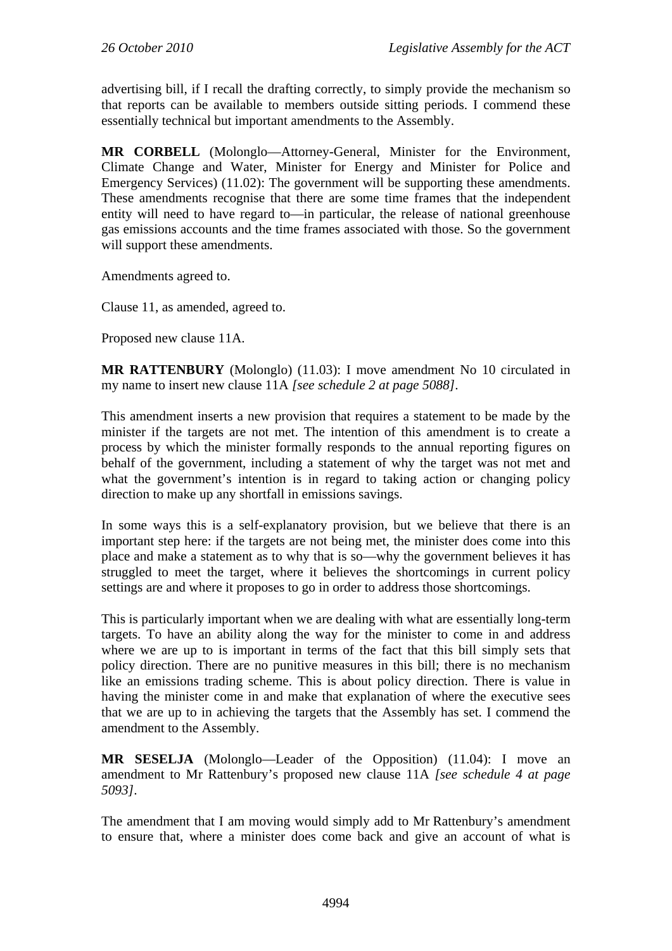advertising bill, if I recall the drafting correctly, to simply provide the mechanism so that reports can be available to members outside sitting periods. I commend these essentially technical but important amendments to the Assembly.

**MR CORBELL** (Molonglo—Attorney-General, Minister for the Environment, Climate Change and Water, Minister for Energy and Minister for Police and Emergency Services) (11.02): The government will be supporting these amendments. These amendments recognise that there are some time frames that the independent entity will need to have regard to—in particular, the release of national greenhouse gas emissions accounts and the time frames associated with those. So the government will support these amendments.

Amendments agreed to.

Clause 11, as amended, agreed to.

Proposed new clause 11A.

**MR RATTENBURY** (Molonglo) (11.03): I move amendment No 10 circulated in my name to insert new clause 11A *[see schedule 2 at page 5088]*.

This amendment inserts a new provision that requires a statement to be made by the minister if the targets are not met. The intention of this amendment is to create a process by which the minister formally responds to the annual reporting figures on behalf of the government, including a statement of why the target was not met and what the government's intention is in regard to taking action or changing policy direction to make up any shortfall in emissions savings.

In some ways this is a self-explanatory provision, but we believe that there is an important step here: if the targets are not being met, the minister does come into this place and make a statement as to why that is so—why the government believes it has struggled to meet the target, where it believes the shortcomings in current policy settings are and where it proposes to go in order to address those shortcomings.

This is particularly important when we are dealing with what are essentially long-term targets. To have an ability along the way for the minister to come in and address where we are up to is important in terms of the fact that this bill simply sets that policy direction. There are no punitive measures in this bill; there is no mechanism like an emissions trading scheme. This is about policy direction. There is value in having the minister come in and make that explanation of where the executive sees that we are up to in achieving the targets that the Assembly has set. I commend the amendment to the Assembly.

**MR SESELJA** (Molonglo—Leader of the Opposition) (11.04): I move an amendment to Mr Rattenbury's proposed new clause 11A *[see schedule 4 at page 5093]*.

The amendment that I am moving would simply add to Mr Rattenbury's amendment to ensure that, where a minister does come back and give an account of what is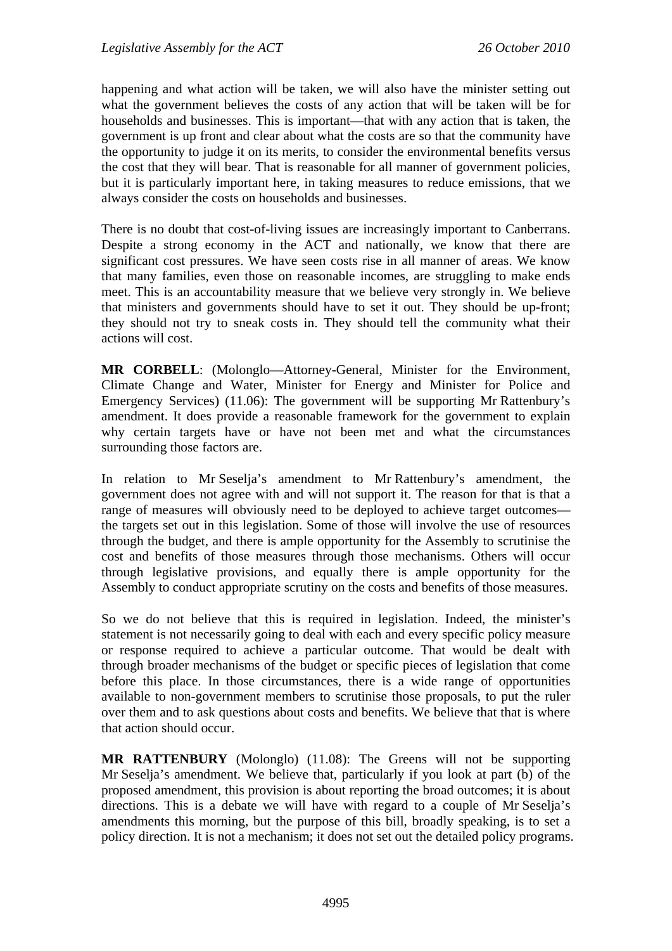happening and what action will be taken, we will also have the minister setting out what the government believes the costs of any action that will be taken will be for households and businesses. This is important—that with any action that is taken, the government is up front and clear about what the costs are so that the community have the opportunity to judge it on its merits, to consider the environmental benefits versus the cost that they will bear. That is reasonable for all manner of government policies, but it is particularly important here, in taking measures to reduce emissions, that we always consider the costs on households and businesses.

There is no doubt that cost-of-living issues are increasingly important to Canberrans. Despite a strong economy in the ACT and nationally, we know that there are significant cost pressures. We have seen costs rise in all manner of areas. We know that many families, even those on reasonable incomes, are struggling to make ends meet. This is an accountability measure that we believe very strongly in. We believe that ministers and governments should have to set it out. They should be up-front; they should not try to sneak costs in. They should tell the community what their actions will cost.

**MR CORBELL**: (Molonglo—Attorney-General, Minister for the Environment, Climate Change and Water, Minister for Energy and Minister for Police and Emergency Services) (11.06): The government will be supporting Mr Rattenbury's amendment. It does provide a reasonable framework for the government to explain why certain targets have or have not been met and what the circumstances surrounding those factors are.

In relation to Mr Seselja's amendment to Mr Rattenbury's amendment, the government does not agree with and will not support it. The reason for that is that a range of measures will obviously need to be deployed to achieve target outcomes the targets set out in this legislation. Some of those will involve the use of resources through the budget, and there is ample opportunity for the Assembly to scrutinise the cost and benefits of those measures through those mechanisms. Others will occur through legislative provisions, and equally there is ample opportunity for the Assembly to conduct appropriate scrutiny on the costs and benefits of those measures.

So we do not believe that this is required in legislation. Indeed, the minister's statement is not necessarily going to deal with each and every specific policy measure or response required to achieve a particular outcome. That would be dealt with through broader mechanisms of the budget or specific pieces of legislation that come before this place. In those circumstances, there is a wide range of opportunities available to non-government members to scrutinise those proposals, to put the ruler over them and to ask questions about costs and benefits. We believe that that is where that action should occur.

**MR RATTENBURY** (Molonglo) (11.08): The Greens will not be supporting Mr Seselja's amendment. We believe that, particularly if you look at part (b) of the proposed amendment, this provision is about reporting the broad outcomes; it is about directions. This is a debate we will have with regard to a couple of Mr Seselja's amendments this morning, but the purpose of this bill, broadly speaking, is to set a policy direction. It is not a mechanism; it does not set out the detailed policy programs.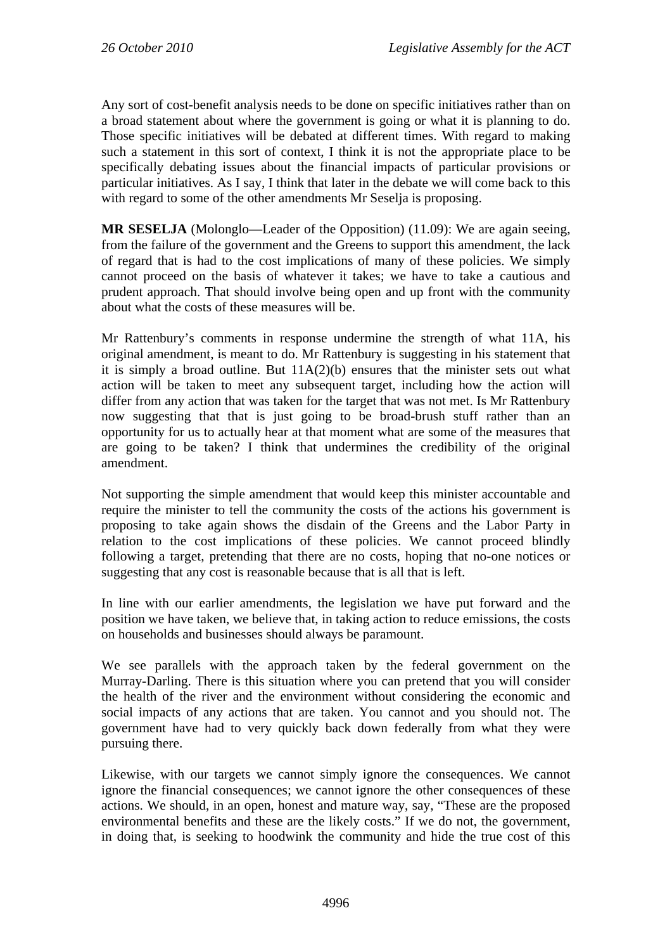Any sort of cost-benefit analysis needs to be done on specific initiatives rather than on a broad statement about where the government is going or what it is planning to do. Those specific initiatives will be debated at different times. With regard to making such a statement in this sort of context, I think it is not the appropriate place to be specifically debating issues about the financial impacts of particular provisions or particular initiatives. As I say, I think that later in the debate we will come back to this with regard to some of the other amendments Mr Seselja is proposing.

**MR SESELJA** (Molonglo—Leader of the Opposition) (11.09): We are again seeing, from the failure of the government and the Greens to support this amendment, the lack of regard that is had to the cost implications of many of these policies. We simply cannot proceed on the basis of whatever it takes; we have to take a cautious and prudent approach. That should involve being open and up front with the community about what the costs of these measures will be.

Mr Rattenbury's comments in response undermine the strength of what 11A, his original amendment, is meant to do. Mr Rattenbury is suggesting in his statement that it is simply a broad outline. But  $11A(2)(b)$  ensures that the minister sets out what action will be taken to meet any subsequent target, including how the action will differ from any action that was taken for the target that was not met. Is Mr Rattenbury now suggesting that that is just going to be broad-brush stuff rather than an opportunity for us to actually hear at that moment what are some of the measures that are going to be taken? I think that undermines the credibility of the original amendment.

Not supporting the simple amendment that would keep this minister accountable and require the minister to tell the community the costs of the actions his government is proposing to take again shows the disdain of the Greens and the Labor Party in relation to the cost implications of these policies. We cannot proceed blindly following a target, pretending that there are no costs, hoping that no-one notices or suggesting that any cost is reasonable because that is all that is left.

In line with our earlier amendments, the legislation we have put forward and the position we have taken, we believe that, in taking action to reduce emissions, the costs on households and businesses should always be paramount.

We see parallels with the approach taken by the federal government on the Murray-Darling. There is this situation where you can pretend that you will consider the health of the river and the environment without considering the economic and social impacts of any actions that are taken. You cannot and you should not. The government have had to very quickly back down federally from what they were pursuing there.

Likewise, with our targets we cannot simply ignore the consequences. We cannot ignore the financial consequences; we cannot ignore the other consequences of these actions. We should, in an open, honest and mature way, say, "These are the proposed environmental benefits and these are the likely costs." If we do not, the government, in doing that, is seeking to hoodwink the community and hide the true cost of this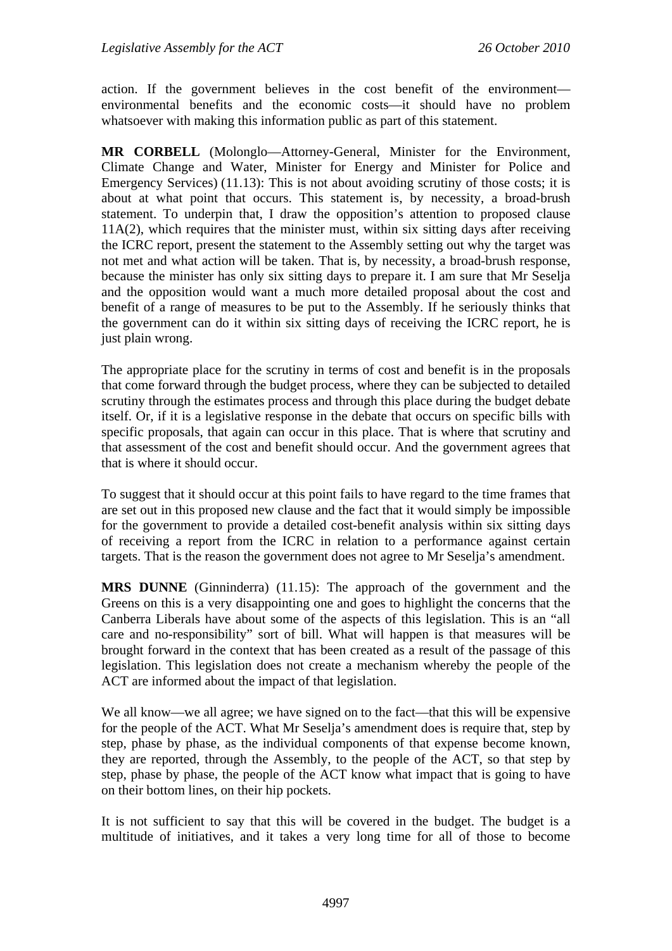action. If the government believes in the cost benefit of the environment environmental benefits and the economic costs—it should have no problem whatsoever with making this information public as part of this statement.

**MR CORBELL** (Molonglo—Attorney-General, Minister for the Environment, Climate Change and Water, Minister for Energy and Minister for Police and Emergency Services) (11.13): This is not about avoiding scrutiny of those costs; it is about at what point that occurs. This statement is, by necessity, a broad-brush statement. To underpin that, I draw the opposition's attention to proposed clause 11A(2), which requires that the minister must, within six sitting days after receiving the ICRC report, present the statement to the Assembly setting out why the target was not met and what action will be taken. That is, by necessity, a broad-brush response, because the minister has only six sitting days to prepare it. I am sure that Mr Seselja and the opposition would want a much more detailed proposal about the cost and benefit of a range of measures to be put to the Assembly. If he seriously thinks that the government can do it within six sitting days of receiving the ICRC report, he is just plain wrong.

The appropriate place for the scrutiny in terms of cost and benefit is in the proposals that come forward through the budget process, where they can be subjected to detailed scrutiny through the estimates process and through this place during the budget debate itself. Or, if it is a legislative response in the debate that occurs on specific bills with specific proposals, that again can occur in this place. That is where that scrutiny and that assessment of the cost and benefit should occur. And the government agrees that that is where it should occur.

To suggest that it should occur at this point fails to have regard to the time frames that are set out in this proposed new clause and the fact that it would simply be impossible for the government to provide a detailed cost-benefit analysis within six sitting days of receiving a report from the ICRC in relation to a performance against certain targets. That is the reason the government does not agree to Mr Seselja's amendment.

**MRS DUNNE** (Ginninderra) (11.15): The approach of the government and the Greens on this is a very disappointing one and goes to highlight the concerns that the Canberra Liberals have about some of the aspects of this legislation. This is an "all care and no-responsibility" sort of bill. What will happen is that measures will be brought forward in the context that has been created as a result of the passage of this legislation. This legislation does not create a mechanism whereby the people of the ACT are informed about the impact of that legislation.

We all know—we all agree; we have signed on to the fact—that this will be expensive for the people of the ACT. What Mr Seselja's amendment does is require that, step by step, phase by phase, as the individual components of that expense become known, they are reported, through the Assembly, to the people of the ACT, so that step by step, phase by phase, the people of the ACT know what impact that is going to have on their bottom lines, on their hip pockets.

It is not sufficient to say that this will be covered in the budget. The budget is a multitude of initiatives, and it takes a very long time for all of those to become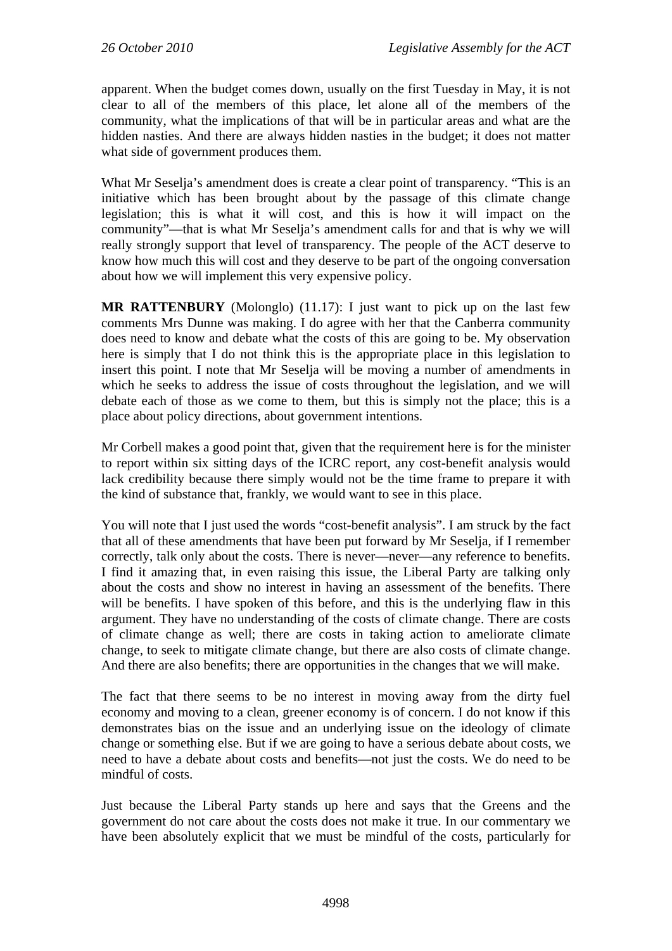apparent. When the budget comes down, usually on the first Tuesday in May, it is not clear to all of the members of this place, let alone all of the members of the community, what the implications of that will be in particular areas and what are the hidden nasties. And there are always hidden nasties in the budget; it does not matter what side of government produces them.

What Mr Seselja's amendment does is create a clear point of transparency. "This is an initiative which has been brought about by the passage of this climate change legislation; this is what it will cost, and this is how it will impact on the community"—that is what Mr Seselja's amendment calls for and that is why we will really strongly support that level of transparency. The people of the ACT deserve to know how much this will cost and they deserve to be part of the ongoing conversation about how we will implement this very expensive policy.

**MR RATTENBURY** (Molonglo) (11.17): I just want to pick up on the last few comments Mrs Dunne was making. I do agree with her that the Canberra community does need to know and debate what the costs of this are going to be. My observation here is simply that I do not think this is the appropriate place in this legislation to insert this point. I note that Mr Seselja will be moving a number of amendments in which he seeks to address the issue of costs throughout the legislation, and we will debate each of those as we come to them, but this is simply not the place; this is a place about policy directions, about government intentions.

Mr Corbell makes a good point that, given that the requirement here is for the minister to report within six sitting days of the ICRC report, any cost-benefit analysis would lack credibility because there simply would not be the time frame to prepare it with the kind of substance that, frankly, we would want to see in this place.

You will note that I just used the words "cost-benefit analysis". I am struck by the fact that all of these amendments that have been put forward by Mr Seselja, if I remember correctly, talk only about the costs. There is never—never—any reference to benefits. I find it amazing that, in even raising this issue, the Liberal Party are talking only about the costs and show no interest in having an assessment of the benefits. There will be benefits. I have spoken of this before, and this is the underlying flaw in this argument. They have no understanding of the costs of climate change. There are costs of climate change as well; there are costs in taking action to ameliorate climate change, to seek to mitigate climate change, but there are also costs of climate change. And there are also benefits; there are opportunities in the changes that we will make.

The fact that there seems to be no interest in moving away from the dirty fuel economy and moving to a clean, greener economy is of concern. I do not know if this demonstrates bias on the issue and an underlying issue on the ideology of climate change or something else. But if we are going to have a serious debate about costs, we need to have a debate about costs and benefits—not just the costs. We do need to be mindful of costs.

Just because the Liberal Party stands up here and says that the Greens and the government do not care about the costs does not make it true. In our commentary we have been absolutely explicit that we must be mindful of the costs, particularly for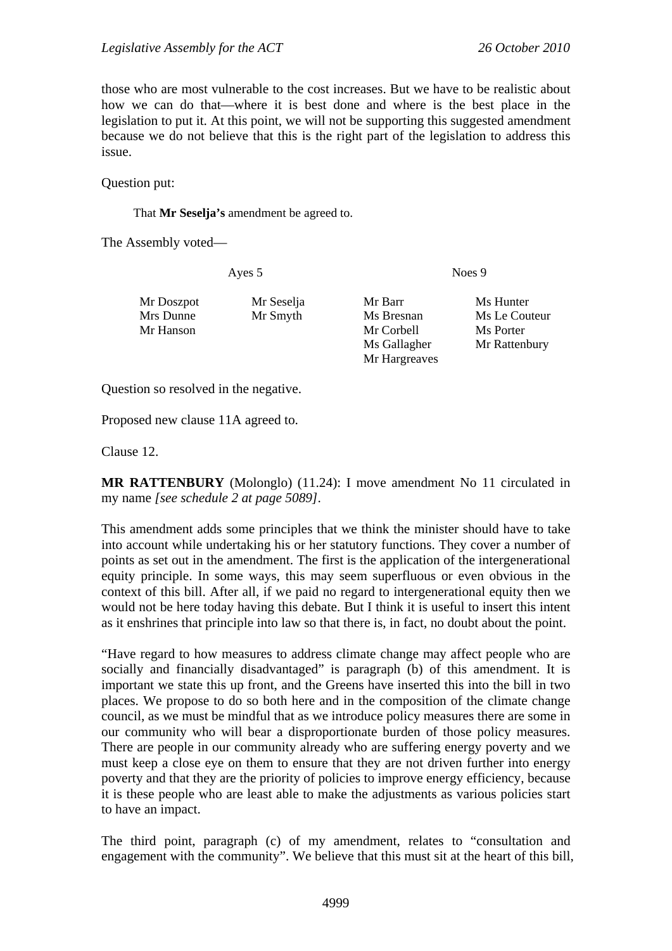those who are most vulnerable to the cost increases. But we have to be realistic about how we can do that—where it is best done and where is the best place in the legislation to put it. At this point, we will not be supporting this suggested amendment because we do not believe that this is the right part of the legislation to address this issue.

Question put:

That **Mr Seselja's** amendment be agreed to.

The Assembly voted—

Ayes 5 Noes 9

- Mr Doszpot Mr Seselja Mr Barr Ms Hunter Mrs Dunne Mr Smyth Ms Bresnan Ms Le Couteur Mr Hanson Mr Corbell Ms Porter
	- Ms Gallagher Mr Rattenbury Mr Hargreaves

Question so resolved in the negative.

Proposed new clause 11A agreed to.

Clause 12.

**MR RATTENBURY** (Molonglo) (11.24): I move amendment No 11 circulated in my name *[see schedule 2 at page 5089]*.

This amendment adds some principles that we think the minister should have to take into account while undertaking his or her statutory functions. They cover a number of points as set out in the amendment. The first is the application of the intergenerational equity principle. In some ways, this may seem superfluous or even obvious in the context of this bill. After all, if we paid no regard to intergenerational equity then we would not be here today having this debate. But I think it is useful to insert this intent as it enshrines that principle into law so that there is, in fact, no doubt about the point.

"Have regard to how measures to address climate change may affect people who are socially and financially disadvantaged" is paragraph (b) of this amendment. It is important we state this up front, and the Greens have inserted this into the bill in two places. We propose to do so both here and in the composition of the climate change council, as we must be mindful that as we introduce policy measures there are some in our community who will bear a disproportionate burden of those policy measures. There are people in our community already who are suffering energy poverty and we must keep a close eye on them to ensure that they are not driven further into energy poverty and that they are the priority of policies to improve energy efficiency, because it is these people who are least able to make the adjustments as various policies start to have an impact.

The third point, paragraph (c) of my amendment, relates to "consultation and engagement with the community". We believe that this must sit at the heart of this bill,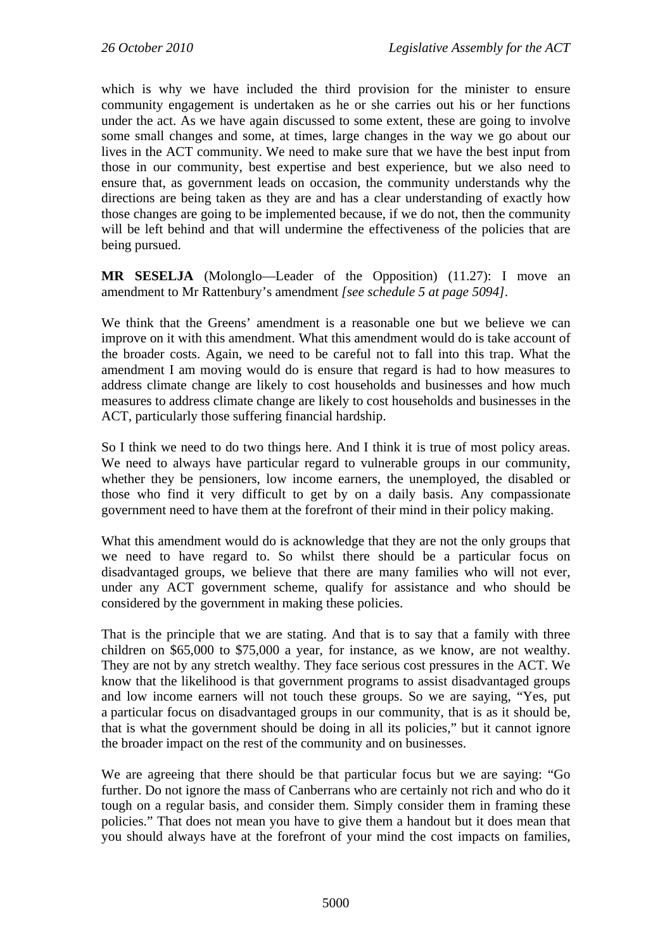which is why we have included the third provision for the minister to ensure community engagement is undertaken as he or she carries out his or her functions under the act. As we have again discussed to some extent, these are going to involve some small changes and some, at times, large changes in the way we go about our lives in the ACT community. We need to make sure that we have the best input from those in our community, best expertise and best experience, but we also need to ensure that, as government leads on occasion, the community understands why the directions are being taken as they are and has a clear understanding of exactly how those changes are going to be implemented because, if we do not, then the community will be left behind and that will undermine the effectiveness of the policies that are being pursued.

**MR SESELJA** (Molonglo—Leader of the Opposition) (11.27): I move an amendment to Mr Rattenbury's amendment *[see schedule 5 at page 5094]*.

We think that the Greens' amendment is a reasonable one but we believe we can improve on it with this amendment. What this amendment would do is take account of the broader costs. Again, we need to be careful not to fall into this trap. What the amendment I am moving would do is ensure that regard is had to how measures to address climate change are likely to cost households and businesses and how much measures to address climate change are likely to cost households and businesses in the ACT, particularly those suffering financial hardship.

So I think we need to do two things here. And I think it is true of most policy areas. We need to always have particular regard to vulnerable groups in our community, whether they be pensioners, low income earners, the unemployed, the disabled or those who find it very difficult to get by on a daily basis. Any compassionate government need to have them at the forefront of their mind in their policy making.

What this amendment would do is acknowledge that they are not the only groups that we need to have regard to. So whilst there should be a particular focus on disadvantaged groups, we believe that there are many families who will not ever, under any ACT government scheme, qualify for assistance and who should be considered by the government in making these policies.

That is the principle that we are stating. And that is to say that a family with three children on \$65,000 to \$75,000 a year, for instance, as we know, are not wealthy. They are not by any stretch wealthy. They face serious cost pressures in the ACT. We know that the likelihood is that government programs to assist disadvantaged groups and low income earners will not touch these groups. So we are saying, "Yes, put a particular focus on disadvantaged groups in our community, that is as it should be, that is what the government should be doing in all its policies," but it cannot ignore the broader impact on the rest of the community and on businesses.

We are agreeing that there should be that particular focus but we are saying: "Go further. Do not ignore the mass of Canberrans who are certainly not rich and who do it tough on a regular basis, and consider them. Simply consider them in framing these policies." That does not mean you have to give them a handout but it does mean that you should always have at the forefront of your mind the cost impacts on families,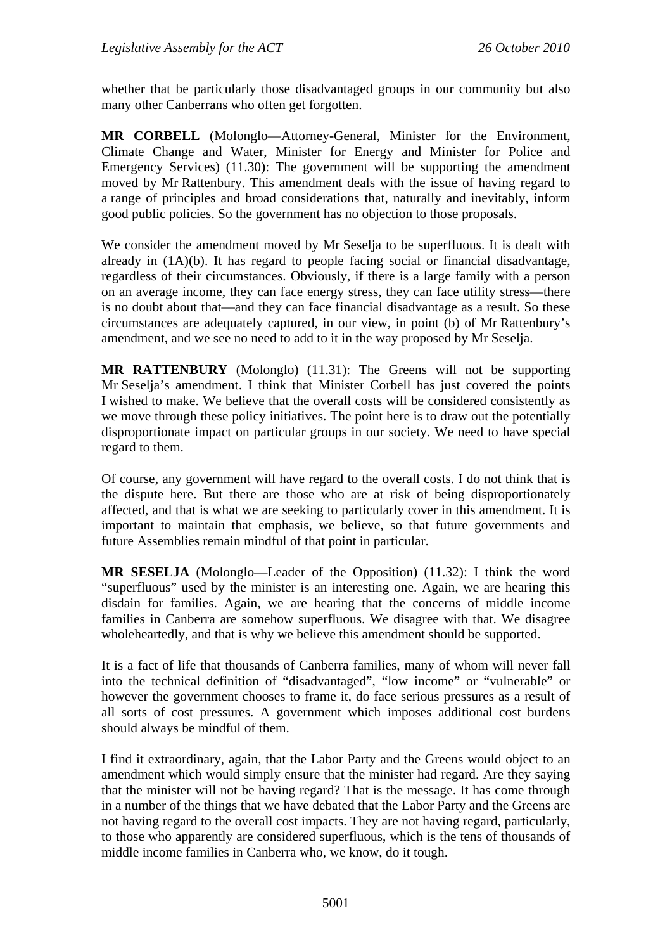whether that be particularly those disadvantaged groups in our community but also many other Canberrans who often get forgotten.

**MR CORBELL** (Molonglo—Attorney-General, Minister for the Environment, Climate Change and Water, Minister for Energy and Minister for Police and Emergency Services) (11.30): The government will be supporting the amendment moved by Mr Rattenbury. This amendment deals with the issue of having regard to a range of principles and broad considerations that, naturally and inevitably, inform good public policies. So the government has no objection to those proposals.

We consider the amendment moved by Mr Seselja to be superfluous. It is dealt with already in (1A)(b). It has regard to people facing social or financial disadvantage, regardless of their circumstances. Obviously, if there is a large family with a person on an average income, they can face energy stress, they can face utility stress—there is no doubt about that—and they can face financial disadvantage as a result. So these circumstances are adequately captured, in our view, in point (b) of Mr Rattenbury's amendment, and we see no need to add to it in the way proposed by Mr Seselja.

**MR RATTENBURY** (Molonglo) (11.31): The Greens will not be supporting Mr Seselja's amendment. I think that Minister Corbell has just covered the points I wished to make. We believe that the overall costs will be considered consistently as we move through these policy initiatives. The point here is to draw out the potentially disproportionate impact on particular groups in our society. We need to have special regard to them.

Of course, any government will have regard to the overall costs. I do not think that is the dispute here. But there are those who are at risk of being disproportionately affected, and that is what we are seeking to particularly cover in this amendment. It is important to maintain that emphasis, we believe, so that future governments and future Assemblies remain mindful of that point in particular.

**MR SESELJA** (Molonglo—Leader of the Opposition) (11.32): I think the word "superfluous" used by the minister is an interesting one. Again, we are hearing this disdain for families. Again, we are hearing that the concerns of middle income families in Canberra are somehow superfluous. We disagree with that. We disagree wholeheartedly, and that is why we believe this amendment should be supported.

It is a fact of life that thousands of Canberra families, many of whom will never fall into the technical definition of "disadvantaged", "low income" or "vulnerable" or however the government chooses to frame it, do face serious pressures as a result of all sorts of cost pressures. A government which imposes additional cost burdens should always be mindful of them.

I find it extraordinary, again, that the Labor Party and the Greens would object to an amendment which would simply ensure that the minister had regard. Are they saying that the minister will not be having regard? That is the message. It has come through in a number of the things that we have debated that the Labor Party and the Greens are not having regard to the overall cost impacts. They are not having regard, particularly, to those who apparently are considered superfluous, which is the tens of thousands of middle income families in Canberra who, we know, do it tough.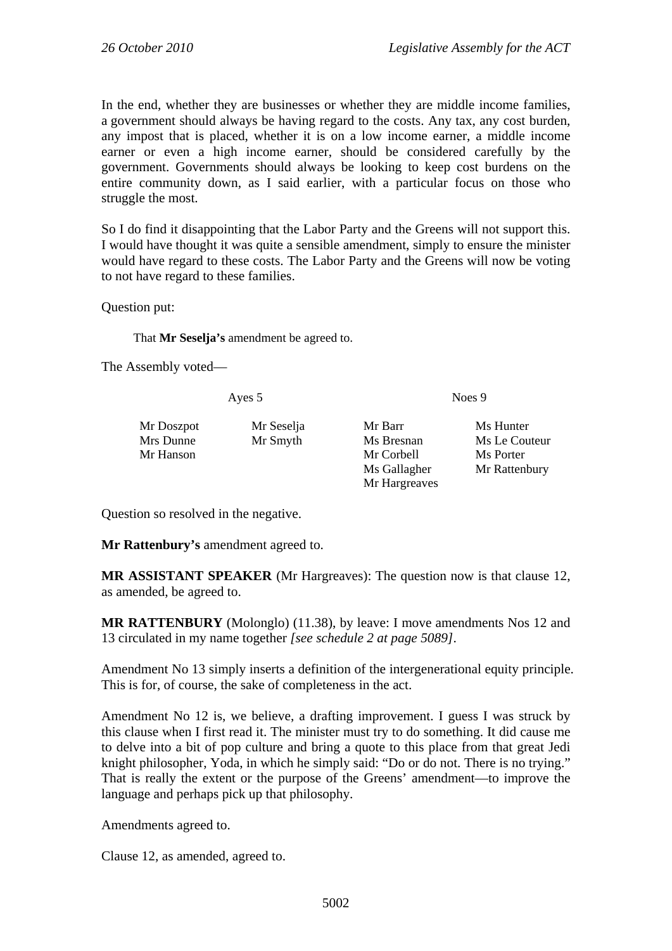In the end, whether they are businesses or whether they are middle income families, a government should always be having regard to the costs. Any tax, any cost burden, any impost that is placed, whether it is on a low income earner, a middle income earner or even a high income earner, should be considered carefully by the government. Governments should always be looking to keep cost burdens on the entire community down, as I said earlier, with a particular focus on those who struggle the most.

So I do find it disappointing that the Labor Party and the Greens will not support this. I would have thought it was quite a sensible amendment, simply to ensure the minister would have regard to these costs. The Labor Party and the Greens will now be voting to not have regard to these families.

Question put:

That **Mr Seselja's** amendment be agreed to.

The Assembly voted—

| Ayes 5                  |                        | Noes 9                |                            |  |
|-------------------------|------------------------|-----------------------|----------------------------|--|
| Mr Doszpot<br>Mrs Dunne | Mr Seselja<br>Mr Smyth | Mr Barr<br>Ms Bresnan | Ms Hunter<br>Ms Le Couteur |  |
| Mr Hanson               |                        | Mr Corbell            | Ms Porter                  |  |
|                         |                        | Ms Gallagher          | Mr Rattenbury              |  |
|                         |                        | Mr Hargreaves         |                            |  |

Question so resolved in the negative.

**Mr Rattenbury's** amendment agreed to.

**MR ASSISTANT SPEAKER** (Mr Hargreaves): The question now is that clause 12, as amended, be agreed to.

**MR RATTENBURY** (Molonglo) (11.38), by leave: I move amendments Nos 12 and 13 circulated in my name together *[see schedule 2 at page 5089]*.

Amendment No 13 simply inserts a definition of the intergenerational equity principle. This is for, of course, the sake of completeness in the act.

Amendment No 12 is, we believe, a drafting improvement. I guess I was struck by this clause when I first read it. The minister must try to do something. It did cause me to delve into a bit of pop culture and bring a quote to this place from that great Jedi knight philosopher, Yoda, in which he simply said: "Do or do not. There is no trying." That is really the extent or the purpose of the Greens' amendment—to improve the language and perhaps pick up that philosophy.

Amendments agreed to.

Clause 12, as amended, agreed to.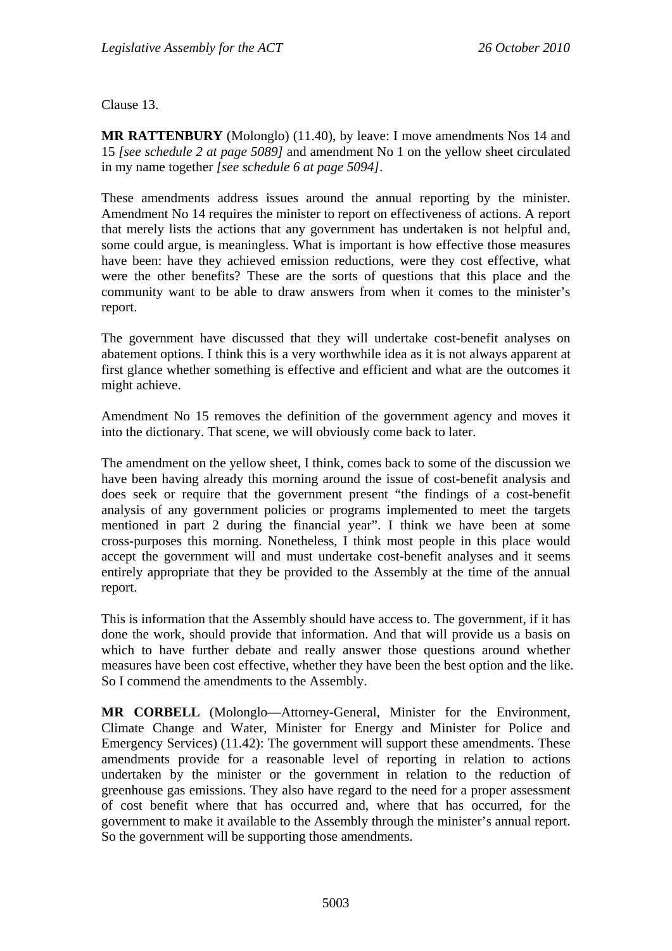Clause 13.

**MR RATTENBURY** (Molonglo) (11.40), by leave: I move amendments Nos 14 and 15 *[see schedule 2 at page 5089]* and amendment No 1 on the yellow sheet circulated in my name together *[see schedule 6 at page 5094]*.

These amendments address issues around the annual reporting by the minister. Amendment No 14 requires the minister to report on effectiveness of actions. A report that merely lists the actions that any government has undertaken is not helpful and, some could argue, is meaningless. What is important is how effective those measures have been: have they achieved emission reductions, were they cost effective, what were the other benefits? These are the sorts of questions that this place and the community want to be able to draw answers from when it comes to the minister's report.

The government have discussed that they will undertake cost-benefit analyses on abatement options. I think this is a very worthwhile idea as it is not always apparent at first glance whether something is effective and efficient and what are the outcomes it might achieve.

Amendment No 15 removes the definition of the government agency and moves it into the dictionary. That scene, we will obviously come back to later.

The amendment on the yellow sheet, I think, comes back to some of the discussion we have been having already this morning around the issue of cost-benefit analysis and does seek or require that the government present "the findings of a cost-benefit analysis of any government policies or programs implemented to meet the targets mentioned in part 2 during the financial year". I think we have been at some cross-purposes this morning. Nonetheless, I think most people in this place would accept the government will and must undertake cost-benefit analyses and it seems entirely appropriate that they be provided to the Assembly at the time of the annual report.

This is information that the Assembly should have access to. The government, if it has done the work, should provide that information. And that will provide us a basis on which to have further debate and really answer those questions around whether measures have been cost effective, whether they have been the best option and the like. So I commend the amendments to the Assembly.

**MR CORBELL** (Molonglo—Attorney-General, Minister for the Environment, Climate Change and Water, Minister for Energy and Minister for Police and Emergency Services) (11.42): The government will support these amendments. These amendments provide for a reasonable level of reporting in relation to actions undertaken by the minister or the government in relation to the reduction of greenhouse gas emissions. They also have regard to the need for a proper assessment of cost benefit where that has occurred and, where that has occurred, for the government to make it available to the Assembly through the minister's annual report. So the government will be supporting those amendments.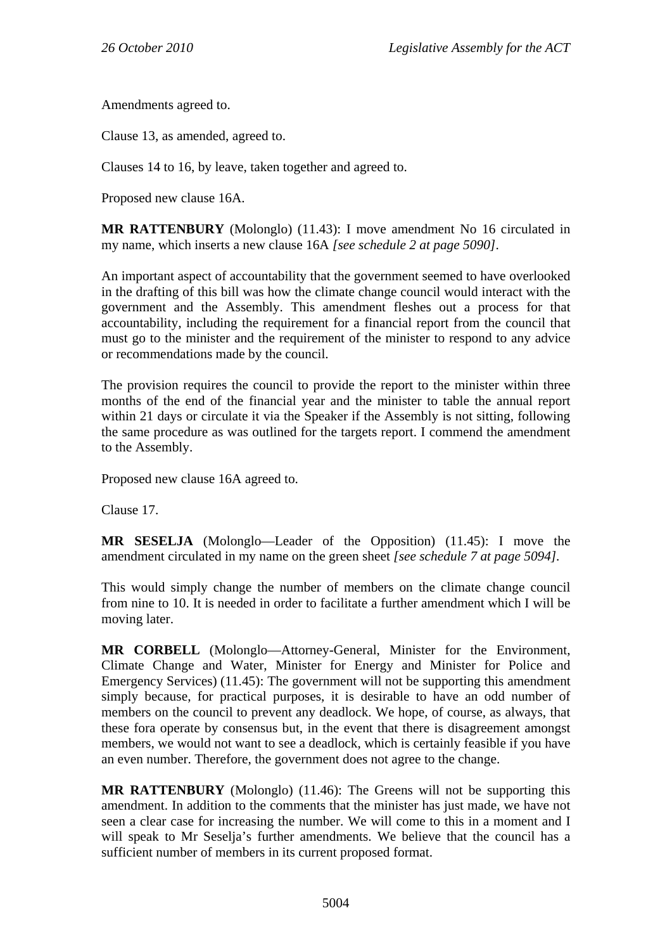Amendments agreed to.

Clause 13, as amended, agreed to.

Clauses 14 to 16, by leave, taken together and agreed to.

Proposed new clause 16A.

**MR RATTENBURY** (Molonglo) (11.43): I move amendment No 16 circulated in my name, which inserts a new clause 16A *[see schedule 2 at page 5090]*.

An important aspect of accountability that the government seemed to have overlooked in the drafting of this bill was how the climate change council would interact with the government and the Assembly. This amendment fleshes out a process for that accountability, including the requirement for a financial report from the council that must go to the minister and the requirement of the minister to respond to any advice or recommendations made by the council.

The provision requires the council to provide the report to the minister within three months of the end of the financial year and the minister to table the annual report within 21 days or circulate it via the Speaker if the Assembly is not sitting, following the same procedure as was outlined for the targets report. I commend the amendment to the Assembly.

Proposed new clause 16A agreed to.

Clause 17.

**MR SESELJA** (Molonglo—Leader of the Opposition) (11.45): I move the amendment circulated in my name on the green sheet *[see schedule 7 at page 5094].* 

This would simply change the number of members on the climate change council from nine to 10. It is needed in order to facilitate a further amendment which I will be moving later.

**MR CORBELL** (Molonglo—Attorney-General, Minister for the Environment, Climate Change and Water, Minister for Energy and Minister for Police and Emergency Services) (11.45): The government will not be supporting this amendment simply because, for practical purposes, it is desirable to have an odd number of members on the council to prevent any deadlock. We hope, of course, as always, that these fora operate by consensus but, in the event that there is disagreement amongst members, we would not want to see a deadlock, which is certainly feasible if you have an even number. Therefore, the government does not agree to the change.

**MR RATTENBURY** (Molonglo) (11.46): The Greens will not be supporting this amendment. In addition to the comments that the minister has just made, we have not seen a clear case for increasing the number. We will come to this in a moment and I will speak to Mr Seselja's further amendments. We believe that the council has a sufficient number of members in its current proposed format.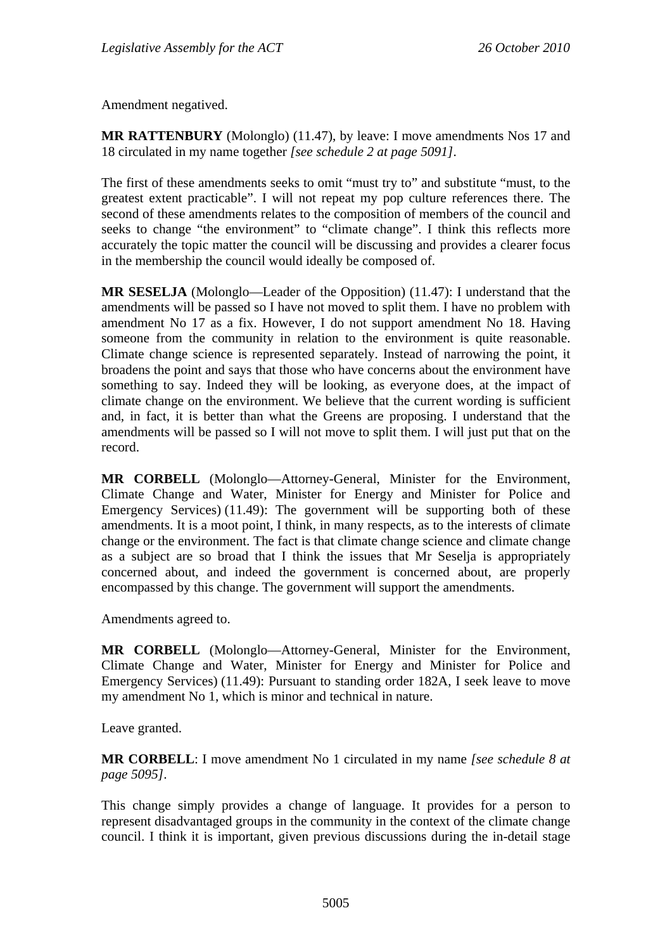Amendment negatived.

**MR RATTENBURY** (Molonglo) (11.47), by leave: I move amendments Nos 17 and 18 circulated in my name together *[see schedule 2 at page 5091]*.

The first of these amendments seeks to omit "must try to" and substitute "must, to the greatest extent practicable". I will not repeat my pop culture references there. The second of these amendments relates to the composition of members of the council and seeks to change "the environment" to "climate change". I think this reflects more accurately the topic matter the council will be discussing and provides a clearer focus in the membership the council would ideally be composed of.

**MR SESELJA** (Molonglo—Leader of the Opposition) (11.47): I understand that the amendments will be passed so I have not moved to split them. I have no problem with amendment No 17 as a fix. However, I do not support amendment No 18. Having someone from the community in relation to the environment is quite reasonable. Climate change science is represented separately. Instead of narrowing the point, it broadens the point and says that those who have concerns about the environment have something to say. Indeed they will be looking, as everyone does, at the impact of climate change on the environment. We believe that the current wording is sufficient and, in fact, it is better than what the Greens are proposing. I understand that the amendments will be passed so I will not move to split them. I will just put that on the record.

**MR CORBELL** (Molonglo—Attorney-General, Minister for the Environment, Climate Change and Water, Minister for Energy and Minister for Police and Emergency Services) (11.49): The government will be supporting both of these amendments. It is a moot point, I think, in many respects, as to the interests of climate change or the environment. The fact is that climate change science and climate change as a subject are so broad that I think the issues that Mr Seselja is appropriately concerned about, and indeed the government is concerned about, are properly encompassed by this change. The government will support the amendments.

Amendments agreed to.

**MR CORBELL** (Molonglo—Attorney-General, Minister for the Environment, Climate Change and Water, Minister for Energy and Minister for Police and Emergency Services) (11.49): Pursuant to standing order 182A, I seek leave to move my amendment No 1, which is minor and technical in nature.

Leave granted.

**MR CORBELL**: I move amendment No 1 circulated in my name *[see schedule 8 at page 5095]*.

This change simply provides a change of language. It provides for a person to represent disadvantaged groups in the community in the context of the climate change council. I think it is important, given previous discussions during the in-detail stage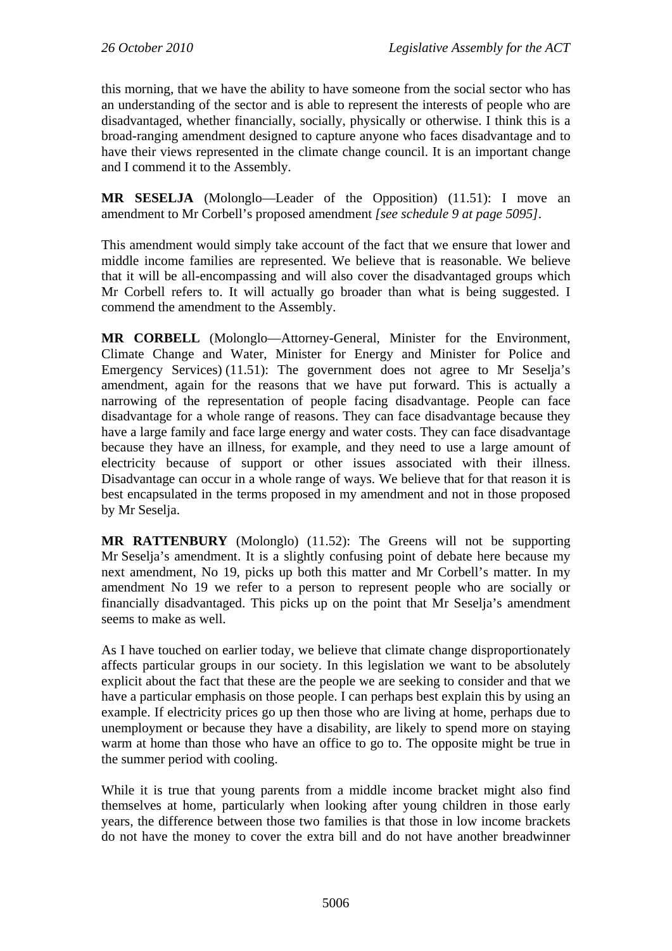this morning, that we have the ability to have someone from the social sector who has an understanding of the sector and is able to represent the interests of people who are disadvantaged, whether financially, socially, physically or otherwise. I think this is a broad-ranging amendment designed to capture anyone who faces disadvantage and to have their views represented in the climate change council. It is an important change and I commend it to the Assembly.

**MR SESELJA** (Molonglo—Leader of the Opposition) (11.51): I move an amendment to Mr Corbell's proposed amendment *[see schedule 9 at page 5095]*.

This amendment would simply take account of the fact that we ensure that lower and middle income families are represented. We believe that is reasonable. We believe that it will be all-encompassing and will also cover the disadvantaged groups which Mr Corbell refers to. It will actually go broader than what is being suggested. I commend the amendment to the Assembly.

**MR CORBELL** (Molonglo—Attorney-General, Minister for the Environment, Climate Change and Water, Minister for Energy and Minister for Police and Emergency Services) (11.51): The government does not agree to Mr Seselja's amendment, again for the reasons that we have put forward. This is actually a narrowing of the representation of people facing disadvantage. People can face disadvantage for a whole range of reasons. They can face disadvantage because they have a large family and face large energy and water costs. They can face disadvantage because they have an illness, for example, and they need to use a large amount of electricity because of support or other issues associated with their illness. Disadvantage can occur in a whole range of ways. We believe that for that reason it is best encapsulated in the terms proposed in my amendment and not in those proposed by Mr Seselja.

**MR RATTENBURY** (Molonglo) (11.52): The Greens will not be supporting Mr Seselja's amendment. It is a slightly confusing point of debate here because my next amendment, No 19, picks up both this matter and Mr Corbell's matter. In my amendment No 19 we refer to a person to represent people who are socially or financially disadvantaged. This picks up on the point that Mr Seselja's amendment seems to make as well.

As I have touched on earlier today, we believe that climate change disproportionately affects particular groups in our society. In this legislation we want to be absolutely explicit about the fact that these are the people we are seeking to consider and that we have a particular emphasis on those people. I can perhaps best explain this by using an example. If electricity prices go up then those who are living at home, perhaps due to unemployment or because they have a disability, are likely to spend more on staying warm at home than those who have an office to go to. The opposite might be true in the summer period with cooling.

While it is true that young parents from a middle income bracket might also find themselves at home, particularly when looking after young children in those early years, the difference between those two families is that those in low income brackets do not have the money to cover the extra bill and do not have another breadwinner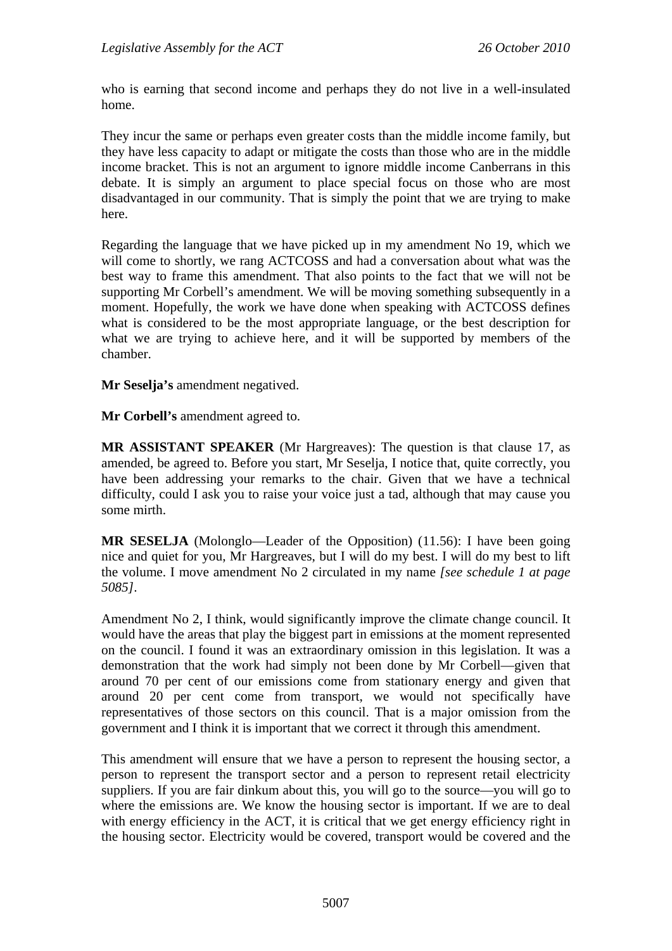who is earning that second income and perhaps they do not live in a well-insulated home.

They incur the same or perhaps even greater costs than the middle income family, but they have less capacity to adapt or mitigate the costs than those who are in the middle income bracket. This is not an argument to ignore middle income Canberrans in this debate. It is simply an argument to place special focus on those who are most disadvantaged in our community. That is simply the point that we are trying to make here.

Regarding the language that we have picked up in my amendment No 19, which we will come to shortly, we rang ACTCOSS and had a conversation about what was the best way to frame this amendment. That also points to the fact that we will not be supporting Mr Corbell's amendment. We will be moving something subsequently in a moment. Hopefully, the work we have done when speaking with ACTCOSS defines what is considered to be the most appropriate language, or the best description for what we are trying to achieve here, and it will be supported by members of the chamber.

**Mr Seselja's** amendment negatived.

**Mr Corbell's** amendment agreed to.

**MR ASSISTANT SPEAKER** (Mr Hargreaves): The question is that clause 17, as amended, be agreed to. Before you start, Mr Seselja, I notice that, quite correctly, you have been addressing your remarks to the chair. Given that we have a technical difficulty, could I ask you to raise your voice just a tad, although that may cause you some mirth.

**MR SESELJA** (Molonglo—Leader of the Opposition) (11.56): I have been going nice and quiet for you, Mr Hargreaves, but I will do my best. I will do my best to lift the volume. I move amendment No 2 circulated in my name *[see schedule 1 at page 5085]*.

Amendment No 2, I think, would significantly improve the climate change council. It would have the areas that play the biggest part in emissions at the moment represented on the council. I found it was an extraordinary omission in this legislation. It was a demonstration that the work had simply not been done by Mr Corbell—given that around 70 per cent of our emissions come from stationary energy and given that around 20 per cent come from transport, we would not specifically have representatives of those sectors on this council. That is a major omission from the government and I think it is important that we correct it through this amendment.

This amendment will ensure that we have a person to represent the housing sector, a person to represent the transport sector and a person to represent retail electricity suppliers. If you are fair dinkum about this, you will go to the source—you will go to where the emissions are. We know the housing sector is important. If we are to deal with energy efficiency in the ACT, it is critical that we get energy efficiency right in the housing sector. Electricity would be covered, transport would be covered and the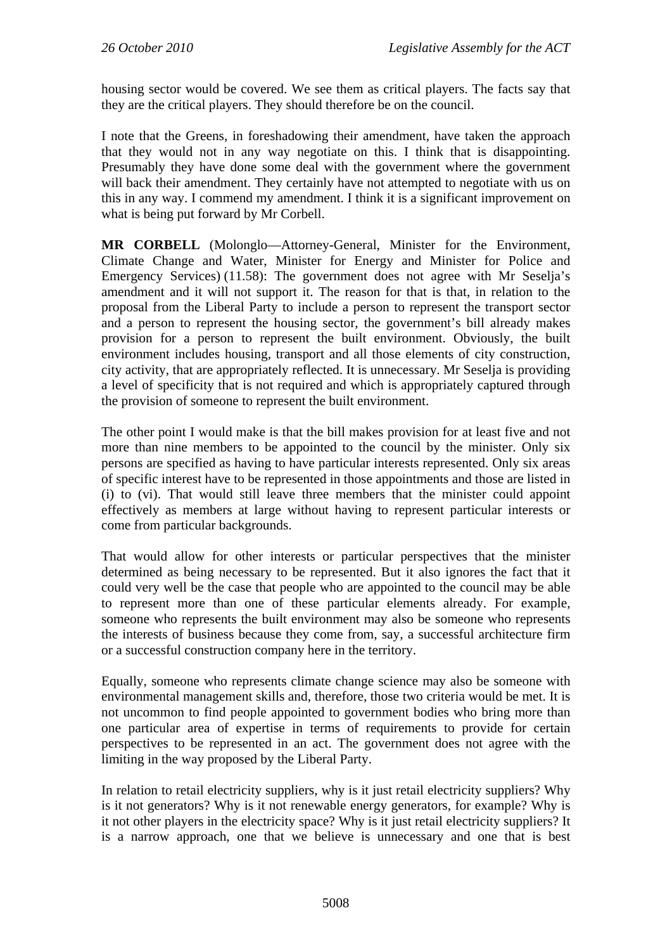housing sector would be covered. We see them as critical players. The facts say that they are the critical players. They should therefore be on the council.

I note that the Greens, in foreshadowing their amendment, have taken the approach that they would not in any way negotiate on this. I think that is disappointing. Presumably they have done some deal with the government where the government will back their amendment. They certainly have not attempted to negotiate with us on this in any way. I commend my amendment. I think it is a significant improvement on what is being put forward by Mr Corbell.

**MR CORBELL** (Molonglo—Attorney-General, Minister for the Environment, Climate Change and Water, Minister for Energy and Minister for Police and Emergency Services) (11.58): The government does not agree with Mr Seselja's amendment and it will not support it. The reason for that is that, in relation to the proposal from the Liberal Party to include a person to represent the transport sector and a person to represent the housing sector, the government's bill already makes provision for a person to represent the built environment. Obviously, the built environment includes housing, transport and all those elements of city construction, city activity, that are appropriately reflected. It is unnecessary. Mr Seselja is providing a level of specificity that is not required and which is appropriately captured through the provision of someone to represent the built environment.

The other point I would make is that the bill makes provision for at least five and not more than nine members to be appointed to the council by the minister. Only six persons are specified as having to have particular interests represented. Only six areas of specific interest have to be represented in those appointments and those are listed in (i) to (vi). That would still leave three members that the minister could appoint effectively as members at large without having to represent particular interests or come from particular backgrounds.

That would allow for other interests or particular perspectives that the minister determined as being necessary to be represented. But it also ignores the fact that it could very well be the case that people who are appointed to the council may be able to represent more than one of these particular elements already. For example, someone who represents the built environment may also be someone who represents the interests of business because they come from, say, a successful architecture firm or a successful construction company here in the territory.

Equally, someone who represents climate change science may also be someone with environmental management skills and, therefore, those two criteria would be met. It is not uncommon to find people appointed to government bodies who bring more than one particular area of expertise in terms of requirements to provide for certain perspectives to be represented in an act. The government does not agree with the limiting in the way proposed by the Liberal Party.

In relation to retail electricity suppliers, why is it just retail electricity suppliers? Why is it not generators? Why is it not renewable energy generators, for example? Why is it not other players in the electricity space? Why is it just retail electricity suppliers? It is a narrow approach, one that we believe is unnecessary and one that is best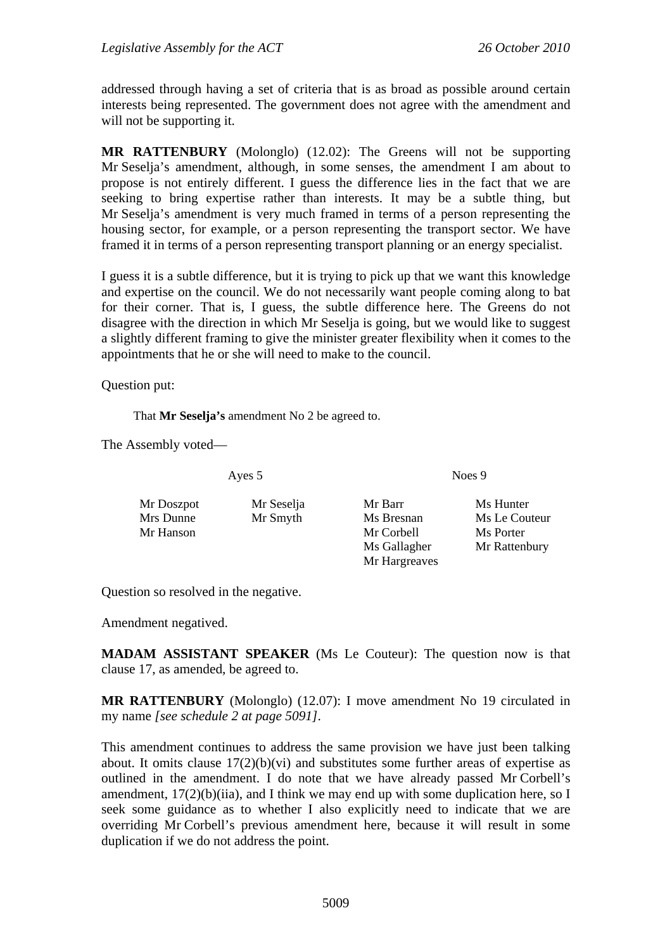addressed through having a set of criteria that is as broad as possible around certain interests being represented. The government does not agree with the amendment and will not be supporting it.

**MR RATTENBURY** (Molonglo) (12.02): The Greens will not be supporting Mr Seselja's amendment, although, in some senses, the amendment I am about to propose is not entirely different. I guess the difference lies in the fact that we are seeking to bring expertise rather than interests. It may be a subtle thing, but Mr Seselja's amendment is very much framed in terms of a person representing the housing sector, for example, or a person representing the transport sector. We have framed it in terms of a person representing transport planning or an energy specialist.

I guess it is a subtle difference, but it is trying to pick up that we want this knowledge and expertise on the council. We do not necessarily want people coming along to bat for their corner. That is, I guess, the subtle difference here. The Greens do not disagree with the direction in which Mr Seselja is going, but we would like to suggest a slightly different framing to give the minister greater flexibility when it comes to the appointments that he or she will need to make to the council.

Question put:

That **Mr Seselja's** amendment No 2 be agreed to.

The Assembly voted—

Ayes 5 Noes 9

| Mr Doszpot | Mr Seselja | Mr Barr       | Ms Hunter     |
|------------|------------|---------------|---------------|
| Mrs Dunne  | Mr Smyth   | Ms Bresnan    | Ms Le Couteur |
| Mr Hanson  |            | Mr Corbell    | Ms Porter     |
|            |            | Ms Gallagher  | Mr Rattenbury |
|            |            | Mr Hargreaves |               |

Question so resolved in the negative.

Amendment negatived.

**MADAM ASSISTANT SPEAKER** (Ms Le Couteur): The question now is that clause 17, as amended, be agreed to.

**MR RATTENBURY** (Molonglo) (12.07): I move amendment No 19 circulated in my name *[see schedule 2 at page 5091]*.

This amendment continues to address the same provision we have just been talking about. It omits clause 17(2)(b)(vi) and substitutes some further areas of expertise as outlined in the amendment. I do note that we have already passed Mr Corbell's amendment,  $17(2)(b)(ii)$ , and I think we may end up with some duplication here, so I seek some guidance as to whether I also explicitly need to indicate that we are overriding Mr Corbell's previous amendment here, because it will result in some duplication if we do not address the point.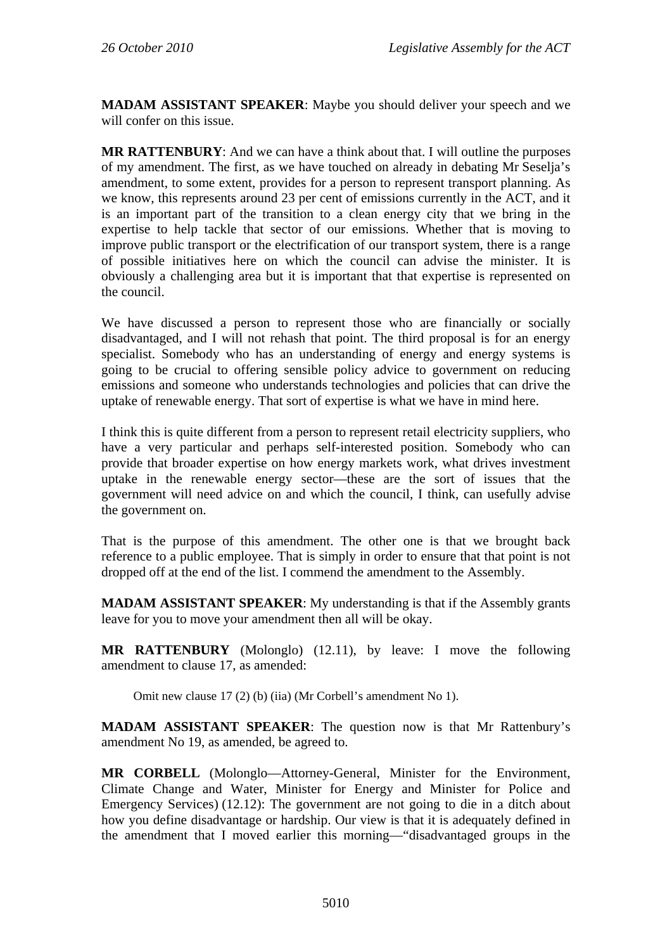**MADAM ASSISTANT SPEAKER**: Maybe you should deliver your speech and we will confer on this issue.

**MR RATTENBURY**: And we can have a think about that. I will outline the purposes of my amendment. The first, as we have touched on already in debating Mr Seselja's amendment, to some extent, provides for a person to represent transport planning. As we know, this represents around 23 per cent of emissions currently in the ACT, and it is an important part of the transition to a clean energy city that we bring in the expertise to help tackle that sector of our emissions. Whether that is moving to improve public transport or the electrification of our transport system, there is a range of possible initiatives here on which the council can advise the minister. It is obviously a challenging area but it is important that that expertise is represented on the council.

We have discussed a person to represent those who are financially or socially disadvantaged, and I will not rehash that point. The third proposal is for an energy specialist. Somebody who has an understanding of energy and energy systems is going to be crucial to offering sensible policy advice to government on reducing emissions and someone who understands technologies and policies that can drive the uptake of renewable energy. That sort of expertise is what we have in mind here.

I think this is quite different from a person to represent retail electricity suppliers, who have a very particular and perhaps self-interested position. Somebody who can provide that broader expertise on how energy markets work, what drives investment uptake in the renewable energy sector—these are the sort of issues that the government will need advice on and which the council, I think, can usefully advise the government on.

That is the purpose of this amendment. The other one is that we brought back reference to a public employee. That is simply in order to ensure that that point is not dropped off at the end of the list. I commend the amendment to the Assembly.

**MADAM ASSISTANT SPEAKER**: My understanding is that if the Assembly grants leave for you to move your amendment then all will be okay.

**MR RATTENBURY** (Molonglo) (12.11), by leave: I move the following amendment to clause 17, as amended:

Omit new clause 17 (2) (b) (iia) (Mr Corbell's amendment No 1).

**MADAM ASSISTANT SPEAKER**: The question now is that Mr Rattenbury's amendment No 19, as amended, be agreed to.

**MR CORBELL** (Molonglo—Attorney-General, Minister for the Environment, Climate Change and Water, Minister for Energy and Minister for Police and Emergency Services) (12.12): The government are not going to die in a ditch about how you define disadvantage or hardship. Our view is that it is adequately defined in the amendment that I moved earlier this morning—"disadvantaged groups in the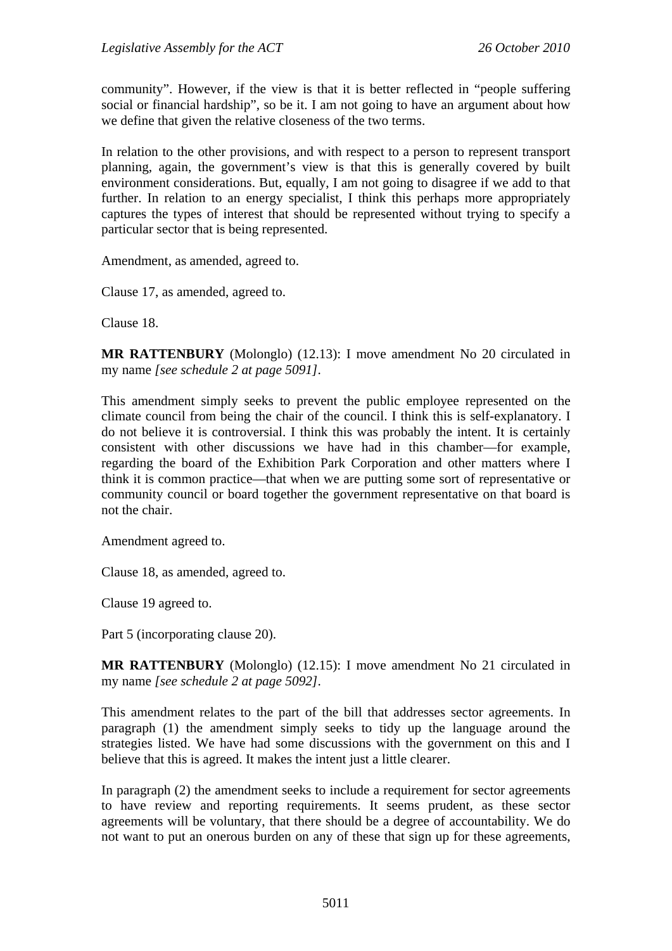community". However, if the view is that it is better reflected in "people suffering social or financial hardship", so be it. I am not going to have an argument about how we define that given the relative closeness of the two terms.

In relation to the other provisions, and with respect to a person to represent transport planning, again, the government's view is that this is generally covered by built environment considerations. But, equally, I am not going to disagree if we add to that further. In relation to an energy specialist, I think this perhaps more appropriately captures the types of interest that should be represented without trying to specify a particular sector that is being represented.

Amendment, as amended, agreed to.

Clause 17, as amended, agreed to.

Clause 18.

**MR RATTENBURY** (Molonglo) (12.13): I move amendment No 20 circulated in my name *[see schedule 2 at page 5091]*.

This amendment simply seeks to prevent the public employee represented on the climate council from being the chair of the council. I think this is self-explanatory. I do not believe it is controversial. I think this was probably the intent. It is certainly consistent with other discussions we have had in this chamber—for example, regarding the board of the Exhibition Park Corporation and other matters where I think it is common practice—that when we are putting some sort of representative or community council or board together the government representative on that board is not the chair.

Amendment agreed to.

Clause 18, as amended, agreed to.

Clause 19 agreed to.

Part 5 (incorporating clause 20).

**MR RATTENBURY** (Molonglo) (12.15): I move amendment No 21 circulated in my name *[see schedule 2 at page 5092]*.

This amendment relates to the part of the bill that addresses sector agreements. In paragraph (1) the amendment simply seeks to tidy up the language around the strategies listed. We have had some discussions with the government on this and I believe that this is agreed. It makes the intent just a little clearer.

In paragraph (2) the amendment seeks to include a requirement for sector agreements to have review and reporting requirements. It seems prudent, as these sector agreements will be voluntary, that there should be a degree of accountability. We do not want to put an onerous burden on any of these that sign up for these agreements,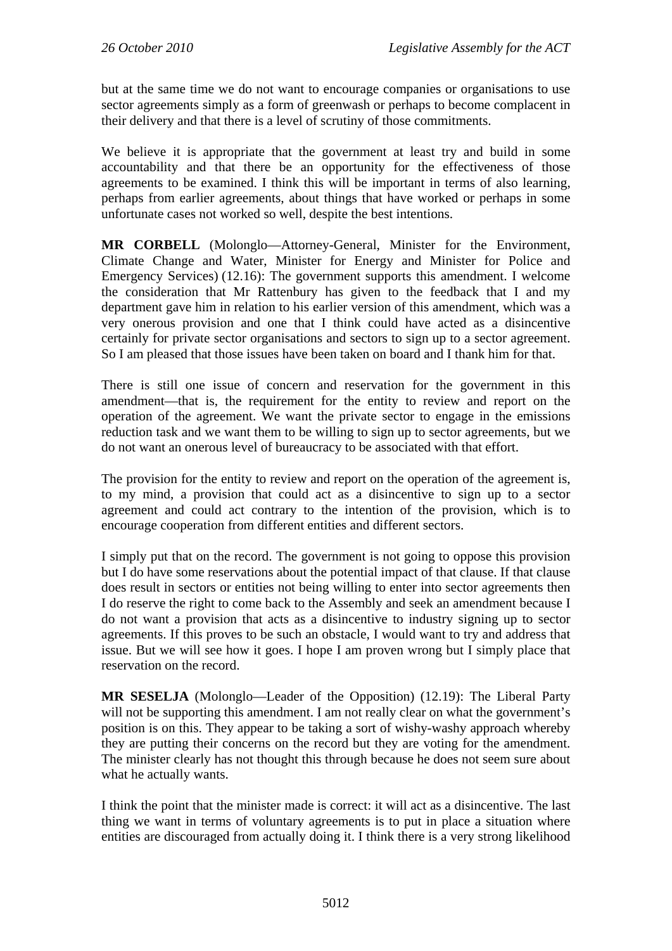but at the same time we do not want to encourage companies or organisations to use sector agreements simply as a form of greenwash or perhaps to become complacent in their delivery and that there is a level of scrutiny of those commitments.

We believe it is appropriate that the government at least try and build in some accountability and that there be an opportunity for the effectiveness of those agreements to be examined. I think this will be important in terms of also learning, perhaps from earlier agreements, about things that have worked or perhaps in some unfortunate cases not worked so well, despite the best intentions.

**MR CORBELL** (Molonglo—Attorney-General, Minister for the Environment, Climate Change and Water, Minister for Energy and Minister for Police and Emergency Services) (12.16): The government supports this amendment. I welcome the consideration that Mr Rattenbury has given to the feedback that I and my department gave him in relation to his earlier version of this amendment, which was a very onerous provision and one that I think could have acted as a disincentive certainly for private sector organisations and sectors to sign up to a sector agreement. So I am pleased that those issues have been taken on board and I thank him for that.

There is still one issue of concern and reservation for the government in this amendment—that is, the requirement for the entity to review and report on the operation of the agreement. We want the private sector to engage in the emissions reduction task and we want them to be willing to sign up to sector agreements, but we do not want an onerous level of bureaucracy to be associated with that effort.

The provision for the entity to review and report on the operation of the agreement is, to my mind, a provision that could act as a disincentive to sign up to a sector agreement and could act contrary to the intention of the provision, which is to encourage cooperation from different entities and different sectors.

I simply put that on the record. The government is not going to oppose this provision but I do have some reservations about the potential impact of that clause. If that clause does result in sectors or entities not being willing to enter into sector agreements then I do reserve the right to come back to the Assembly and seek an amendment because I do not want a provision that acts as a disincentive to industry signing up to sector agreements. If this proves to be such an obstacle, I would want to try and address that issue. But we will see how it goes. I hope I am proven wrong but I simply place that reservation on the record.

**MR SESELJA** (Molonglo—Leader of the Opposition) (12.19): The Liberal Party will not be supporting this amendment. I am not really clear on what the government's position is on this. They appear to be taking a sort of wishy-washy approach whereby they are putting their concerns on the record but they are voting for the amendment. The minister clearly has not thought this through because he does not seem sure about what he actually wants.

I think the point that the minister made is correct: it will act as a disincentive. The last thing we want in terms of voluntary agreements is to put in place a situation where entities are discouraged from actually doing it. I think there is a very strong likelihood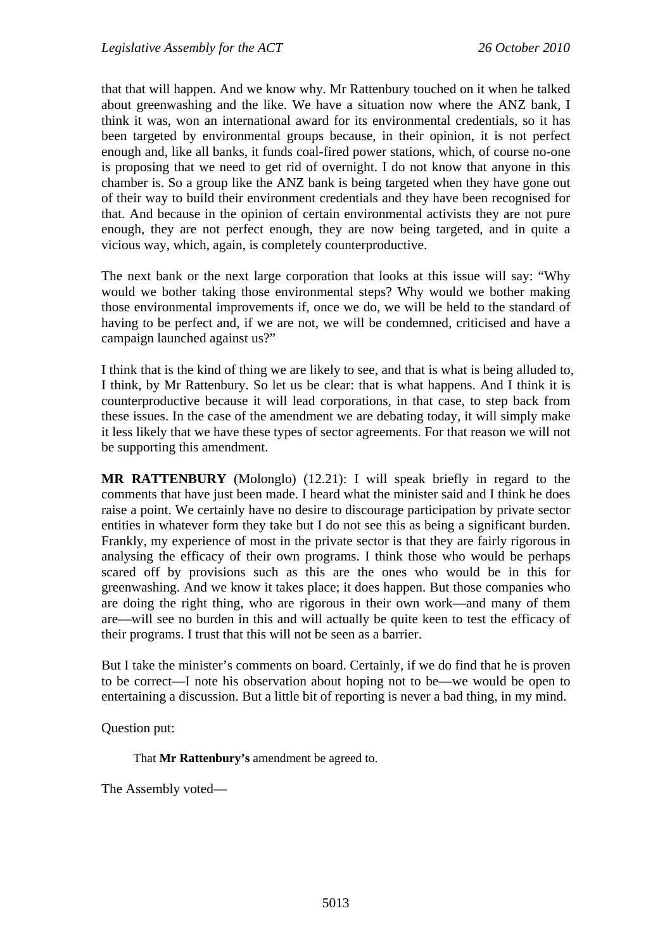that that will happen. And we know why. Mr Rattenbury touched on it when he talked about greenwashing and the like. We have a situation now where the ANZ bank, I think it was, won an international award for its environmental credentials, so it has been targeted by environmental groups because, in their opinion, it is not perfect enough and, like all banks, it funds coal-fired power stations, which, of course no-one is proposing that we need to get rid of overnight. I do not know that anyone in this chamber is. So a group like the ANZ bank is being targeted when they have gone out of their way to build their environment credentials and they have been recognised for that. And because in the opinion of certain environmental activists they are not pure enough, they are not perfect enough, they are now being targeted, and in quite a vicious way, which, again, is completely counterproductive.

The next bank or the next large corporation that looks at this issue will say: "Why would we bother taking those environmental steps? Why would we bother making those environmental improvements if, once we do, we will be held to the standard of having to be perfect and, if we are not, we will be condemned, criticised and have a campaign launched against us?"

I think that is the kind of thing we are likely to see, and that is what is being alluded to, I think, by Mr Rattenbury. So let us be clear: that is what happens. And I think it is counterproductive because it will lead corporations, in that case, to step back from these issues. In the case of the amendment we are debating today, it will simply make it less likely that we have these types of sector agreements. For that reason we will not be supporting this amendment.

**MR RATTENBURY** (Molonglo) (12.21): I will speak briefly in regard to the comments that have just been made. I heard what the minister said and I think he does raise a point. We certainly have no desire to discourage participation by private sector entities in whatever form they take but I do not see this as being a significant burden. Frankly, my experience of most in the private sector is that they are fairly rigorous in analysing the efficacy of their own programs. I think those who would be perhaps scared off by provisions such as this are the ones who would be in this for greenwashing. And we know it takes place; it does happen. But those companies who are doing the right thing, who are rigorous in their own work—and many of them are—will see no burden in this and will actually be quite keen to test the efficacy of their programs. I trust that this will not be seen as a barrier.

But I take the minister's comments on board. Certainly, if we do find that he is proven to be correct—I note his observation about hoping not to be—we would be open to entertaining a discussion. But a little bit of reporting is never a bad thing, in my mind.

Question put:

That **Mr Rattenbury's** amendment be agreed to.

The Assembly voted—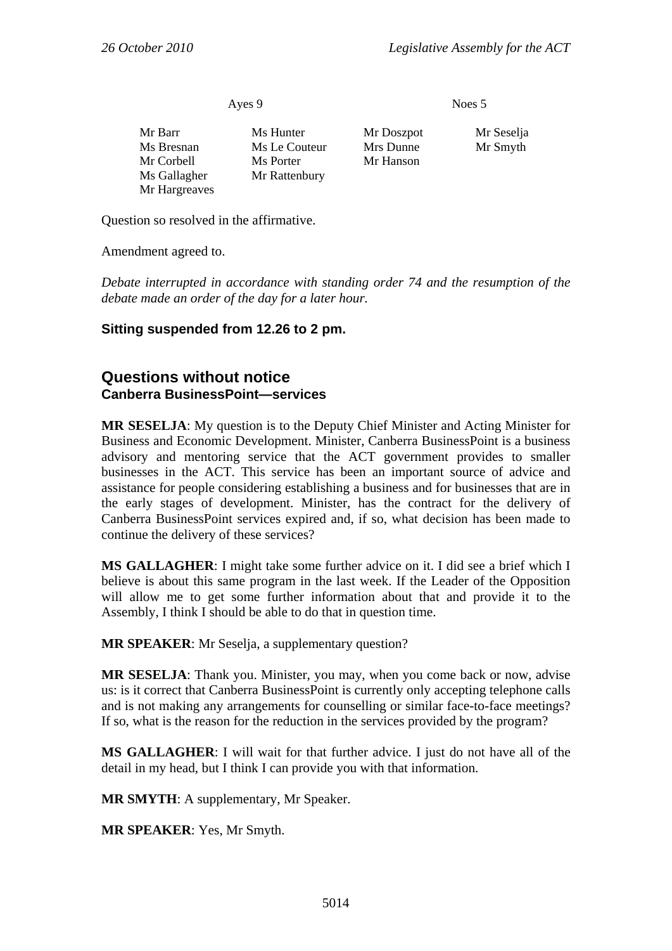Ayes 9 Noes 5

| Mr Barr       | Ms Hunter     |
|---------------|---------------|
| Ms Bresnan    | Ms Le Couteur |
| Mr Corbell    | Ms Porter     |
| Ms Gallagher  | Mr Rattenbury |
| Mr Hargreaves |               |

Mr Doszpot Mr Seselja eur Mrs Dunne Mr Smyth Mr Hanson

Question so resolved in the affirmative.

Amendment agreed to.

*Debate interrupted in accordance with standing order 74 and the resumption of the debate made an order of the day for a later hour.* 

### **Sitting suspended from 12.26 to 2 pm.**

### **Questions without notice Canberra BusinessPoint—services**

**MR SESELJA**: My question is to the Deputy Chief Minister and Acting Minister for Business and Economic Development. Minister, Canberra BusinessPoint is a business advisory and mentoring service that the ACT government provides to smaller businesses in the ACT. This service has been an important source of advice and assistance for people considering establishing a business and for businesses that are in the early stages of development. Minister, has the contract for the delivery of Canberra BusinessPoint services expired and, if so, what decision has been made to continue the delivery of these services?

**MS GALLAGHER**: I might take some further advice on it. I did see a brief which I believe is about this same program in the last week. If the Leader of the Opposition will allow me to get some further information about that and provide it to the Assembly, I think I should be able to do that in question time.

**MR SPEAKER**: Mr Seselja, a supplementary question?

**MR SESELJA**: Thank you. Minister, you may, when you come back or now, advise us: is it correct that Canberra BusinessPoint is currently only accepting telephone calls and is not making any arrangements for counselling or similar face-to-face meetings? If so, what is the reason for the reduction in the services provided by the program?

**MS GALLAGHER**: I will wait for that further advice. I just do not have all of the detail in my head, but I think I can provide you with that information.

**MR SMYTH**: A supplementary, Mr Speaker.

**MR SPEAKER**: Yes, Mr Smyth.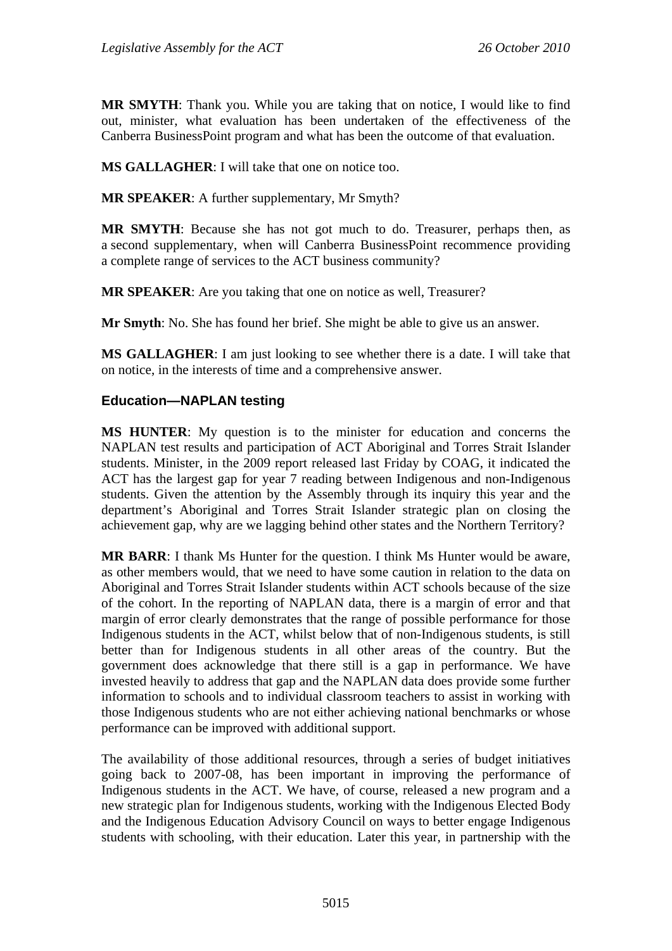**MR SMYTH**: Thank you. While you are taking that on notice, I would like to find out, minister, what evaluation has been undertaken of the effectiveness of the Canberra BusinessPoint program and what has been the outcome of that evaluation.

**MS GALLAGHER**: I will take that one on notice too.

**MR SPEAKER**: A further supplementary, Mr Smyth?

**MR SMYTH**: Because she has not got much to do. Treasurer, perhaps then, as a second supplementary, when will Canberra BusinessPoint recommence providing a complete range of services to the ACT business community?

**MR SPEAKER**: Are you taking that one on notice as well, Treasurer?

**Mr Smyth**: No. She has found her brief. She might be able to give us an answer.

**MS GALLAGHER**: I am just looking to see whether there is a date. I will take that on notice, in the interests of time and a comprehensive answer.

### **Education—NAPLAN testing**

**MS HUNTER**: My question is to the minister for education and concerns the NAPLAN test results and participation of ACT Aboriginal and Torres Strait Islander students. Minister, in the 2009 report released last Friday by COAG, it indicated the ACT has the largest gap for year 7 reading between Indigenous and non-Indigenous students. Given the attention by the Assembly through its inquiry this year and the department's Aboriginal and Torres Strait Islander strategic plan on closing the achievement gap, why are we lagging behind other states and the Northern Territory?

**MR BARR**: I thank Ms Hunter for the question. I think Ms Hunter would be aware, as other members would, that we need to have some caution in relation to the data on Aboriginal and Torres Strait Islander students within ACT schools because of the size of the cohort. In the reporting of NAPLAN data, there is a margin of error and that margin of error clearly demonstrates that the range of possible performance for those Indigenous students in the ACT, whilst below that of non-Indigenous students, is still better than for Indigenous students in all other areas of the country. But the government does acknowledge that there still is a gap in performance. We have invested heavily to address that gap and the NAPLAN data does provide some further information to schools and to individual classroom teachers to assist in working with those Indigenous students who are not either achieving national benchmarks or whose performance can be improved with additional support.

The availability of those additional resources, through a series of budget initiatives going back to 2007-08, has been important in improving the performance of Indigenous students in the ACT. We have, of course, released a new program and a new strategic plan for Indigenous students, working with the Indigenous Elected Body and the Indigenous Education Advisory Council on ways to better engage Indigenous students with schooling, with their education. Later this year, in partnership with the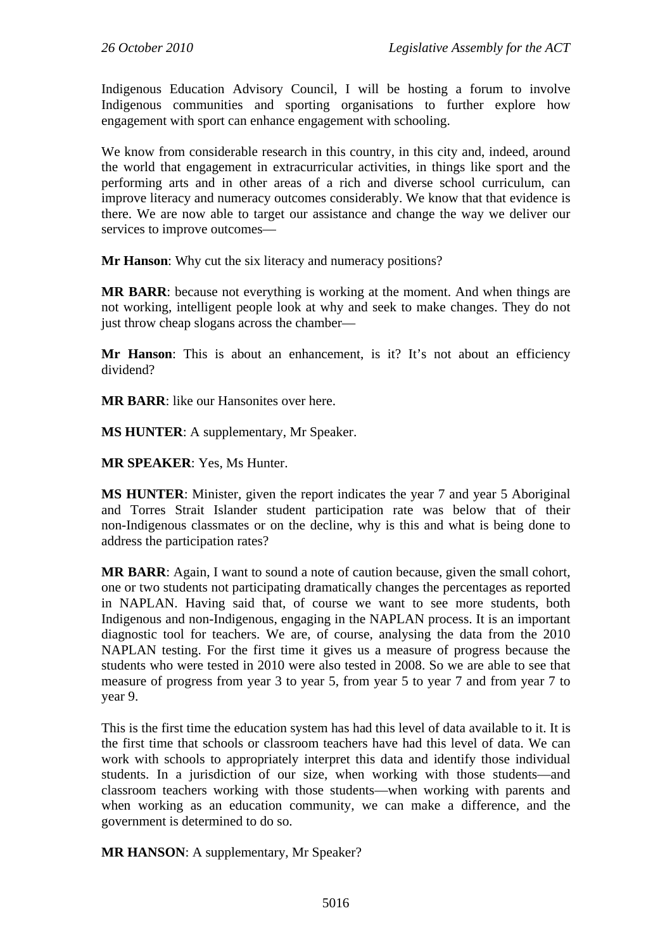Indigenous Education Advisory Council, I will be hosting a forum to involve Indigenous communities and sporting organisations to further explore how engagement with sport can enhance engagement with schooling.

We know from considerable research in this country, in this city and, indeed, around the world that engagement in extracurricular activities, in things like sport and the performing arts and in other areas of a rich and diverse school curriculum, can improve literacy and numeracy outcomes considerably. We know that that evidence is there. We are now able to target our assistance and change the way we deliver our services to improve outcomes—

**Mr Hanson**: Why cut the six literacy and numeracy positions?

**MR BARR**: because not everything is working at the moment. And when things are not working, intelligent people look at why and seek to make changes. They do not just throw cheap slogans across the chamber—

**Mr Hanson**: This is about an enhancement, is it? It's not about an efficiency dividend?

**MR BARR**: like our Hansonites over here.

**MS HUNTER**: A supplementary, Mr Speaker.

**MR SPEAKER**: Yes, Ms Hunter.

**MS HUNTER**: Minister, given the report indicates the year 7 and year 5 Aboriginal and Torres Strait Islander student participation rate was below that of their non-Indigenous classmates or on the decline, why is this and what is being done to address the participation rates?

**MR BARR**: Again, I want to sound a note of caution because, given the small cohort, one or two students not participating dramatically changes the percentages as reported in NAPLAN. Having said that, of course we want to see more students, both Indigenous and non-Indigenous, engaging in the NAPLAN process. It is an important diagnostic tool for teachers. We are, of course, analysing the data from the 2010 NAPLAN testing. For the first time it gives us a measure of progress because the students who were tested in 2010 were also tested in 2008. So we are able to see that measure of progress from year 3 to year 5, from year 5 to year 7 and from year 7 to year 9.

This is the first time the education system has had this level of data available to it. It is the first time that schools or classroom teachers have had this level of data. We can work with schools to appropriately interpret this data and identify those individual students. In a jurisdiction of our size, when working with those students—and classroom teachers working with those students—when working with parents and when working as an education community, we can make a difference, and the government is determined to do so.

**MR HANSON**: A supplementary, Mr Speaker?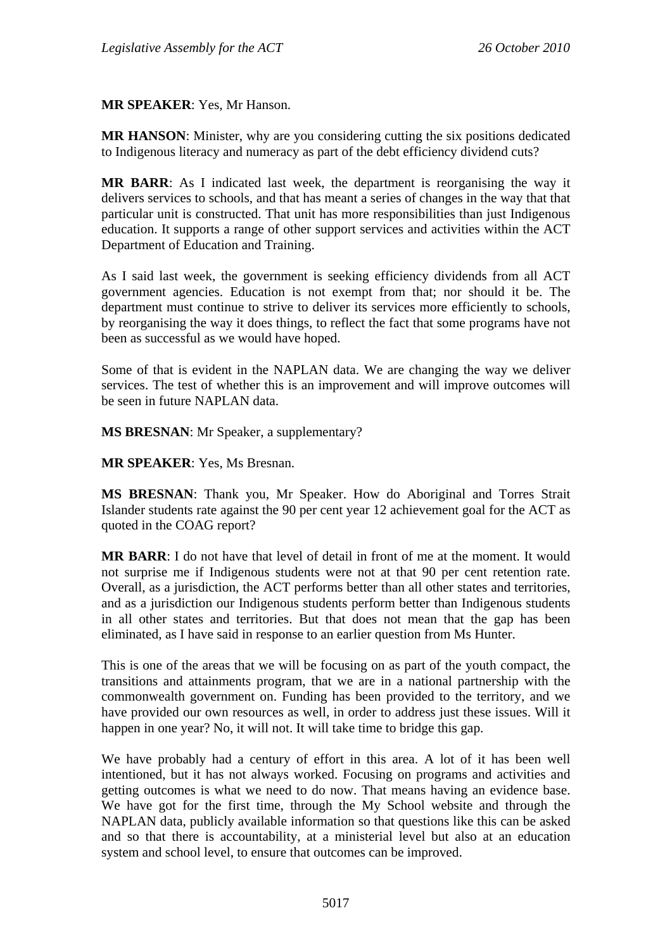### **MR SPEAKER**: Yes, Mr Hanson.

**MR HANSON**: Minister, why are you considering cutting the six positions dedicated to Indigenous literacy and numeracy as part of the debt efficiency dividend cuts?

**MR BARR**: As I indicated last week, the department is reorganising the way it delivers services to schools, and that has meant a series of changes in the way that that particular unit is constructed. That unit has more responsibilities than just Indigenous education. It supports a range of other support services and activities within the ACT Department of Education and Training.

As I said last week, the government is seeking efficiency dividends from all ACT government agencies. Education is not exempt from that; nor should it be. The department must continue to strive to deliver its services more efficiently to schools, by reorganising the way it does things, to reflect the fact that some programs have not been as successful as we would have hoped.

Some of that is evident in the NAPLAN data. We are changing the way we deliver services. The test of whether this is an improvement and will improve outcomes will be seen in future NAPLAN data.

**MS BRESNAN**: Mr Speaker, a supplementary?

**MR SPEAKER**: Yes, Ms Bresnan.

**MS BRESNAN**: Thank you, Mr Speaker. How do Aboriginal and Torres Strait Islander students rate against the 90 per cent year 12 achievement goal for the ACT as quoted in the COAG report?

**MR BARR**: I do not have that level of detail in front of me at the moment. It would not surprise me if Indigenous students were not at that 90 per cent retention rate. Overall, as a jurisdiction, the ACT performs better than all other states and territories, and as a jurisdiction our Indigenous students perform better than Indigenous students in all other states and territories. But that does not mean that the gap has been eliminated, as I have said in response to an earlier question from Ms Hunter.

This is one of the areas that we will be focusing on as part of the youth compact, the transitions and attainments program, that we are in a national partnership with the commonwealth government on. Funding has been provided to the territory, and we have provided our own resources as well, in order to address just these issues. Will it happen in one year? No, it will not. It will take time to bridge this gap.

We have probably had a century of effort in this area. A lot of it has been well intentioned, but it has not always worked. Focusing on programs and activities and getting outcomes is what we need to do now. That means having an evidence base. We have got for the first time, through the My School website and through the NAPLAN data, publicly available information so that questions like this can be asked and so that there is accountability, at a ministerial level but also at an education system and school level, to ensure that outcomes can be improved.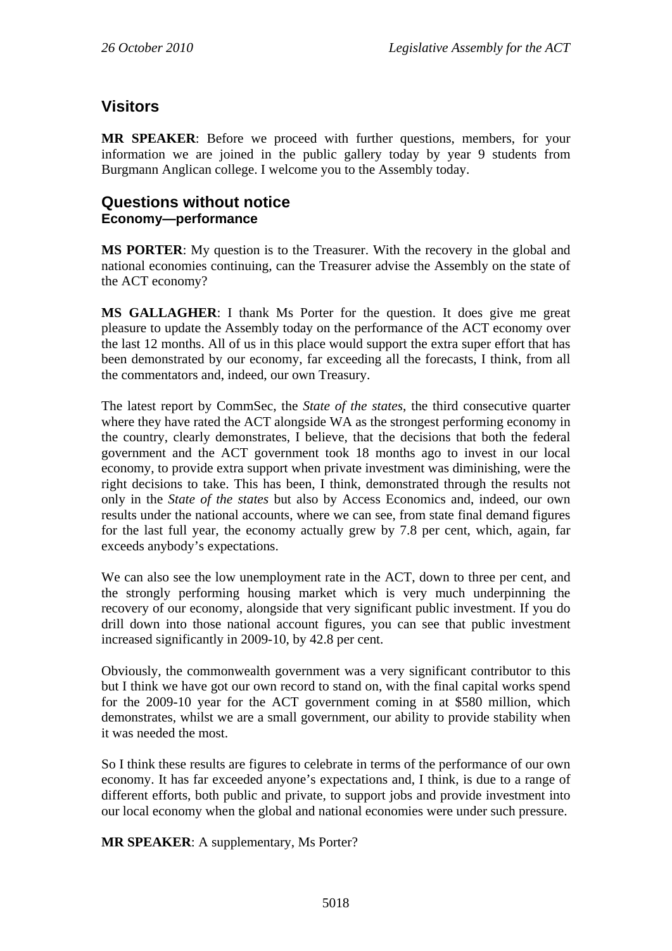# **Visitors**

**MR SPEAKER**: Before we proceed with further questions, members, for your information we are joined in the public gallery today by year 9 students from Burgmann Anglican college. I welcome you to the Assembly today.

## **Questions without notice Economy—performance**

**MS PORTER**: My question is to the Treasurer. With the recovery in the global and national economies continuing, can the Treasurer advise the Assembly on the state of the ACT economy?

**MS GALLAGHER**: I thank Ms Porter for the question. It does give me great pleasure to update the Assembly today on the performance of the ACT economy over the last 12 months. All of us in this place would support the extra super effort that has been demonstrated by our economy, far exceeding all the forecasts, I think, from all the commentators and, indeed, our own Treasury.

The latest report by CommSec, the *State of the states*, the third consecutive quarter where they have rated the ACT alongside WA as the strongest performing economy in the country, clearly demonstrates, I believe, that the decisions that both the federal government and the ACT government took 18 months ago to invest in our local economy, to provide extra support when private investment was diminishing, were the right decisions to take. This has been, I think, demonstrated through the results not only in the *State of the states* but also by Access Economics and, indeed, our own results under the national accounts, where we can see, from state final demand figures for the last full year, the economy actually grew by 7.8 per cent, which, again, far exceeds anybody's expectations.

We can also see the low unemployment rate in the ACT, down to three per cent, and the strongly performing housing market which is very much underpinning the recovery of our economy, alongside that very significant public investment. If you do drill down into those national account figures, you can see that public investment increased significantly in 2009-10, by 42.8 per cent.

Obviously, the commonwealth government was a very significant contributor to this but I think we have got our own record to stand on, with the final capital works spend for the 2009-10 year for the ACT government coming in at \$580 million, which demonstrates, whilst we are a small government, our ability to provide stability when it was needed the most.

So I think these results are figures to celebrate in terms of the performance of our own economy. It has far exceeded anyone's expectations and, I think, is due to a range of different efforts, both public and private, to support jobs and provide investment into our local economy when the global and national economies were under such pressure.

**MR SPEAKER**: A supplementary, Ms Porter?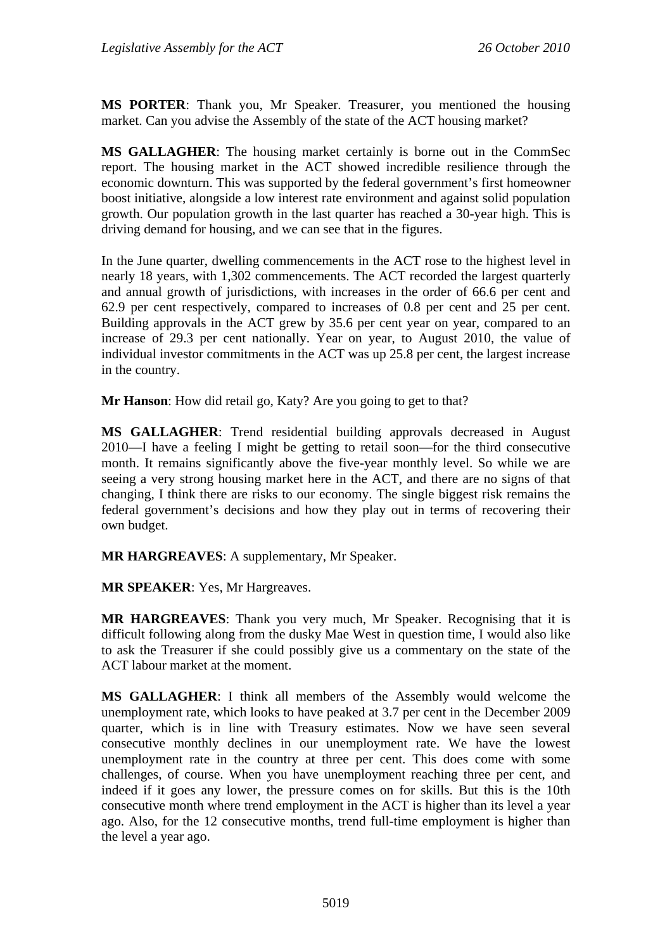**MS PORTER**: Thank you, Mr Speaker. Treasurer, you mentioned the housing market. Can you advise the Assembly of the state of the ACT housing market?

**MS GALLAGHER**: The housing market certainly is borne out in the CommSec report. The housing market in the ACT showed incredible resilience through the economic downturn. This was supported by the federal government's first homeowner boost initiative, alongside a low interest rate environment and against solid population growth. Our population growth in the last quarter has reached a 30-year high. This is driving demand for housing, and we can see that in the figures.

In the June quarter, dwelling commencements in the ACT rose to the highest level in nearly 18 years, with 1,302 commencements. The ACT recorded the largest quarterly and annual growth of jurisdictions, with increases in the order of 66.6 per cent and 62.9 per cent respectively, compared to increases of 0.8 per cent and 25 per cent. Building approvals in the ACT grew by 35.6 per cent year on year, compared to an increase of 29.3 per cent nationally. Year on year, to August 2010, the value of individual investor commitments in the ACT was up 25.8 per cent, the largest increase in the country.

**Mr Hanson**: How did retail go, Katy? Are you going to get to that?

**MS GALLAGHER**: Trend residential building approvals decreased in August 2010—I have a feeling I might be getting to retail soon—for the third consecutive month. It remains significantly above the five-year monthly level. So while we are seeing a very strong housing market here in the ACT, and there are no signs of that changing, I think there are risks to our economy. The single biggest risk remains the federal government's decisions and how they play out in terms of recovering their own budget.

**MR HARGREAVES**: A supplementary, Mr Speaker.

**MR SPEAKER**: Yes, Mr Hargreaves.

**MR HARGREAVES**: Thank you very much, Mr Speaker. Recognising that it is difficult following along from the dusky Mae West in question time, I would also like to ask the Treasurer if she could possibly give us a commentary on the state of the ACT labour market at the moment.

**MS GALLAGHER**: I think all members of the Assembly would welcome the unemployment rate, which looks to have peaked at 3.7 per cent in the December 2009 quarter, which is in line with Treasury estimates. Now we have seen several consecutive monthly declines in our unemployment rate. We have the lowest unemployment rate in the country at three per cent. This does come with some challenges, of course. When you have unemployment reaching three per cent, and indeed if it goes any lower, the pressure comes on for skills. But this is the 10th consecutive month where trend employment in the ACT is higher than its level a year ago. Also, for the 12 consecutive months, trend full-time employment is higher than the level a year ago.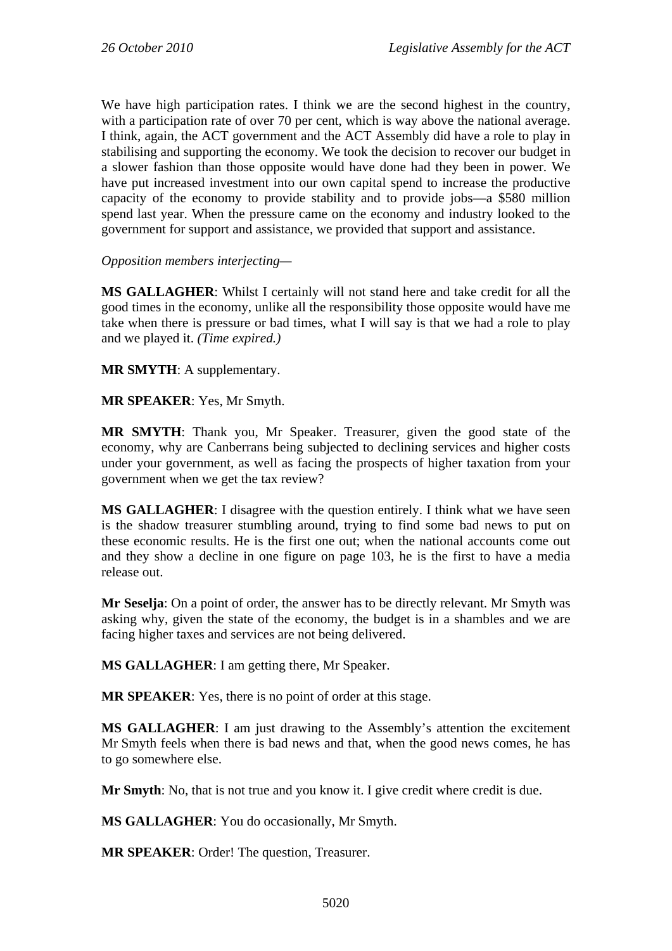We have high participation rates. I think we are the second highest in the country, with a participation rate of over 70 per cent, which is way above the national average. I think, again, the ACT government and the ACT Assembly did have a role to play in stabilising and supporting the economy. We took the decision to recover our budget in a slower fashion than those opposite would have done had they been in power. We have put increased investment into our own capital spend to increase the productive capacity of the economy to provide stability and to provide jobs—a \$580 million spend last year. When the pressure came on the economy and industry looked to the government for support and assistance, we provided that support and assistance.

*Opposition members interjecting—* 

**MS GALLAGHER**: Whilst I certainly will not stand here and take credit for all the good times in the economy, unlike all the responsibility those opposite would have me take when there is pressure or bad times, what I will say is that we had a role to play and we played it. *(Time expired.)*

**MR SMYTH**: A supplementary.

**MR SPEAKER**: Yes, Mr Smyth.

**MR SMYTH**: Thank you, Mr Speaker. Treasurer, given the good state of the economy, why are Canberrans being subjected to declining services and higher costs under your government, as well as facing the prospects of higher taxation from your government when we get the tax review?

**MS GALLAGHER**: I disagree with the question entirely. I think what we have seen is the shadow treasurer stumbling around, trying to find some bad news to put on these economic results. He is the first one out; when the national accounts come out and they show a decline in one figure on page 103, he is the first to have a media release out.

**Mr Seselja**: On a point of order, the answer has to be directly relevant. Mr Smyth was asking why, given the state of the economy, the budget is in a shambles and we are facing higher taxes and services are not being delivered.

**MS GALLAGHER**: I am getting there, Mr Speaker.

**MR SPEAKER**: Yes, there is no point of order at this stage.

**MS GALLAGHER**: I am just drawing to the Assembly's attention the excitement Mr Smyth feels when there is bad news and that, when the good news comes, he has to go somewhere else.

**Mr Smyth**: No, that is not true and you know it. I give credit where credit is due.

**MS GALLAGHER**: You do occasionally, Mr Smyth.

**MR SPEAKER**: Order! The question, Treasurer.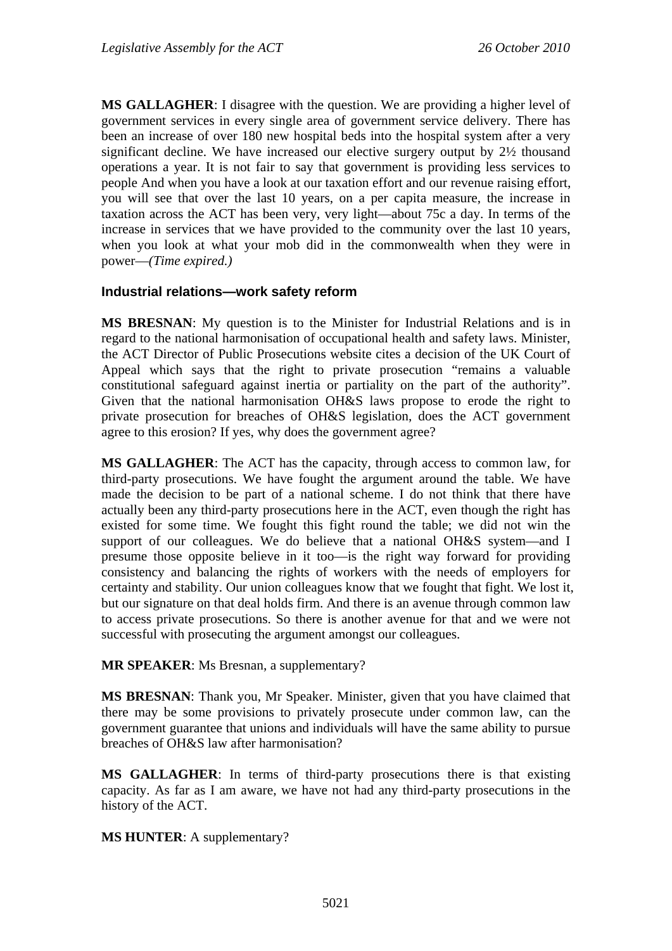**MS GALLAGHER**: I disagree with the question. We are providing a higher level of government services in every single area of government service delivery. There has been an increase of over 180 new hospital beds into the hospital system after a very significant decline. We have increased our elective surgery output by 2½ thousand operations a year. It is not fair to say that government is providing less services to people And when you have a look at our taxation effort and our revenue raising effort, you will see that over the last 10 years, on a per capita measure, the increase in taxation across the ACT has been very, very light—about 75c a day. In terms of the increase in services that we have provided to the community over the last 10 years, when you look at what your mob did in the commonwealth when they were in power—*(Time expired.)*

### **Industrial relations—work safety reform**

**MS BRESNAN**: My question is to the Minister for Industrial Relations and is in regard to the national harmonisation of occupational health and safety laws. Minister, the ACT Director of Public Prosecutions website cites a decision of the UK Court of Appeal which says that the right to private prosecution "remains a valuable constitutional safeguard against inertia or partiality on the part of the authority". Given that the national harmonisation OH&S laws propose to erode the right to private prosecution for breaches of OH&S legislation, does the ACT government agree to this erosion? If yes, why does the government agree?

**MS GALLAGHER**: The ACT has the capacity, through access to common law, for third-party prosecutions. We have fought the argument around the table. We have made the decision to be part of a national scheme. I do not think that there have actually been any third-party prosecutions here in the ACT, even though the right has existed for some time. We fought this fight round the table; we did not win the support of our colleagues. We do believe that a national OH&S system—and I presume those opposite believe in it too—is the right way forward for providing consistency and balancing the rights of workers with the needs of employers for certainty and stability. Our union colleagues know that we fought that fight. We lost it, but our signature on that deal holds firm. And there is an avenue through common law to access private prosecutions. So there is another avenue for that and we were not successful with prosecuting the argument amongst our colleagues.

#### **MR SPEAKER**: Ms Bresnan, a supplementary?

**MS BRESNAN**: Thank you, Mr Speaker. Minister, given that you have claimed that there may be some provisions to privately prosecute under common law, can the government guarantee that unions and individuals will have the same ability to pursue breaches of OH&S law after harmonisation?

**MS GALLAGHER**: In terms of third-party prosecutions there is that existing capacity. As far as I am aware, we have not had any third-party prosecutions in the history of the ACT.

### **MS HUNTER**: A supplementary?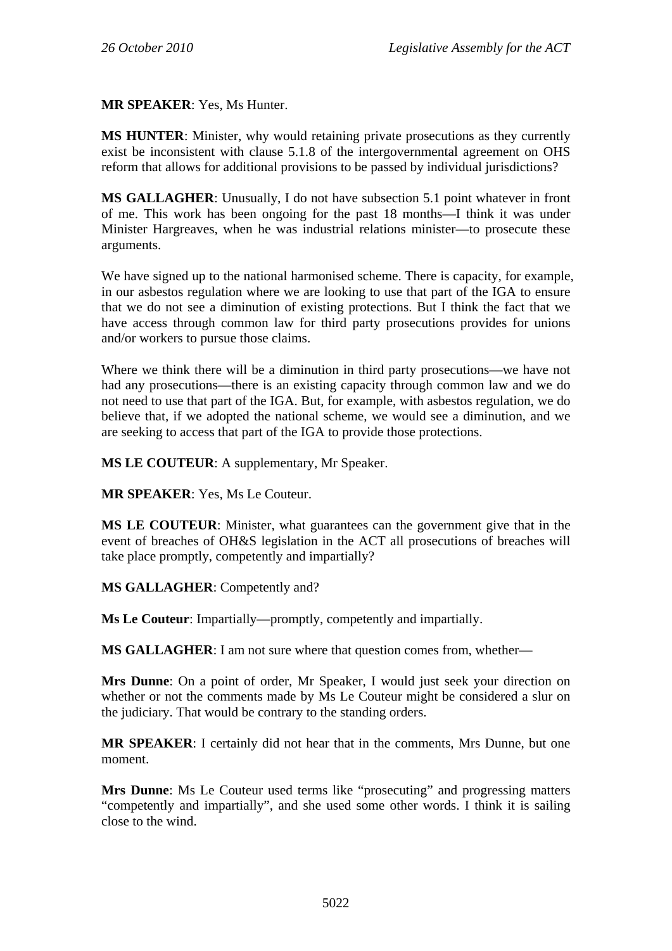**MR SPEAKER**: Yes, Ms Hunter.

**MS HUNTER**: Minister, why would retaining private prosecutions as they currently exist be inconsistent with clause 5.1.8 of the intergovernmental agreement on OHS reform that allows for additional provisions to be passed by individual jurisdictions?

**MS GALLAGHER**: Unusually, I do not have subsection 5.1 point whatever in front of me. This work has been ongoing for the past 18 months—I think it was under Minister Hargreaves, when he was industrial relations minister—to prosecute these arguments.

We have signed up to the national harmonised scheme. There is capacity, for example, in our asbestos regulation where we are looking to use that part of the IGA to ensure that we do not see a diminution of existing protections. But I think the fact that we have access through common law for third party prosecutions provides for unions and/or workers to pursue those claims.

Where we think there will be a diminution in third party prosecutions—we have not had any prosecutions—there is an existing capacity through common law and we do not need to use that part of the IGA. But, for example, with asbestos regulation, we do believe that, if we adopted the national scheme, we would see a diminution, and we are seeking to access that part of the IGA to provide those protections.

**MS LE COUTEUR**: A supplementary, Mr Speaker.

**MR SPEAKER**: Yes, Ms Le Couteur.

**MS LE COUTEUR**: Minister, what guarantees can the government give that in the event of breaches of OH&S legislation in the ACT all prosecutions of breaches will take place promptly, competently and impartially?

#### **MS GALLAGHER**: Competently and?

**Ms Le Couteur**: Impartially—promptly, competently and impartially.

**MS GALLAGHER**: I am not sure where that question comes from, whether—

**Mrs Dunne**: On a point of order, Mr Speaker, I would just seek your direction on whether or not the comments made by Ms Le Couteur might be considered a slur on the judiciary. That would be contrary to the standing orders.

**MR SPEAKER**: I certainly did not hear that in the comments, Mrs Dunne, but one moment.

**Mrs Dunne**: Ms Le Couteur used terms like "prosecuting" and progressing matters "competently and impartially", and she used some other words. I think it is sailing close to the wind.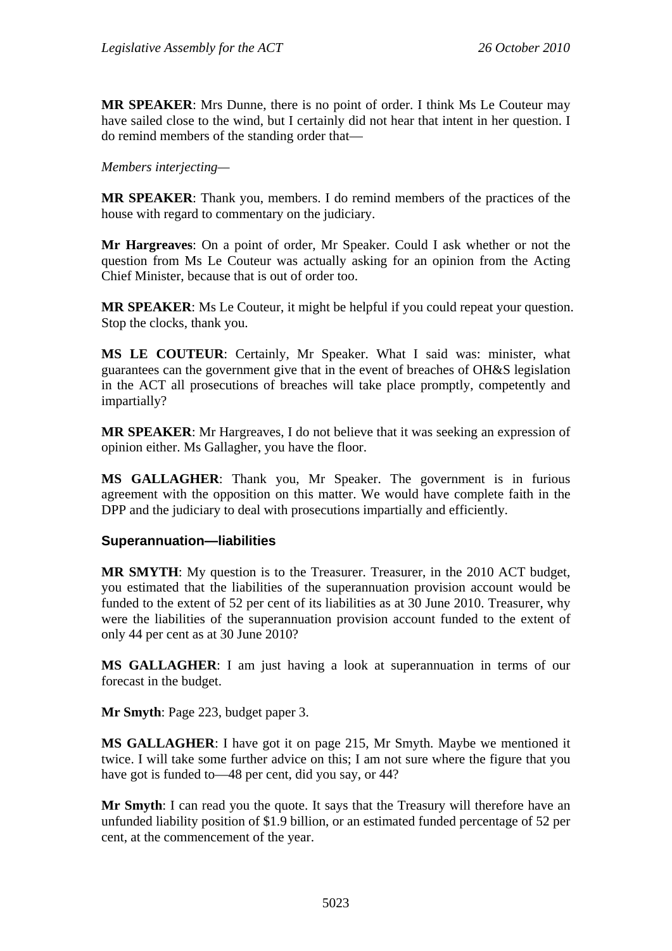**MR SPEAKER**: Mrs Dunne, there is no point of order. I think Ms Le Couteur may have sailed close to the wind, but I certainly did not hear that intent in her question. I do remind members of the standing order that—

*Members interjecting—* 

**MR SPEAKER**: Thank you, members. I do remind members of the practices of the house with regard to commentary on the judiciary.

**Mr Hargreaves**: On a point of order, Mr Speaker. Could I ask whether or not the question from Ms Le Couteur was actually asking for an opinion from the Acting Chief Minister, because that is out of order too.

**MR SPEAKER**: Ms Le Couteur, it might be helpful if you could repeat your question. Stop the clocks, thank you.

**MS LE COUTEUR**: Certainly, Mr Speaker. What I said was: minister, what guarantees can the government give that in the event of breaches of OH&S legislation in the ACT all prosecutions of breaches will take place promptly, competently and impartially?

**MR SPEAKER**: Mr Hargreaves, I do not believe that it was seeking an expression of opinion either. Ms Gallagher, you have the floor.

**MS GALLAGHER**: Thank you, Mr Speaker. The government is in furious agreement with the opposition on this matter. We would have complete faith in the DPP and the judiciary to deal with prosecutions impartially and efficiently.

### **Superannuation—liabilities**

**MR SMYTH**: My question is to the Treasurer. Treasurer, in the 2010 ACT budget, you estimated that the liabilities of the superannuation provision account would be funded to the extent of 52 per cent of its liabilities as at 30 June 2010. Treasurer, why were the liabilities of the superannuation provision account funded to the extent of only 44 per cent as at 30 June 2010?

**MS GALLAGHER**: I am just having a look at superannuation in terms of our forecast in the budget.

**Mr Smyth**: Page 223, budget paper 3.

**MS GALLAGHER**: I have got it on page 215, Mr Smyth. Maybe we mentioned it twice. I will take some further advice on this; I am not sure where the figure that you have got is funded to—48 per cent, did you say, or 44?

**Mr Smyth**: I can read you the quote. It says that the Treasury will therefore have an unfunded liability position of \$1.9 billion, or an estimated funded percentage of 52 per cent, at the commencement of the year.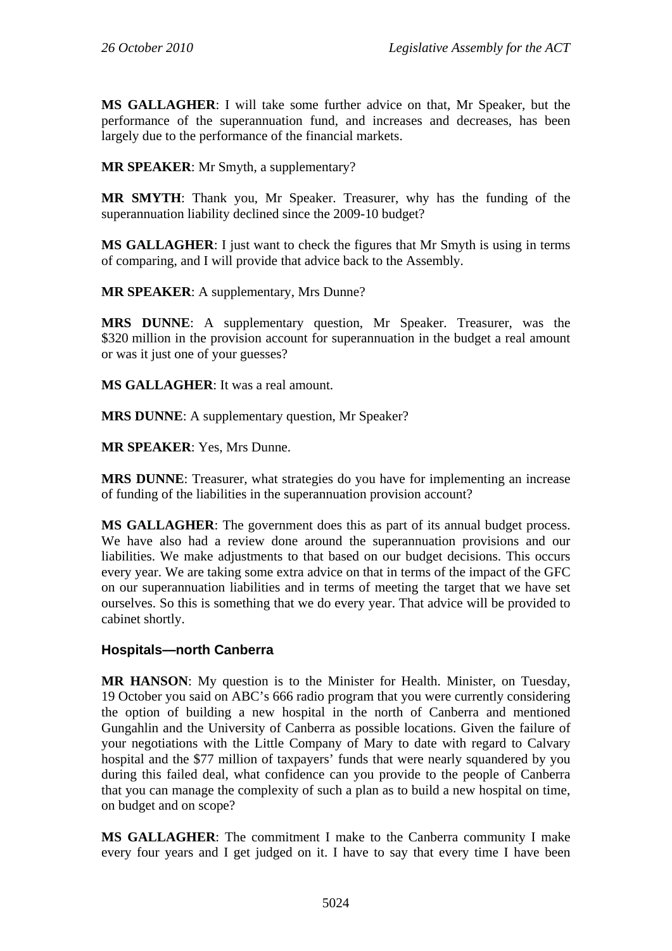**MS GALLAGHER**: I will take some further advice on that, Mr Speaker, but the performance of the superannuation fund, and increases and decreases, has been largely due to the performance of the financial markets.

**MR SPEAKER**: Mr Smyth, a supplementary?

**MR SMYTH**: Thank you, Mr Speaker. Treasurer, why has the funding of the superannuation liability declined since the 2009-10 budget?

**MS GALLAGHER**: I just want to check the figures that Mr Smyth is using in terms of comparing, and I will provide that advice back to the Assembly.

**MR SPEAKER**: A supplementary, Mrs Dunne?

**MRS DUNNE**: A supplementary question, Mr Speaker. Treasurer, was the \$320 million in the provision account for superannuation in the budget a real amount or was it just one of your guesses?

**MS GALLAGHER**: It was a real amount.

**MRS DUNNE**: A supplementary question, Mr Speaker?

**MR SPEAKER**: Yes, Mrs Dunne.

**MRS DUNNE**: Treasurer, what strategies do you have for implementing an increase of funding of the liabilities in the superannuation provision account?

**MS GALLAGHER**: The government does this as part of its annual budget process. We have also had a review done around the superannuation provisions and our liabilities. We make adjustments to that based on our budget decisions. This occurs every year. We are taking some extra advice on that in terms of the impact of the GFC on our superannuation liabilities and in terms of meeting the target that we have set ourselves. So this is something that we do every year. That advice will be provided to cabinet shortly.

### **Hospitals—north Canberra**

**MR HANSON**: My question is to the Minister for Health. Minister, on Tuesday, 19 October you said on ABC's 666 radio program that you were currently considering the option of building a new hospital in the north of Canberra and mentioned Gungahlin and the University of Canberra as possible locations. Given the failure of your negotiations with the Little Company of Mary to date with regard to Calvary hospital and the \$77 million of taxpayers' funds that were nearly squandered by you during this failed deal, what confidence can you provide to the people of Canberra that you can manage the complexity of such a plan as to build a new hospital on time, on budget and on scope?

**MS GALLAGHER**: The commitment I make to the Canberra community I make every four years and I get judged on it. I have to say that every time I have been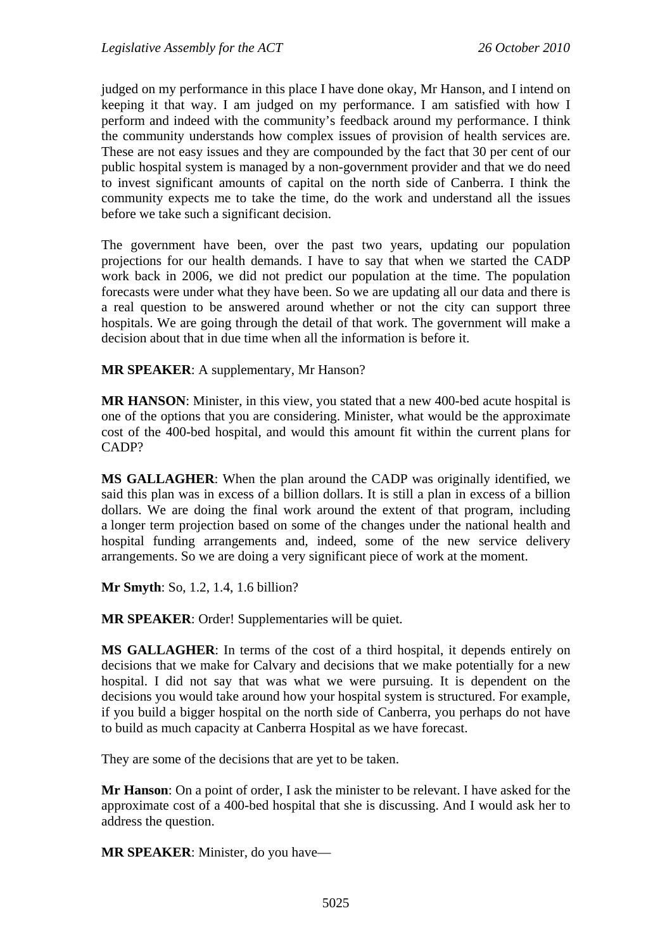judged on my performance in this place I have done okay, Mr Hanson, and I intend on keeping it that way. I am judged on my performance. I am satisfied with how I perform and indeed with the community's feedback around my performance. I think the community understands how complex issues of provision of health services are. These are not easy issues and they are compounded by the fact that 30 per cent of our public hospital system is managed by a non-government provider and that we do need to invest significant amounts of capital on the north side of Canberra. I think the community expects me to take the time, do the work and understand all the issues before we take such a significant decision.

The government have been, over the past two years, updating our population projections for our health demands. I have to say that when we started the CADP work back in 2006, we did not predict our population at the time. The population forecasts were under what they have been. So we are updating all our data and there is a real question to be answered around whether or not the city can support three hospitals. We are going through the detail of that work. The government will make a decision about that in due time when all the information is before it.

**MR SPEAKER**: A supplementary, Mr Hanson?

**MR HANSON**: Minister, in this view, you stated that a new 400-bed acute hospital is one of the options that you are considering. Minister, what would be the approximate cost of the 400-bed hospital, and would this amount fit within the current plans for CADP?

**MS GALLAGHER**: When the plan around the CADP was originally identified, we said this plan was in excess of a billion dollars. It is still a plan in excess of a billion dollars. We are doing the final work around the extent of that program, including a longer term projection based on some of the changes under the national health and hospital funding arrangements and, indeed, some of the new service delivery arrangements. So we are doing a very significant piece of work at the moment.

**Mr Smyth**: So, 1.2, 1.4, 1.6 billion?

**MR SPEAKER**: Order! Supplementaries will be quiet.

**MS GALLAGHER**: In terms of the cost of a third hospital, it depends entirely on decisions that we make for Calvary and decisions that we make potentially for a new hospital. I did not say that was what we were pursuing. It is dependent on the decisions you would take around how your hospital system is structured. For example, if you build a bigger hospital on the north side of Canberra, you perhaps do not have to build as much capacity at Canberra Hospital as we have forecast.

They are some of the decisions that are yet to be taken.

**Mr Hanson**: On a point of order, I ask the minister to be relevant. I have asked for the approximate cost of a 400-bed hospital that she is discussing. And I would ask her to address the question.

**MR SPEAKER**: Minister, do you have—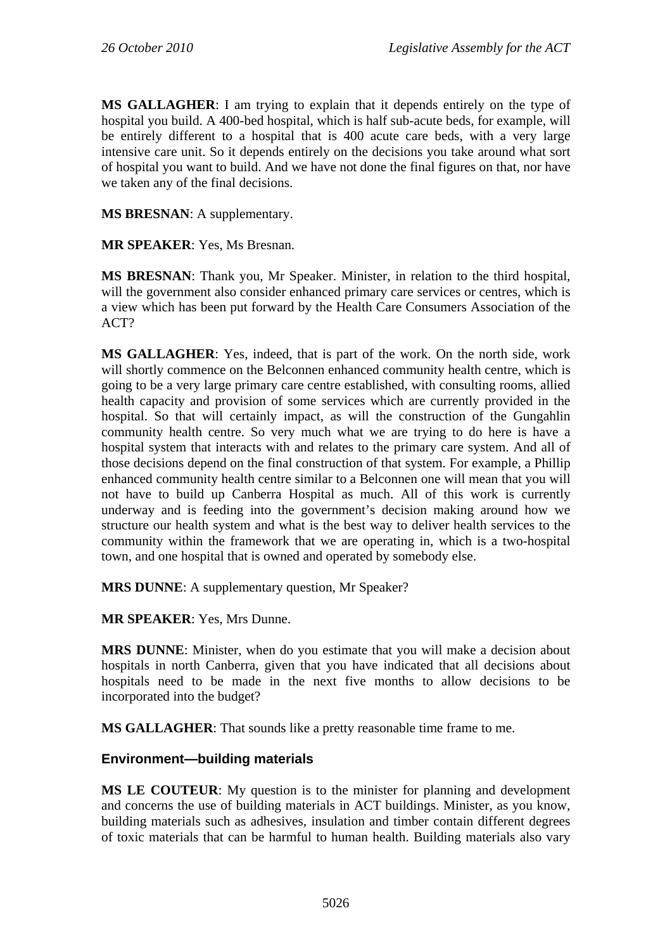**MS GALLAGHER**: I am trying to explain that it depends entirely on the type of hospital you build. A 400-bed hospital, which is half sub-acute beds, for example, will be entirely different to a hospital that is 400 acute care beds, with a very large intensive care unit. So it depends entirely on the decisions you take around what sort of hospital you want to build. And we have not done the final figures on that, nor have we taken any of the final decisions.

**MS BRESNAN**: A supplementary.

**MR SPEAKER**: Yes, Ms Bresnan.

**MS BRESNAN**: Thank you, Mr Speaker. Minister, in relation to the third hospital, will the government also consider enhanced primary care services or centres, which is a view which has been put forward by the Health Care Consumers Association of the ACT?

**MS GALLAGHER**: Yes, indeed, that is part of the work. On the north side, work will shortly commence on the Belconnen enhanced community health centre, which is going to be a very large primary care centre established, with consulting rooms, allied health capacity and provision of some services which are currently provided in the hospital. So that will certainly impact, as will the construction of the Gungahlin community health centre. So very much what we are trying to do here is have a hospital system that interacts with and relates to the primary care system. And all of those decisions depend on the final construction of that system. For example, a Phillip enhanced community health centre similar to a Belconnen one will mean that you will not have to build up Canberra Hospital as much. All of this work is currently underway and is feeding into the government's decision making around how we structure our health system and what is the best way to deliver health services to the community within the framework that we are operating in, which is a two-hospital town, and one hospital that is owned and operated by somebody else.

**MRS DUNNE**: A supplementary question, Mr Speaker?

**MR SPEAKER**: Yes, Mrs Dunne.

**MRS DUNNE**: Minister, when do you estimate that you will make a decision about hospitals in north Canberra, given that you have indicated that all decisions about hospitals need to be made in the next five months to allow decisions to be incorporated into the budget?

**MS GALLAGHER**: That sounds like a pretty reasonable time frame to me.

### **Environment—building materials**

**MS LE COUTEUR**: My question is to the minister for planning and development and concerns the use of building materials in ACT buildings. Minister, as you know, building materials such as adhesives, insulation and timber contain different degrees of toxic materials that can be harmful to human health. Building materials also vary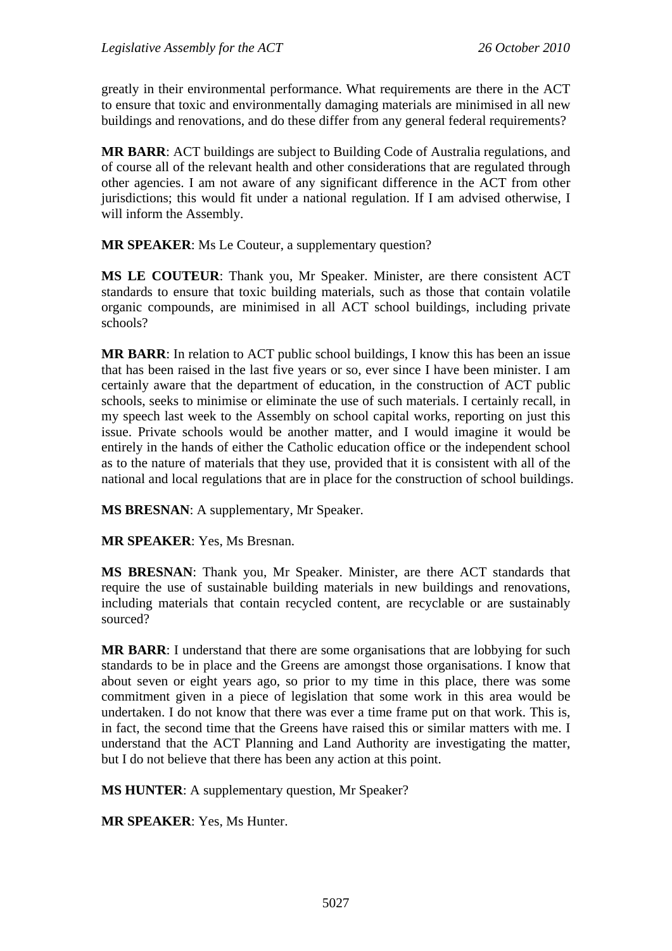greatly in their environmental performance. What requirements are there in the ACT to ensure that toxic and environmentally damaging materials are minimised in all new buildings and renovations, and do these differ from any general federal requirements?

**MR BARR**: ACT buildings are subject to Building Code of Australia regulations, and of course all of the relevant health and other considerations that are regulated through other agencies. I am not aware of any significant difference in the ACT from other jurisdictions; this would fit under a national regulation. If I am advised otherwise, I will inform the Assembly.

**MR SPEAKER**: Ms Le Couteur, a supplementary question?

**MS LE COUTEUR**: Thank you, Mr Speaker. Minister, are there consistent ACT standards to ensure that toxic building materials, such as those that contain volatile organic compounds, are minimised in all ACT school buildings, including private schools?

**MR BARR**: In relation to ACT public school buildings, I know this has been an issue that has been raised in the last five years or so, ever since I have been minister. I am certainly aware that the department of education, in the construction of ACT public schools, seeks to minimise or eliminate the use of such materials. I certainly recall, in my speech last week to the Assembly on school capital works, reporting on just this issue. Private schools would be another matter, and I would imagine it would be entirely in the hands of either the Catholic education office or the independent school as to the nature of materials that they use, provided that it is consistent with all of the national and local regulations that are in place for the construction of school buildings.

**MS BRESNAN**: A supplementary, Mr Speaker.

**MR SPEAKER**: Yes, Ms Bresnan.

**MS BRESNAN**: Thank you, Mr Speaker. Minister, are there ACT standards that require the use of sustainable building materials in new buildings and renovations, including materials that contain recycled content, are recyclable or are sustainably sourced?

**MR BARR**: I understand that there are some organisations that are lobbying for such standards to be in place and the Greens are amongst those organisations. I know that about seven or eight years ago, so prior to my time in this place, there was some commitment given in a piece of legislation that some work in this area would be undertaken. I do not know that there was ever a time frame put on that work. This is, in fact, the second time that the Greens have raised this or similar matters with me. I understand that the ACT Planning and Land Authority are investigating the matter, but I do not believe that there has been any action at this point.

**MS HUNTER**: A supplementary question, Mr Speaker?

**MR SPEAKER**: Yes, Ms Hunter.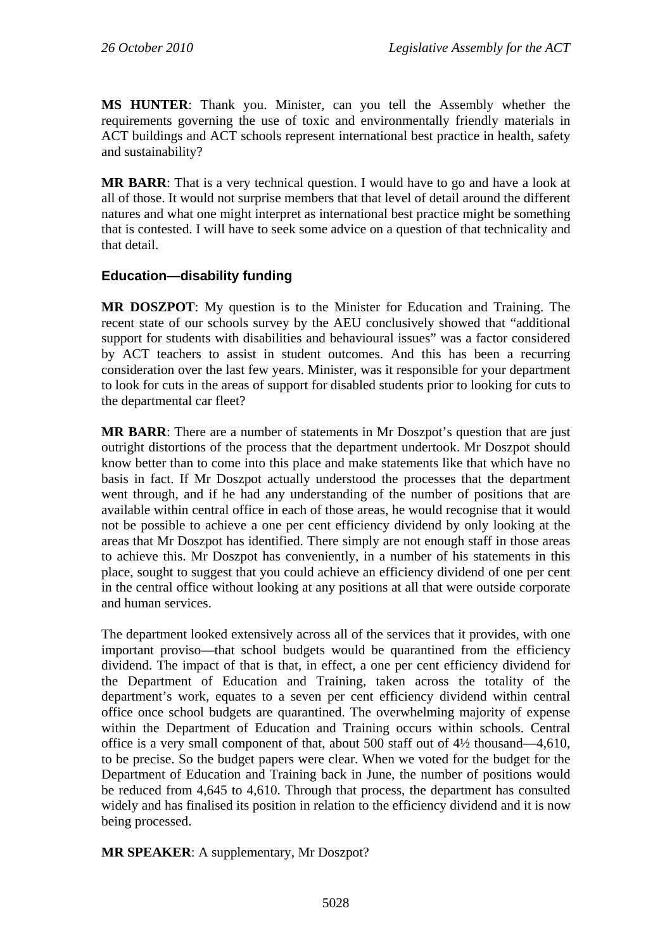**MS HUNTER**: Thank you. Minister, can you tell the Assembly whether the requirements governing the use of toxic and environmentally friendly materials in ACT buildings and ACT schools represent international best practice in health, safety and sustainability?

**MR BARR**: That is a very technical question. I would have to go and have a look at all of those. It would not surprise members that that level of detail around the different natures and what one might interpret as international best practice might be something that is contested. I will have to seek some advice on a question of that technicality and that detail.

### **Education—disability funding**

**MR DOSZPOT**: My question is to the Minister for Education and Training. The recent state of our schools survey by the AEU conclusively showed that "additional support for students with disabilities and behavioural issues" was a factor considered by ACT teachers to assist in student outcomes. And this has been a recurring consideration over the last few years. Minister, was it responsible for your department to look for cuts in the areas of support for disabled students prior to looking for cuts to the departmental car fleet?

**MR BARR**: There are a number of statements in Mr Doszpot's question that are just outright distortions of the process that the department undertook. Mr Doszpot should know better than to come into this place and make statements like that which have no basis in fact. If Mr Doszpot actually understood the processes that the department went through, and if he had any understanding of the number of positions that are available within central office in each of those areas, he would recognise that it would not be possible to achieve a one per cent efficiency dividend by only looking at the areas that Mr Doszpot has identified. There simply are not enough staff in those areas to achieve this. Mr Doszpot has conveniently, in a number of his statements in this place, sought to suggest that you could achieve an efficiency dividend of one per cent in the central office without looking at any positions at all that were outside corporate and human services.

The department looked extensively across all of the services that it provides, with one important proviso—that school budgets would be quarantined from the efficiency dividend. The impact of that is that, in effect, a one per cent efficiency dividend for the Department of Education and Training, taken across the totality of the department's work, equates to a seven per cent efficiency dividend within central office once school budgets are quarantined. The overwhelming majority of expense within the Department of Education and Training occurs within schools. Central office is a very small component of that, about 500 staff out of 4½ thousand—4,610, to be precise. So the budget papers were clear. When we voted for the budget for the Department of Education and Training back in June, the number of positions would be reduced from 4,645 to 4,610. Through that process, the department has consulted widely and has finalised its position in relation to the efficiency dividend and it is now being processed.

**MR SPEAKER**: A supplementary, Mr Doszpot?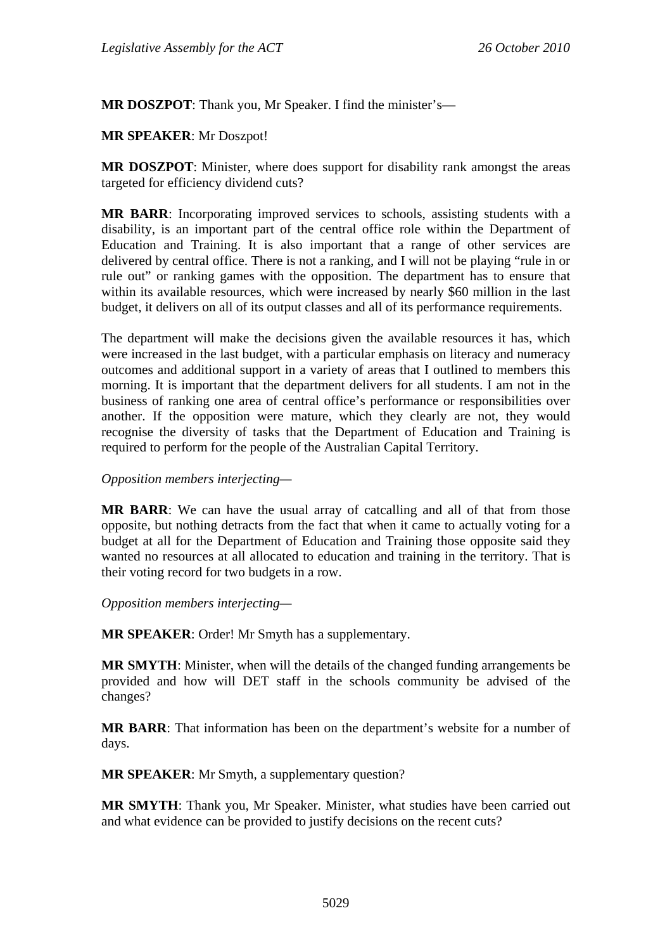**MR DOSZPOT**: Thank you, Mr Speaker. I find the minister's—

#### **MR SPEAKER**: Mr Doszpot!

**MR DOSZPOT**: Minister, where does support for disability rank amongst the areas targeted for efficiency dividend cuts?

**MR BARR**: Incorporating improved services to schools, assisting students with a disability, is an important part of the central office role within the Department of Education and Training. It is also important that a range of other services are delivered by central office. There is not a ranking, and I will not be playing "rule in or rule out" or ranking games with the opposition. The department has to ensure that within its available resources, which were increased by nearly \$60 million in the last budget, it delivers on all of its output classes and all of its performance requirements.

The department will make the decisions given the available resources it has, which were increased in the last budget, with a particular emphasis on literacy and numeracy outcomes and additional support in a variety of areas that I outlined to members this morning. It is important that the department delivers for all students. I am not in the business of ranking one area of central office's performance or responsibilities over another. If the opposition were mature, which they clearly are not, they would recognise the diversity of tasks that the Department of Education and Training is required to perform for the people of the Australian Capital Territory.

*Opposition members interjecting—* 

**MR BARR**: We can have the usual array of catcalling and all of that from those opposite, but nothing detracts from the fact that when it came to actually voting for a budget at all for the Department of Education and Training those opposite said they wanted no resources at all allocated to education and training in the territory. That is their voting record for two budgets in a row.

*Opposition members interjecting—* 

**MR SPEAKER**: Order! Mr Smyth has a supplementary.

**MR SMYTH**: Minister, when will the details of the changed funding arrangements be provided and how will DET staff in the schools community be advised of the changes?

**MR BARR**: That information has been on the department's website for a number of days.

**MR SPEAKER**: Mr Smyth, a supplementary question?

**MR SMYTH**: Thank you, Mr Speaker. Minister, what studies have been carried out and what evidence can be provided to justify decisions on the recent cuts?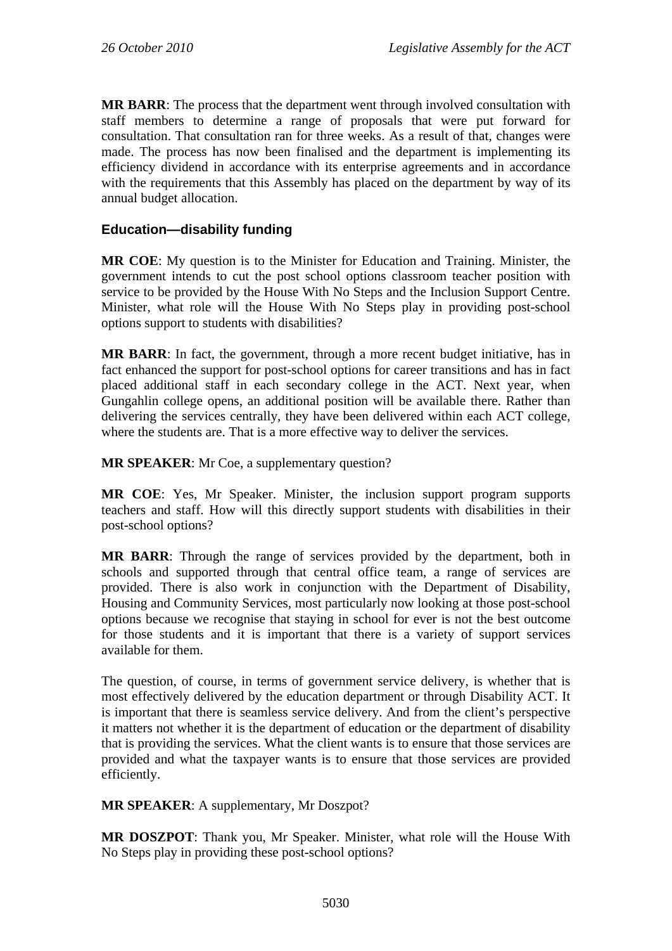**MR BARR**: The process that the department went through involved consultation with staff members to determine a range of proposals that were put forward for consultation. That consultation ran for three weeks. As a result of that, changes were made. The process has now been finalised and the department is implementing its efficiency dividend in accordance with its enterprise agreements and in accordance with the requirements that this Assembly has placed on the department by way of its annual budget allocation.

### **Education—disability funding**

**MR COE**: My question is to the Minister for Education and Training. Minister, the government intends to cut the post school options classroom teacher position with service to be provided by the House With No Steps and the Inclusion Support Centre. Minister, what role will the House With No Steps play in providing post-school options support to students with disabilities?

**MR BARR**: In fact, the government, through a more recent budget initiative, has in fact enhanced the support for post-school options for career transitions and has in fact placed additional staff in each secondary college in the ACT. Next year, when Gungahlin college opens, an additional position will be available there. Rather than delivering the services centrally, they have been delivered within each ACT college, where the students are. That is a more effective way to deliver the services.

**MR SPEAKER**: Mr Coe, a supplementary question?

**MR COE**: Yes, Mr Speaker. Minister, the inclusion support program supports teachers and staff. How will this directly support students with disabilities in their post-school options?

**MR BARR**: Through the range of services provided by the department, both in schools and supported through that central office team, a range of services are provided. There is also work in conjunction with the Department of Disability, Housing and Community Services, most particularly now looking at those post-school options because we recognise that staying in school for ever is not the best outcome for those students and it is important that there is a variety of support services available for them.

The question, of course, in terms of government service delivery, is whether that is most effectively delivered by the education department or through Disability ACT. It is important that there is seamless service delivery. And from the client's perspective it matters not whether it is the department of education or the department of disability that is providing the services. What the client wants is to ensure that those services are provided and what the taxpayer wants is to ensure that those services are provided efficiently.

**MR SPEAKER**: A supplementary, Mr Doszpot?

**MR DOSZPOT**: Thank you, Mr Speaker. Minister, what role will the House With No Steps play in providing these post-school options?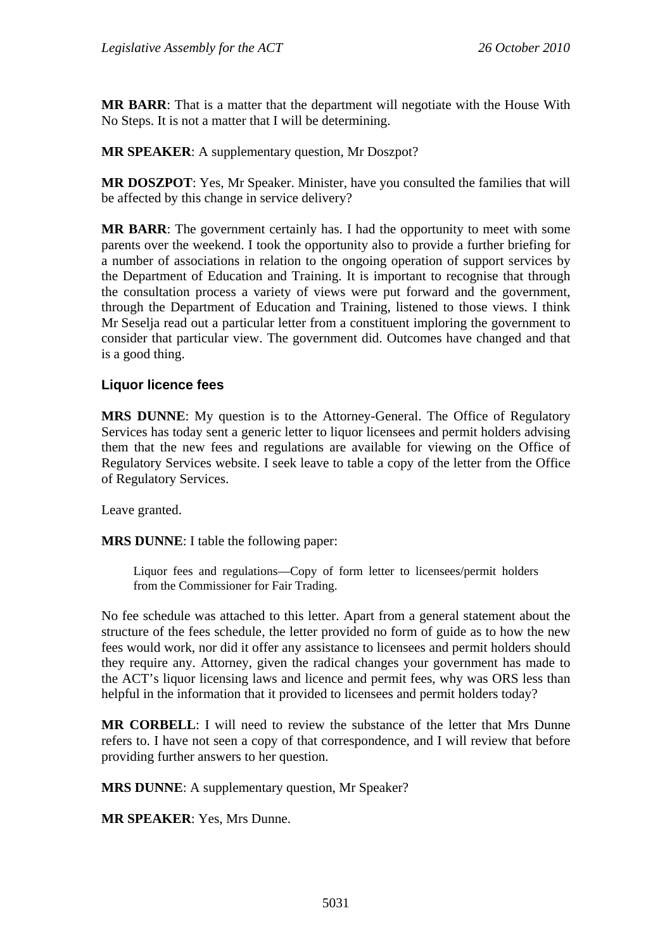**MR BARR**: That is a matter that the department will negotiate with the House With No Steps. It is not a matter that I will be determining.

**MR SPEAKER**: A supplementary question, Mr Doszpot?

**MR DOSZPOT**: Yes, Mr Speaker. Minister, have you consulted the families that will be affected by this change in service delivery?

**MR BARR**: The government certainly has. I had the opportunity to meet with some parents over the weekend. I took the opportunity also to provide a further briefing for a number of associations in relation to the ongoing operation of support services by the Department of Education and Training. It is important to recognise that through the consultation process a variety of views were put forward and the government, through the Department of Education and Training, listened to those views. I think Mr Seselja read out a particular letter from a constituent imploring the government to consider that particular view. The government did. Outcomes have changed and that is a good thing.

### **Liquor licence fees**

**MRS DUNNE:** My question is to the Attorney-General. The Office of Regulatory Services has today sent a generic letter to liquor licensees and permit holders advising them that the new fees and regulations are available for viewing on the Office of Regulatory Services website. I seek leave to table a copy of the letter from the Office of Regulatory Services.

Leave granted.

**MRS DUNNE**: I table the following paper:

Liquor fees and regulations—Copy of form letter to licensees/permit holders from the Commissioner for Fair Trading.

No fee schedule was attached to this letter. Apart from a general statement about the structure of the fees schedule, the letter provided no form of guide as to how the new fees would work, nor did it offer any assistance to licensees and permit holders should they require any. Attorney, given the radical changes your government has made to the ACT's liquor licensing laws and licence and permit fees, why was ORS less than helpful in the information that it provided to licensees and permit holders today?

**MR CORBELL**: I will need to review the substance of the letter that Mrs Dunne refers to. I have not seen a copy of that correspondence, and I will review that before providing further answers to her question.

**MRS DUNNE**: A supplementary question, Mr Speaker?

**MR SPEAKER**: Yes, Mrs Dunne.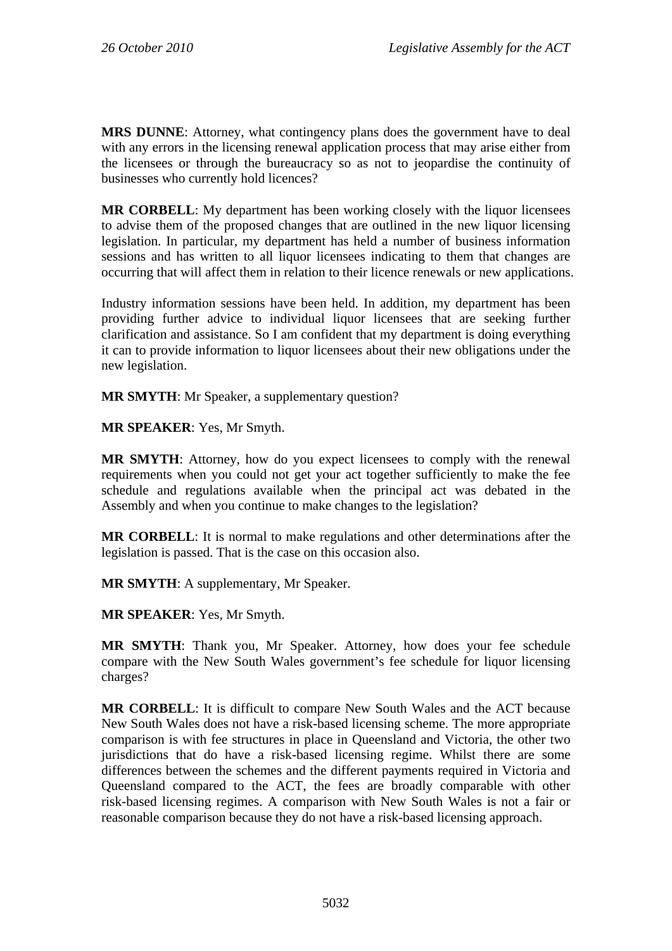**MRS DUNNE**: Attorney, what contingency plans does the government have to deal with any errors in the licensing renewal application process that may arise either from the licensees or through the bureaucracy so as not to jeopardise the continuity of businesses who currently hold licences?

**MR CORBELL:** My department has been working closely with the liquor licensees to advise them of the proposed changes that are outlined in the new liquor licensing legislation. In particular, my department has held a number of business information sessions and has written to all liquor licensees indicating to them that changes are occurring that will affect them in relation to their licence renewals or new applications.

Industry information sessions have been held. In addition, my department has been providing further advice to individual liquor licensees that are seeking further clarification and assistance. So I am confident that my department is doing everything it can to provide information to liquor licensees about their new obligations under the new legislation.

**MR SMYTH**: Mr Speaker, a supplementary question?

**MR SPEAKER**: Yes, Mr Smyth.

**MR SMYTH**: Attorney, how do you expect licensees to comply with the renewal requirements when you could not get your act together sufficiently to make the fee schedule and regulations available when the principal act was debated in the Assembly and when you continue to make changes to the legislation?

**MR CORBELL**: It is normal to make regulations and other determinations after the legislation is passed. That is the case on this occasion also.

**MR SMYTH**: A supplementary, Mr Speaker.

**MR SPEAKER**: Yes, Mr Smyth.

**MR SMYTH**: Thank you, Mr Speaker. Attorney, how does your fee schedule compare with the New South Wales government's fee schedule for liquor licensing charges?

**MR CORBELL**: It is difficult to compare New South Wales and the ACT because New South Wales does not have a risk-based licensing scheme. The more appropriate comparison is with fee structures in place in Queensland and Victoria, the other two jurisdictions that do have a risk-based licensing regime. Whilst there are some differences between the schemes and the different payments required in Victoria and Queensland compared to the ACT, the fees are broadly comparable with other risk-based licensing regimes. A comparison with New South Wales is not a fair or reasonable comparison because they do not have a risk-based licensing approach.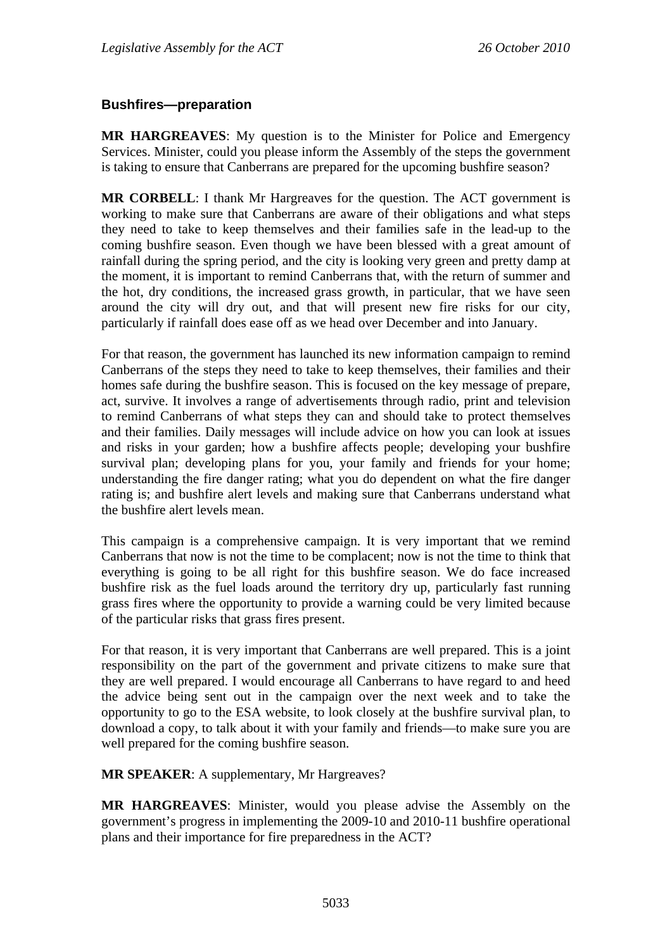### **Bushfires—preparation**

**MR HARGREAVES**: My question is to the Minister for Police and Emergency Services. Minister, could you please inform the Assembly of the steps the government is taking to ensure that Canberrans are prepared for the upcoming bushfire season?

**MR CORBELL**: I thank Mr Hargreaves for the question. The ACT government is working to make sure that Canberrans are aware of their obligations and what steps they need to take to keep themselves and their families safe in the lead-up to the coming bushfire season. Even though we have been blessed with a great amount of rainfall during the spring period, and the city is looking very green and pretty damp at the moment, it is important to remind Canberrans that, with the return of summer and the hot, dry conditions, the increased grass growth, in particular, that we have seen around the city will dry out, and that will present new fire risks for our city, particularly if rainfall does ease off as we head over December and into January.

For that reason, the government has launched its new information campaign to remind Canberrans of the steps they need to take to keep themselves, their families and their homes safe during the bushfire season. This is focused on the key message of prepare, act, survive. It involves a range of advertisements through radio, print and television to remind Canberrans of what steps they can and should take to protect themselves and their families. Daily messages will include advice on how you can look at issues and risks in your garden; how a bushfire affects people; developing your bushfire survival plan; developing plans for you, your family and friends for your home; understanding the fire danger rating; what you do dependent on what the fire danger rating is; and bushfire alert levels and making sure that Canberrans understand what the bushfire alert levels mean.

This campaign is a comprehensive campaign. It is very important that we remind Canberrans that now is not the time to be complacent; now is not the time to think that everything is going to be all right for this bushfire season. We do face increased bushfire risk as the fuel loads around the territory dry up, particularly fast running grass fires where the opportunity to provide a warning could be very limited because of the particular risks that grass fires present.

For that reason, it is very important that Canberrans are well prepared. This is a joint responsibility on the part of the government and private citizens to make sure that they are well prepared. I would encourage all Canberrans to have regard to and heed the advice being sent out in the campaign over the next week and to take the opportunity to go to the ESA website, to look closely at the bushfire survival plan, to download a copy, to talk about it with your family and friends—to make sure you are well prepared for the coming bushfire season.

**MR SPEAKER**: A supplementary, Mr Hargreaves?

**MR HARGREAVES**: Minister, would you please advise the Assembly on the government's progress in implementing the 2009-10 and 2010-11 bushfire operational plans and their importance for fire preparedness in the ACT?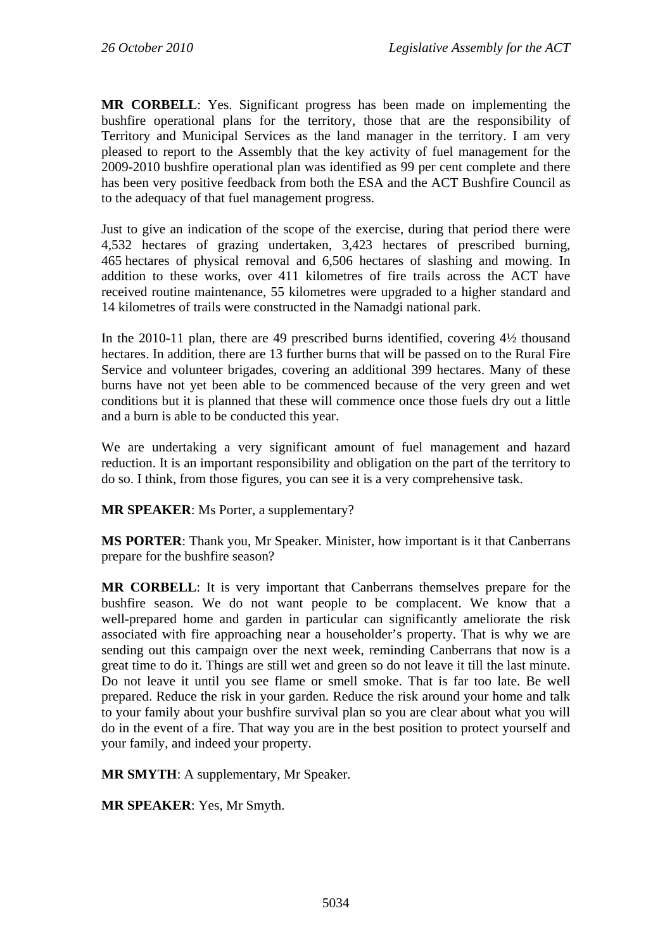**MR CORBELL**: Yes. Significant progress has been made on implementing the bushfire operational plans for the territory, those that are the responsibility of Territory and Municipal Services as the land manager in the territory. I am very pleased to report to the Assembly that the key activity of fuel management for the 2009-2010 bushfire operational plan was identified as 99 per cent complete and there has been very positive feedback from both the ESA and the ACT Bushfire Council as to the adequacy of that fuel management progress.

Just to give an indication of the scope of the exercise, during that period there were 4,532 hectares of grazing undertaken, 3,423 hectares of prescribed burning, 465 hectares of physical removal and 6,506 hectares of slashing and mowing. In addition to these works, over 411 kilometres of fire trails across the ACT have received routine maintenance, 55 kilometres were upgraded to a higher standard and 14 kilometres of trails were constructed in the Namadgi national park.

In the 2010-11 plan, there are 49 prescribed burns identified, covering 4½ thousand hectares. In addition, there are 13 further burns that will be passed on to the Rural Fire Service and volunteer brigades, covering an additional 399 hectares. Many of these burns have not yet been able to be commenced because of the very green and wet conditions but it is planned that these will commence once those fuels dry out a little and a burn is able to be conducted this year.

We are undertaking a very significant amount of fuel management and hazard reduction. It is an important responsibility and obligation on the part of the territory to do so. I think, from those figures, you can see it is a very comprehensive task.

**MR SPEAKER**: Ms Porter, a supplementary?

**MS PORTER**: Thank you, Mr Speaker. Minister, how important is it that Canberrans prepare for the bushfire season?

**MR CORBELL**: It is very important that Canberrans themselves prepare for the bushfire season. We do not want people to be complacent. We know that a well-prepared home and garden in particular can significantly ameliorate the risk associated with fire approaching near a householder's property. That is why we are sending out this campaign over the next week, reminding Canberrans that now is a great time to do it. Things are still wet and green so do not leave it till the last minute. Do not leave it until you see flame or smell smoke. That is far too late. Be well prepared. Reduce the risk in your garden. Reduce the risk around your home and talk to your family about your bushfire survival plan so you are clear about what you will do in the event of a fire. That way you are in the best position to protect yourself and your family, and indeed your property.

**MR SMYTH**: A supplementary, Mr Speaker.

**MR SPEAKER**: Yes, Mr Smyth.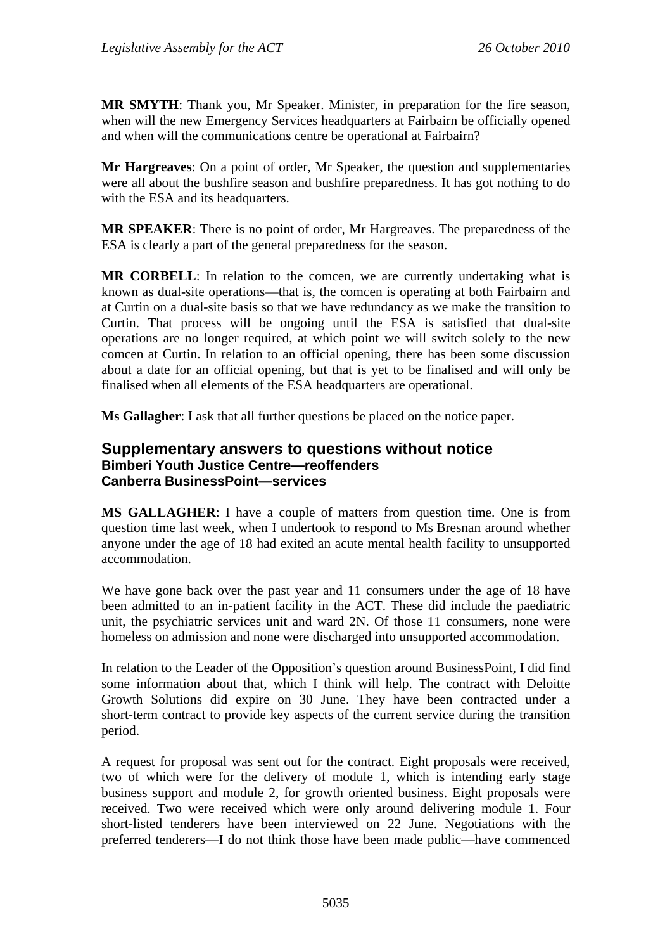**MR SMYTH**: Thank you, Mr Speaker. Minister, in preparation for the fire season, when will the new Emergency Services headquarters at Fairbairn be officially opened and when will the communications centre be operational at Fairbairn?

**Mr Hargreaves**: On a point of order, Mr Speaker, the question and supplementaries were all about the bushfire season and bushfire preparedness. It has got nothing to do with the ESA and its headquarters.

**MR SPEAKER**: There is no point of order, Mr Hargreaves. The preparedness of the ESA is clearly a part of the general preparedness for the season.

**MR CORBELL**: In relation to the comcen, we are currently undertaking what is known as dual-site operations—that is, the comcen is operating at both Fairbairn and at Curtin on a dual-site basis so that we have redundancy as we make the transition to Curtin. That process will be ongoing until the ESA is satisfied that dual-site operations are no longer required, at which point we will switch solely to the new comcen at Curtin. In relation to an official opening, there has been some discussion about a date for an official opening, but that is yet to be finalised and will only be finalised when all elements of the ESA headquarters are operational.

**Ms Gallagher**: I ask that all further questions be placed on the notice paper.

### **Supplementary answers to questions without notice Bimberi Youth Justice Centre—reoffenders Canberra BusinessPoint—services**

**MS GALLAGHER**: I have a couple of matters from question time. One is from question time last week, when I undertook to respond to Ms Bresnan around whether anyone under the age of 18 had exited an acute mental health facility to unsupported accommodation.

We have gone back over the past year and 11 consumers under the age of 18 have been admitted to an in-patient facility in the ACT. These did include the paediatric unit, the psychiatric services unit and ward 2N. Of those 11 consumers, none were homeless on admission and none were discharged into unsupported accommodation.

In relation to the Leader of the Opposition's question around BusinessPoint, I did find some information about that, which I think will help. The contract with Deloitte Growth Solutions did expire on 30 June. They have been contracted under a short-term contract to provide key aspects of the current service during the transition period.

A request for proposal was sent out for the contract. Eight proposals were received, two of which were for the delivery of module 1, which is intending early stage business support and module 2, for growth oriented business. Eight proposals were received. Two were received which were only around delivering module 1. Four short-listed tenderers have been interviewed on 22 June. Negotiations with the preferred tenderers—I do not think those have been made public—have commenced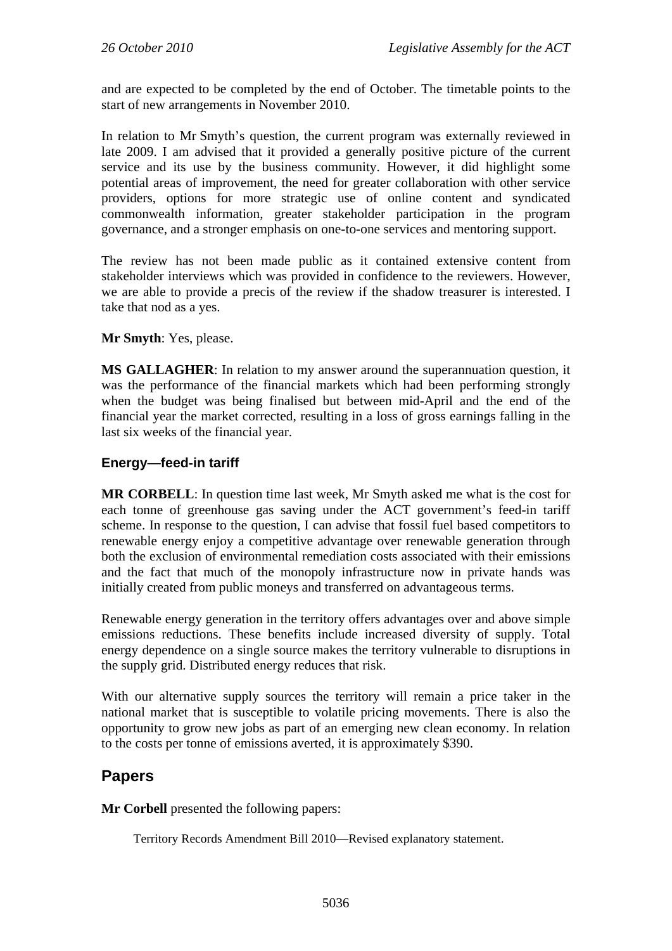and are expected to be completed by the end of October. The timetable points to the start of new arrangements in November 2010.

In relation to Mr Smyth's question, the current program was externally reviewed in late 2009. I am advised that it provided a generally positive picture of the current service and its use by the business community. However, it did highlight some potential areas of improvement, the need for greater collaboration with other service providers, options for more strategic use of online content and syndicated commonwealth information, greater stakeholder participation in the program governance, and a stronger emphasis on one-to-one services and mentoring support.

The review has not been made public as it contained extensive content from stakeholder interviews which was provided in confidence to the reviewers. However, we are able to provide a precis of the review if the shadow treasurer is interested. I take that nod as a yes.

### **Mr Smyth**: Yes, please.

**MS GALLAGHER**: In relation to my answer around the superannuation question, it was the performance of the financial markets which had been performing strongly when the budget was being finalised but between mid-April and the end of the financial year the market corrected, resulting in a loss of gross earnings falling in the last six weeks of the financial year.

### **Energy—feed-in tariff**

**MR CORBELL**: In question time last week, Mr Smyth asked me what is the cost for each tonne of greenhouse gas saving under the ACT government's feed-in tariff scheme. In response to the question, I can advise that fossil fuel based competitors to renewable energy enjoy a competitive advantage over renewable generation through both the exclusion of environmental remediation costs associated with their emissions and the fact that much of the monopoly infrastructure now in private hands was initially created from public moneys and transferred on advantageous terms.

Renewable energy generation in the territory offers advantages over and above simple emissions reductions. These benefits include increased diversity of supply. Total energy dependence on a single source makes the territory vulnerable to disruptions in the supply grid. Distributed energy reduces that risk.

With our alternative supply sources the territory will remain a price taker in the national market that is susceptible to volatile pricing movements. There is also the opportunity to grow new jobs as part of an emerging new clean economy. In relation to the costs per tonne of emissions averted, it is approximately \$390.

# **Papers**

**Mr Corbell** presented the following papers:

Territory Records Amendment Bill 2010—Revised explanatory statement.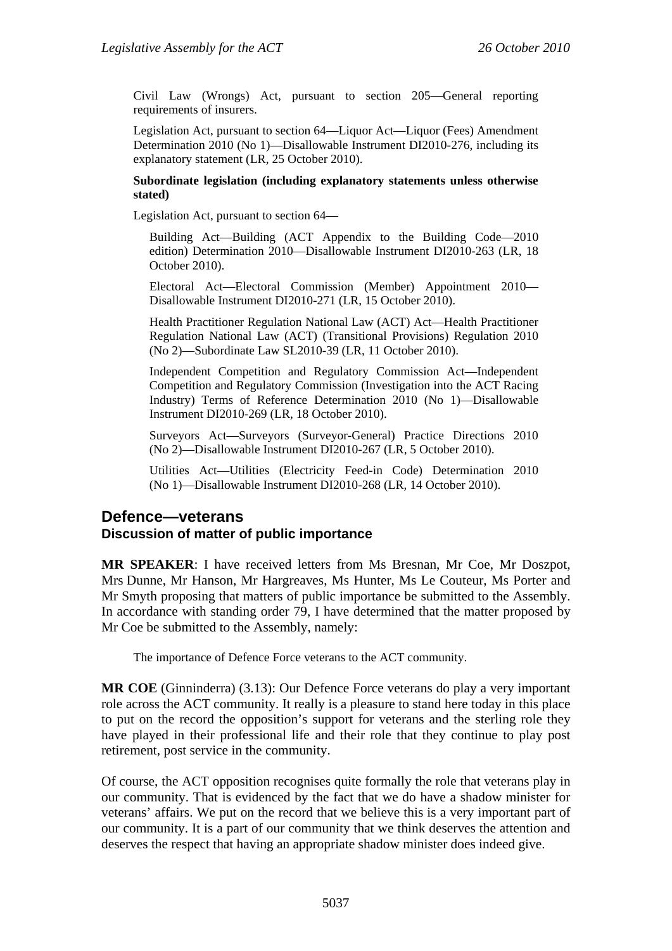Civil Law (Wrongs) Act, pursuant to section 205—General reporting requirements of insurers.

Legislation Act, pursuant to section 64—Liquor Act—Liquor (Fees) Amendment Determination 2010 (No 1)—Disallowable Instrument DI2010-276, including its explanatory statement (LR, 25 October 2010).

#### **Subordinate legislation (including explanatory statements unless otherwise stated)**

Legislation Act, pursuant to section 64—

Building Act—Building (ACT Appendix to the Building Code—2010 edition) Determination 2010—Disallowable Instrument DI2010-263 (LR, 18 October 2010).

Electoral Act—Electoral Commission (Member) Appointment 2010— Disallowable Instrument DI2010-271 (LR, 15 October 2010).

Health Practitioner Regulation National Law (ACT) Act—Health Practitioner Regulation National Law (ACT) (Transitional Provisions) Regulation 2010 (No 2)—Subordinate Law SL2010-39 (LR, 11 October 2010).

Independent Competition and Regulatory Commission Act—Independent Competition and Regulatory Commission (Investigation into the ACT Racing Industry) Terms of Reference Determination 2010 (No 1)—Disallowable Instrument DI2010-269 (LR, 18 October 2010).

Surveyors Act—Surveyors (Surveyor-General) Practice Directions 2010 (No 2)—Disallowable Instrument DI2010-267 (LR, 5 October 2010).

Utilities Act—Utilities (Electricity Feed-in Code) Determination 2010 (No 1)—Disallowable Instrument DI2010-268 (LR, 14 October 2010).

### **Defence—veterans Discussion of matter of public importance**

**MR SPEAKER**: I have received letters from Ms Bresnan, Mr Coe, Mr Doszpot, Mrs Dunne, Mr Hanson, Mr Hargreaves, Ms Hunter, Ms Le Couteur, Ms Porter and Mr Smyth proposing that matters of public importance be submitted to the Assembly. In accordance with standing order 79, I have determined that the matter proposed by Mr Coe be submitted to the Assembly, namely:

The importance of Defence Force veterans to the ACT community.

**MR COE** (Ginninderra) (3.13): Our Defence Force veterans do play a very important role across the ACT community. It really is a pleasure to stand here today in this place to put on the record the opposition's support for veterans and the sterling role they have played in their professional life and their role that they continue to play post retirement, post service in the community.

Of course, the ACT opposition recognises quite formally the role that veterans play in our community. That is evidenced by the fact that we do have a shadow minister for veterans' affairs. We put on the record that we believe this is a very important part of our community. It is a part of our community that we think deserves the attention and deserves the respect that having an appropriate shadow minister does indeed give.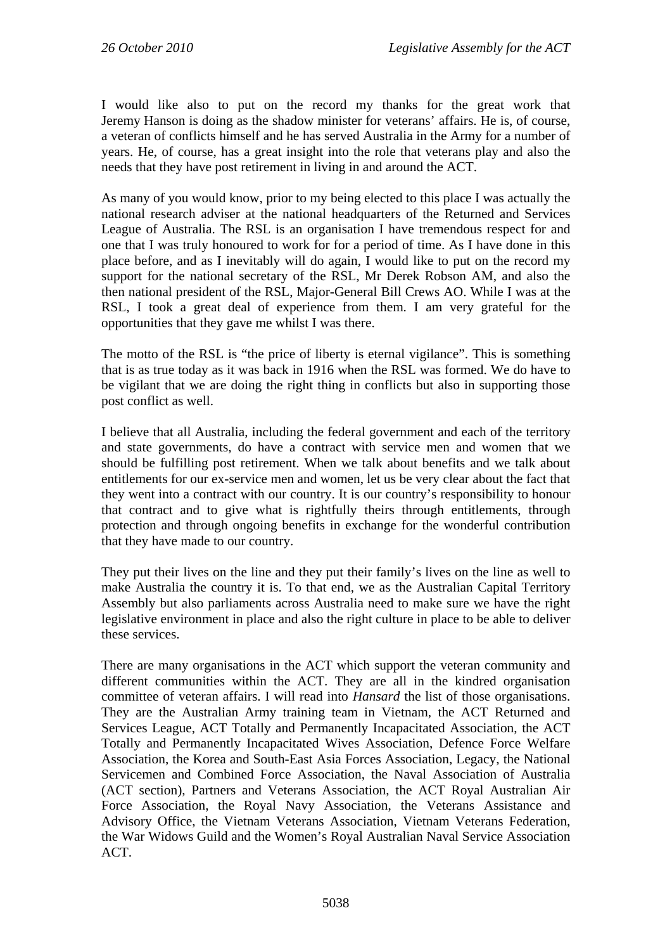I would like also to put on the record my thanks for the great work that Jeremy Hanson is doing as the shadow minister for veterans' affairs. He is, of course, a veteran of conflicts himself and he has served Australia in the Army for a number of years. He, of course, has a great insight into the role that veterans play and also the needs that they have post retirement in living in and around the ACT.

As many of you would know, prior to my being elected to this place I was actually the national research adviser at the national headquarters of the Returned and Services League of Australia. The RSL is an organisation I have tremendous respect for and one that I was truly honoured to work for for a period of time. As I have done in this place before, and as I inevitably will do again, I would like to put on the record my support for the national secretary of the RSL, Mr Derek Robson AM, and also the then national president of the RSL, Major-General Bill Crews AO. While I was at the RSL, I took a great deal of experience from them. I am very grateful for the opportunities that they gave me whilst I was there.

The motto of the RSL is "the price of liberty is eternal vigilance". This is something that is as true today as it was back in 1916 when the RSL was formed. We do have to be vigilant that we are doing the right thing in conflicts but also in supporting those post conflict as well.

I believe that all Australia, including the federal government and each of the territory and state governments, do have a contract with service men and women that we should be fulfilling post retirement. When we talk about benefits and we talk about entitlements for our ex-service men and women, let us be very clear about the fact that they went into a contract with our country. It is our country's responsibility to honour that contract and to give what is rightfully theirs through entitlements, through protection and through ongoing benefits in exchange for the wonderful contribution that they have made to our country.

They put their lives on the line and they put their family's lives on the line as well to make Australia the country it is. To that end, we as the Australian Capital Territory Assembly but also parliaments across Australia need to make sure we have the right legislative environment in place and also the right culture in place to be able to deliver these services.

There are many organisations in the ACT which support the veteran community and different communities within the ACT. They are all in the kindred organisation committee of veteran affairs. I will read into *Hansard* the list of those organisations. They are the Australian Army training team in Vietnam, the ACT Returned and Services League, ACT Totally and Permanently Incapacitated Association, the ACT Totally and Permanently Incapacitated Wives Association, Defence Force Welfare Association, the Korea and South-East Asia Forces Association, Legacy, the National Servicemen and Combined Force Association, the Naval Association of Australia (ACT section), Partners and Veterans Association, the ACT Royal Australian Air Force Association, the Royal Navy Association, the Veterans Assistance and Advisory Office, the Vietnam Veterans Association, Vietnam Veterans Federation, the War Widows Guild and the Women's Royal Australian Naval Service Association ACT.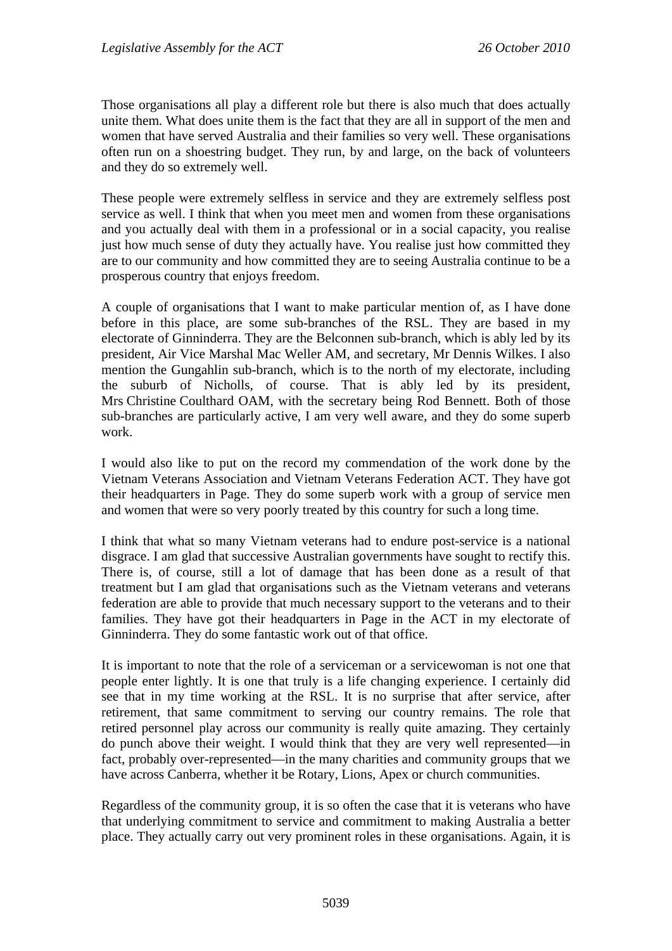Those organisations all play a different role but there is also much that does actually unite them. What does unite them is the fact that they are all in support of the men and women that have served Australia and their families so very well. These organisations often run on a shoestring budget. They run, by and large, on the back of volunteers and they do so extremely well.

These people were extremely selfless in service and they are extremely selfless post service as well. I think that when you meet men and women from these organisations and you actually deal with them in a professional or in a social capacity, you realise just how much sense of duty they actually have. You realise just how committed they are to our community and how committed they are to seeing Australia continue to be a prosperous country that enjoys freedom.

A couple of organisations that I want to make particular mention of, as I have done before in this place, are some sub-branches of the RSL. They are based in my electorate of Ginninderra. They are the Belconnen sub-branch, which is ably led by its president, Air Vice Marshal Mac Weller AM, and secretary, Mr Dennis Wilkes. I also mention the Gungahlin sub-branch, which is to the north of my electorate, including the suburb of Nicholls, of course. That is ably led by its president, Mrs Christine Coulthard OAM, with the secretary being Rod Bennett. Both of those sub-branches are particularly active, I am very well aware, and they do some superb work.

I would also like to put on the record my commendation of the work done by the Vietnam Veterans Association and Vietnam Veterans Federation ACT. They have got their headquarters in Page. They do some superb work with a group of service men and women that were so very poorly treated by this country for such a long time.

I think that what so many Vietnam veterans had to endure post-service is a national disgrace. I am glad that successive Australian governments have sought to rectify this. There is, of course, still a lot of damage that has been done as a result of that treatment but I am glad that organisations such as the Vietnam veterans and veterans federation are able to provide that much necessary support to the veterans and to their families. They have got their headquarters in Page in the ACT in my electorate of Ginninderra. They do some fantastic work out of that office.

It is important to note that the role of a serviceman or a servicewoman is not one that people enter lightly. It is one that truly is a life changing experience. I certainly did see that in my time working at the RSL. It is no surprise that after service, after retirement, that same commitment to serving our country remains. The role that retired personnel play across our community is really quite amazing. They certainly do punch above their weight. I would think that they are very well represented—in fact, probably over-represented—in the many charities and community groups that we have across Canberra, whether it be Rotary, Lions, Apex or church communities.

Regardless of the community group, it is so often the case that it is veterans who have that underlying commitment to service and commitment to making Australia a better place. They actually carry out very prominent roles in these organisations. Again, it is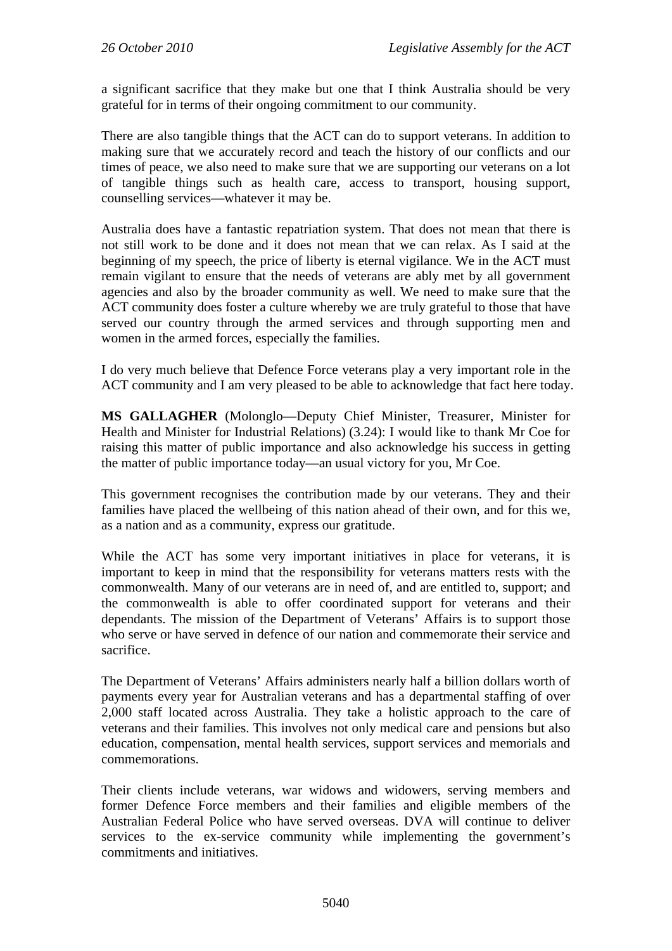a significant sacrifice that they make but one that I think Australia should be very grateful for in terms of their ongoing commitment to our community.

There are also tangible things that the ACT can do to support veterans. In addition to making sure that we accurately record and teach the history of our conflicts and our times of peace, we also need to make sure that we are supporting our veterans on a lot of tangible things such as health care, access to transport, housing support, counselling services—whatever it may be.

Australia does have a fantastic repatriation system. That does not mean that there is not still work to be done and it does not mean that we can relax. As I said at the beginning of my speech, the price of liberty is eternal vigilance. We in the ACT must remain vigilant to ensure that the needs of veterans are ably met by all government agencies and also by the broader community as well. We need to make sure that the ACT community does foster a culture whereby we are truly grateful to those that have served our country through the armed services and through supporting men and women in the armed forces, especially the families.

I do very much believe that Defence Force veterans play a very important role in the ACT community and I am very pleased to be able to acknowledge that fact here today.

**MS GALLAGHER** (Molonglo—Deputy Chief Minister, Treasurer, Minister for Health and Minister for Industrial Relations) (3.24): I would like to thank Mr Coe for raising this matter of public importance and also acknowledge his success in getting the matter of public importance today—an usual victory for you, Mr Coe.

This government recognises the contribution made by our veterans. They and their families have placed the wellbeing of this nation ahead of their own, and for this we, as a nation and as a community, express our gratitude.

While the ACT has some very important initiatives in place for veterans, it is important to keep in mind that the responsibility for veterans matters rests with the commonwealth. Many of our veterans are in need of, and are entitled to, support; and the commonwealth is able to offer coordinated support for veterans and their dependants. The mission of the Department of Veterans' Affairs is to support those who serve or have served in defence of our nation and commemorate their service and sacrifice.

The Department of Veterans' Affairs administers nearly half a billion dollars worth of payments every year for Australian veterans and has a departmental staffing of over 2,000 staff located across Australia. They take a holistic approach to the care of veterans and their families. This involves not only medical care and pensions but also education, compensation, mental health services, support services and memorials and commemorations.

Their clients include veterans, war widows and widowers, serving members and former Defence Force members and their families and eligible members of the Australian Federal Police who have served overseas. DVA will continue to deliver services to the ex-service community while implementing the government's commitments and initiatives.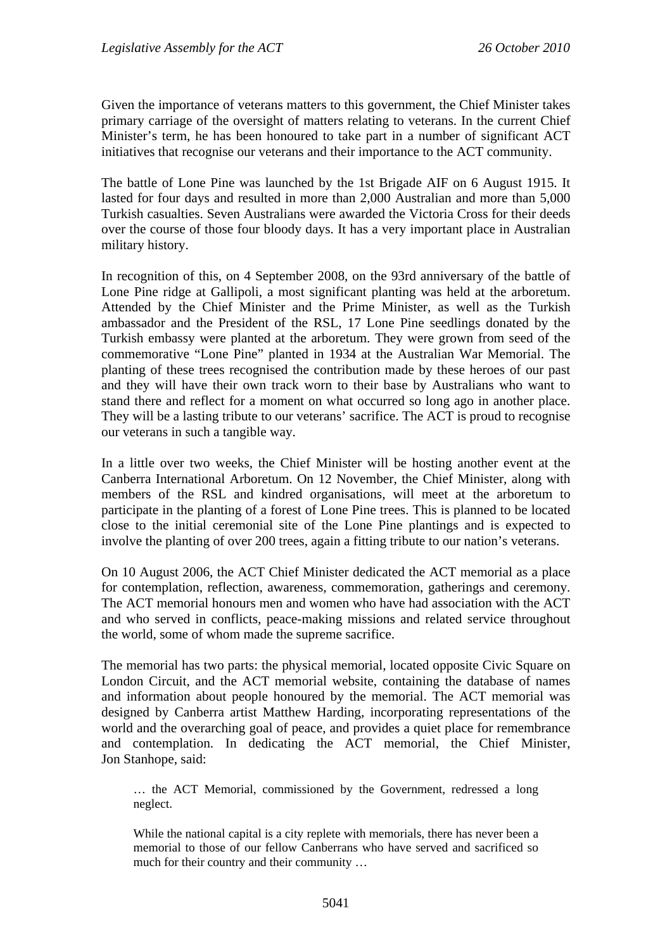Given the importance of veterans matters to this government, the Chief Minister takes primary carriage of the oversight of matters relating to veterans. In the current Chief Minister's term, he has been honoured to take part in a number of significant ACT initiatives that recognise our veterans and their importance to the ACT community.

The battle of Lone Pine was launched by the 1st Brigade AIF on 6 August 1915. It lasted for four days and resulted in more than 2,000 Australian and more than 5,000 Turkish casualties. Seven Australians were awarded the Victoria Cross for their deeds over the course of those four bloody days. It has a very important place in Australian military history.

In recognition of this, on 4 September 2008, on the 93rd anniversary of the battle of Lone Pine ridge at Gallipoli, a most significant planting was held at the arboretum. Attended by the Chief Minister and the Prime Minister, as well as the Turkish ambassador and the President of the RSL, 17 Lone Pine seedlings donated by the Turkish embassy were planted at the arboretum. They were grown from seed of the commemorative "Lone Pine" planted in 1934 at the Australian War Memorial. The planting of these trees recognised the contribution made by these heroes of our past and they will have their own track worn to their base by Australians who want to stand there and reflect for a moment on what occurred so long ago in another place. They will be a lasting tribute to our veterans' sacrifice. The ACT is proud to recognise our veterans in such a tangible way.

In a little over two weeks, the Chief Minister will be hosting another event at the Canberra International Arboretum. On 12 November, the Chief Minister, along with members of the RSL and kindred organisations, will meet at the arboretum to participate in the planting of a forest of Lone Pine trees. This is planned to be located close to the initial ceremonial site of the Lone Pine plantings and is expected to involve the planting of over 200 trees, again a fitting tribute to our nation's veterans.

On 10 August 2006, the ACT Chief Minister dedicated the ACT memorial as a place for contemplation, reflection, awareness, commemoration, gatherings and ceremony. The ACT memorial honours men and women who have had association with the ACT and who served in conflicts, peace-making missions and related service throughout the world, some of whom made the supreme sacrifice.

The memorial has two parts: the physical memorial, located opposite Civic Square on London Circuit, and the ACT memorial website, containing the database of names and information about people honoured by the memorial. The ACT memorial was designed by Canberra artist Matthew Harding, incorporating representations of the world and the overarching goal of peace, and provides a quiet place for remembrance and contemplation. In dedicating the ACT memorial, the Chief Minister, Jon Stanhope, said:

… the ACT Memorial, commissioned by the Government, redressed a long neglect.

While the national capital is a city replete with memorials, there has never been a memorial to those of our fellow Canberrans who have served and sacrificed so much for their country and their community …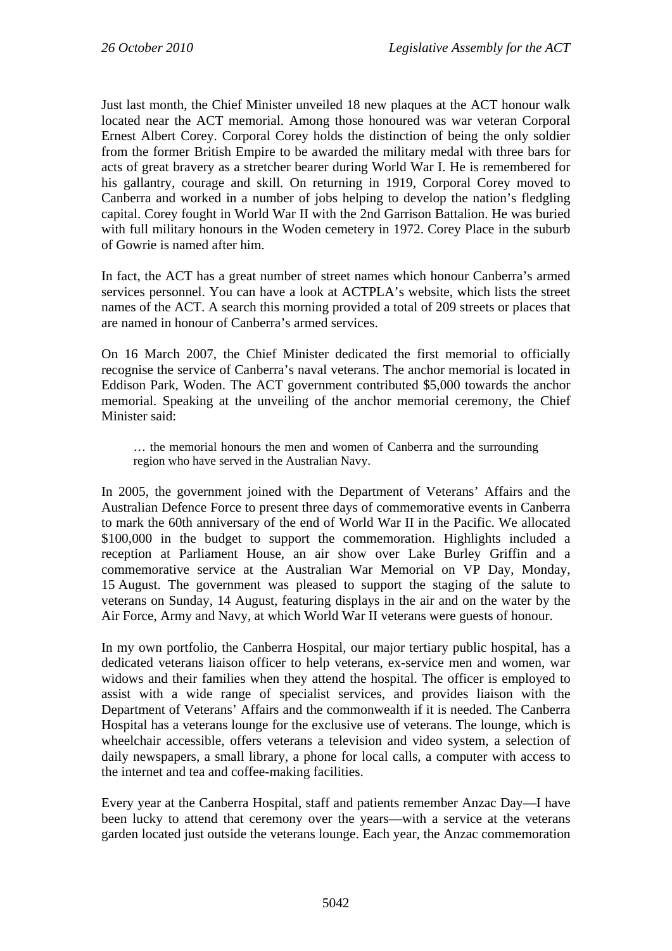Just last month, the Chief Minister unveiled 18 new plaques at the ACT honour walk located near the ACT memorial. Among those honoured was war veteran Corporal Ernest Albert Corey. Corporal Corey holds the distinction of being the only soldier from the former British Empire to be awarded the military medal with three bars for acts of great bravery as a stretcher bearer during World War I. He is remembered for his gallantry, courage and skill. On returning in 1919, Corporal Corey moved to Canberra and worked in a number of jobs helping to develop the nation's fledgling capital. Corey fought in World War II with the 2nd Garrison Battalion. He was buried with full military honours in the Woden cemetery in 1972. Corey Place in the suburb of Gowrie is named after him.

In fact, the ACT has a great number of street names which honour Canberra's armed services personnel. You can have a look at ACTPLA's website, which lists the street names of the ACT. A search this morning provided a total of 209 streets or places that are named in honour of Canberra's armed services.

On 16 March 2007, the Chief Minister dedicated the first memorial to officially recognise the service of Canberra's naval veterans. The anchor memorial is located in Eddison Park, Woden. The ACT government contributed \$5,000 towards the anchor memorial. Speaking at the unveiling of the anchor memorial ceremony, the Chief Minister said:

… the memorial honours the men and women of Canberra and the surrounding region who have served in the Australian Navy.

In 2005, the government joined with the Department of Veterans' Affairs and the Australian Defence Force to present three days of commemorative events in Canberra to mark the 60th anniversary of the end of World War II in the Pacific. We allocated \$100,000 in the budget to support the commemoration. Highlights included a reception at Parliament House, an air show over Lake Burley Griffin and a commemorative service at the Australian War Memorial on VP Day, Monday, 15 August. The government was pleased to support the staging of the salute to veterans on Sunday, 14 August, featuring displays in the air and on the water by the Air Force, Army and Navy, at which World War II veterans were guests of honour.

In my own portfolio, the Canberra Hospital, our major tertiary public hospital, has a dedicated veterans liaison officer to help veterans, ex-service men and women, war widows and their families when they attend the hospital. The officer is employed to assist with a wide range of specialist services, and provides liaison with the Department of Veterans' Affairs and the commonwealth if it is needed. The Canberra Hospital has a veterans lounge for the exclusive use of veterans. The lounge, which is wheelchair accessible, offers veterans a television and video system, a selection of daily newspapers, a small library, a phone for local calls, a computer with access to the internet and tea and coffee-making facilities.

Every year at the Canberra Hospital, staff and patients remember Anzac Day—I have been lucky to attend that ceremony over the years—with a service at the veterans garden located just outside the veterans lounge. Each year, the Anzac commemoration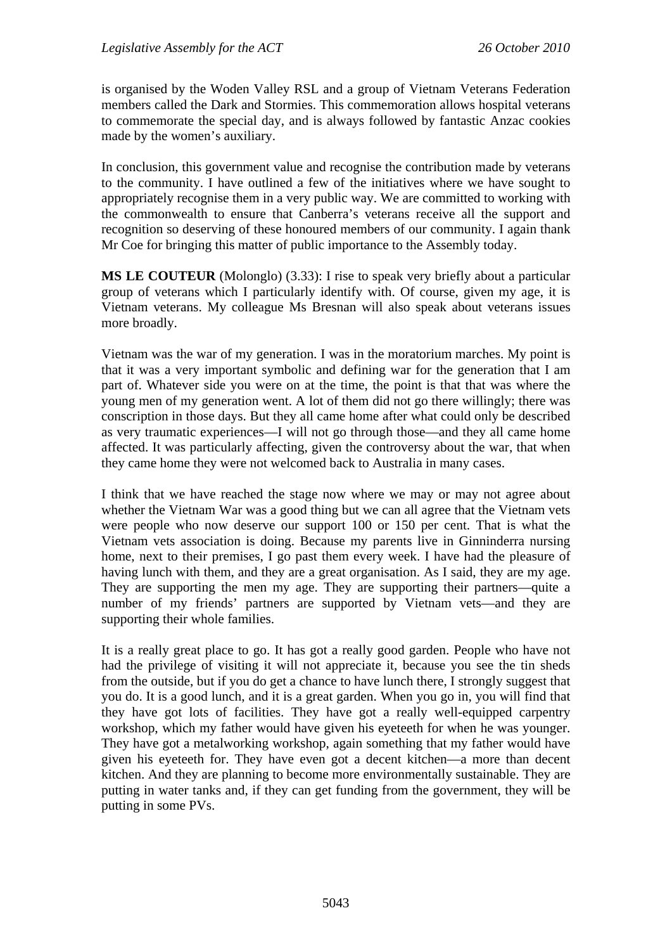is organised by the Woden Valley RSL and a group of Vietnam Veterans Federation members called the Dark and Stormies. This commemoration allows hospital veterans to commemorate the special day, and is always followed by fantastic Anzac cookies made by the women's auxiliary.

In conclusion, this government value and recognise the contribution made by veterans to the community. I have outlined a few of the initiatives where we have sought to appropriately recognise them in a very public way. We are committed to working with the commonwealth to ensure that Canberra's veterans receive all the support and recognition so deserving of these honoured members of our community. I again thank Mr Coe for bringing this matter of public importance to the Assembly today.

**MS LE COUTEUR** (Molonglo) (3.33): I rise to speak very briefly about a particular group of veterans which I particularly identify with. Of course, given my age, it is Vietnam veterans. My colleague Ms Bresnan will also speak about veterans issues more broadly.

Vietnam was the war of my generation. I was in the moratorium marches. My point is that it was a very important symbolic and defining war for the generation that I am part of. Whatever side you were on at the time, the point is that that was where the young men of my generation went. A lot of them did not go there willingly; there was conscription in those days. But they all came home after what could only be described as very traumatic experiences—I will not go through those—and they all came home affected. It was particularly affecting, given the controversy about the war, that when they came home they were not welcomed back to Australia in many cases.

I think that we have reached the stage now where we may or may not agree about whether the Vietnam War was a good thing but we can all agree that the Vietnam vets were people who now deserve our support 100 or 150 per cent. That is what the Vietnam vets association is doing. Because my parents live in Ginninderra nursing home, next to their premises, I go past them every week. I have had the pleasure of having lunch with them, and they are a great organisation. As I said, they are my age. They are supporting the men my age. They are supporting their partners—quite a number of my friends' partners are supported by Vietnam vets—and they are supporting their whole families.

It is a really great place to go. It has got a really good garden. People who have not had the privilege of visiting it will not appreciate it, because you see the tin sheds from the outside, but if you do get a chance to have lunch there, I strongly suggest that you do. It is a good lunch, and it is a great garden. When you go in, you will find that they have got lots of facilities. They have got a really well-equipped carpentry workshop, which my father would have given his eyeteeth for when he was younger. They have got a metalworking workshop, again something that my father would have given his eyeteeth for. They have even got a decent kitchen—a more than decent kitchen. And they are planning to become more environmentally sustainable. They are putting in water tanks and, if they can get funding from the government, they will be putting in some PVs.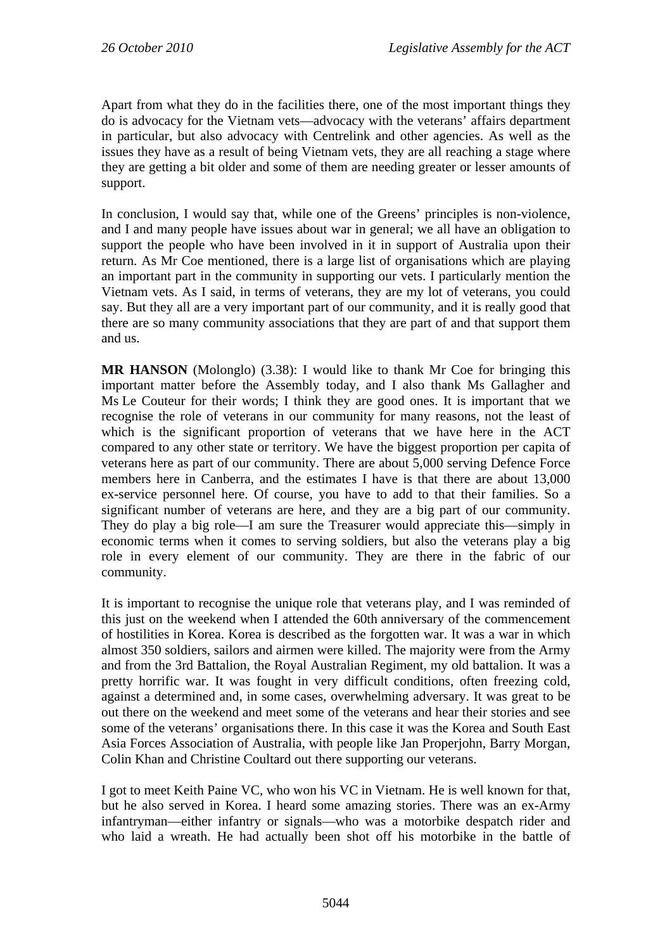Apart from what they do in the facilities there, one of the most important things they do is advocacy for the Vietnam vets—advocacy with the veterans' affairs department in particular, but also advocacy with Centrelink and other agencies. As well as the issues they have as a result of being Vietnam vets, they are all reaching a stage where they are getting a bit older and some of them are needing greater or lesser amounts of support.

In conclusion, I would say that, while one of the Greens' principles is non-violence, and I and many people have issues about war in general; we all have an obligation to support the people who have been involved in it in support of Australia upon their return. As Mr Coe mentioned, there is a large list of organisations which are playing an important part in the community in supporting our vets. I particularly mention the Vietnam vets. As I said, in terms of veterans, they are my lot of veterans, you could say. But they all are a very important part of our community, and it is really good that there are so many community associations that they are part of and that support them and us.

**MR HANSON** (Molonglo) (3.38): I would like to thank Mr Coe for bringing this important matter before the Assembly today, and I also thank Ms Gallagher and Ms Le Couteur for their words; I think they are good ones. It is important that we recognise the role of veterans in our community for many reasons, not the least of which is the significant proportion of veterans that we have here in the ACT compared to any other state or territory. We have the biggest proportion per capita of veterans here as part of our community. There are about 5,000 serving Defence Force members here in Canberra, and the estimates I have is that there are about 13,000 ex-service personnel here. Of course, you have to add to that their families. So a significant number of veterans are here, and they are a big part of our community. They do play a big role—I am sure the Treasurer would appreciate this—simply in economic terms when it comes to serving soldiers, but also the veterans play a big role in every element of our community. They are there in the fabric of our community.

It is important to recognise the unique role that veterans play, and I was reminded of this just on the weekend when I attended the 60th anniversary of the commencement of hostilities in Korea. Korea is described as the forgotten war. It was a war in which almost 350 soldiers, sailors and airmen were killed. The majority were from the Army and from the 3rd Battalion, the Royal Australian Regiment, my old battalion. It was a pretty horrific war. It was fought in very difficult conditions, often freezing cold, against a determined and, in some cases, overwhelming adversary. It was great to be out there on the weekend and meet some of the veterans and hear their stories and see some of the veterans' organisations there. In this case it was the Korea and South East Asia Forces Association of Australia, with people like Jan Properjohn, Barry Morgan, Colin Khan and Christine Coultard out there supporting our veterans.

I got to meet Keith Paine VC, who won his VC in Vietnam. He is well known for that, but he also served in Korea. I heard some amazing stories. There was an ex-Army infantryman—either infantry or signals—who was a motorbike despatch rider and who laid a wreath. He had actually been shot off his motorbike in the battle of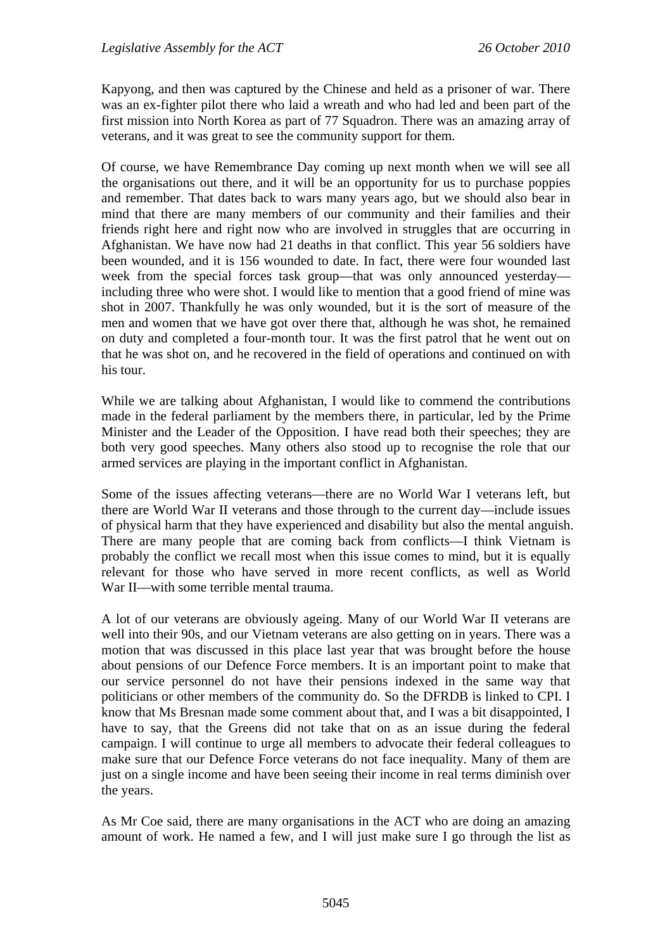Kapyong, and then was captured by the Chinese and held as a prisoner of war. There was an ex-fighter pilot there who laid a wreath and who had led and been part of the first mission into North Korea as part of 77 Squadron. There was an amazing array of veterans, and it was great to see the community support for them.

Of course, we have Remembrance Day coming up next month when we will see all the organisations out there, and it will be an opportunity for us to purchase poppies and remember. That dates back to wars many years ago, but we should also bear in mind that there are many members of our community and their families and their friends right here and right now who are involved in struggles that are occurring in Afghanistan. We have now had 21 deaths in that conflict. This year 56 soldiers have been wounded, and it is 156 wounded to date. In fact, there were four wounded last week from the special forces task group—that was only announced yesterday including three who were shot. I would like to mention that a good friend of mine was shot in 2007. Thankfully he was only wounded, but it is the sort of measure of the men and women that we have got over there that, although he was shot, he remained on duty and completed a four-month tour. It was the first patrol that he went out on that he was shot on, and he recovered in the field of operations and continued on with his tour.

While we are talking about Afghanistan, I would like to commend the contributions made in the federal parliament by the members there, in particular, led by the Prime Minister and the Leader of the Opposition. I have read both their speeches; they are both very good speeches. Many others also stood up to recognise the role that our armed services are playing in the important conflict in Afghanistan.

Some of the issues affecting veterans—there are no World War I veterans left, but there are World War II veterans and those through to the current day—include issues of physical harm that they have experienced and disability but also the mental anguish. There are many people that are coming back from conflicts—I think Vietnam is probably the conflict we recall most when this issue comes to mind, but it is equally relevant for those who have served in more recent conflicts, as well as World War II—with some terrible mental trauma.

A lot of our veterans are obviously ageing. Many of our World War II veterans are well into their 90s, and our Vietnam veterans are also getting on in years. There was a motion that was discussed in this place last year that was brought before the house about pensions of our Defence Force members. It is an important point to make that our service personnel do not have their pensions indexed in the same way that politicians or other members of the community do. So the DFRDB is linked to CPI. I know that Ms Bresnan made some comment about that, and I was a bit disappointed, I have to say, that the Greens did not take that on as an issue during the federal campaign. I will continue to urge all members to advocate their federal colleagues to make sure that our Defence Force veterans do not face inequality. Many of them are just on a single income and have been seeing their income in real terms diminish over the years.

As Mr Coe said, there are many organisations in the ACT who are doing an amazing amount of work. He named a few, and I will just make sure I go through the list as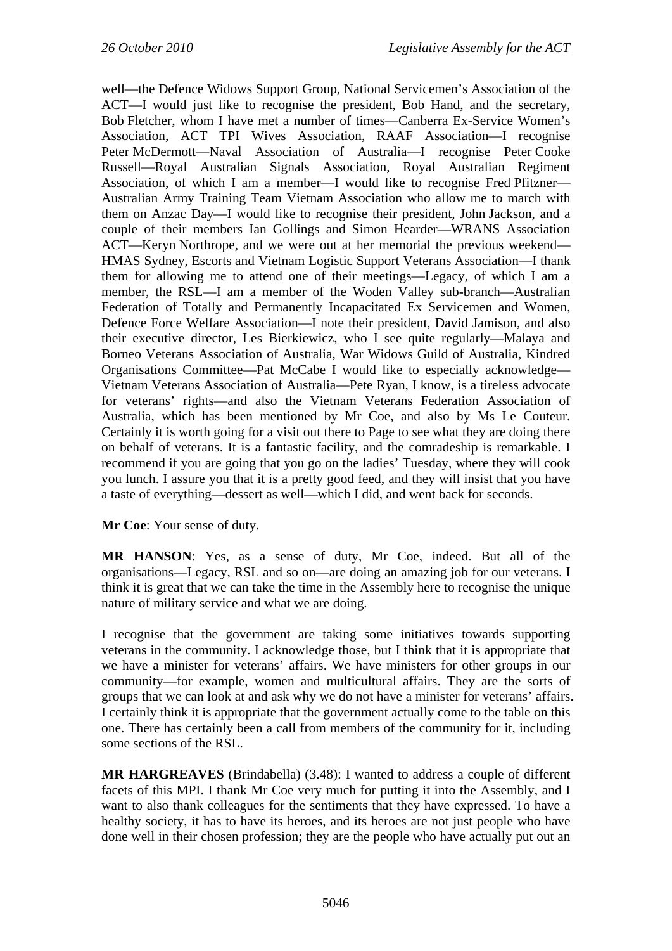well—the Defence Widows Support Group, National Servicemen's Association of the ACT—I would just like to recognise the president, Bob Hand, and the secretary, Bob Fletcher, whom I have met a number of times—Canberra Ex-Service Women's Association, ACT TPI Wives Association, RAAF Association—I recognise Peter McDermott—Naval Association of Australia—I recognise Peter Cooke Russell—Royal Australian Signals Association, Royal Australian Regiment Association, of which I am a member—I would like to recognise Fred Pfitzner— Australian Army Training Team Vietnam Association who allow me to march with them on Anzac Day—I would like to recognise their president, John Jackson, and a couple of their members Ian Gollings and Simon Hearder—WRANS Association ACT—Keryn Northrope, and we were out at her memorial the previous weekend— HMAS Sydney, Escorts and Vietnam Logistic Support Veterans Association—I thank them for allowing me to attend one of their meetings—Legacy, of which I am a member, the RSL—I am a member of the Woden Valley sub-branch—Australian Federation of Totally and Permanently Incapacitated Ex Servicemen and Women, Defence Force Welfare Association—I note their president, David Jamison, and also their executive director, Les Bierkiewicz, who I see quite regularly—Malaya and Borneo Veterans Association of Australia, War Widows Guild of Australia, Kindred Organisations Committee—Pat McCabe I would like to especially acknowledge— Vietnam Veterans Association of Australia—Pete Ryan, I know, is a tireless advocate for veterans' rights—and also the Vietnam Veterans Federation Association of Australia, which has been mentioned by Mr Coe, and also by Ms Le Couteur. Certainly it is worth going for a visit out there to Page to see what they are doing there on behalf of veterans. It is a fantastic facility, and the comradeship is remarkable. I recommend if you are going that you go on the ladies' Tuesday, where they will cook you lunch. I assure you that it is a pretty good feed, and they will insist that you have a taste of everything—dessert as well—which I did, and went back for seconds.

**Mr Coe**: Your sense of duty.

**MR HANSON**: Yes, as a sense of duty, Mr Coe, indeed. But all of the organisations—Legacy, RSL and so on—are doing an amazing job for our veterans. I think it is great that we can take the time in the Assembly here to recognise the unique nature of military service and what we are doing.

I recognise that the government are taking some initiatives towards supporting veterans in the community. I acknowledge those, but I think that it is appropriate that we have a minister for veterans' affairs. We have ministers for other groups in our community—for example, women and multicultural affairs. They are the sorts of groups that we can look at and ask why we do not have a minister for veterans' affairs. I certainly think it is appropriate that the government actually come to the table on this one. There has certainly been a call from members of the community for it, including some sections of the RSL.

**MR HARGREAVES** (Brindabella) (3.48): I wanted to address a couple of different facets of this MPI. I thank Mr Coe very much for putting it into the Assembly, and I want to also thank colleagues for the sentiments that they have expressed. To have a healthy society, it has to have its heroes, and its heroes are not just people who have done well in their chosen profession; they are the people who have actually put out an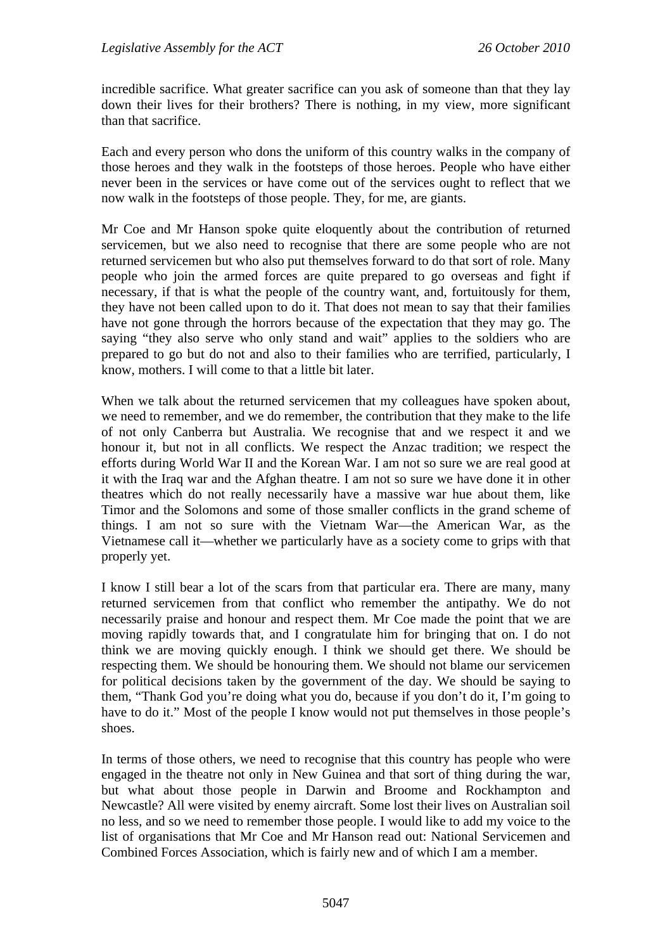incredible sacrifice. What greater sacrifice can you ask of someone than that they lay down their lives for their brothers? There is nothing, in my view, more significant than that sacrifice.

Each and every person who dons the uniform of this country walks in the company of those heroes and they walk in the footsteps of those heroes. People who have either never been in the services or have come out of the services ought to reflect that we now walk in the footsteps of those people. They, for me, are giants.

Mr Coe and Mr Hanson spoke quite eloquently about the contribution of returned servicemen, but we also need to recognise that there are some people who are not returned servicemen but who also put themselves forward to do that sort of role. Many people who join the armed forces are quite prepared to go overseas and fight if necessary, if that is what the people of the country want, and, fortuitously for them, they have not been called upon to do it. That does not mean to say that their families have not gone through the horrors because of the expectation that they may go. The saying "they also serve who only stand and wait" applies to the soldiers who are prepared to go but do not and also to their families who are terrified, particularly, I know, mothers. I will come to that a little bit later.

When we talk about the returned servicemen that my colleagues have spoken about, we need to remember, and we do remember, the contribution that they make to the life of not only Canberra but Australia. We recognise that and we respect it and we honour it, but not in all conflicts. We respect the Anzac tradition; we respect the efforts during World War II and the Korean War. I am not so sure we are real good at it with the Iraq war and the Afghan theatre. I am not so sure we have done it in other theatres which do not really necessarily have a massive war hue about them, like Timor and the Solomons and some of those smaller conflicts in the grand scheme of things. I am not so sure with the Vietnam War—the American War, as the Vietnamese call it—whether we particularly have as a society come to grips with that properly yet.

I know I still bear a lot of the scars from that particular era. There are many, many returned servicemen from that conflict who remember the antipathy. We do not necessarily praise and honour and respect them. Mr Coe made the point that we are moving rapidly towards that, and I congratulate him for bringing that on. I do not think we are moving quickly enough. I think we should get there. We should be respecting them. We should be honouring them. We should not blame our servicemen for political decisions taken by the government of the day. We should be saying to them, "Thank God you're doing what you do, because if you don't do it, I'm going to have to do it." Most of the people I know would not put themselves in those people's shoes.

In terms of those others, we need to recognise that this country has people who were engaged in the theatre not only in New Guinea and that sort of thing during the war, but what about those people in Darwin and Broome and Rockhampton and Newcastle? All were visited by enemy aircraft. Some lost their lives on Australian soil no less, and so we need to remember those people. I would like to add my voice to the list of organisations that Mr Coe and Mr Hanson read out: National Servicemen and Combined Forces Association, which is fairly new and of which I am a member.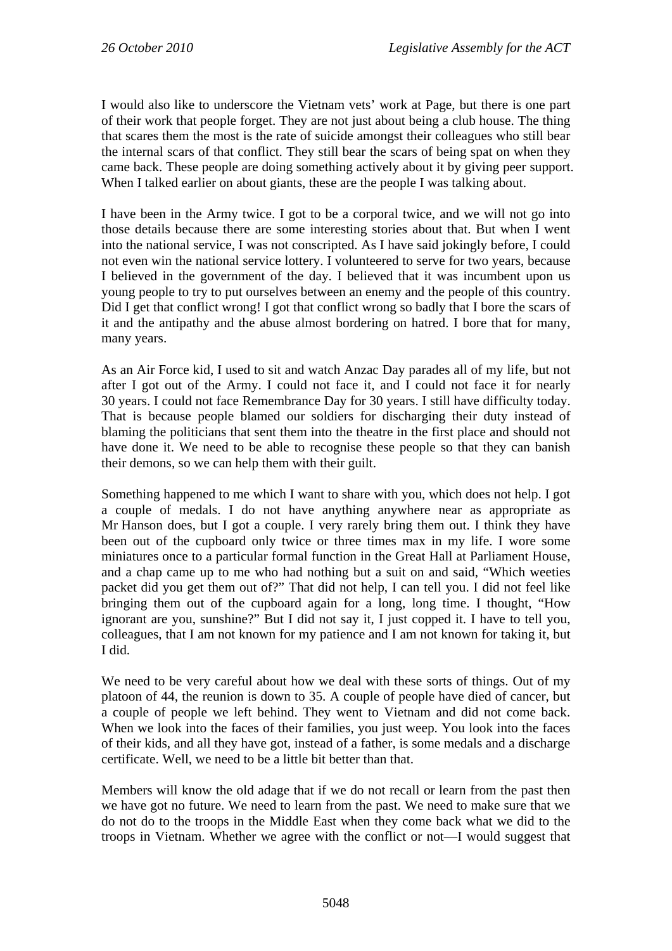I would also like to underscore the Vietnam vets' work at Page, but there is one part of their work that people forget. They are not just about being a club house. The thing that scares them the most is the rate of suicide amongst their colleagues who still bear the internal scars of that conflict. They still bear the scars of being spat on when they came back. These people are doing something actively about it by giving peer support. When I talked earlier on about giants, these are the people I was talking about.

I have been in the Army twice. I got to be a corporal twice, and we will not go into those details because there are some interesting stories about that. But when I went into the national service, I was not conscripted. As I have said jokingly before, I could not even win the national service lottery. I volunteered to serve for two years, because I believed in the government of the day. I believed that it was incumbent upon us young people to try to put ourselves between an enemy and the people of this country. Did I get that conflict wrong! I got that conflict wrong so badly that I bore the scars of it and the antipathy and the abuse almost bordering on hatred. I bore that for many, many years.

As an Air Force kid, I used to sit and watch Anzac Day parades all of my life, but not after I got out of the Army. I could not face it, and I could not face it for nearly 30 years. I could not face Remembrance Day for 30 years. I still have difficulty today. That is because people blamed our soldiers for discharging their duty instead of blaming the politicians that sent them into the theatre in the first place and should not have done it. We need to be able to recognise these people so that they can banish their demons, so we can help them with their guilt.

Something happened to me which I want to share with you, which does not help. I got a couple of medals. I do not have anything anywhere near as appropriate as Mr Hanson does, but I got a couple. I very rarely bring them out. I think they have been out of the cupboard only twice or three times max in my life. I wore some miniatures once to a particular formal function in the Great Hall at Parliament House, and a chap came up to me who had nothing but a suit on and said, "Which weeties packet did you get them out of?" That did not help, I can tell you. I did not feel like bringing them out of the cupboard again for a long, long time. I thought, "How ignorant are you, sunshine?" But I did not say it, I just copped it. I have to tell you, colleagues, that I am not known for my patience and I am not known for taking it, but I did.

We need to be very careful about how we deal with these sorts of things. Out of my platoon of 44, the reunion is down to 35. A couple of people have died of cancer, but a couple of people we left behind. They went to Vietnam and did not come back. When we look into the faces of their families, you just weep. You look into the faces of their kids, and all they have got, instead of a father, is some medals and a discharge certificate. Well, we need to be a little bit better than that.

Members will know the old adage that if we do not recall or learn from the past then we have got no future. We need to learn from the past. We need to make sure that we do not do to the troops in the Middle East when they come back what we did to the troops in Vietnam. Whether we agree with the conflict or not—I would suggest that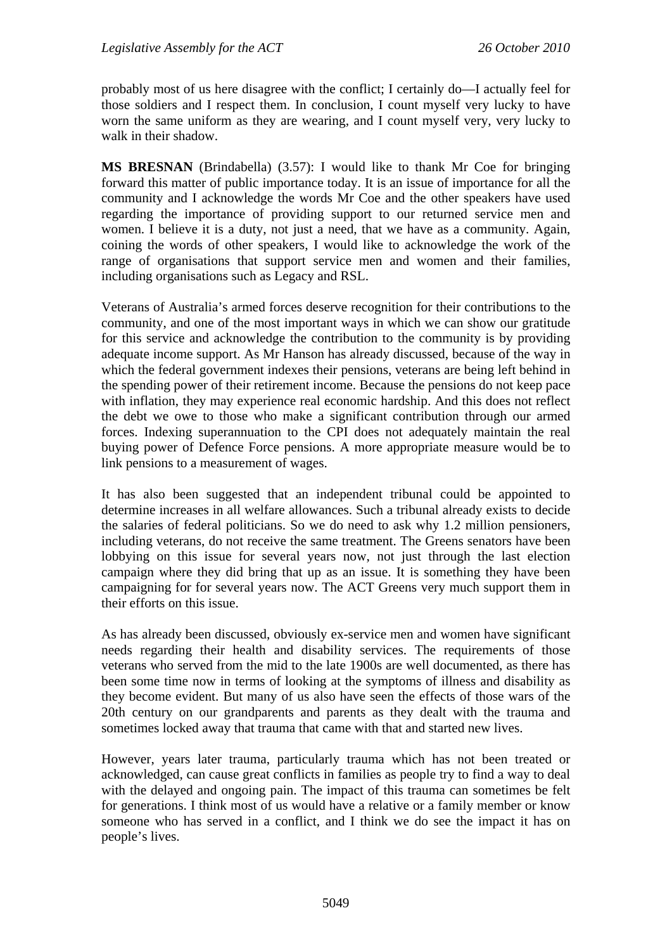probably most of us here disagree with the conflict; I certainly do—I actually feel for those soldiers and I respect them. In conclusion, I count myself very lucky to have worn the same uniform as they are wearing, and I count myself very, very lucky to walk in their shadow.

**MS BRESNAN** (Brindabella) (3.57): I would like to thank Mr Coe for bringing forward this matter of public importance today. It is an issue of importance for all the community and I acknowledge the words Mr Coe and the other speakers have used regarding the importance of providing support to our returned service men and women. I believe it is a duty, not just a need, that we have as a community. Again, coining the words of other speakers, I would like to acknowledge the work of the range of organisations that support service men and women and their families, including organisations such as Legacy and RSL.

Veterans of Australia's armed forces deserve recognition for their contributions to the community, and one of the most important ways in which we can show our gratitude for this service and acknowledge the contribution to the community is by providing adequate income support. As Mr Hanson has already discussed, because of the way in which the federal government indexes their pensions, veterans are being left behind in the spending power of their retirement income. Because the pensions do not keep pace with inflation, they may experience real economic hardship. And this does not reflect the debt we owe to those who make a significant contribution through our armed forces. Indexing superannuation to the CPI does not adequately maintain the real buying power of Defence Force pensions. A more appropriate measure would be to link pensions to a measurement of wages.

It has also been suggested that an independent tribunal could be appointed to determine increases in all welfare allowances. Such a tribunal already exists to decide the salaries of federal politicians. So we do need to ask why 1.2 million pensioners, including veterans, do not receive the same treatment. The Greens senators have been lobbying on this issue for several years now, not just through the last election campaign where they did bring that up as an issue. It is something they have been campaigning for for several years now. The ACT Greens very much support them in their efforts on this issue.

As has already been discussed, obviously ex-service men and women have significant needs regarding their health and disability services. The requirements of those veterans who served from the mid to the late 1900s are well documented, as there has been some time now in terms of looking at the symptoms of illness and disability as they become evident. But many of us also have seen the effects of those wars of the 20th century on our grandparents and parents as they dealt with the trauma and sometimes locked away that trauma that came with that and started new lives.

However, years later trauma, particularly trauma which has not been treated or acknowledged, can cause great conflicts in families as people try to find a way to deal with the delayed and ongoing pain. The impact of this trauma can sometimes be felt for generations. I think most of us would have a relative or a family member or know someone who has served in a conflict, and I think we do see the impact it has on people's lives.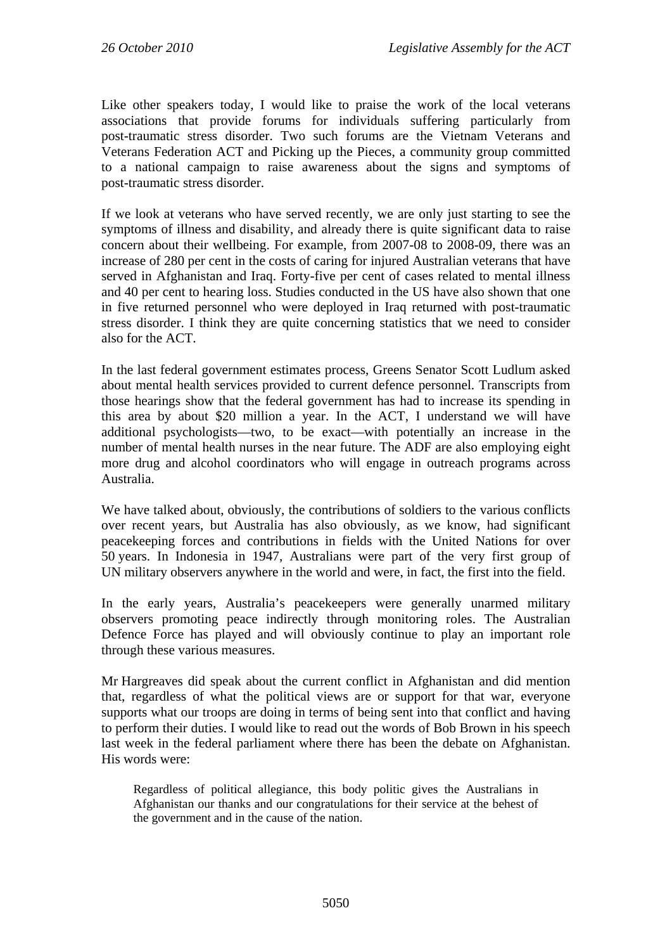Like other speakers today, I would like to praise the work of the local veterans associations that provide forums for individuals suffering particularly from post-traumatic stress disorder. Two such forums are the Vietnam Veterans and Veterans Federation ACT and Picking up the Pieces, a community group committed to a national campaign to raise awareness about the signs and symptoms of post-traumatic stress disorder.

If we look at veterans who have served recently, we are only just starting to see the symptoms of illness and disability, and already there is quite significant data to raise concern about their wellbeing. For example, from 2007-08 to 2008-09, there was an increase of 280 per cent in the costs of caring for injured Australian veterans that have served in Afghanistan and Iraq. Forty-five per cent of cases related to mental illness and 40 per cent to hearing loss. Studies conducted in the US have also shown that one in five returned personnel who were deployed in Iraq returned with post-traumatic stress disorder. I think they are quite concerning statistics that we need to consider also for the ACT.

In the last federal government estimates process, Greens Senator Scott Ludlum asked about mental health services provided to current defence personnel. Transcripts from those hearings show that the federal government has had to increase its spending in this area by about \$20 million a year. In the ACT, I understand we will have additional psychologists—two, to be exact—with potentially an increase in the number of mental health nurses in the near future. The ADF are also employing eight more drug and alcohol coordinators who will engage in outreach programs across Australia.

We have talked about, obviously, the contributions of soldiers to the various conflicts over recent years, but Australia has also obviously, as we know, had significant peacekeeping forces and contributions in fields with the United Nations for over 50 years. In Indonesia in 1947, Australians were part of the very first group of UN military observers anywhere in the world and were, in fact, the first into the field.

In the early years, Australia's peacekeepers were generally unarmed military observers promoting peace indirectly through monitoring roles. The Australian Defence Force has played and will obviously continue to play an important role through these various measures.

Mr Hargreaves did speak about the current conflict in Afghanistan and did mention that, regardless of what the political views are or support for that war, everyone supports what our troops are doing in terms of being sent into that conflict and having to perform their duties. I would like to read out the words of Bob Brown in his speech last week in the federal parliament where there has been the debate on Afghanistan. His words were:

Regardless of political allegiance, this body politic gives the Australians in Afghanistan our thanks and our congratulations for their service at the behest of the government and in the cause of the nation.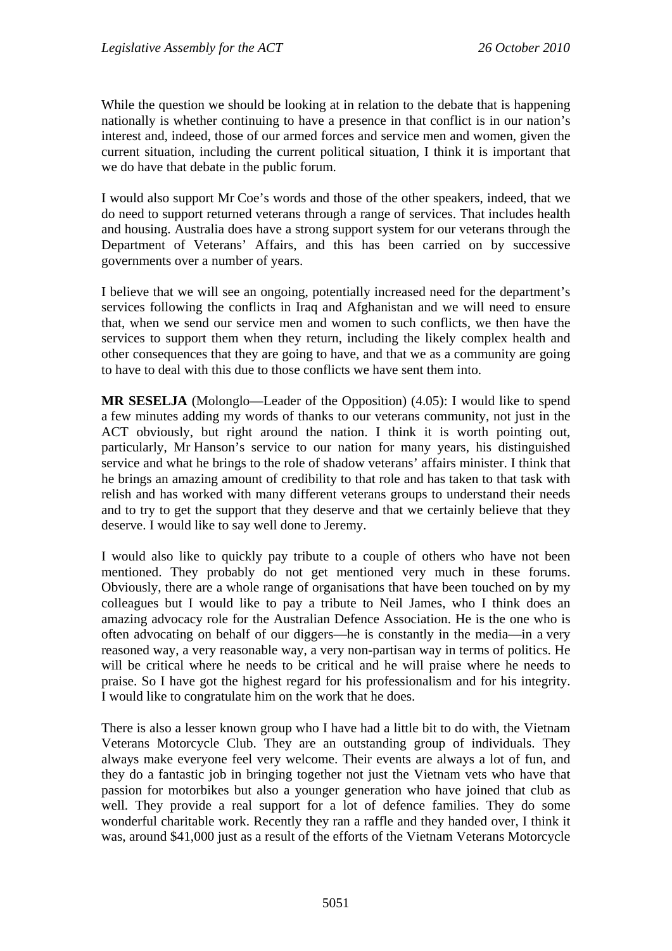While the question we should be looking at in relation to the debate that is happening nationally is whether continuing to have a presence in that conflict is in our nation's interest and, indeed, those of our armed forces and service men and women, given the current situation, including the current political situation, I think it is important that we do have that debate in the public forum.

I would also support Mr Coe's words and those of the other speakers, indeed, that we do need to support returned veterans through a range of services. That includes health and housing. Australia does have a strong support system for our veterans through the Department of Veterans' Affairs, and this has been carried on by successive governments over a number of years.

I believe that we will see an ongoing, potentially increased need for the department's services following the conflicts in Iraq and Afghanistan and we will need to ensure that, when we send our service men and women to such conflicts, we then have the services to support them when they return, including the likely complex health and other consequences that they are going to have, and that we as a community are going to have to deal with this due to those conflicts we have sent them into.

**MR SESELJA** (Molonglo—Leader of the Opposition) (4.05): I would like to spend a few minutes adding my words of thanks to our veterans community, not just in the ACT obviously, but right around the nation. I think it is worth pointing out, particularly, Mr Hanson's service to our nation for many years, his distinguished service and what he brings to the role of shadow veterans' affairs minister. I think that he brings an amazing amount of credibility to that role and has taken to that task with relish and has worked with many different veterans groups to understand their needs and to try to get the support that they deserve and that we certainly believe that they deserve. I would like to say well done to Jeremy.

I would also like to quickly pay tribute to a couple of others who have not been mentioned. They probably do not get mentioned very much in these forums. Obviously, there are a whole range of organisations that have been touched on by my colleagues but I would like to pay a tribute to Neil James, who I think does an amazing advocacy role for the Australian Defence Association. He is the one who is often advocating on behalf of our diggers—he is constantly in the media—in a very reasoned way, a very reasonable way, a very non-partisan way in terms of politics. He will be critical where he needs to be critical and he will praise where he needs to praise. So I have got the highest regard for his professionalism and for his integrity. I would like to congratulate him on the work that he does.

There is also a lesser known group who I have had a little bit to do with, the Vietnam Veterans Motorcycle Club. They are an outstanding group of individuals. They always make everyone feel very welcome. Their events are always a lot of fun, and they do a fantastic job in bringing together not just the Vietnam vets who have that passion for motorbikes but also a younger generation who have joined that club as well. They provide a real support for a lot of defence families. They do some wonderful charitable work. Recently they ran a raffle and they handed over, I think it was, around \$41,000 just as a result of the efforts of the Vietnam Veterans Motorcycle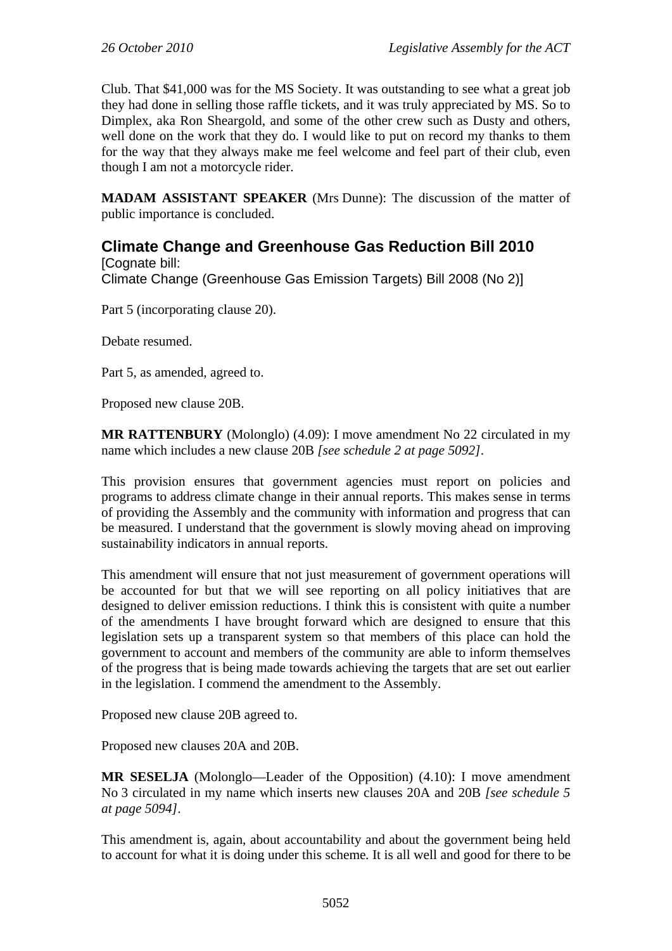Club. That \$41,000 was for the MS Society. It was outstanding to see what a great job they had done in selling those raffle tickets, and it was truly appreciated by MS. So to Dimplex, aka Ron Sheargold, and some of the other crew such as Dusty and others, well done on the work that they do. I would like to put on record my thanks to them for the way that they always make me feel welcome and feel part of their club, even though I am not a motorcycle rider.

**MADAM ASSISTANT SPEAKER** (Mrs Dunne): The discussion of the matter of public importance is concluded.

# **Climate Change and Greenhouse Gas Reduction Bill 2010**

[Cognate bill: Climate Change (Greenhouse Gas Emission Targets) Bill 2008 (No 2)]

Part 5 (incorporating clause 20).

Debate resumed.

Part 5, as amended, agreed to.

Proposed new clause 20B.

**MR RATTENBURY** (Molonglo) (4.09): I move amendment No 22 circulated in my name which includes a new clause 20B *[see schedule 2 at page 5092]*.

This provision ensures that government agencies must report on policies and programs to address climate change in their annual reports. This makes sense in terms of providing the Assembly and the community with information and progress that can be measured. I understand that the government is slowly moving ahead on improving sustainability indicators in annual reports.

This amendment will ensure that not just measurement of government operations will be accounted for but that we will see reporting on all policy initiatives that are designed to deliver emission reductions. I think this is consistent with quite a number of the amendments I have brought forward which are designed to ensure that this legislation sets up a transparent system so that members of this place can hold the government to account and members of the community are able to inform themselves of the progress that is being made towards achieving the targets that are set out earlier in the legislation. I commend the amendment to the Assembly.

Proposed new clause 20B agreed to.

Proposed new clauses 20A and 20B.

**MR SESELJA** (Molonglo—Leader of the Opposition) (4.10): I move amendment No 3 circulated in my name which inserts new clauses 20A and 20B *[see schedule 5 at page 5094]*.

This amendment is, again, about accountability and about the government being held to account for what it is doing under this scheme. It is all well and good for there to be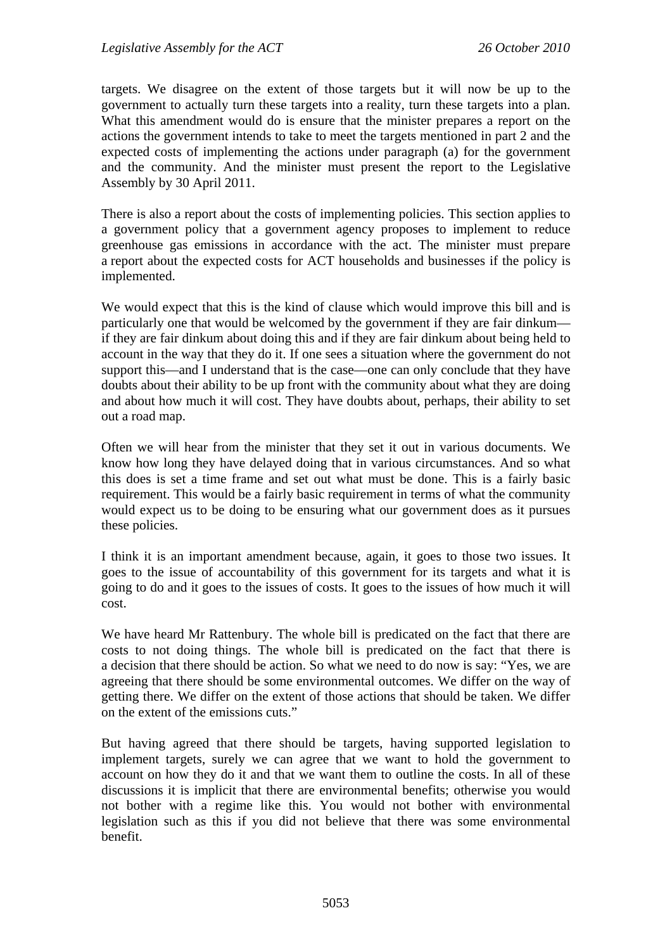targets. We disagree on the extent of those targets but it will now be up to the government to actually turn these targets into a reality, turn these targets into a plan. What this amendment would do is ensure that the minister prepares a report on the actions the government intends to take to meet the targets mentioned in part 2 and the expected costs of implementing the actions under paragraph (a) for the government and the community. And the minister must present the report to the Legislative Assembly by 30 April 2011.

There is also a report about the costs of implementing policies. This section applies to a government policy that a government agency proposes to implement to reduce greenhouse gas emissions in accordance with the act. The minister must prepare a report about the expected costs for ACT households and businesses if the policy is implemented.

We would expect that this is the kind of clause which would improve this bill and is particularly one that would be welcomed by the government if they are fair dinkum if they are fair dinkum about doing this and if they are fair dinkum about being held to account in the way that they do it. If one sees a situation where the government do not support this—and I understand that is the case—one can only conclude that they have doubts about their ability to be up front with the community about what they are doing and about how much it will cost. They have doubts about, perhaps, their ability to set out a road map.

Often we will hear from the minister that they set it out in various documents. We know how long they have delayed doing that in various circumstances. And so what this does is set a time frame and set out what must be done. This is a fairly basic requirement. This would be a fairly basic requirement in terms of what the community would expect us to be doing to be ensuring what our government does as it pursues these policies.

I think it is an important amendment because, again, it goes to those two issues. It goes to the issue of accountability of this government for its targets and what it is going to do and it goes to the issues of costs. It goes to the issues of how much it will cost.

We have heard Mr Rattenbury. The whole bill is predicated on the fact that there are costs to not doing things. The whole bill is predicated on the fact that there is a decision that there should be action. So what we need to do now is say: "Yes, we are agreeing that there should be some environmental outcomes. We differ on the way of getting there. We differ on the extent of those actions that should be taken. We differ on the extent of the emissions cuts."

But having agreed that there should be targets, having supported legislation to implement targets, surely we can agree that we want to hold the government to account on how they do it and that we want them to outline the costs. In all of these discussions it is implicit that there are environmental benefits; otherwise you would not bother with a regime like this. You would not bother with environmental legislation such as this if you did not believe that there was some environmental benefit.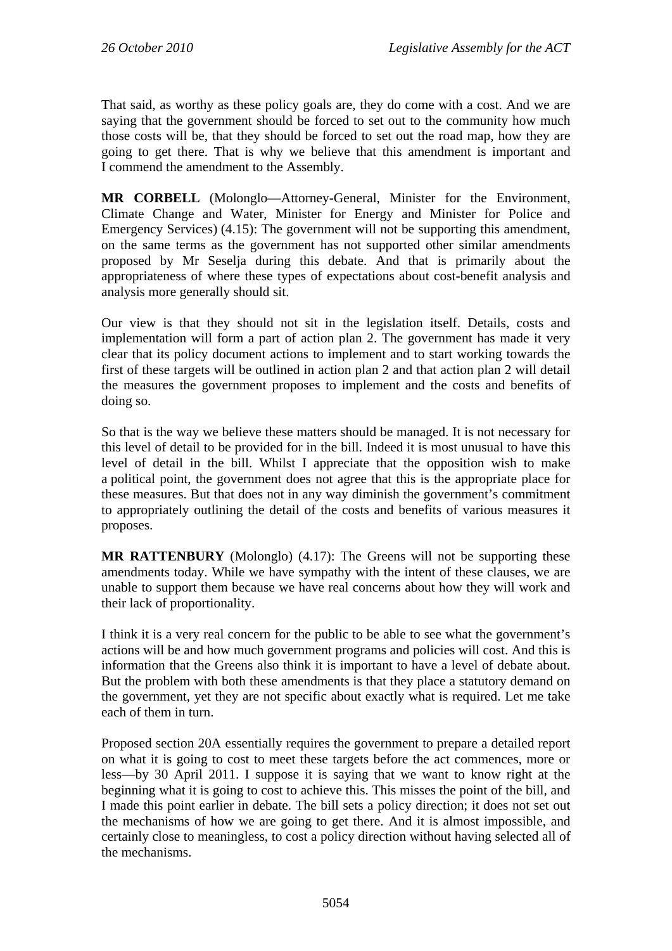That said, as worthy as these policy goals are, they do come with a cost. And we are saying that the government should be forced to set out to the community how much those costs will be, that they should be forced to set out the road map, how they are going to get there. That is why we believe that this amendment is important and I commend the amendment to the Assembly.

**MR CORBELL** (Molonglo—Attorney-General, Minister for the Environment, Climate Change and Water, Minister for Energy and Minister for Police and Emergency Services) (4.15): The government will not be supporting this amendment, on the same terms as the government has not supported other similar amendments proposed by Mr Seselja during this debate. And that is primarily about the appropriateness of where these types of expectations about cost-benefit analysis and analysis more generally should sit.

Our view is that they should not sit in the legislation itself. Details, costs and implementation will form a part of action plan 2. The government has made it very clear that its policy document actions to implement and to start working towards the first of these targets will be outlined in action plan 2 and that action plan 2 will detail the measures the government proposes to implement and the costs and benefits of doing so.

So that is the way we believe these matters should be managed. It is not necessary for this level of detail to be provided for in the bill. Indeed it is most unusual to have this level of detail in the bill. Whilst I appreciate that the opposition wish to make a political point, the government does not agree that this is the appropriate place for these measures. But that does not in any way diminish the government's commitment to appropriately outlining the detail of the costs and benefits of various measures it proposes.

**MR RATTENBURY** (Molonglo) (4.17): The Greens will not be supporting these amendments today. While we have sympathy with the intent of these clauses, we are unable to support them because we have real concerns about how they will work and their lack of proportionality.

I think it is a very real concern for the public to be able to see what the government's actions will be and how much government programs and policies will cost. And this is information that the Greens also think it is important to have a level of debate about. But the problem with both these amendments is that they place a statutory demand on the government, yet they are not specific about exactly what is required. Let me take each of them in turn.

Proposed section 20A essentially requires the government to prepare a detailed report on what it is going to cost to meet these targets before the act commences, more or less—by 30 April 2011. I suppose it is saying that we want to know right at the beginning what it is going to cost to achieve this. This misses the point of the bill, and I made this point earlier in debate. The bill sets a policy direction; it does not set out the mechanisms of how we are going to get there. And it is almost impossible, and certainly close to meaningless, to cost a policy direction without having selected all of the mechanisms.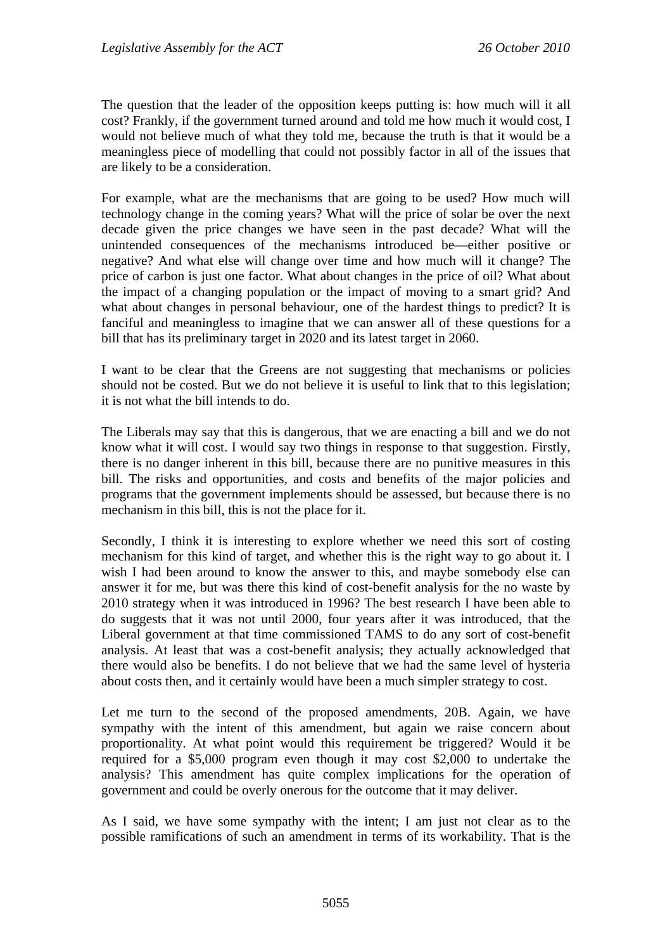The question that the leader of the opposition keeps putting is: how much will it all cost? Frankly, if the government turned around and told me how much it would cost, I would not believe much of what they told me, because the truth is that it would be a meaningless piece of modelling that could not possibly factor in all of the issues that are likely to be a consideration.

For example, what are the mechanisms that are going to be used? How much will technology change in the coming years? What will the price of solar be over the next decade given the price changes we have seen in the past decade? What will the unintended consequences of the mechanisms introduced be—either positive or negative? And what else will change over time and how much will it change? The price of carbon is just one factor. What about changes in the price of oil? What about the impact of a changing population or the impact of moving to a smart grid? And what about changes in personal behaviour, one of the hardest things to predict? It is fanciful and meaningless to imagine that we can answer all of these questions for a bill that has its preliminary target in 2020 and its latest target in 2060.

I want to be clear that the Greens are not suggesting that mechanisms or policies should not be costed. But we do not believe it is useful to link that to this legislation; it is not what the bill intends to do.

The Liberals may say that this is dangerous, that we are enacting a bill and we do not know what it will cost. I would say two things in response to that suggestion. Firstly, there is no danger inherent in this bill, because there are no punitive measures in this bill. The risks and opportunities, and costs and benefits of the major policies and programs that the government implements should be assessed, but because there is no mechanism in this bill, this is not the place for it.

Secondly, I think it is interesting to explore whether we need this sort of costing mechanism for this kind of target, and whether this is the right way to go about it. I wish I had been around to know the answer to this, and maybe somebody else can answer it for me, but was there this kind of cost-benefit analysis for the no waste by 2010 strategy when it was introduced in 1996? The best research I have been able to do suggests that it was not until 2000, four years after it was introduced, that the Liberal government at that time commissioned TAMS to do any sort of cost-benefit analysis. At least that was a cost-benefit analysis; they actually acknowledged that there would also be benefits. I do not believe that we had the same level of hysteria about costs then, and it certainly would have been a much simpler strategy to cost.

Let me turn to the second of the proposed amendments, 20B. Again, we have sympathy with the intent of this amendment, but again we raise concern about proportionality. At what point would this requirement be triggered? Would it be required for a \$5,000 program even though it may cost \$2,000 to undertake the analysis? This amendment has quite complex implications for the operation of government and could be overly onerous for the outcome that it may deliver.

As I said, we have some sympathy with the intent; I am just not clear as to the possible ramifications of such an amendment in terms of its workability. That is the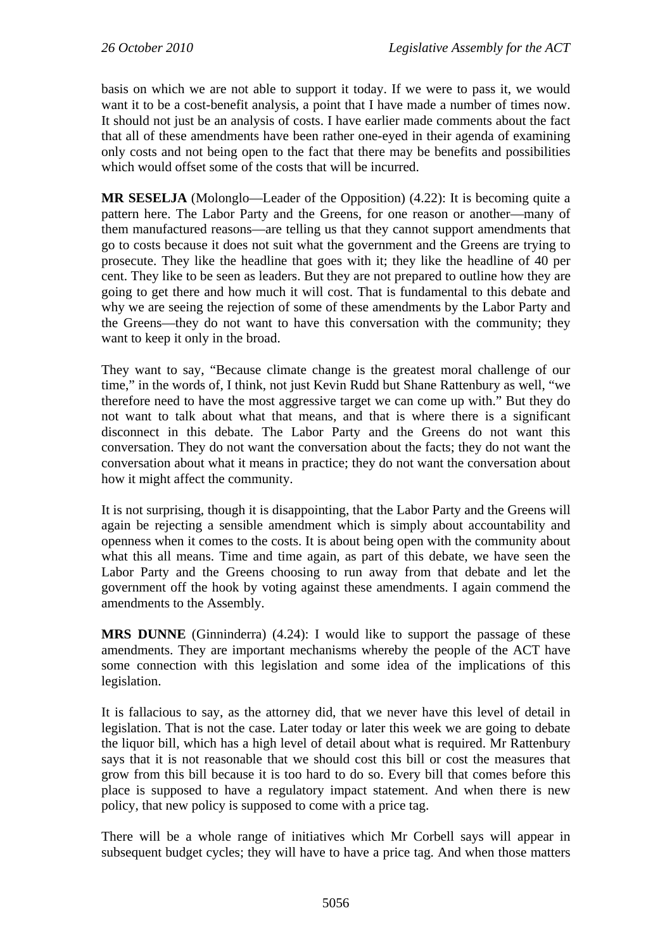basis on which we are not able to support it today. If we were to pass it, we would want it to be a cost-benefit analysis, a point that I have made a number of times now. It should not just be an analysis of costs. I have earlier made comments about the fact that all of these amendments have been rather one-eyed in their agenda of examining only costs and not being open to the fact that there may be benefits and possibilities which would offset some of the costs that will be incurred.

**MR SESELJA** (Molonglo—Leader of the Opposition) (4.22): It is becoming quite a pattern here. The Labor Party and the Greens, for one reason or another—many of them manufactured reasons—are telling us that they cannot support amendments that go to costs because it does not suit what the government and the Greens are trying to prosecute. They like the headline that goes with it; they like the headline of 40 per cent. They like to be seen as leaders. But they are not prepared to outline how they are going to get there and how much it will cost. That is fundamental to this debate and why we are seeing the rejection of some of these amendments by the Labor Party and the Greens—they do not want to have this conversation with the community; they want to keep it only in the broad.

They want to say, "Because climate change is the greatest moral challenge of our time," in the words of, I think, not just Kevin Rudd but Shane Rattenbury as well, "we therefore need to have the most aggressive target we can come up with." But they do not want to talk about what that means, and that is where there is a significant disconnect in this debate. The Labor Party and the Greens do not want this conversation. They do not want the conversation about the facts; they do not want the conversation about what it means in practice; they do not want the conversation about how it might affect the community.

It is not surprising, though it is disappointing, that the Labor Party and the Greens will again be rejecting a sensible amendment which is simply about accountability and openness when it comes to the costs. It is about being open with the community about what this all means. Time and time again, as part of this debate, we have seen the Labor Party and the Greens choosing to run away from that debate and let the government off the hook by voting against these amendments. I again commend the amendments to the Assembly.

**MRS DUNNE** (Ginninderra) (4.24): I would like to support the passage of these amendments. They are important mechanisms whereby the people of the ACT have some connection with this legislation and some idea of the implications of this legislation.

It is fallacious to say, as the attorney did, that we never have this level of detail in legislation. That is not the case. Later today or later this week we are going to debate the liquor bill, which has a high level of detail about what is required. Mr Rattenbury says that it is not reasonable that we should cost this bill or cost the measures that grow from this bill because it is too hard to do so. Every bill that comes before this place is supposed to have a regulatory impact statement. And when there is new policy, that new policy is supposed to come with a price tag.

There will be a whole range of initiatives which Mr Corbell says will appear in subsequent budget cycles; they will have to have a price tag. And when those matters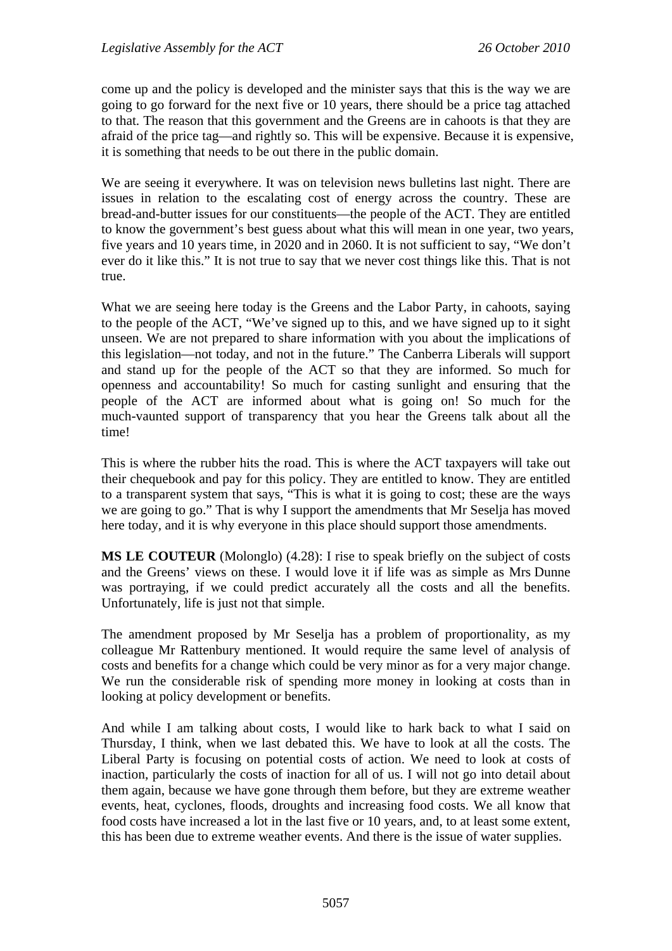come up and the policy is developed and the minister says that this is the way we are going to go forward for the next five or 10 years, there should be a price tag attached to that. The reason that this government and the Greens are in cahoots is that they are afraid of the price tag—and rightly so. This will be expensive. Because it is expensive, it is something that needs to be out there in the public domain.

We are seeing it everywhere. It was on television news bulletins last night. There are issues in relation to the escalating cost of energy across the country. These are bread-and-butter issues for our constituents—the people of the ACT. They are entitled to know the government's best guess about what this will mean in one year, two years, five years and 10 years time, in 2020 and in 2060. It is not sufficient to say, "We don't ever do it like this." It is not true to say that we never cost things like this. That is not true.

What we are seeing here today is the Greens and the Labor Party, in cahoots, saying to the people of the ACT, "We've signed up to this, and we have signed up to it sight unseen. We are not prepared to share information with you about the implications of this legislation—not today, and not in the future." The Canberra Liberals will support and stand up for the people of the ACT so that they are informed. So much for openness and accountability! So much for casting sunlight and ensuring that the people of the ACT are informed about what is going on! So much for the much-vaunted support of transparency that you hear the Greens talk about all the time!

This is where the rubber hits the road. This is where the ACT taxpayers will take out their chequebook and pay for this policy. They are entitled to know. They are entitled to a transparent system that says, "This is what it is going to cost; these are the ways we are going to go." That is why I support the amendments that Mr Seselja has moved here today, and it is why everyone in this place should support those amendments.

**MS LE COUTEUR** (Molonglo) (4.28): I rise to speak briefly on the subject of costs and the Greens' views on these. I would love it if life was as simple as Mrs Dunne was portraying, if we could predict accurately all the costs and all the benefits. Unfortunately, life is just not that simple.

The amendment proposed by Mr Seselja has a problem of proportionality, as my colleague Mr Rattenbury mentioned. It would require the same level of analysis of costs and benefits for a change which could be very minor as for a very major change. We run the considerable risk of spending more money in looking at costs than in looking at policy development or benefits.

And while I am talking about costs, I would like to hark back to what I said on Thursday, I think, when we last debated this. We have to look at all the costs. The Liberal Party is focusing on potential costs of action. We need to look at costs of inaction, particularly the costs of inaction for all of us. I will not go into detail about them again, because we have gone through them before, but they are extreme weather events, heat, cyclones, floods, droughts and increasing food costs. We all know that food costs have increased a lot in the last five or 10 years, and, to at least some extent, this has been due to extreme weather events. And there is the issue of water supplies.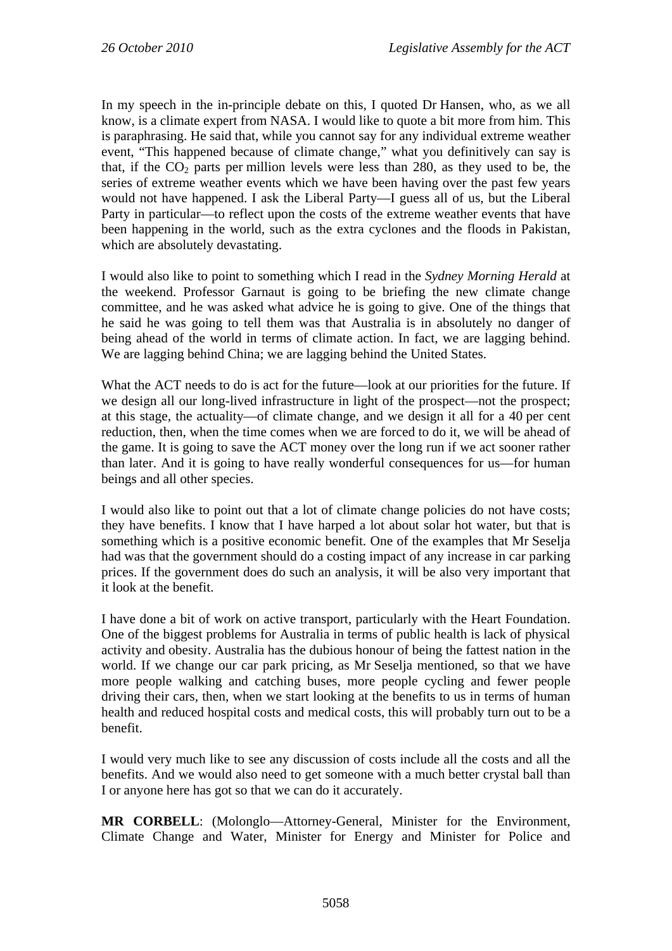In my speech in the in-principle debate on this, I quoted Dr Hansen, who, as we all know, is a climate expert from NASA. I would like to quote a bit more from him. This is paraphrasing. He said that, while you cannot say for any individual extreme weather event, "This happened because of climate change," what you definitively can say is that, if the  $CO<sub>2</sub>$  parts per million levels were less than 280, as they used to be, the series of extreme weather events which we have been having over the past few years would not have happened. I ask the Liberal Party—I guess all of us, but the Liberal Party in particular—to reflect upon the costs of the extreme weather events that have been happening in the world, such as the extra cyclones and the floods in Pakistan, which are absolutely devastating.

I would also like to point to something which I read in the *Sydney Morning Herald* at the weekend. Professor Garnaut is going to be briefing the new climate change committee, and he was asked what advice he is going to give. One of the things that he said he was going to tell them was that Australia is in absolutely no danger of being ahead of the world in terms of climate action. In fact, we are lagging behind. We are lagging behind China; we are lagging behind the United States.

What the ACT needs to do is act for the future—look at our priorities for the future. If we design all our long-lived infrastructure in light of the prospect—not the prospect; at this stage, the actuality—of climate change, and we design it all for a 40 per cent reduction, then, when the time comes when we are forced to do it, we will be ahead of the game. It is going to save the ACT money over the long run if we act sooner rather than later. And it is going to have really wonderful consequences for us—for human beings and all other species.

I would also like to point out that a lot of climate change policies do not have costs; they have benefits. I know that I have harped a lot about solar hot water, but that is something which is a positive economic benefit. One of the examples that Mr Seselja had was that the government should do a costing impact of any increase in car parking prices. If the government does do such an analysis, it will be also very important that it look at the benefit.

I have done a bit of work on active transport, particularly with the Heart Foundation. One of the biggest problems for Australia in terms of public health is lack of physical activity and obesity. Australia has the dubious honour of being the fattest nation in the world. If we change our car park pricing, as Mr Seselja mentioned, so that we have more people walking and catching buses, more people cycling and fewer people driving their cars, then, when we start looking at the benefits to us in terms of human health and reduced hospital costs and medical costs, this will probably turn out to be a benefit.

I would very much like to see any discussion of costs include all the costs and all the benefits. And we would also need to get someone with a much better crystal ball than I or anyone here has got so that we can do it accurately.

**MR CORBELL**: (Molonglo—Attorney-General, Minister for the Environment, Climate Change and Water, Minister for Energy and Minister for Police and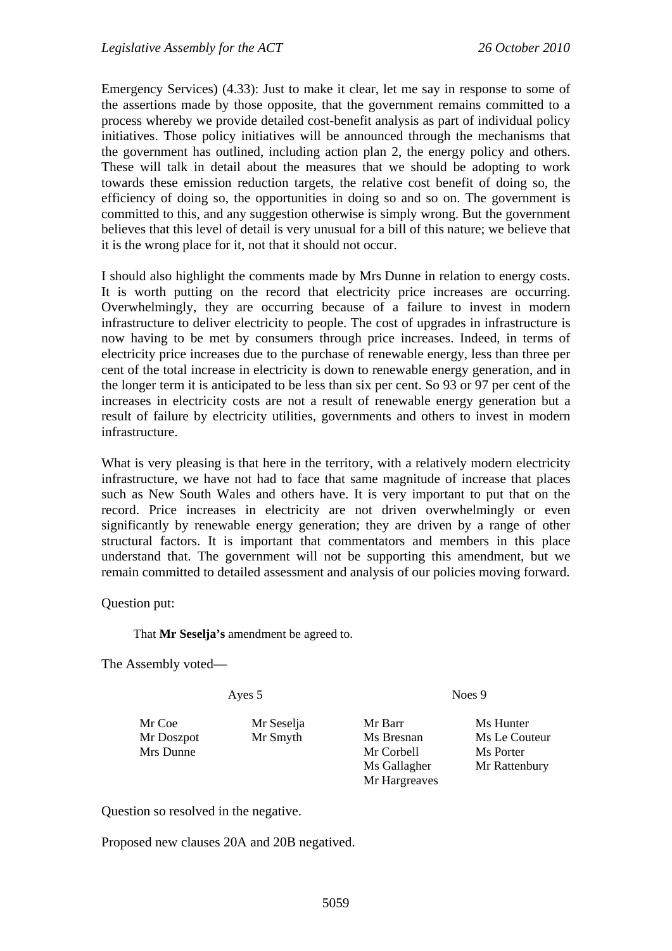Emergency Services) (4.33): Just to make it clear, let me say in response to some of the assertions made by those opposite, that the government remains committed to a process whereby we provide detailed cost-benefit analysis as part of individual policy initiatives. Those policy initiatives will be announced through the mechanisms that the government has outlined, including action plan 2, the energy policy and others. These will talk in detail about the measures that we should be adopting to work towards these emission reduction targets, the relative cost benefit of doing so, the efficiency of doing so, the opportunities in doing so and so on. The government is committed to this, and any suggestion otherwise is simply wrong. But the government believes that this level of detail is very unusual for a bill of this nature; we believe that it is the wrong place for it, not that it should not occur.

I should also highlight the comments made by Mrs Dunne in relation to energy costs. It is worth putting on the record that electricity price increases are occurring. Overwhelmingly, they are occurring because of a failure to invest in modern infrastructure to deliver electricity to people. The cost of upgrades in infrastructure is now having to be met by consumers through price increases. Indeed, in terms of electricity price increases due to the purchase of renewable energy, less than three per cent of the total increase in electricity is down to renewable energy generation, and in the longer term it is anticipated to be less than six per cent. So 93 or 97 per cent of the increases in electricity costs are not a result of renewable energy generation but a result of failure by electricity utilities, governments and others to invest in modern infrastructure.

What is very pleasing is that here in the territory, with a relatively modern electricity infrastructure, we have not had to face that same magnitude of increase that places such as New South Wales and others have. It is very important to put that on the record. Price increases in electricity are not driven overwhelmingly or even significantly by renewable energy generation; they are driven by a range of other structural factors. It is important that commentators and members in this place understand that. The government will not be supporting this amendment, but we remain committed to detailed assessment and analysis of our policies moving forward.

Question put:

That **Mr Seselja's** amendment be agreed to.

The Assembly voted—

Ayes 5 Noes 9

Mr Coe Mr Seselja Mr Barr Ms Hunter Mr Doszpot Mr Smyth Ms Bresnan Ms Le Couteur Mrs Dunne Mrs Dorter Mrs Porter Ms Gallagher Mr Rattenbury Mr Hargreaves

Question so resolved in the negative.

Proposed new clauses 20A and 20B negatived.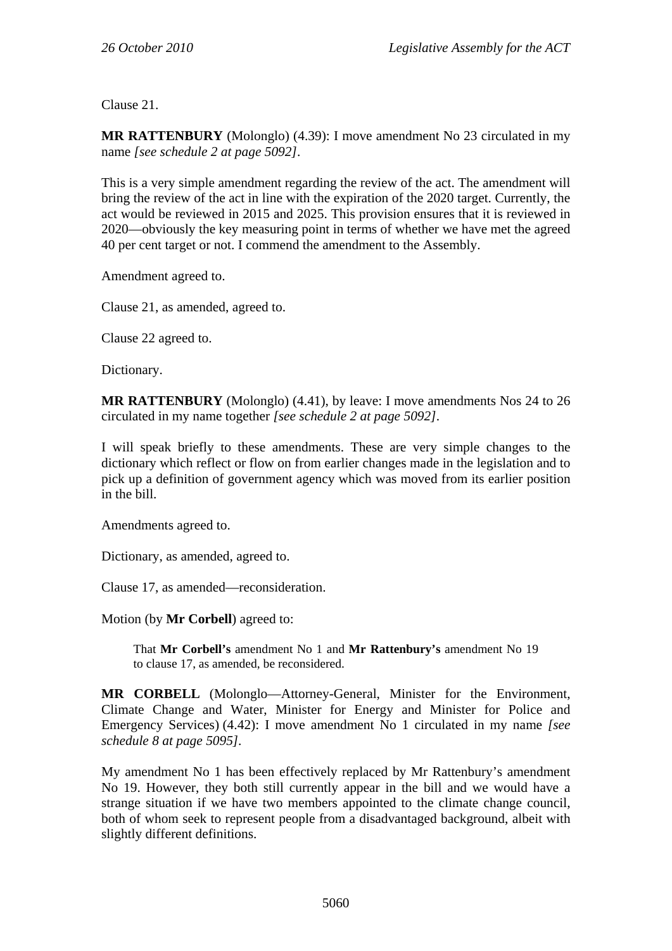Clause 21.

**MR RATTENBURY** (Molonglo) (4.39): I move amendment No 23 circulated in my name *[see schedule 2 at page 5092]*.

This is a very simple amendment regarding the review of the act. The amendment will bring the review of the act in line with the expiration of the 2020 target. Currently, the act would be reviewed in 2015 and 2025. This provision ensures that it is reviewed in 2020—obviously the key measuring point in terms of whether we have met the agreed 40 per cent target or not. I commend the amendment to the Assembly.

Amendment agreed to.

Clause 21, as amended, agreed to.

Clause 22 agreed to.

Dictionary.

**MR RATTENBURY** (Molonglo) (4.41), by leave: I move amendments Nos 24 to 26 circulated in my name together *[see schedule 2 at page 5092]*.

I will speak briefly to these amendments. These are very simple changes to the dictionary which reflect or flow on from earlier changes made in the legislation and to pick up a definition of government agency which was moved from its earlier position in the bill.

Amendments agreed to.

Dictionary, as amended, agreed to.

Clause 17, as amended—reconsideration.

Motion (by **Mr Corbell**) agreed to:

That **Mr Corbell's** amendment No 1 and **Mr Rattenbury's** amendment No 19 to clause 17, as amended, be reconsidered.

**MR CORBELL** (Molonglo—Attorney-General, Minister for the Environment, Climate Change and Water, Minister for Energy and Minister for Police and Emergency Services) (4.42): I move amendment No 1 circulated in my name *[see schedule 8 at page 5095]*.

My amendment No 1 has been effectively replaced by Mr Rattenbury's amendment No 19. However, they both still currently appear in the bill and we would have a strange situation if we have two members appointed to the climate change council, both of whom seek to represent people from a disadvantaged background, albeit with slightly different definitions.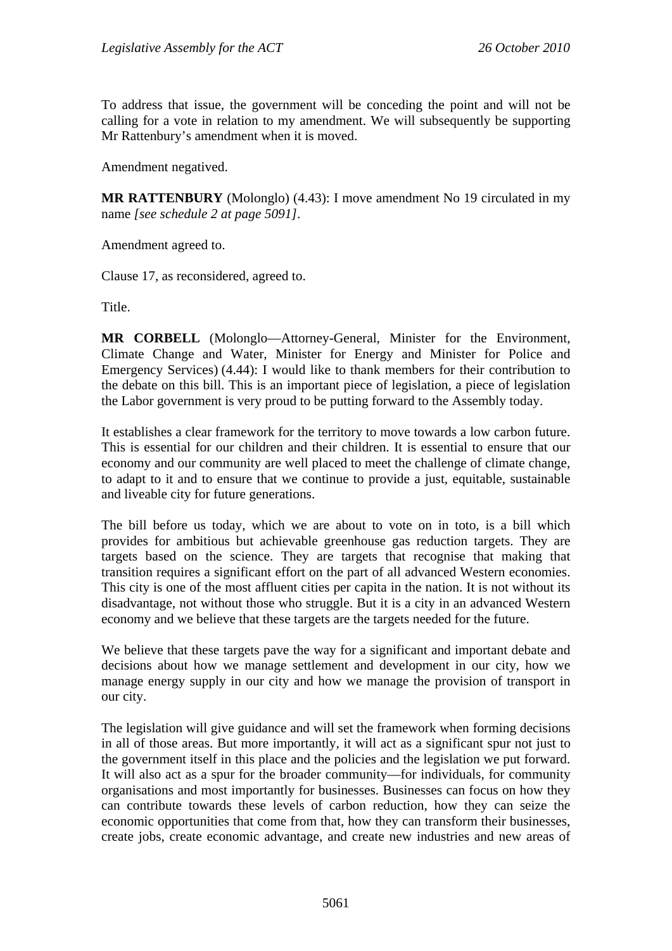To address that issue, the government will be conceding the point and will not be calling for a vote in relation to my amendment. We will subsequently be supporting Mr Rattenbury's amendment when it is moved.

Amendment negatived.

**MR RATTENBURY** (Molonglo) (4.43): I move amendment No 19 circulated in my name *[see schedule 2 at page 5091]*.

Amendment agreed to.

Clause 17, as reconsidered, agreed to.

Title.

**MR CORBELL** (Molonglo—Attorney-General, Minister for the Environment, Climate Change and Water, Minister for Energy and Minister for Police and Emergency Services) (4.44): I would like to thank members for their contribution to the debate on this bill. This is an important piece of legislation, a piece of legislation the Labor government is very proud to be putting forward to the Assembly today.

It establishes a clear framework for the territory to move towards a low carbon future. This is essential for our children and their children. It is essential to ensure that our economy and our community are well placed to meet the challenge of climate change, to adapt to it and to ensure that we continue to provide a just, equitable, sustainable and liveable city for future generations.

The bill before us today, which we are about to vote on in toto, is a bill which provides for ambitious but achievable greenhouse gas reduction targets. They are targets based on the science. They are targets that recognise that making that transition requires a significant effort on the part of all advanced Western economies. This city is one of the most affluent cities per capita in the nation. It is not without its disadvantage, not without those who struggle. But it is a city in an advanced Western economy and we believe that these targets are the targets needed for the future.

We believe that these targets pave the way for a significant and important debate and decisions about how we manage settlement and development in our city, how we manage energy supply in our city and how we manage the provision of transport in our city.

The legislation will give guidance and will set the framework when forming decisions in all of those areas. But more importantly, it will act as a significant spur not just to the government itself in this place and the policies and the legislation we put forward. It will also act as a spur for the broader community—for individuals, for community organisations and most importantly for businesses. Businesses can focus on how they can contribute towards these levels of carbon reduction, how they can seize the economic opportunities that come from that, how they can transform their businesses, create jobs, create economic advantage, and create new industries and new areas of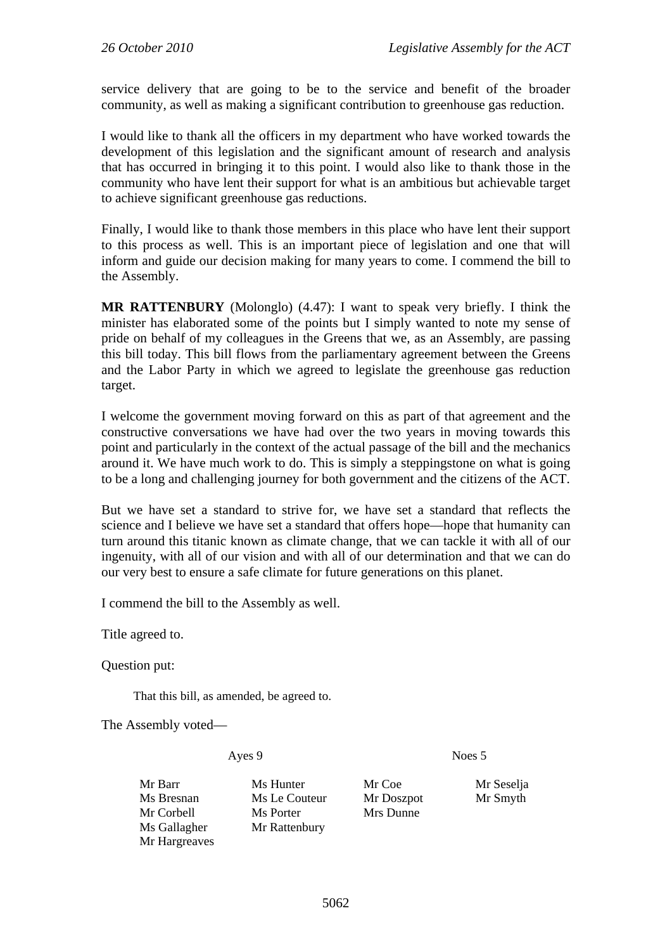service delivery that are going to be to the service and benefit of the broader community, as well as making a significant contribution to greenhouse gas reduction.

I would like to thank all the officers in my department who have worked towards the development of this legislation and the significant amount of research and analysis that has occurred in bringing it to this point. I would also like to thank those in the community who have lent their support for what is an ambitious but achievable target to achieve significant greenhouse gas reductions.

Finally, I would like to thank those members in this place who have lent their support to this process as well. This is an important piece of legislation and one that will inform and guide our decision making for many years to come. I commend the bill to the Assembly.

**MR RATTENBURY** (Molonglo) (4.47): I want to speak very briefly. I think the minister has elaborated some of the points but I simply wanted to note my sense of pride on behalf of my colleagues in the Greens that we, as an Assembly, are passing this bill today. This bill flows from the parliamentary agreement between the Greens and the Labor Party in which we agreed to legislate the greenhouse gas reduction target.

I welcome the government moving forward on this as part of that agreement and the constructive conversations we have had over the two years in moving towards this point and particularly in the context of the actual passage of the bill and the mechanics around it. We have much work to do. This is simply a steppingstone on what is going to be a long and challenging journey for both government and the citizens of the ACT.

But we have set a standard to strive for, we have set a standard that reflects the science and I believe we have set a standard that offers hope—hope that humanity can turn around this titanic known as climate change, that we can tackle it with all of our ingenuity, with all of our vision and with all of our determination and that we can do our very best to ensure a safe climate for future generations on this planet.

I commend the bill to the Assembly as well.

Title agreed to.

Question put:

That this bill, as amended, be agreed to.

The Assembly voted—

Ayes 9 Noes 5

Mr Hargreaves

Mr Barr Ms Hunter Mr Coe Mr Seselja Ms Bresnan Ms Le Couteur Mr Doszpot Mr Smyth Mr Corbell Ms Porter Mrs Dunne Ms Gallagher Mr Rattenbury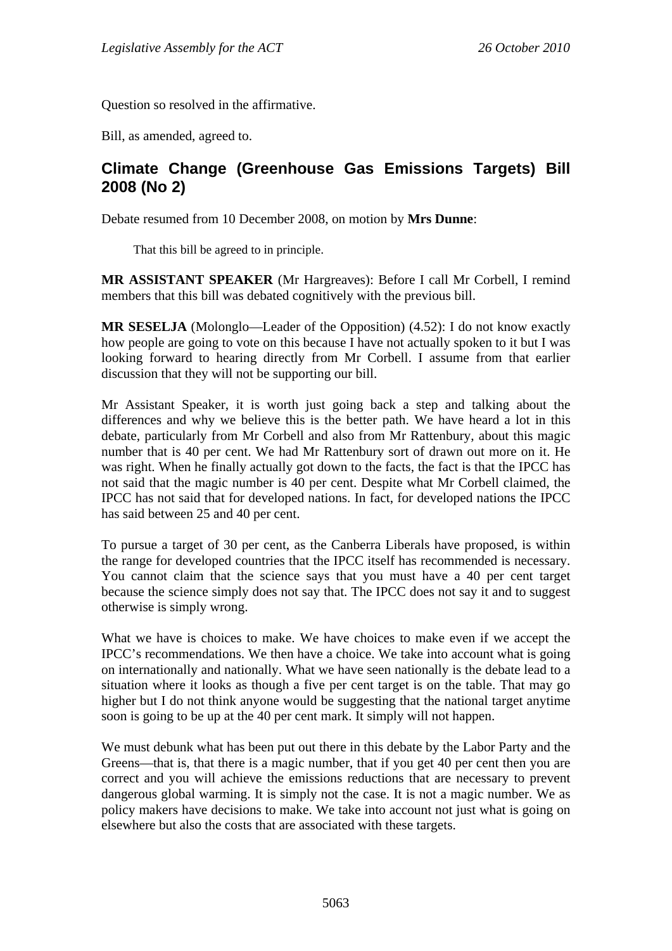Question so resolved in the affirmative.

Bill, as amended, agreed to.

## **Climate Change (Greenhouse Gas Emissions Targets) Bill 2008 (No 2)**

Debate resumed from 10 December 2008, on motion by **Mrs Dunne**:

That this bill be agreed to in principle.

**MR ASSISTANT SPEAKER** (Mr Hargreaves): Before I call Mr Corbell, I remind members that this bill was debated cognitively with the previous bill.

**MR SESELJA** (Molonglo—Leader of the Opposition) (4.52): I do not know exactly how people are going to vote on this because I have not actually spoken to it but I was looking forward to hearing directly from Mr Corbell. I assume from that earlier discussion that they will not be supporting our bill.

Mr Assistant Speaker, it is worth just going back a step and talking about the differences and why we believe this is the better path. We have heard a lot in this debate, particularly from Mr Corbell and also from Mr Rattenbury, about this magic number that is 40 per cent. We had Mr Rattenbury sort of drawn out more on it. He was right. When he finally actually got down to the facts, the fact is that the IPCC has not said that the magic number is 40 per cent. Despite what Mr Corbell claimed, the IPCC has not said that for developed nations. In fact, for developed nations the IPCC has said between 25 and 40 per cent.

To pursue a target of 30 per cent, as the Canberra Liberals have proposed, is within the range for developed countries that the IPCC itself has recommended is necessary. You cannot claim that the science says that you must have a 40 per cent target because the science simply does not say that. The IPCC does not say it and to suggest otherwise is simply wrong.

What we have is choices to make. We have choices to make even if we accept the IPCC's recommendations. We then have a choice. We take into account what is going on internationally and nationally. What we have seen nationally is the debate lead to a situation where it looks as though a five per cent target is on the table. That may go higher but I do not think anyone would be suggesting that the national target anytime soon is going to be up at the 40 per cent mark. It simply will not happen.

We must debunk what has been put out there in this debate by the Labor Party and the Greens—that is, that there is a magic number, that if you get 40 per cent then you are correct and you will achieve the emissions reductions that are necessary to prevent dangerous global warming. It is simply not the case. It is not a magic number. We as policy makers have decisions to make. We take into account not just what is going on elsewhere but also the costs that are associated with these targets.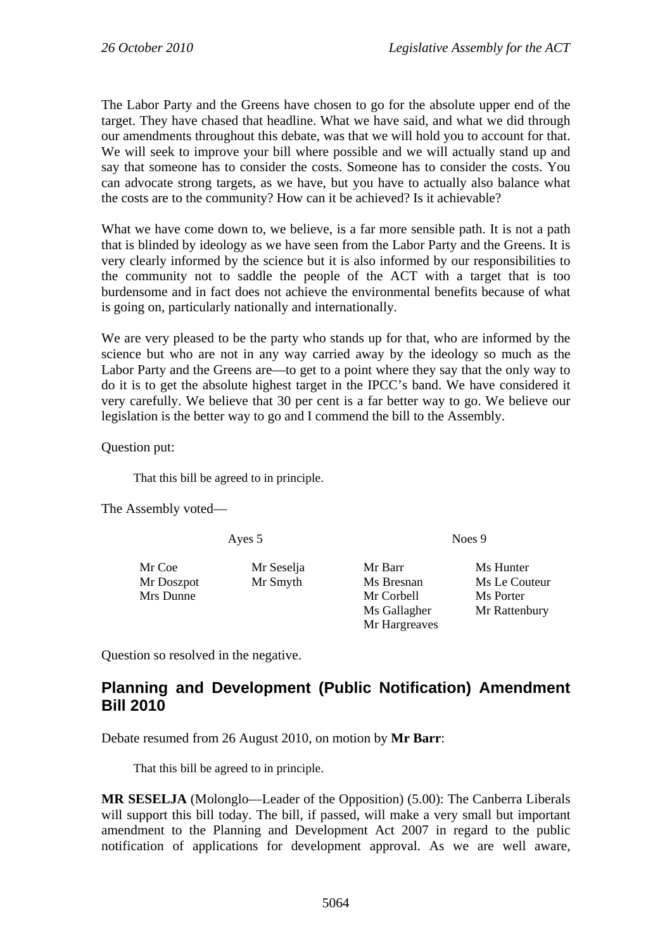The Labor Party and the Greens have chosen to go for the absolute upper end of the target. They have chased that headline. What we have said, and what we did through our amendments throughout this debate, was that we will hold you to account for that. We will seek to improve your bill where possible and we will actually stand up and say that someone has to consider the costs. Someone has to consider the costs. You can advocate strong targets, as we have, but you have to actually also balance what the costs are to the community? How can it be achieved? Is it achievable?

What we have come down to, we believe, is a far more sensible path. It is not a path that is blinded by ideology as we have seen from the Labor Party and the Greens. It is very clearly informed by the science but it is also informed by our responsibilities to the community not to saddle the people of the ACT with a target that is too burdensome and in fact does not achieve the environmental benefits because of what is going on, particularly nationally and internationally.

We are very pleased to be the party who stands up for that, who are informed by the science but who are not in any way carried away by the ideology so much as the Labor Party and the Greens are—to get to a point where they say that the only way to do it is to get the absolute highest target in the IPCC's band. We have considered it very carefully. We believe that 30 per cent is a far better way to go. We believe our legislation is the better way to go and I commend the bill to the Assembly.

Question put:

That this bill be agreed to in principle.

The Assembly voted—

Ayes 5 Noes 9

Mr Coe Mr Seselja Mr Barr Ms Hunter

Mr Doszpot Mr Smyth Ms Bresnan Ms Le Couteur Mrs Dunne Mr Corbell Ms Porter Ms Gallagher Mr Rattenbury Mr Hargreaves

Question so resolved in the negative.

# **Planning and Development (Public Notification) Amendment Bill 2010**

Debate resumed from 26 August 2010, on motion by **Mr Barr**:

That this bill be agreed to in principle.

**MR SESELJA** (Molonglo—Leader of the Opposition) (5.00): The Canberra Liberals will support this bill today. The bill, if passed, will make a very small but important amendment to the Planning and Development Act 2007 in regard to the public notification of applications for development approval. As we are well aware,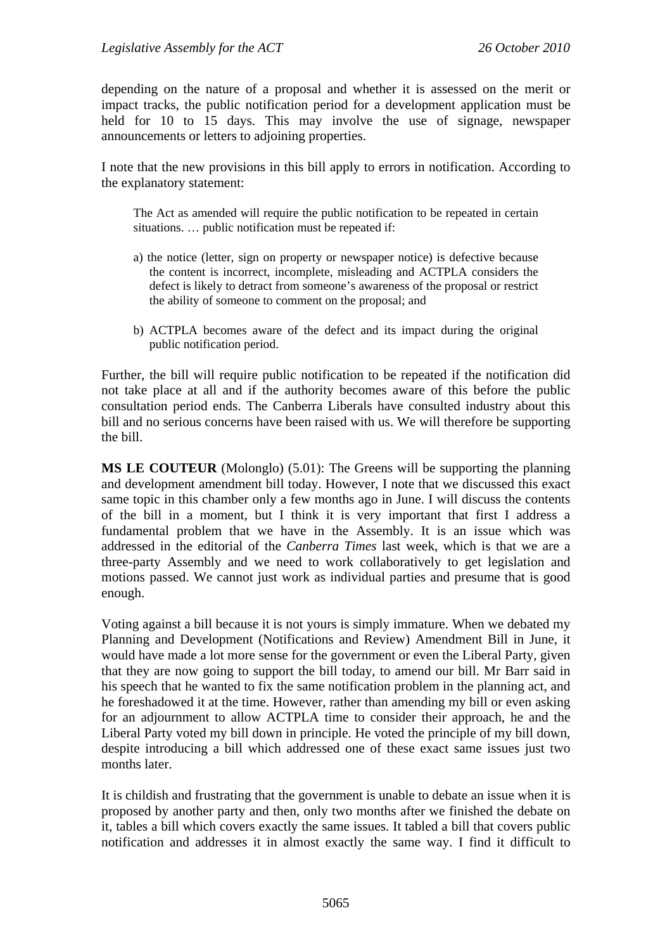depending on the nature of a proposal and whether it is assessed on the merit or impact tracks, the public notification period for a development application must be held for 10 to 15 days. This may involve the use of signage, newspaper announcements or letters to adjoining properties.

I note that the new provisions in this bill apply to errors in notification. According to the explanatory statement:

The Act as amended will require the public notification to be repeated in certain situations. … public notification must be repeated if:

- a) the notice (letter, sign on property or newspaper notice) is defective because the content is incorrect, incomplete, misleading and ACTPLA considers the defect is likely to detract from someone's awareness of the proposal or restrict the ability of someone to comment on the proposal; and
- b) ACTPLA becomes aware of the defect and its impact during the original public notification period.

Further, the bill will require public notification to be repeated if the notification did not take place at all and if the authority becomes aware of this before the public consultation period ends. The Canberra Liberals have consulted industry about this bill and no serious concerns have been raised with us. We will therefore be supporting the bill.

**MS LE COUTEUR** (Molonglo) (5.01): The Greens will be supporting the planning and development amendment bill today. However, I note that we discussed this exact same topic in this chamber only a few months ago in June. I will discuss the contents of the bill in a moment, but I think it is very important that first I address a fundamental problem that we have in the Assembly. It is an issue which was addressed in the editorial of the *Canberra Times* last week, which is that we are a three-party Assembly and we need to work collaboratively to get legislation and motions passed. We cannot just work as individual parties and presume that is good enough.

Voting against a bill because it is not yours is simply immature. When we debated my Planning and Development (Notifications and Review) Amendment Bill in June, it would have made a lot more sense for the government or even the Liberal Party, given that they are now going to support the bill today, to amend our bill. Mr Barr said in his speech that he wanted to fix the same notification problem in the planning act, and he foreshadowed it at the time. However, rather than amending my bill or even asking for an adjournment to allow ACTPLA time to consider their approach, he and the Liberal Party voted my bill down in principle. He voted the principle of my bill down, despite introducing a bill which addressed one of these exact same issues just two months later.

It is childish and frustrating that the government is unable to debate an issue when it is proposed by another party and then, only two months after we finished the debate on it, tables a bill which covers exactly the same issues. It tabled a bill that covers public notification and addresses it in almost exactly the same way. I find it difficult to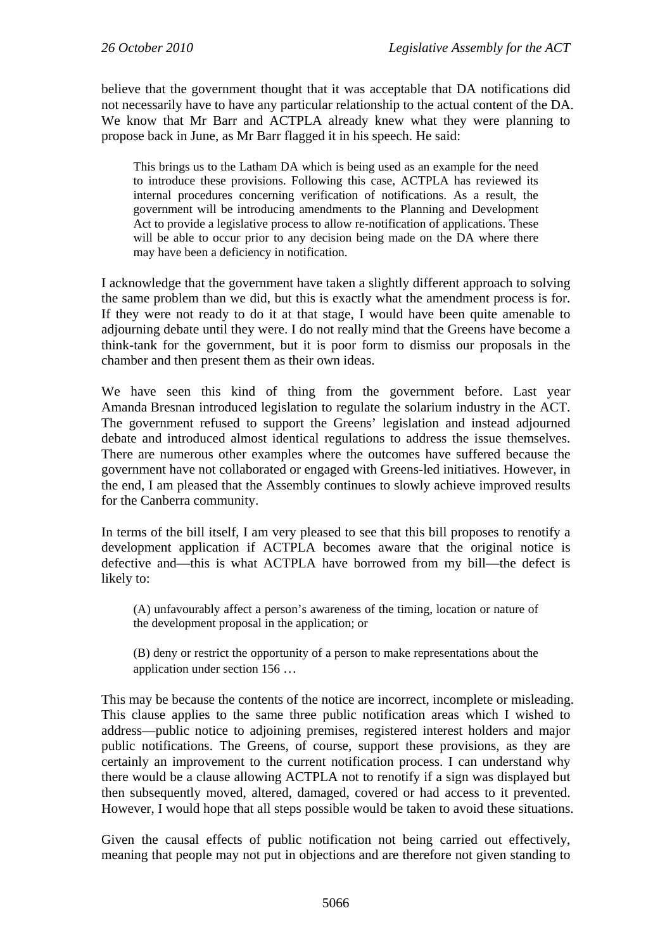believe that the government thought that it was acceptable that DA notifications did not necessarily have to have any particular relationship to the actual content of the DA. We know that Mr Barr and ACTPLA already knew what they were planning to propose back in June, as Mr Barr flagged it in his speech. He said:

This brings us to the Latham DA which is being used as an example for the need to introduce these provisions. Following this case, ACTPLA has reviewed its internal procedures concerning verification of notifications. As a result, the government will be introducing amendments to the Planning and Development Act to provide a legislative process to allow re-notification of applications. These will be able to occur prior to any decision being made on the DA where there may have been a deficiency in notification.

I acknowledge that the government have taken a slightly different approach to solving the same problem than we did, but this is exactly what the amendment process is for. If they were not ready to do it at that stage, I would have been quite amenable to adjourning debate until they were. I do not really mind that the Greens have become a think-tank for the government, but it is poor form to dismiss our proposals in the chamber and then present them as their own ideas.

We have seen this kind of thing from the government before. Last year Amanda Bresnan introduced legislation to regulate the solarium industry in the ACT. The government refused to support the Greens' legislation and instead adjourned debate and introduced almost identical regulations to address the issue themselves. There are numerous other examples where the outcomes have suffered because the government have not collaborated or engaged with Greens-led initiatives. However, in the end, I am pleased that the Assembly continues to slowly achieve improved results for the Canberra community.

In terms of the bill itself, I am very pleased to see that this bill proposes to renotify a development application if ACTPLA becomes aware that the original notice is defective and—this is what ACTPLA have borrowed from my bill—the defect is likely to:

(A) unfavourably affect a person's awareness of the timing, location or nature of the development proposal in the application; or

(B) deny or restrict the opportunity of a person to make representations about the application under section 156 …

This may be because the contents of the notice are incorrect, incomplete or misleading. This clause applies to the same three public notification areas which I wished to address—public notice to adjoining premises, registered interest holders and major public notifications. The Greens, of course, support these provisions, as they are certainly an improvement to the current notification process. I can understand why there would be a clause allowing ACTPLA not to renotify if a sign was displayed but then subsequently moved, altered, damaged, covered or had access to it prevented. However, I would hope that all steps possible would be taken to avoid these situations.

Given the causal effects of public notification not being carried out effectively, meaning that people may not put in objections and are therefore not given standing to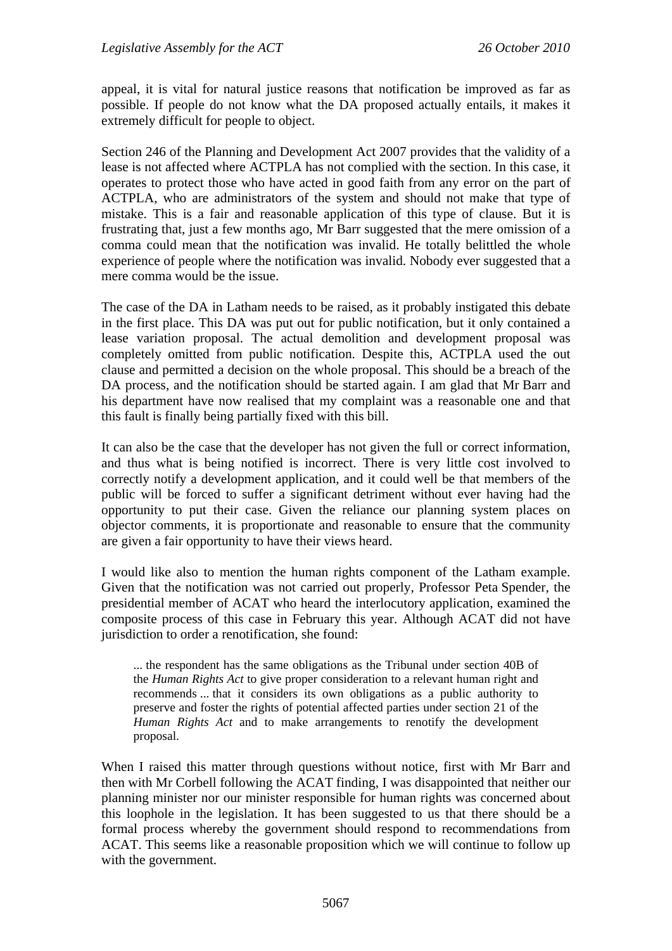appeal, it is vital for natural justice reasons that notification be improved as far as possible. If people do not know what the DA proposed actually entails, it makes it extremely difficult for people to object.

Section 246 of the Planning and Development Act 2007 provides that the validity of a lease is not affected where ACTPLA has not complied with the section. In this case, it operates to protect those who have acted in good faith from any error on the part of ACTPLA, who are administrators of the system and should not make that type of mistake. This is a fair and reasonable application of this type of clause. But it is frustrating that, just a few months ago, Mr Barr suggested that the mere omission of a comma could mean that the notification was invalid. He totally belittled the whole experience of people where the notification was invalid. Nobody ever suggested that a mere comma would be the issue.

The case of the DA in Latham needs to be raised, as it probably instigated this debate in the first place. This DA was put out for public notification, but it only contained a lease variation proposal. The actual demolition and development proposal was completely omitted from public notification. Despite this, ACTPLA used the out clause and permitted a decision on the whole proposal. This should be a breach of the DA process, and the notification should be started again. I am glad that Mr Barr and his department have now realised that my complaint was a reasonable one and that this fault is finally being partially fixed with this bill.

It can also be the case that the developer has not given the full or correct information, and thus what is being notified is incorrect. There is very little cost involved to correctly notify a development application, and it could well be that members of the public will be forced to suffer a significant detriment without ever having had the opportunity to put their case. Given the reliance our planning system places on objector comments, it is proportionate and reasonable to ensure that the community are given a fair opportunity to have their views heard.

I would like also to mention the human rights component of the Latham example. Given that the notification was not carried out properly, Professor Peta Spender, the presidential member of ACAT who heard the interlocutory application, examined the composite process of this case in February this year. Although ACAT did not have jurisdiction to order a renotification, she found:

... the respondent has the same obligations as the Tribunal under section 40B of the *Human Rights Act* to give proper consideration to a relevant human right and recommends ... that it considers its own obligations as a public authority to preserve and foster the rights of potential affected parties under section 21 of the *Human Rights Act* and to make arrangements to renotify the development proposal.

When I raised this matter through questions without notice, first with Mr Barr and then with Mr Corbell following the ACAT finding, I was disappointed that neither our planning minister nor our minister responsible for human rights was concerned about this loophole in the legislation. It has been suggested to us that there should be a formal process whereby the government should respond to recommendations from ACAT. This seems like a reasonable proposition which we will continue to follow up with the government.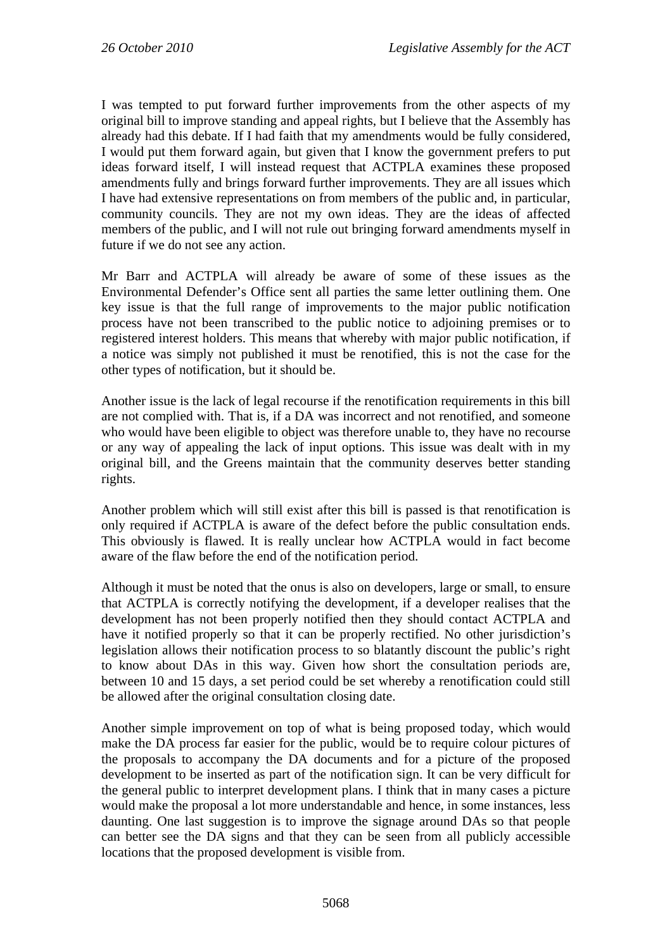I was tempted to put forward further improvements from the other aspects of my original bill to improve standing and appeal rights, but I believe that the Assembly has already had this debate. If I had faith that my amendments would be fully considered, I would put them forward again, but given that I know the government prefers to put ideas forward itself, I will instead request that ACTPLA examines these proposed amendments fully and brings forward further improvements. They are all issues which I have had extensive representations on from members of the public and, in particular, community councils. They are not my own ideas. They are the ideas of affected members of the public, and I will not rule out bringing forward amendments myself in future if we do not see any action.

Mr Barr and ACTPLA will already be aware of some of these issues as the Environmental Defender's Office sent all parties the same letter outlining them. One key issue is that the full range of improvements to the major public notification process have not been transcribed to the public notice to adjoining premises or to registered interest holders. This means that whereby with major public notification, if a notice was simply not published it must be renotified, this is not the case for the other types of notification, but it should be.

Another issue is the lack of legal recourse if the renotification requirements in this bill are not complied with. That is, if a DA was incorrect and not renotified, and someone who would have been eligible to object was therefore unable to, they have no recourse or any way of appealing the lack of input options. This issue was dealt with in my original bill, and the Greens maintain that the community deserves better standing rights.

Another problem which will still exist after this bill is passed is that renotification is only required if ACTPLA is aware of the defect before the public consultation ends. This obviously is flawed. It is really unclear how ACTPLA would in fact become aware of the flaw before the end of the notification period.

Although it must be noted that the onus is also on developers, large or small, to ensure that ACTPLA is correctly notifying the development, if a developer realises that the development has not been properly notified then they should contact ACTPLA and have it notified properly so that it can be properly rectified. No other jurisdiction's legislation allows their notification process to so blatantly discount the public's right to know about DAs in this way. Given how short the consultation periods are, between 10 and 15 days, a set period could be set whereby a renotification could still be allowed after the original consultation closing date.

Another simple improvement on top of what is being proposed today, which would make the DA process far easier for the public, would be to require colour pictures of the proposals to accompany the DA documents and for a picture of the proposed development to be inserted as part of the notification sign. It can be very difficult for the general public to interpret development plans. I think that in many cases a picture would make the proposal a lot more understandable and hence, in some instances, less daunting. One last suggestion is to improve the signage around DAs so that people can better see the DA signs and that they can be seen from all publicly accessible locations that the proposed development is visible from.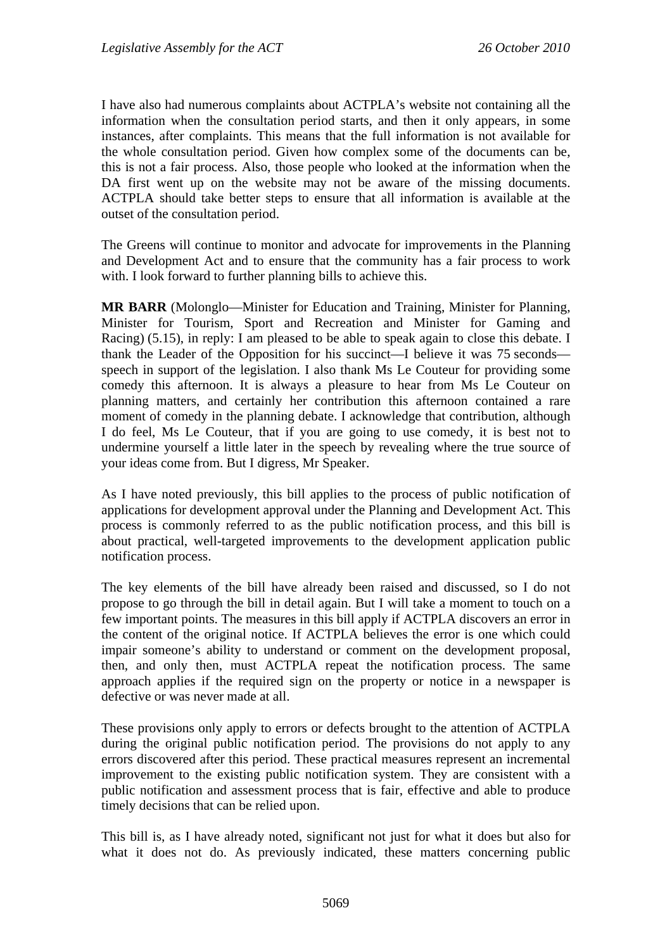I have also had numerous complaints about ACTPLA's website not containing all the information when the consultation period starts, and then it only appears, in some instances, after complaints. This means that the full information is not available for the whole consultation period. Given how complex some of the documents can be, this is not a fair process. Also, those people who looked at the information when the DA first went up on the website may not be aware of the missing documents. ACTPLA should take better steps to ensure that all information is available at the outset of the consultation period.

The Greens will continue to monitor and advocate for improvements in the Planning and Development Act and to ensure that the community has a fair process to work with. I look forward to further planning bills to achieve this.

**MR BARR** (Molonglo—Minister for Education and Training, Minister for Planning, Minister for Tourism, Sport and Recreation and Minister for Gaming and Racing) (5.15), in reply: I am pleased to be able to speak again to close this debate. I thank the Leader of the Opposition for his succinct—I believe it was 75 seconds speech in support of the legislation. I also thank Ms Le Couteur for providing some comedy this afternoon. It is always a pleasure to hear from Ms Le Couteur on planning matters, and certainly her contribution this afternoon contained a rare moment of comedy in the planning debate. I acknowledge that contribution, although I do feel, Ms Le Couteur, that if you are going to use comedy, it is best not to undermine yourself a little later in the speech by revealing where the true source of your ideas come from. But I digress, Mr Speaker.

As I have noted previously, this bill applies to the process of public notification of applications for development approval under the Planning and Development Act. This process is commonly referred to as the public notification process, and this bill is about practical, well-targeted improvements to the development application public notification process.

The key elements of the bill have already been raised and discussed, so I do not propose to go through the bill in detail again. But I will take a moment to touch on a few important points. The measures in this bill apply if ACTPLA discovers an error in the content of the original notice. If ACTPLA believes the error is one which could impair someone's ability to understand or comment on the development proposal, then, and only then, must ACTPLA repeat the notification process. The same approach applies if the required sign on the property or notice in a newspaper is defective or was never made at all.

These provisions only apply to errors or defects brought to the attention of ACTPLA during the original public notification period. The provisions do not apply to any errors discovered after this period. These practical measures represent an incremental improvement to the existing public notification system. They are consistent with a public notification and assessment process that is fair, effective and able to produce timely decisions that can be relied upon.

This bill is, as I have already noted, significant not just for what it does but also for what it does not do. As previously indicated, these matters concerning public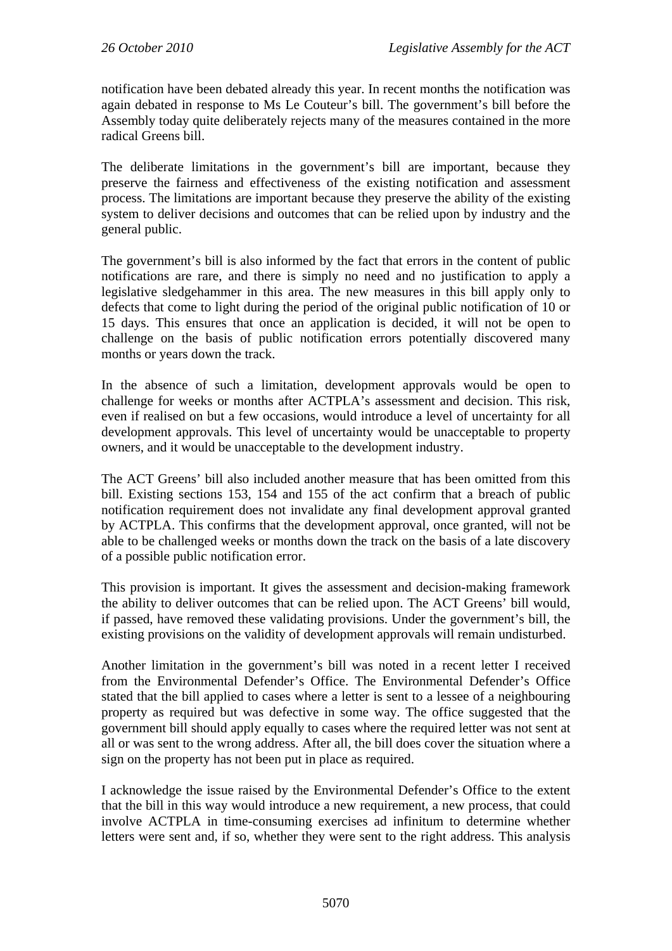notification have been debated already this year. In recent months the notification was again debated in response to Ms Le Couteur's bill. The government's bill before the Assembly today quite deliberately rejects many of the measures contained in the more radical Greens bill.

The deliberate limitations in the government's bill are important, because they preserve the fairness and effectiveness of the existing notification and assessment process. The limitations are important because they preserve the ability of the existing system to deliver decisions and outcomes that can be relied upon by industry and the general public.

The government's bill is also informed by the fact that errors in the content of public notifications are rare, and there is simply no need and no justification to apply a legislative sledgehammer in this area. The new measures in this bill apply only to defects that come to light during the period of the original public notification of 10 or 15 days. This ensures that once an application is decided, it will not be open to challenge on the basis of public notification errors potentially discovered many months or years down the track.

In the absence of such a limitation, development approvals would be open to challenge for weeks or months after ACTPLA's assessment and decision. This risk, even if realised on but a few occasions, would introduce a level of uncertainty for all development approvals. This level of uncertainty would be unacceptable to property owners, and it would be unacceptable to the development industry.

The ACT Greens' bill also included another measure that has been omitted from this bill. Existing sections 153, 154 and 155 of the act confirm that a breach of public notification requirement does not invalidate any final development approval granted by ACTPLA. This confirms that the development approval, once granted, will not be able to be challenged weeks or months down the track on the basis of a late discovery of a possible public notification error.

This provision is important. It gives the assessment and decision-making framework the ability to deliver outcomes that can be relied upon. The ACT Greens' bill would, if passed, have removed these validating provisions. Under the government's bill, the existing provisions on the validity of development approvals will remain undisturbed.

Another limitation in the government's bill was noted in a recent letter I received from the Environmental Defender's Office. The Environmental Defender's Office stated that the bill applied to cases where a letter is sent to a lessee of a neighbouring property as required but was defective in some way. The office suggested that the government bill should apply equally to cases where the required letter was not sent at all or was sent to the wrong address. After all, the bill does cover the situation where a sign on the property has not been put in place as required.

I acknowledge the issue raised by the Environmental Defender's Office to the extent that the bill in this way would introduce a new requirement, a new process, that could involve ACTPLA in time-consuming exercises ad infinitum to determine whether letters were sent and, if so, whether they were sent to the right address. This analysis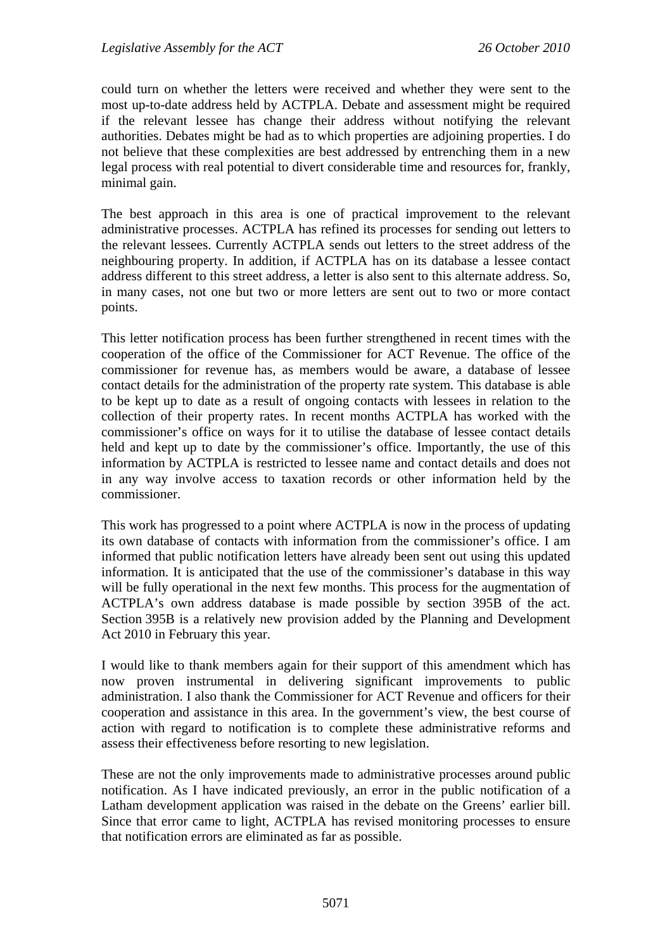could turn on whether the letters were received and whether they were sent to the most up-to-date address held by ACTPLA. Debate and assessment might be required if the relevant lessee has change their address without notifying the relevant authorities. Debates might be had as to which properties are adjoining properties. I do not believe that these complexities are best addressed by entrenching them in a new legal process with real potential to divert considerable time and resources for, frankly, minimal gain.

The best approach in this area is one of practical improvement to the relevant administrative processes. ACTPLA has refined its processes for sending out letters to the relevant lessees. Currently ACTPLA sends out letters to the street address of the neighbouring property. In addition, if ACTPLA has on its database a lessee contact address different to this street address, a letter is also sent to this alternate address. So, in many cases, not one but two or more letters are sent out to two or more contact points.

This letter notification process has been further strengthened in recent times with the cooperation of the office of the Commissioner for ACT Revenue. The office of the commissioner for revenue has, as members would be aware, a database of lessee contact details for the administration of the property rate system. This database is able to be kept up to date as a result of ongoing contacts with lessees in relation to the collection of their property rates. In recent months ACTPLA has worked with the commissioner's office on ways for it to utilise the database of lessee contact details held and kept up to date by the commissioner's office. Importantly, the use of this information by ACTPLA is restricted to lessee name and contact details and does not in any way involve access to taxation records or other information held by the commissioner.

This work has progressed to a point where ACTPLA is now in the process of updating its own database of contacts with information from the commissioner's office. I am informed that public notification letters have already been sent out using this updated information. It is anticipated that the use of the commissioner's database in this way will be fully operational in the next few months. This process for the augmentation of ACTPLA's own address database is made possible by section 395B of the act. Section 395B is a relatively new provision added by the Planning and Development Act 2010 in February this year.

I would like to thank members again for their support of this amendment which has now proven instrumental in delivering significant improvements to public administration. I also thank the Commissioner for ACT Revenue and officers for their cooperation and assistance in this area. In the government's view, the best course of action with regard to notification is to complete these administrative reforms and assess their effectiveness before resorting to new legislation.

These are not the only improvements made to administrative processes around public notification. As I have indicated previously, an error in the public notification of a Latham development application was raised in the debate on the Greens' earlier bill. Since that error came to light, ACTPLA has revised monitoring processes to ensure that notification errors are eliminated as far as possible.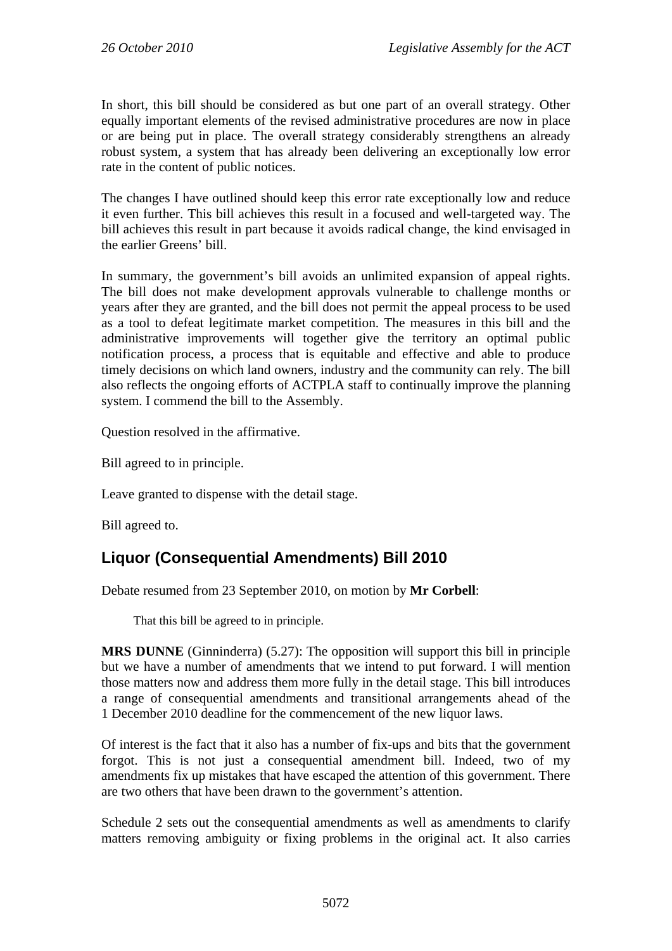In short, this bill should be considered as but one part of an overall strategy. Other equally important elements of the revised administrative procedures are now in place or are being put in place. The overall strategy considerably strengthens an already robust system, a system that has already been delivering an exceptionally low error rate in the content of public notices.

The changes I have outlined should keep this error rate exceptionally low and reduce it even further. This bill achieves this result in a focused and well-targeted way. The bill achieves this result in part because it avoids radical change, the kind envisaged in the earlier Greens' bill.

In summary, the government's bill avoids an unlimited expansion of appeal rights. The bill does not make development approvals vulnerable to challenge months or years after they are granted, and the bill does not permit the appeal process to be used as a tool to defeat legitimate market competition. The measures in this bill and the administrative improvements will together give the territory an optimal public notification process, a process that is equitable and effective and able to produce timely decisions on which land owners, industry and the community can rely. The bill also reflects the ongoing efforts of ACTPLA staff to continually improve the planning system. I commend the bill to the Assembly.

Question resolved in the affirmative.

Bill agreed to in principle.

Leave granted to dispense with the detail stage.

Bill agreed to.

# **Liquor (Consequential Amendments) Bill 2010**

Debate resumed from 23 September 2010, on motion by **Mr Corbell**:

That this bill be agreed to in principle.

**MRS DUNNE** (Ginninderra) (5.27): The opposition will support this bill in principle but we have a number of amendments that we intend to put forward. I will mention those matters now and address them more fully in the detail stage. This bill introduces a range of consequential amendments and transitional arrangements ahead of the 1 December 2010 deadline for the commencement of the new liquor laws.

Of interest is the fact that it also has a number of fix-ups and bits that the government forgot. This is not just a consequential amendment bill. Indeed, two of my amendments fix up mistakes that have escaped the attention of this government. There are two others that have been drawn to the government's attention.

Schedule 2 sets out the consequential amendments as well as amendments to clarify matters removing ambiguity or fixing problems in the original act. It also carries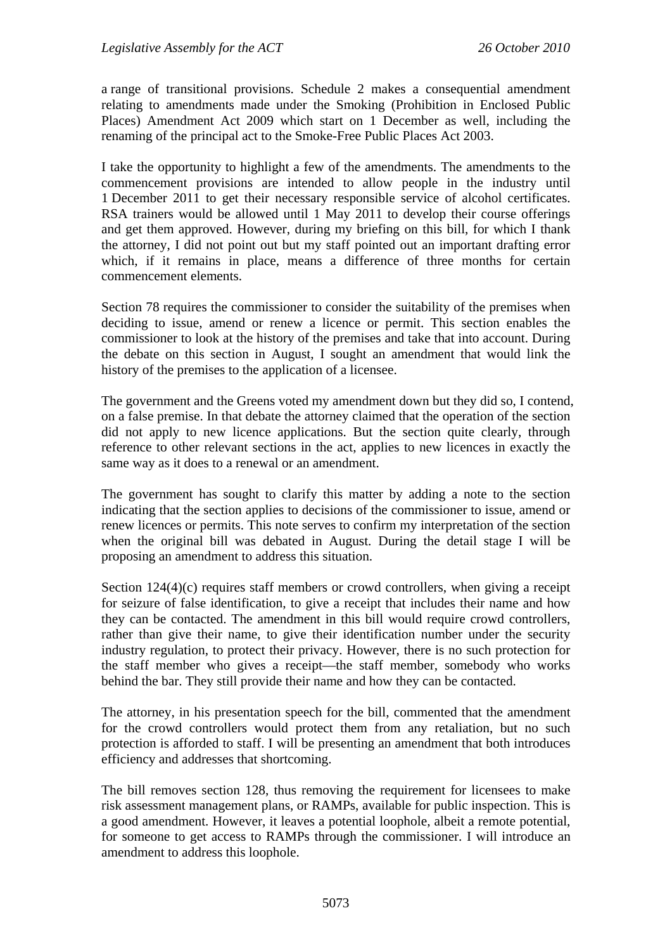a range of transitional provisions. Schedule 2 makes a consequential amendment relating to amendments made under the Smoking (Prohibition in Enclosed Public Places) Amendment Act 2009 which start on 1 December as well, including the renaming of the principal act to the Smoke-Free Public Places Act 2003.

I take the opportunity to highlight a few of the amendments. The amendments to the commencement provisions are intended to allow people in the industry until 1 December 2011 to get their necessary responsible service of alcohol certificates. RSA trainers would be allowed until 1 May 2011 to develop their course offerings and get them approved. However, during my briefing on this bill, for which I thank the attorney, I did not point out but my staff pointed out an important drafting error which, if it remains in place, means a difference of three months for certain commencement elements.

Section 78 requires the commissioner to consider the suitability of the premises when deciding to issue, amend or renew a licence or permit. This section enables the commissioner to look at the history of the premises and take that into account. During the debate on this section in August, I sought an amendment that would link the history of the premises to the application of a licensee.

The government and the Greens voted my amendment down but they did so, I contend, on a false premise. In that debate the attorney claimed that the operation of the section did not apply to new licence applications. But the section quite clearly, through reference to other relevant sections in the act, applies to new licences in exactly the same way as it does to a renewal or an amendment.

The government has sought to clarify this matter by adding a note to the section indicating that the section applies to decisions of the commissioner to issue, amend or renew licences or permits. This note serves to confirm my interpretation of the section when the original bill was debated in August. During the detail stage I will be proposing an amendment to address this situation.

Section 124(4)(c) requires staff members or crowd controllers, when giving a receipt for seizure of false identification, to give a receipt that includes their name and how they can be contacted. The amendment in this bill would require crowd controllers, rather than give their name, to give their identification number under the security industry regulation, to protect their privacy. However, there is no such protection for the staff member who gives a receipt—the staff member, somebody who works behind the bar. They still provide their name and how they can be contacted.

The attorney, in his presentation speech for the bill, commented that the amendment for the crowd controllers would protect them from any retaliation, but no such protection is afforded to staff. I will be presenting an amendment that both introduces efficiency and addresses that shortcoming.

The bill removes section 128, thus removing the requirement for licensees to make risk assessment management plans, or RAMPs, available for public inspection. This is a good amendment. However, it leaves a potential loophole, albeit a remote potential, for someone to get access to RAMPs through the commissioner. I will introduce an amendment to address this loophole.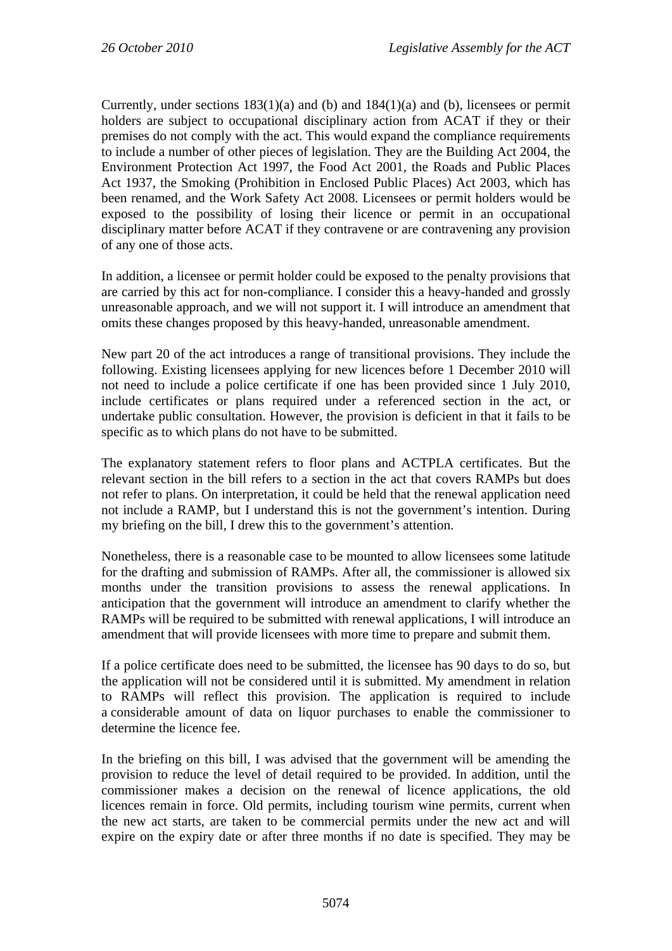Currently, under sections  $183(1)(a)$  and  $(b)$  and  $184(1)(a)$  and  $(b)$ , licensees or permit holders are subject to occupational disciplinary action from ACAT if they or their premises do not comply with the act. This would expand the compliance requirements to include a number of other pieces of legislation. They are the Building Act 2004, the Environment Protection Act 1997, the Food Act 2001, the Roads and Public Places Act 1937, the Smoking (Prohibition in Enclosed Public Places) Act 2003, which has been renamed, and the Work Safety Act 2008. Licensees or permit holders would be exposed to the possibility of losing their licence or permit in an occupational disciplinary matter before ACAT if they contravene or are contravening any provision of any one of those acts.

In addition, a licensee or permit holder could be exposed to the penalty provisions that are carried by this act for non-compliance. I consider this a heavy-handed and grossly unreasonable approach, and we will not support it. I will introduce an amendment that omits these changes proposed by this heavy-handed, unreasonable amendment.

New part 20 of the act introduces a range of transitional provisions. They include the following. Existing licensees applying for new licences before 1 December 2010 will not need to include a police certificate if one has been provided since 1 July 2010, include certificates or plans required under a referenced section in the act, or undertake public consultation. However, the provision is deficient in that it fails to be specific as to which plans do not have to be submitted.

The explanatory statement refers to floor plans and ACTPLA certificates. But the relevant section in the bill refers to a section in the act that covers RAMPs but does not refer to plans. On interpretation, it could be held that the renewal application need not include a RAMP, but I understand this is not the government's intention. During my briefing on the bill, I drew this to the government's attention.

Nonetheless, there is a reasonable case to be mounted to allow licensees some latitude for the drafting and submission of RAMPs. After all, the commissioner is allowed six months under the transition provisions to assess the renewal applications. In anticipation that the government will introduce an amendment to clarify whether the RAMPs will be required to be submitted with renewal applications, I will introduce an amendment that will provide licensees with more time to prepare and submit them.

If a police certificate does need to be submitted, the licensee has 90 days to do so, but the application will not be considered until it is submitted. My amendment in relation to RAMPs will reflect this provision. The application is required to include a considerable amount of data on liquor purchases to enable the commissioner to determine the licence fee.

In the briefing on this bill, I was advised that the government will be amending the provision to reduce the level of detail required to be provided. In addition, until the commissioner makes a decision on the renewal of licence applications, the old licences remain in force. Old permits, including tourism wine permits, current when the new act starts, are taken to be commercial permits under the new act and will expire on the expiry date or after three months if no date is specified. They may be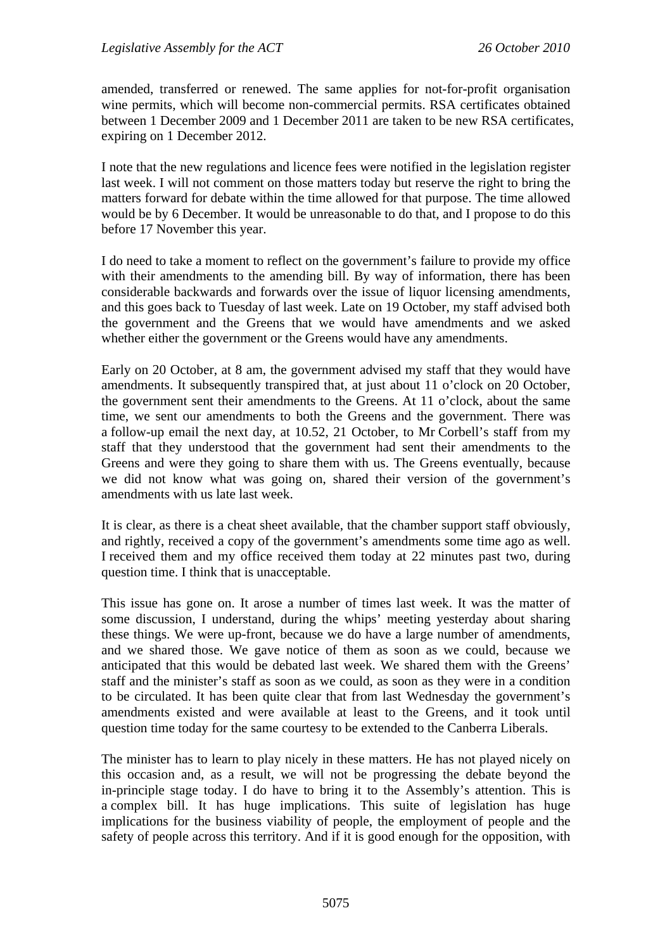amended, transferred or renewed. The same applies for not-for-profit organisation wine permits, which will become non-commercial permits. RSA certificates obtained between 1 December 2009 and 1 December 2011 are taken to be new RSA certificates, expiring on 1 December 2012.

I note that the new regulations and licence fees were notified in the legislation register last week. I will not comment on those matters today but reserve the right to bring the matters forward for debate within the time allowed for that purpose. The time allowed would be by 6 December. It would be unreasonable to do that, and I propose to do this before 17 November this year.

I do need to take a moment to reflect on the government's failure to provide my office with their amendments to the amending bill. By way of information, there has been considerable backwards and forwards over the issue of liquor licensing amendments, and this goes back to Tuesday of last week. Late on 19 October, my staff advised both the government and the Greens that we would have amendments and we asked whether either the government or the Greens would have any amendments.

Early on 20 October, at 8 am, the government advised my staff that they would have amendments. It subsequently transpired that, at just about 11 o'clock on 20 October, the government sent their amendments to the Greens. At 11 o'clock, about the same time, we sent our amendments to both the Greens and the government. There was a follow-up email the next day, at 10.52, 21 October, to Mr Corbell's staff from my staff that they understood that the government had sent their amendments to the Greens and were they going to share them with us. The Greens eventually, because we did not know what was going on, shared their version of the government's amendments with us late last week.

It is clear, as there is a cheat sheet available, that the chamber support staff obviously, and rightly, received a copy of the government's amendments some time ago as well. I received them and my office received them today at 22 minutes past two, during question time. I think that is unacceptable.

This issue has gone on. It arose a number of times last week. It was the matter of some discussion, I understand, during the whips' meeting yesterday about sharing these things. We were up-front, because we do have a large number of amendments, and we shared those. We gave notice of them as soon as we could, because we anticipated that this would be debated last week. We shared them with the Greens' staff and the minister's staff as soon as we could, as soon as they were in a condition to be circulated. It has been quite clear that from last Wednesday the government's amendments existed and were available at least to the Greens, and it took until question time today for the same courtesy to be extended to the Canberra Liberals.

The minister has to learn to play nicely in these matters. He has not played nicely on this occasion and, as a result, we will not be progressing the debate beyond the in-principle stage today. I do have to bring it to the Assembly's attention. This is a complex bill. It has huge implications. This suite of legislation has huge implications for the business viability of people, the employment of people and the safety of people across this territory. And if it is good enough for the opposition, with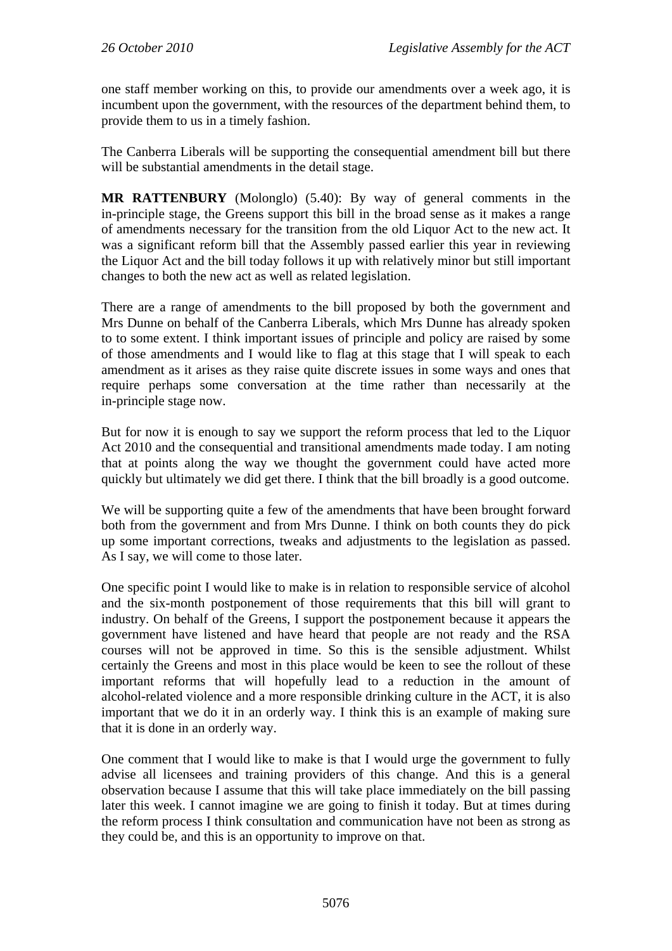one staff member working on this, to provide our amendments over a week ago, it is incumbent upon the government, with the resources of the department behind them, to provide them to us in a timely fashion.

The Canberra Liberals will be supporting the consequential amendment bill but there will be substantial amendments in the detail stage.

**MR RATTENBURY** (Molonglo) (5.40): By way of general comments in the in-principle stage, the Greens support this bill in the broad sense as it makes a range of amendments necessary for the transition from the old Liquor Act to the new act. It was a significant reform bill that the Assembly passed earlier this year in reviewing the Liquor Act and the bill today follows it up with relatively minor but still important changes to both the new act as well as related legislation.

There are a range of amendments to the bill proposed by both the government and Mrs Dunne on behalf of the Canberra Liberals, which Mrs Dunne has already spoken to to some extent. I think important issues of principle and policy are raised by some of those amendments and I would like to flag at this stage that I will speak to each amendment as it arises as they raise quite discrete issues in some ways and ones that require perhaps some conversation at the time rather than necessarily at the in-principle stage now.

But for now it is enough to say we support the reform process that led to the Liquor Act 2010 and the consequential and transitional amendments made today. I am noting that at points along the way we thought the government could have acted more quickly but ultimately we did get there. I think that the bill broadly is a good outcome.

We will be supporting quite a few of the amendments that have been brought forward both from the government and from Mrs Dunne. I think on both counts they do pick up some important corrections, tweaks and adjustments to the legislation as passed. As I say, we will come to those later.

One specific point I would like to make is in relation to responsible service of alcohol and the six-month postponement of those requirements that this bill will grant to industry. On behalf of the Greens, I support the postponement because it appears the government have listened and have heard that people are not ready and the RSA courses will not be approved in time. So this is the sensible adjustment. Whilst certainly the Greens and most in this place would be keen to see the rollout of these important reforms that will hopefully lead to a reduction in the amount of alcohol-related violence and a more responsible drinking culture in the ACT, it is also important that we do it in an orderly way. I think this is an example of making sure that it is done in an orderly way.

One comment that I would like to make is that I would urge the government to fully advise all licensees and training providers of this change. And this is a general observation because I assume that this will take place immediately on the bill passing later this week. I cannot imagine we are going to finish it today. But at times during the reform process I think consultation and communication have not been as strong as they could be, and this is an opportunity to improve on that.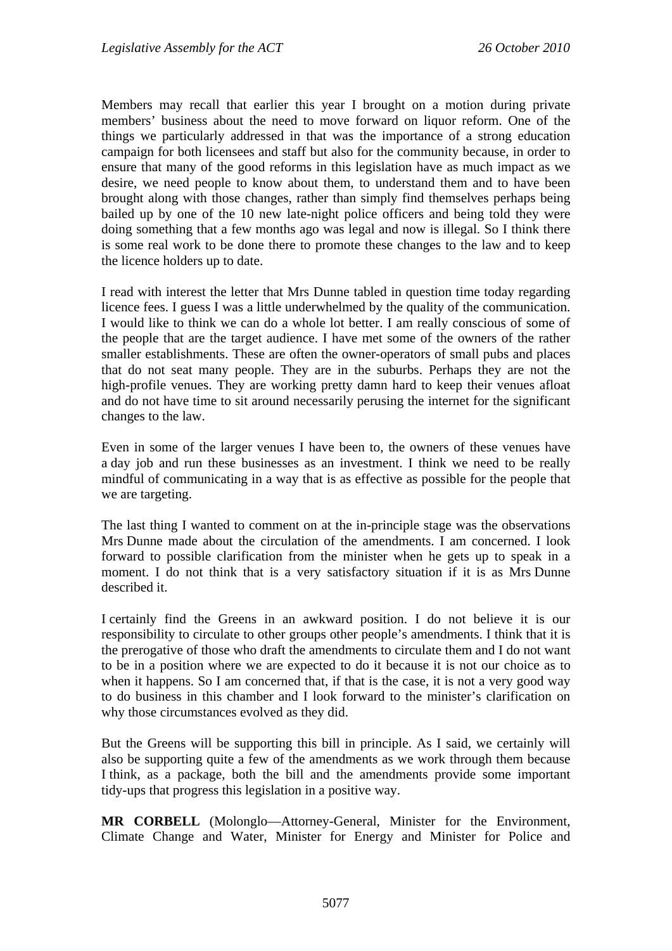Members may recall that earlier this year I brought on a motion during private members' business about the need to move forward on liquor reform. One of the things we particularly addressed in that was the importance of a strong education campaign for both licensees and staff but also for the community because, in order to ensure that many of the good reforms in this legislation have as much impact as we desire, we need people to know about them, to understand them and to have been brought along with those changes, rather than simply find themselves perhaps being bailed up by one of the 10 new late-night police officers and being told they were doing something that a few months ago was legal and now is illegal. So I think there is some real work to be done there to promote these changes to the law and to keep the licence holders up to date.

I read with interest the letter that Mrs Dunne tabled in question time today regarding licence fees. I guess I was a little underwhelmed by the quality of the communication. I would like to think we can do a whole lot better. I am really conscious of some of the people that are the target audience. I have met some of the owners of the rather smaller establishments. These are often the owner-operators of small pubs and places that do not seat many people. They are in the suburbs. Perhaps they are not the high-profile venues. They are working pretty damn hard to keep their venues afloat and do not have time to sit around necessarily perusing the internet for the significant changes to the law.

Even in some of the larger venues I have been to, the owners of these venues have a day job and run these businesses as an investment. I think we need to be really mindful of communicating in a way that is as effective as possible for the people that we are targeting.

The last thing I wanted to comment on at the in-principle stage was the observations Mrs Dunne made about the circulation of the amendments. I am concerned. I look forward to possible clarification from the minister when he gets up to speak in a moment. I do not think that is a very satisfactory situation if it is as Mrs Dunne described it.

I certainly find the Greens in an awkward position. I do not believe it is our responsibility to circulate to other groups other people's amendments. I think that it is the prerogative of those who draft the amendments to circulate them and I do not want to be in a position where we are expected to do it because it is not our choice as to when it happens. So I am concerned that, if that is the case, it is not a very good way to do business in this chamber and I look forward to the minister's clarification on why those circumstances evolved as they did.

But the Greens will be supporting this bill in principle. As I said, we certainly will also be supporting quite a few of the amendments as we work through them because I think, as a package, both the bill and the amendments provide some important tidy-ups that progress this legislation in a positive way.

**MR CORBELL** (Molonglo—Attorney-General, Minister for the Environment, Climate Change and Water, Minister for Energy and Minister for Police and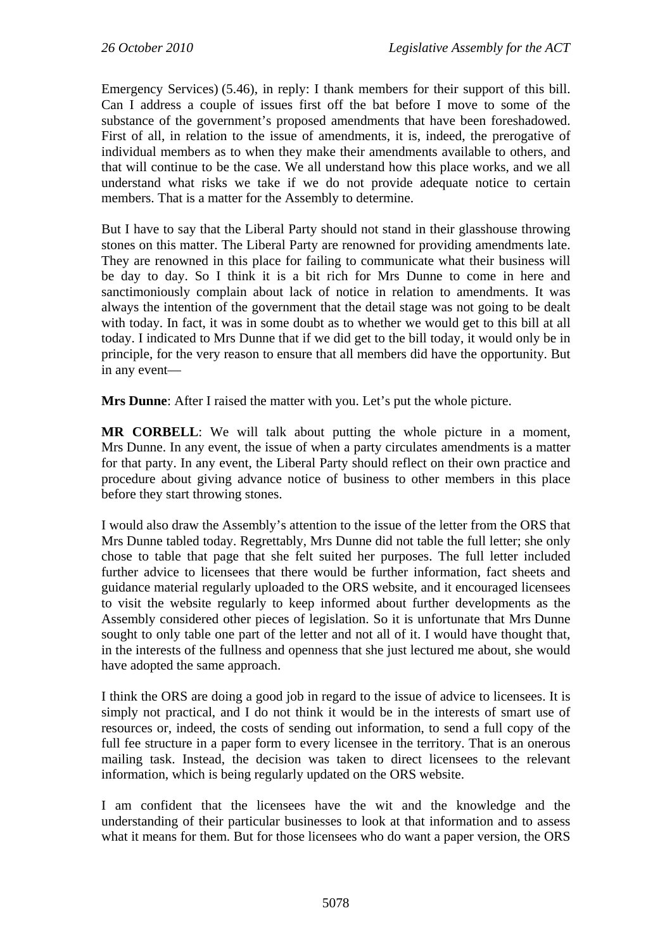Emergency Services) (5.46), in reply: I thank members for their support of this bill. Can I address a couple of issues first off the bat before I move to some of the substance of the government's proposed amendments that have been foreshadowed. First of all, in relation to the issue of amendments, it is, indeed, the prerogative of individual members as to when they make their amendments available to others, and that will continue to be the case. We all understand how this place works, and we all understand what risks we take if we do not provide adequate notice to certain members. That is a matter for the Assembly to determine.

But I have to say that the Liberal Party should not stand in their glasshouse throwing stones on this matter. The Liberal Party are renowned for providing amendments late. They are renowned in this place for failing to communicate what their business will be day to day. So I think it is a bit rich for Mrs Dunne to come in here and sanctimoniously complain about lack of notice in relation to amendments. It was always the intention of the government that the detail stage was not going to be dealt with today. In fact, it was in some doubt as to whether we would get to this bill at all today. I indicated to Mrs Dunne that if we did get to the bill today, it would only be in principle, for the very reason to ensure that all members did have the opportunity. But in any event—

**Mrs Dunne**: After I raised the matter with you. Let's put the whole picture.

**MR CORBELL**: We will talk about putting the whole picture in a moment, Mrs Dunne. In any event, the issue of when a party circulates amendments is a matter for that party. In any event, the Liberal Party should reflect on their own practice and procedure about giving advance notice of business to other members in this place before they start throwing stones.

I would also draw the Assembly's attention to the issue of the letter from the ORS that Mrs Dunne tabled today. Regrettably, Mrs Dunne did not table the full letter; she only chose to table that page that she felt suited her purposes. The full letter included further advice to licensees that there would be further information, fact sheets and guidance material regularly uploaded to the ORS website, and it encouraged licensees to visit the website regularly to keep informed about further developments as the Assembly considered other pieces of legislation. So it is unfortunate that Mrs Dunne sought to only table one part of the letter and not all of it. I would have thought that, in the interests of the fullness and openness that she just lectured me about, she would have adopted the same approach.

I think the ORS are doing a good job in regard to the issue of advice to licensees. It is simply not practical, and I do not think it would be in the interests of smart use of resources or, indeed, the costs of sending out information, to send a full copy of the full fee structure in a paper form to every licensee in the territory. That is an onerous mailing task. Instead, the decision was taken to direct licensees to the relevant information, which is being regularly updated on the ORS website.

I am confident that the licensees have the wit and the knowledge and the understanding of their particular businesses to look at that information and to assess what it means for them. But for those licensees who do want a paper version, the ORS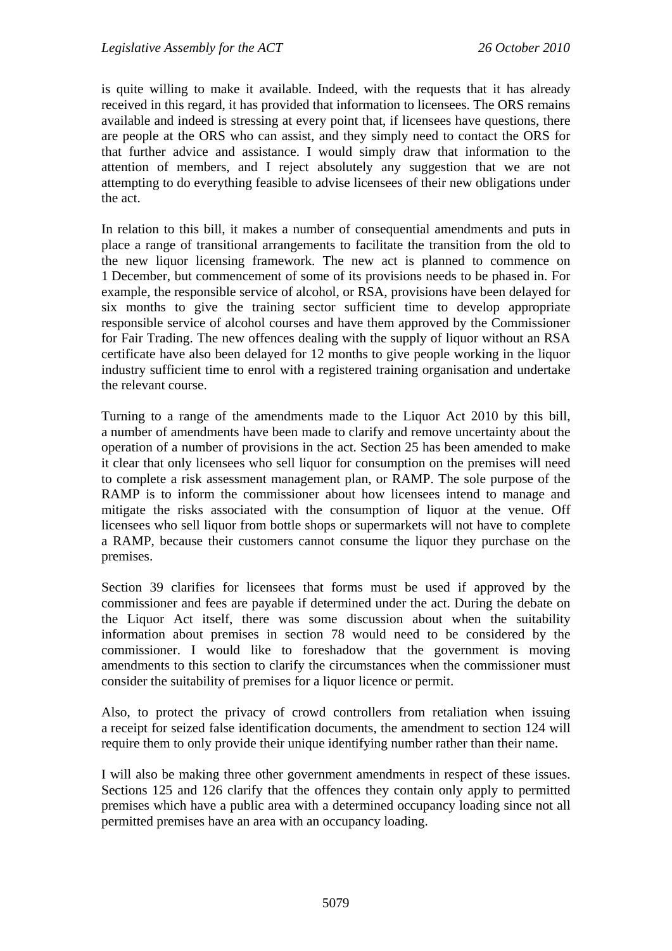is quite willing to make it available. Indeed, with the requests that it has already received in this regard, it has provided that information to licensees. The ORS remains available and indeed is stressing at every point that, if licensees have questions, there are people at the ORS who can assist, and they simply need to contact the ORS for that further advice and assistance. I would simply draw that information to the attention of members, and I reject absolutely any suggestion that we are not attempting to do everything feasible to advise licensees of their new obligations under the act.

In relation to this bill, it makes a number of consequential amendments and puts in place a range of transitional arrangements to facilitate the transition from the old to the new liquor licensing framework. The new act is planned to commence on 1 December, but commencement of some of its provisions needs to be phased in. For example, the responsible service of alcohol, or RSA, provisions have been delayed for six months to give the training sector sufficient time to develop appropriate responsible service of alcohol courses and have them approved by the Commissioner for Fair Trading. The new offences dealing with the supply of liquor without an RSA certificate have also been delayed for 12 months to give people working in the liquor industry sufficient time to enrol with a registered training organisation and undertake the relevant course.

Turning to a range of the amendments made to the Liquor Act 2010 by this bill, a number of amendments have been made to clarify and remove uncertainty about the operation of a number of provisions in the act. Section 25 has been amended to make it clear that only licensees who sell liquor for consumption on the premises will need to complete a risk assessment management plan, or RAMP. The sole purpose of the RAMP is to inform the commissioner about how licensees intend to manage and mitigate the risks associated with the consumption of liquor at the venue. Off licensees who sell liquor from bottle shops or supermarkets will not have to complete a RAMP, because their customers cannot consume the liquor they purchase on the premises.

Section 39 clarifies for licensees that forms must be used if approved by the commissioner and fees are payable if determined under the act. During the debate on the Liquor Act itself, there was some discussion about when the suitability information about premises in section 78 would need to be considered by the commissioner. I would like to foreshadow that the government is moving amendments to this section to clarify the circumstances when the commissioner must consider the suitability of premises for a liquor licence or permit.

Also, to protect the privacy of crowd controllers from retaliation when issuing a receipt for seized false identification documents, the amendment to section 124 will require them to only provide their unique identifying number rather than their name.

I will also be making three other government amendments in respect of these issues. Sections 125 and 126 clarify that the offences they contain only apply to permitted premises which have a public area with a determined occupancy loading since not all permitted premises have an area with an occupancy loading.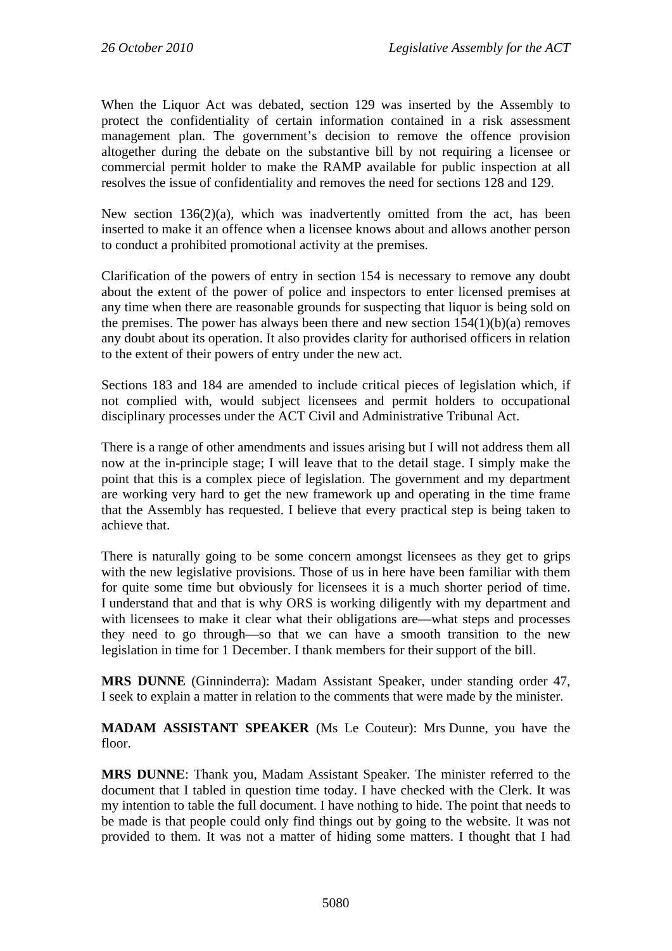When the Liquor Act was debated, section 129 was inserted by the Assembly to protect the confidentiality of certain information contained in a risk assessment management plan. The government's decision to remove the offence provision altogether during the debate on the substantive bill by not requiring a licensee or commercial permit holder to make the RAMP available for public inspection at all resolves the issue of confidentiality and removes the need for sections 128 and 129.

New section 136(2)(a), which was inadvertently omitted from the act, has been inserted to make it an offence when a licensee knows about and allows another person to conduct a prohibited promotional activity at the premises.

Clarification of the powers of entry in section 154 is necessary to remove any doubt about the extent of the power of police and inspectors to enter licensed premises at any time when there are reasonable grounds for suspecting that liquor is being sold on the premises. The power has always been there and new section  $154(1)(b)(a)$  removes any doubt about its operation. It also provides clarity for authorised officers in relation to the extent of their powers of entry under the new act.

Sections 183 and 184 are amended to include critical pieces of legislation which, if not complied with, would subject licensees and permit holders to occupational disciplinary processes under the ACT Civil and Administrative Tribunal Act.

There is a range of other amendments and issues arising but I will not address them all now at the in-principle stage; I will leave that to the detail stage. I simply make the point that this is a complex piece of legislation. The government and my department are working very hard to get the new framework up and operating in the time frame that the Assembly has requested. I believe that every practical step is being taken to achieve that.

There is naturally going to be some concern amongst licensees as they get to grips with the new legislative provisions. Those of us in here have been familiar with them for quite some time but obviously for licensees it is a much shorter period of time. I understand that and that is why ORS is working diligently with my department and with licensees to make it clear what their obligations are—what steps and processes they need to go through—so that we can have a smooth transition to the new legislation in time for 1 December. I thank members for their support of the bill.

**MRS DUNNE** (Ginninderra): Madam Assistant Speaker, under standing order 47, I seek to explain a matter in relation to the comments that were made by the minister.

**MADAM ASSISTANT SPEAKER** (Ms Le Couteur): Mrs Dunne, you have the floor.

**MRS DUNNE**: Thank you, Madam Assistant Speaker. The minister referred to the document that I tabled in question time today. I have checked with the Clerk. It was my intention to table the full document. I have nothing to hide. The point that needs to be made is that people could only find things out by going to the website. It was not provided to them. It was not a matter of hiding some matters. I thought that I had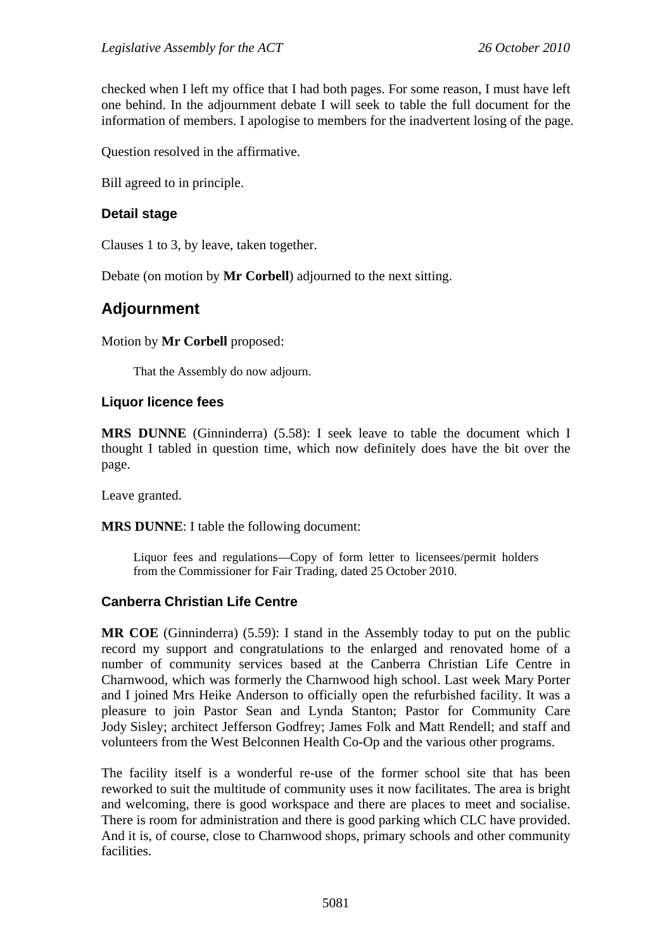checked when I left my office that I had both pages. For some reason, I must have left one behind. In the adjournment debate I will seek to table the full document for the information of members. I apologise to members for the inadvertent losing of the page.

Question resolved in the affirmative.

Bill agreed to in principle.

#### **Detail stage**

Clauses 1 to 3, by leave, taken together.

Debate (on motion by **Mr Corbell**) adjourned to the next sitting.

### **Adjournment**

Motion by **Mr Corbell** proposed:

That the Assembly do now adjourn.

#### **Liquor licence fees**

**MRS DUNNE** (Ginninderra) (5.58): I seek leave to table the document which I thought I tabled in question time, which now definitely does have the bit over the page.

Leave granted.

**MRS DUNNE**: I table the following document:

Liquor fees and regulations—Copy of form letter to licensees/permit holders from the Commissioner for Fair Trading, dated 25 October 2010.

#### **Canberra Christian Life Centre**

**MR COE** (Ginninderra) (5.59): I stand in the Assembly today to put on the public record my support and congratulations to the enlarged and renovated home of a number of community services based at the Canberra Christian Life Centre in Charnwood, which was formerly the Charnwood high school. Last week Mary Porter and I joined Mrs Heike Anderson to officially open the refurbished facility. It was a pleasure to join Pastor Sean and Lynda Stanton; Pastor for Community Care Jody Sisley; architect Jefferson Godfrey; James Folk and Matt Rendell; and staff and volunteers from the West Belconnen Health Co-Op and the various other programs.

The facility itself is a wonderful re-use of the former school site that has been reworked to suit the multitude of community uses it now facilitates. The area is bright and welcoming, there is good workspace and there are places to meet and socialise. There is room for administration and there is good parking which CLC have provided. And it is, of course, close to Charnwood shops, primary schools and other community facilities.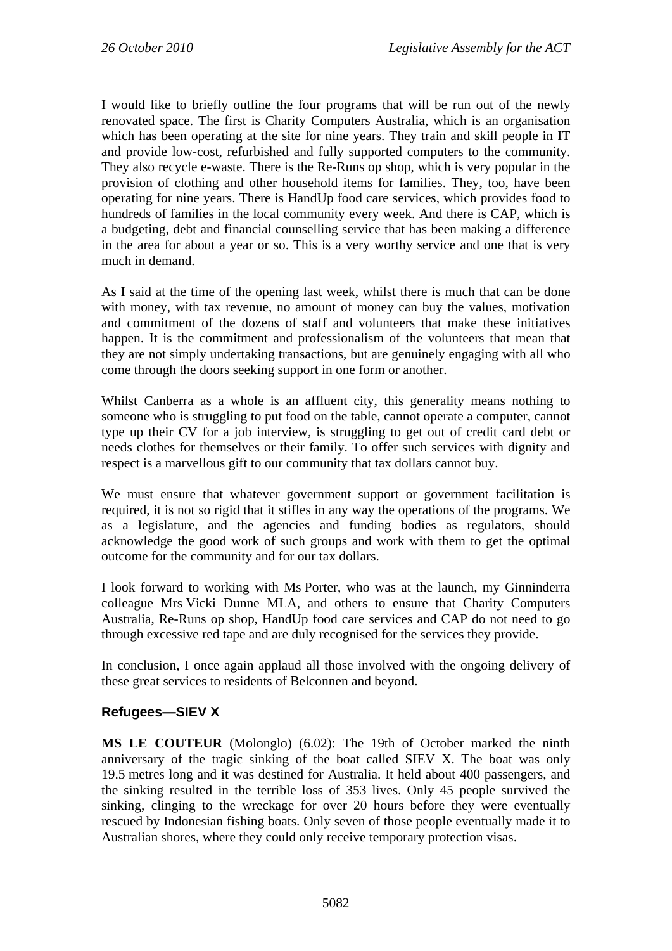I would like to briefly outline the four programs that will be run out of the newly renovated space. The first is Charity Computers Australia, which is an organisation which has been operating at the site for nine years. They train and skill people in IT and provide low-cost, refurbished and fully supported computers to the community. They also recycle e-waste. There is the Re-Runs op shop, which is very popular in the provision of clothing and other household items for families. They, too, have been operating for nine years. There is HandUp food care services, which provides food to hundreds of families in the local community every week. And there is CAP, which is a budgeting, debt and financial counselling service that has been making a difference in the area for about a year or so. This is a very worthy service and one that is very much in demand.

As I said at the time of the opening last week, whilst there is much that can be done with money, with tax revenue, no amount of money can buy the values, motivation and commitment of the dozens of staff and volunteers that make these initiatives happen. It is the commitment and professionalism of the volunteers that mean that they are not simply undertaking transactions, but are genuinely engaging with all who come through the doors seeking support in one form or another.

Whilst Canberra as a whole is an affluent city, this generality means nothing to someone who is struggling to put food on the table, cannot operate a computer, cannot type up their CV for a job interview, is struggling to get out of credit card debt or needs clothes for themselves or their family. To offer such services with dignity and respect is a marvellous gift to our community that tax dollars cannot buy.

We must ensure that whatever government support or government facilitation is required, it is not so rigid that it stifles in any way the operations of the programs. We as a legislature, and the agencies and funding bodies as regulators, should acknowledge the good work of such groups and work with them to get the optimal outcome for the community and for our tax dollars.

I look forward to working with Ms Porter, who was at the launch, my Ginninderra colleague Mrs Vicki Dunne MLA, and others to ensure that Charity Computers Australia, Re-Runs op shop, HandUp food care services and CAP do not need to go through excessive red tape and are duly recognised for the services they provide.

In conclusion, I once again applaud all those involved with the ongoing delivery of these great services to residents of Belconnen and beyond.

#### **Refugees—SIEV X**

**MS LE COUTEUR** (Molonglo) (6.02): The 19th of October marked the ninth anniversary of the tragic sinking of the boat called SIEV X. The boat was only 19.5 metres long and it was destined for Australia. It held about 400 passengers, and the sinking resulted in the terrible loss of 353 lives. Only 45 people survived the sinking, clinging to the wreckage for over 20 hours before they were eventually rescued by Indonesian fishing boats. Only seven of those people eventually made it to Australian shores, where they could only receive temporary protection visas.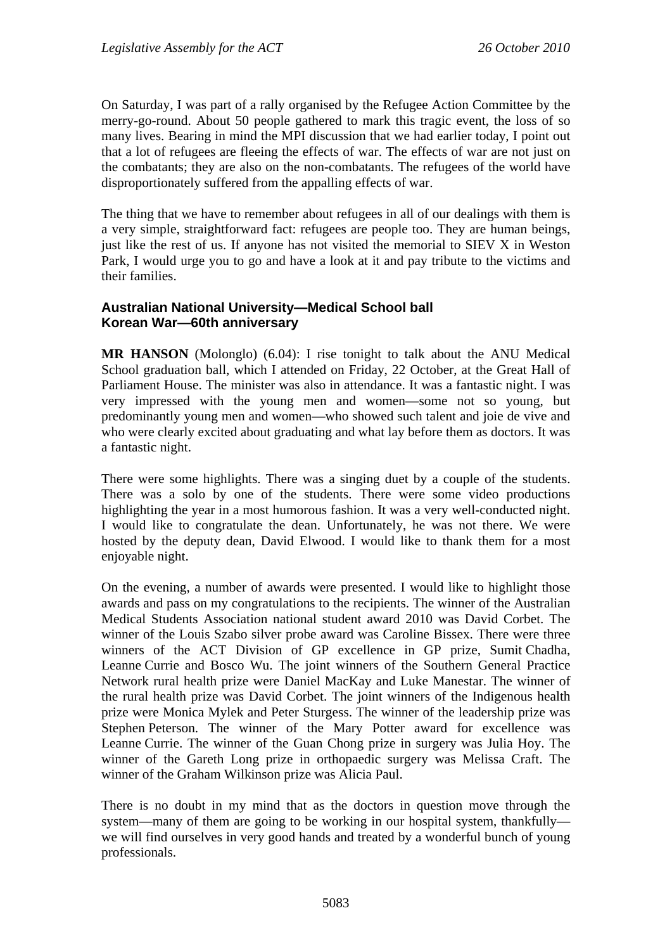On Saturday, I was part of a rally organised by the Refugee Action Committee by the merry-go-round. About 50 people gathered to mark this tragic event, the loss of so many lives. Bearing in mind the MPI discussion that we had earlier today, I point out that a lot of refugees are fleeing the effects of war. The effects of war are not just on the combatants; they are also on the non-combatants. The refugees of the world have disproportionately suffered from the appalling effects of war.

The thing that we have to remember about refugees in all of our dealings with them is a very simple, straightforward fact: refugees are people too. They are human beings, just like the rest of us. If anyone has not visited the memorial to SIEV X in Weston Park, I would urge you to go and have a look at it and pay tribute to the victims and their families.

### **Australian National University—Medical School ball Korean War—60th anniversary**

**MR HANSON** (Molonglo) (6.04): I rise tonight to talk about the ANU Medical School graduation ball, which I attended on Friday, 22 October, at the Great Hall of Parliament House. The minister was also in attendance. It was a fantastic night. I was very impressed with the young men and women—some not so young, but predominantly young men and women—who showed such talent and joie de vive and who were clearly excited about graduating and what lay before them as doctors. It was a fantastic night.

There were some highlights. There was a singing duet by a couple of the students. There was a solo by one of the students. There were some video productions highlighting the year in a most humorous fashion. It was a very well-conducted night. I would like to congratulate the dean. Unfortunately, he was not there. We were hosted by the deputy dean, David Elwood. I would like to thank them for a most enjoyable night.

On the evening, a number of awards were presented. I would like to highlight those awards and pass on my congratulations to the recipients. The winner of the Australian Medical Students Association national student award 2010 was David Corbet. The winner of the Louis Szabo silver probe award was Caroline Bissex. There were three winners of the ACT Division of GP excellence in GP prize, Sumit Chadha, Leanne Currie and Bosco Wu. The joint winners of the Southern General Practice Network rural health prize were Daniel MacKay and Luke Manestar. The winner of the rural health prize was David Corbet. The joint winners of the Indigenous health prize were Monica Mylek and Peter Sturgess. The winner of the leadership prize was Stephen Peterson. The winner of the Mary Potter award for excellence was Leanne Currie. The winner of the Guan Chong prize in surgery was Julia Hoy. The winner of the Gareth Long prize in orthopaedic surgery was Melissa Craft. The winner of the Graham Wilkinson prize was Alicia Paul.

There is no doubt in my mind that as the doctors in question move through the system—many of them are going to be working in our hospital system, thankfully we will find ourselves in very good hands and treated by a wonderful bunch of young professionals.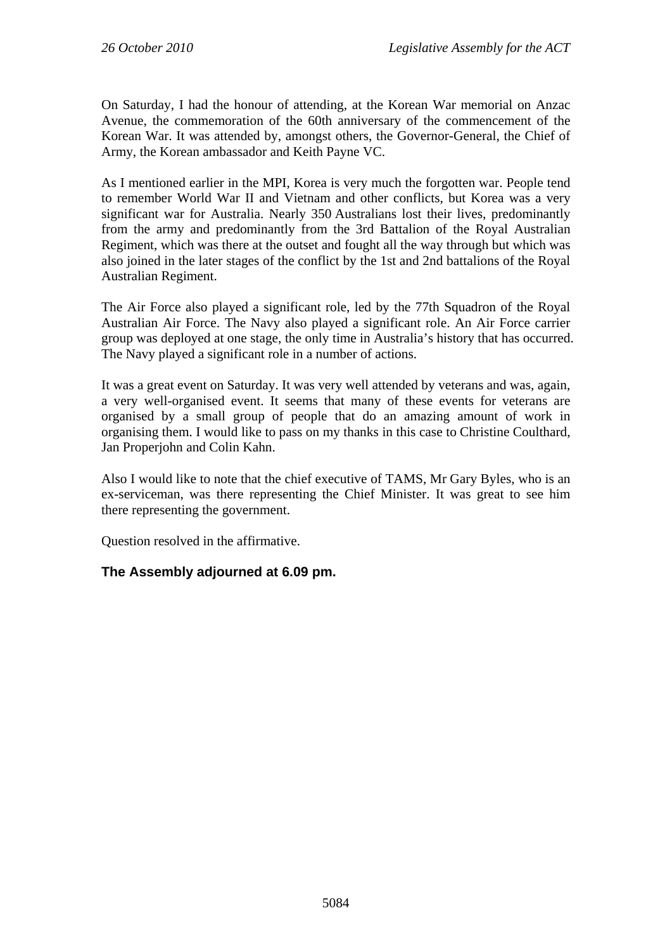On Saturday, I had the honour of attending, at the Korean War memorial on Anzac Avenue, the commemoration of the 60th anniversary of the commencement of the Korean War. It was attended by, amongst others, the Governor-General, the Chief of Army, the Korean ambassador and Keith Payne VC.

As I mentioned earlier in the MPI, Korea is very much the forgotten war. People tend to remember World War II and Vietnam and other conflicts, but Korea was a very significant war for Australia. Nearly 350 Australians lost their lives, predominantly from the army and predominantly from the 3rd Battalion of the Royal Australian Regiment, which was there at the outset and fought all the way through but which was also joined in the later stages of the conflict by the 1st and 2nd battalions of the Royal Australian Regiment.

The Air Force also played a significant role, led by the 77th Squadron of the Royal Australian Air Force. The Navy also played a significant role. An Air Force carrier group was deployed at one stage, the only time in Australia's history that has occurred. The Navy played a significant role in a number of actions.

It was a great event on Saturday. It was very well attended by veterans and was, again, a very well-organised event. It seems that many of these events for veterans are organised by a small group of people that do an amazing amount of work in organising them. I would like to pass on my thanks in this case to Christine Coulthard, Jan Properjohn and Colin Kahn.

Also I would like to note that the chief executive of TAMS, Mr Gary Byles, who is an ex-serviceman, was there representing the Chief Minister. It was great to see him there representing the government.

Question resolved in the affirmative.

### **The Assembly adjourned at 6.09 pm.**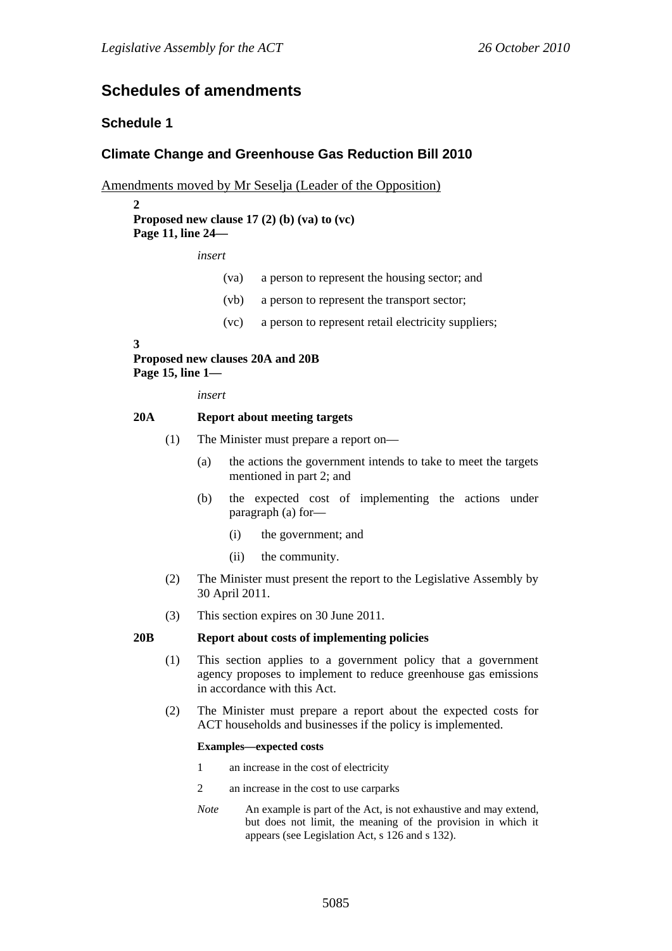## **Schedules of amendments**

## **Schedule 1**

## **Climate Change and Greenhouse Gas Reduction Bill 2010**

Amendments moved by Mr Seselja (Leader of the Opposition)

#### $\boldsymbol{2}$ **Proposed new clause 17 (2) (b) (va) to (vc) Page 11, line 24—**

*insert* 

- (va) a person to represent the housing sector; and
- (vb) a person to represent the transport sector;
- (vc) a person to represent retail electricity suppliers;

#### **3**

**Proposed new clauses 20A and 20B Page 15, line 1—** 

*insert* 

#### **20A Report about meeting targets**

- (1) The Minister must prepare a report on—
	- (a) the actions the government intends to take to meet the targets mentioned in part 2; and
	- (b) the expected cost of implementing the actions under paragraph (a) for—
		- (i) the government; and
		- (ii) the community.
- (2) The Minister must present the report to the Legislative Assembly by 30 April 2011.
- (3) This section expires on 30 June 2011.

#### **20B Report about costs of implementing policies**

- (1) This section applies to a government policy that a government agency proposes to implement to reduce greenhouse gas emissions in accordance with this Act.
- (2) The Minister must prepare a report about the expected costs for ACT households and businesses if the policy is implemented.

#### **Examples—expected costs**

- 1 an increase in the cost of electricity
- 2 an increase in the cost to use carparks
- *Note* An example is part of the Act, is not exhaustive and may extend, but does not limit, the meaning of the provision in which it appears (see Legislation Act, s 126 and s 132).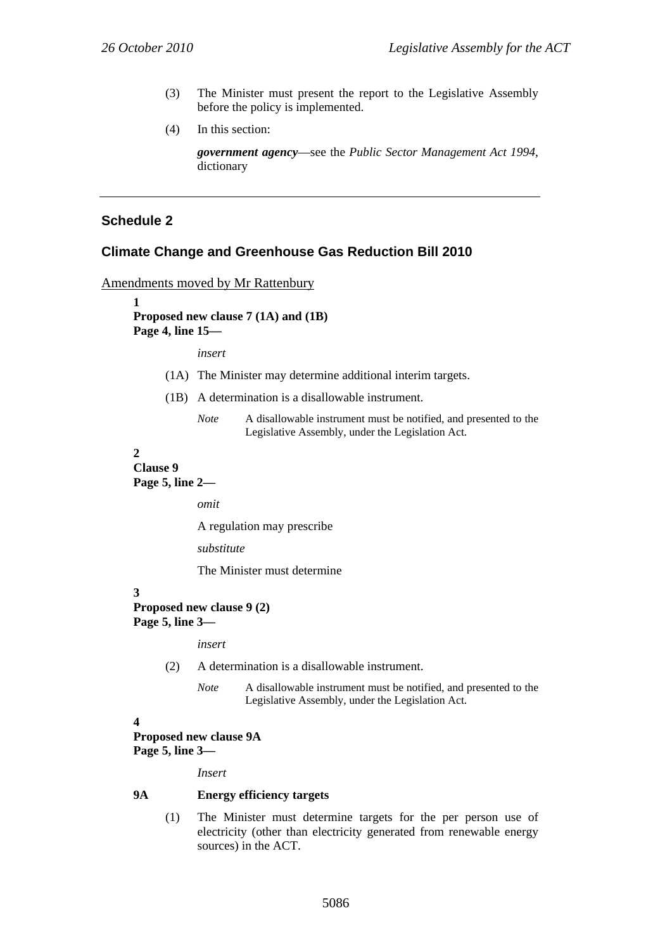- (3) The Minister must present the report to the Legislative Assembly before the policy is implemented.
- (4) In this section:

*government agency*—see the *Public Sector Management Act 1994*, dictionary

## **Schedule 2**

### **Climate Change and Greenhouse Gas Reduction Bill 2010**

Amendments moved by Mr Rattenbury

**1** 

**Proposed new clause 7 (1A) and (1B) Page 4, line 15—** 

*insert* 

- (1A) The Minister may determine additional interim targets.
- (1B) A determination is a disallowable instrument.
	- *Note* A disallowable instrument must be notified, and presented to the Legislative Assembly, under the Legislation Act.

**2** 

## **Clause 9**

**Page 5, line 2—** 

*omit* 

A regulation may prescribe

*substitute* 

The Minister must determine

**3** 

**Proposed new clause 9 (2) Page 5, line 3—** 

*insert* 

- (2) A determination is a disallowable instrument.
	- *Note* A disallowable instrument must be notified, and presented to the Legislative Assembly, under the Legislation Act.
- **4**

### **Proposed new clause 9A Page 5, line 3—**

*Insert* 

#### **9A Energy efficiency targets**

(1) The Minister must determine targets for the per person use of electricity (other than electricity generated from renewable energy sources) in the ACT.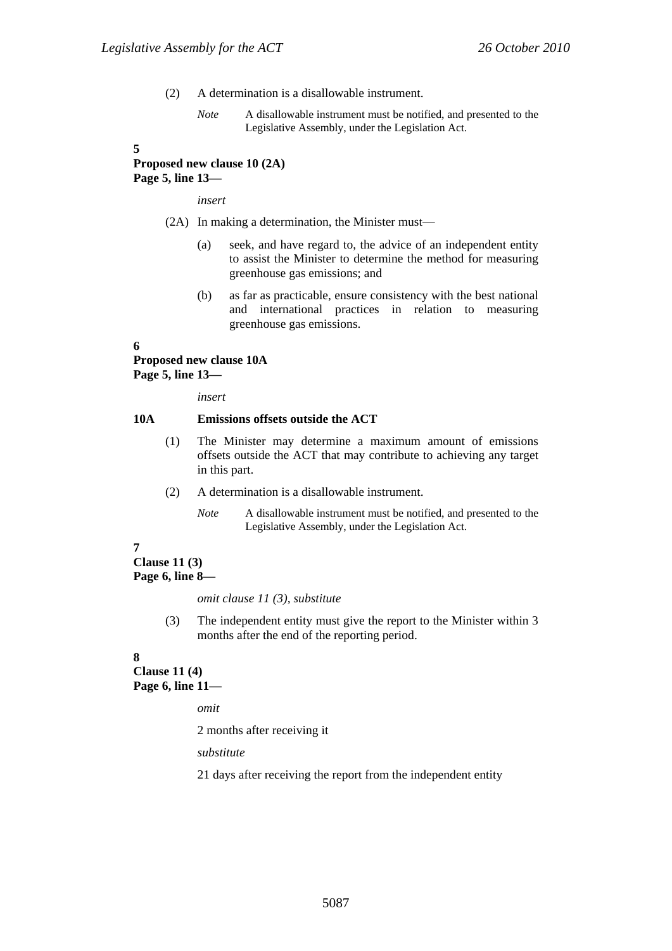- (2) A determination is a disallowable instrument.
	- *Note* A disallowable instrument must be notified, and presented to the Legislative Assembly, under the Legislation Act.

#### **5**

## **Proposed new clause 10 (2A) Page 5, line 13—**

*insert* 

- (2A) In making a determination, the Minister must—
	- (a) seek, and have regard to, the advice of an independent entity to assist the Minister to determine the method for measuring greenhouse gas emissions; and
	- (b) as far as practicable, ensure consistency with the best national and international practices in relation to measuring greenhouse gas emissions.

#### **6**

# **Proposed new clause 10A**

**Page 5, line 13—** 

*insert* 

### **10A Emissions offsets outside the ACT**

- (1) The Minister may determine a maximum amount of emissions offsets outside the ACT that may contribute to achieving any target in this part.
- (2) A determination is a disallowable instrument.
	- *Note* A disallowable instrument must be notified, and presented to the Legislative Assembly, under the Legislation Act.

### **7**

**Clause 11 (3) Page 6, line 8—** 

#### *omit clause 11 (3), substitute*

(3) The independent entity must give the report to the Minister within 3 months after the end of the reporting period.

#### **8**

**Clause 11 (4) Page 6, line 11—** 

*omit* 

2 months after receiving it

*substitute* 

21 days after receiving the report from the independent entity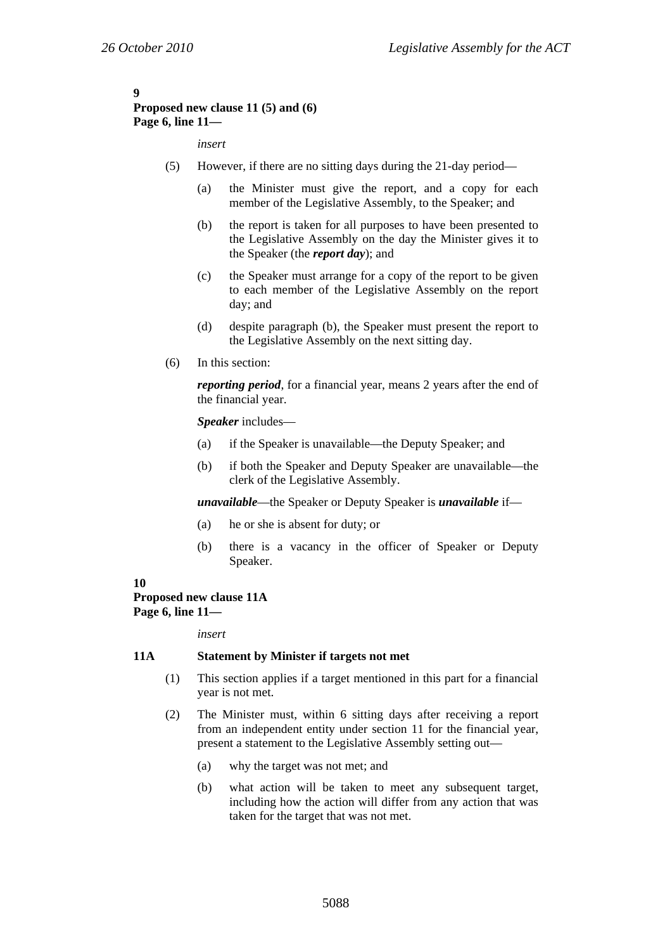# **9**

## **Proposed new clause 11 (5) and (6) Page 6, line 11—**

### *insert*

- (5) However, if there are no sitting days during the 21-day period—
	- (a) the Minister must give the report, and a copy for each member of the Legislative Assembly, to the Speaker; and
	- (b) the report is taken for all purposes to have been presented to the Legislative Assembly on the day the Minister gives it to the Speaker (the *report day*); and
	- (c) the Speaker must arrange for a copy of the report to be given to each member of the Legislative Assembly on the report day; and
	- (d) despite paragraph (b), the Speaker must present the report to the Legislative Assembly on the next sitting day.
- (6) In this section:

*reporting period*, for a financial year, means 2 years after the end of the financial year.

### *Speaker* includes—

- (a) if the Speaker is unavailable—the Deputy Speaker; and
- (b) if both the Speaker and Deputy Speaker are unavailable—the clerk of the Legislative Assembly.

*unavailable*—the Speaker or Deputy Speaker is *unavailable* if—

- (a) he or she is absent for duty; or
- (b) there is a vacancy in the officer of Speaker or Deputy Speaker.

### **10**

#### **Proposed new clause 11A Page 6, line 11—**

*insert* 

#### **11A Statement by Minister if targets not met**

- (1) This section applies if a target mentioned in this part for a financial year is not met.
- (2) The Minister must, within 6 sitting days after receiving a report from an independent entity under section 11 for the financial year, present a statement to the Legislative Assembly setting out—
	- (a) why the target was not met; and
	- (b) what action will be taken to meet any subsequent target, including how the action will differ from any action that was taken for the target that was not met.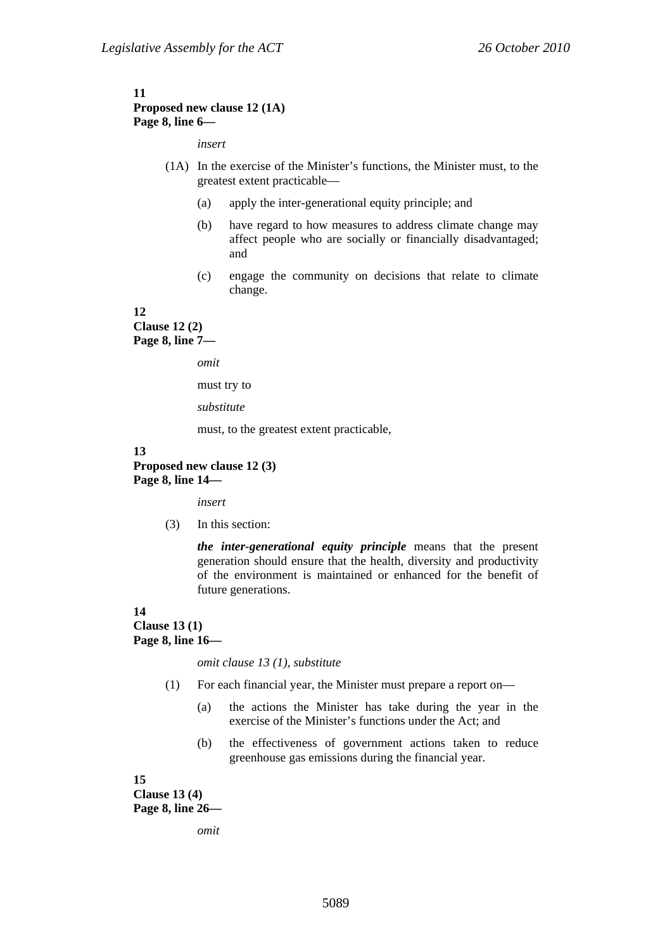#### **11 Proposed new clause 12 (1A) Page 8, line 6—**

*insert* 

- (1A) In the exercise of the Minister's functions, the Minister must, to the greatest extent practicable—
	- (a) apply the inter-generational equity principle; and
	- (b) have regard to how measures to address climate change may affect people who are socially or financially disadvantaged; and
	- (c) engage the community on decisions that relate to climate change.

#### **12**

**Clause 12 (2) Page 8, line 7—** 

*omit* 

must try to

*substitute* 

must, to the greatest extent practicable,

#### **13**

### **Proposed new clause 12 (3) Page 8, line 14—**

*insert* 

(3) In this section:

*the inter-generational equity principle* means that the present generation should ensure that the health, diversity and productivity of the environment is maintained or enhanced for the benefit of future generations.

#### **14**

**Clause 13 (1) Page 8, line 16—** 

*omit clause 13 (1), substitute* 

- (1) For each financial year, the Minister must prepare a report on—
	- (a) the actions the Minister has take during the year in the exercise of the Minister's functions under the Act; and
	- (b) the effectiveness of government actions taken to reduce greenhouse gas emissions during the financial year.

**15 Clause 13 (4) Page 8, line 26—** 

*omit*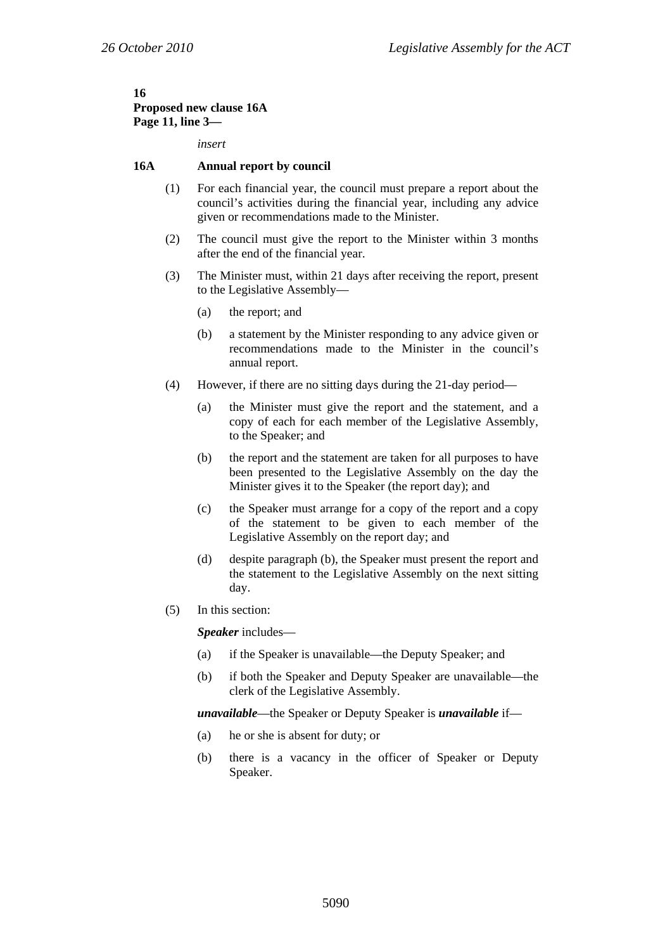#### **16 Proposed new clause 16A Page 11, line 3—**

*insert* 

#### **16A Annual report by council**

- (1) For each financial year, the council must prepare a report about the council's activities during the financial year, including any advice given or recommendations made to the Minister.
- (2) The council must give the report to the Minister within 3 months after the end of the financial year.
- (3) The Minister must, within 21 days after receiving the report, present to the Legislative Assembly—
	- (a) the report; and
	- (b) a statement by the Minister responding to any advice given or recommendations made to the Minister in the council's annual report.
- (4) However, if there are no sitting days during the 21-day period—
	- (a) the Minister must give the report and the statement, and a copy of each for each member of the Legislative Assembly, to the Speaker; and
	- (b) the report and the statement are taken for all purposes to have been presented to the Legislative Assembly on the day the Minister gives it to the Speaker (the report day); and
	- (c) the Speaker must arrange for a copy of the report and a copy of the statement to be given to each member of the Legislative Assembly on the report day; and
	- (d) despite paragraph (b), the Speaker must present the report and the statement to the Legislative Assembly on the next sitting day.
- (5) In this section:

*Speaker* includes—

- (a) if the Speaker is unavailable—the Deputy Speaker; and
- (b) if both the Speaker and Deputy Speaker are unavailable—the clerk of the Legislative Assembly.

*unavailable*—the Speaker or Deputy Speaker is *unavailable* if—

- (a) he or she is absent for duty; or
- (b) there is a vacancy in the officer of Speaker or Deputy Speaker.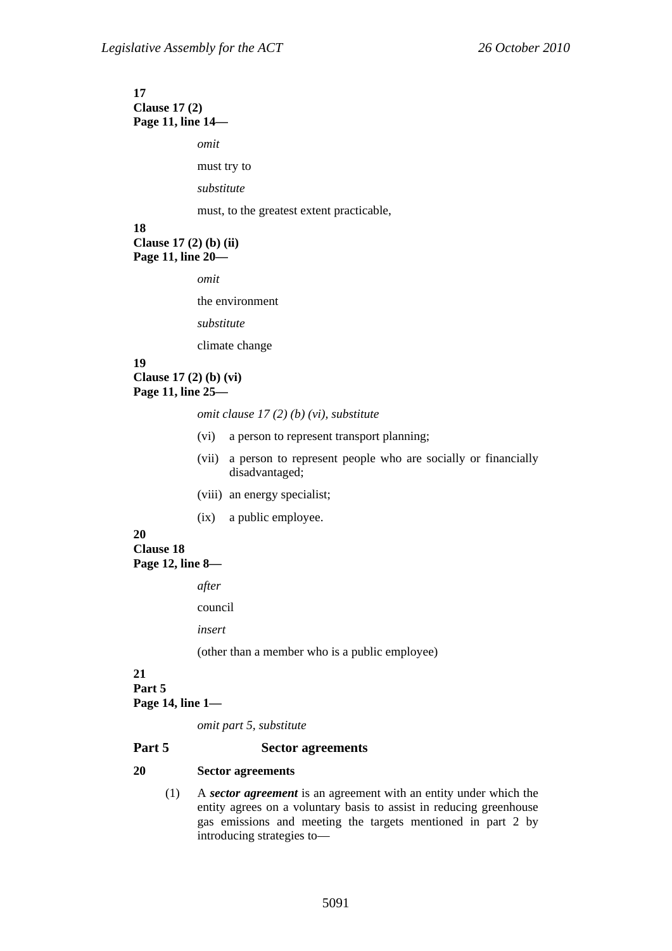#### **17 Clause 17 (2) Page 11, line 14—**

*omit* 

must try to

*substitute* 

must, to the greatest extent practicable,

### **18**

**Clause 17 (2) (b) (ii) Page 11, line 20—** 

*omit* 

the environment

*substitute* 

climate change

## **19**

**Clause 17 (2) (b) (vi) Page 11, line 25—** 

*omit clause 17 (2) (b) (vi), substitute* 

- (vi) a person to represent transport planning;
- (vii) a person to represent people who are socially or financially disadvantaged;
- (viii) an energy specialist;
- (ix) a public employee.

## **20**

**Clause 18 Page 12, line 8—** 

*after* 

council

*insert* 

(other than a member who is a public employee)

#### **21 Part 5 Page 14, line 1—**

*omit part 5, substitute* 

#### **Part 5 Sector agreements**

#### **20 Sector agreements**

(1) A *sector agreement* is an agreement with an entity under which the entity agrees on a voluntary basis to assist in reducing greenhouse gas emissions and meeting the targets mentioned in part 2 by introducing strategies to—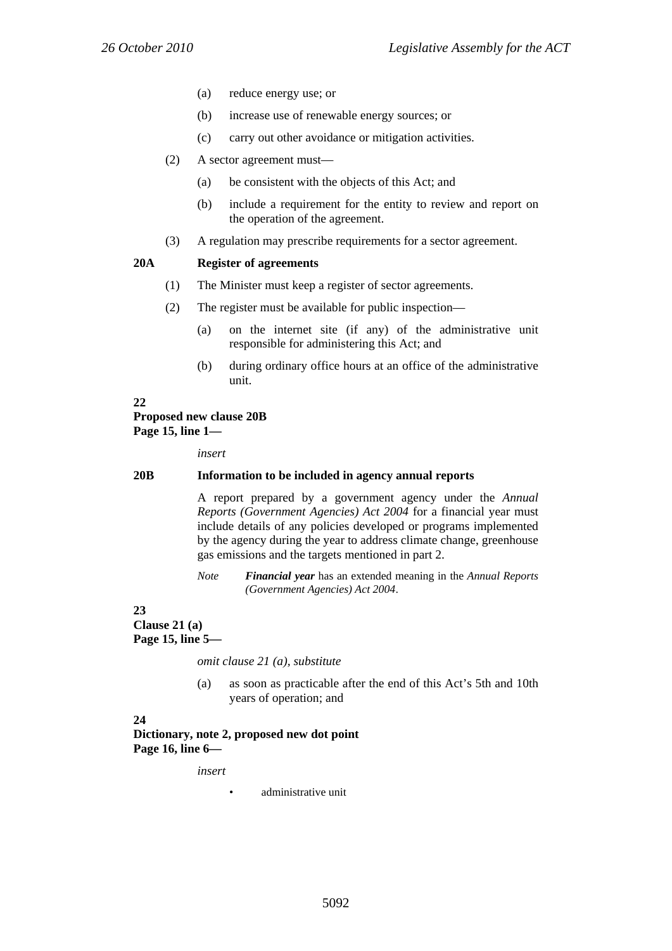- (a) reduce energy use; or
- (b) increase use of renewable energy sources; or
- (c) carry out other avoidance or mitigation activities.
- (2) A sector agreement must—
	- (a) be consistent with the objects of this Act; and
	- (b) include a requirement for the entity to review and report on the operation of the agreement.
- (3) A regulation may prescribe requirements for a sector agreement.

### **20A Register of agreements**

- (1) The Minister must keep a register of sector agreements.
- (2) The register must be available for public inspection—
	- (a) on the internet site (if any) of the administrative unit responsible for administering this Act; and
	- (b) during ordinary office hours at an office of the administrative unit.

**22** 

## **Proposed new clause 20B Page 15, line 1—**

*insert* 

### **20B Information to be included in agency annual reports**

A report prepared by a government agency under the *Annual Reports (Government Agencies) Act 2004* for a financial year must include details of any policies developed or programs implemented by the agency during the year to address climate change, greenhouse gas emissions and the targets mentioned in part 2.

*Note Financial year* has an extended meaning in the *Annual Reports (Government Agencies) Act 2004*.

### **23**

**Clause 21 (a) Page 15, line 5—** 

*omit clause 21 (a), substitute* 

(a) as soon as practicable after the end of this Act's 5th and 10th years of operation; and

### **24**

**Dictionary, note 2, proposed new dot point Page 16, line 6—** 

*insert* 

• administrative unit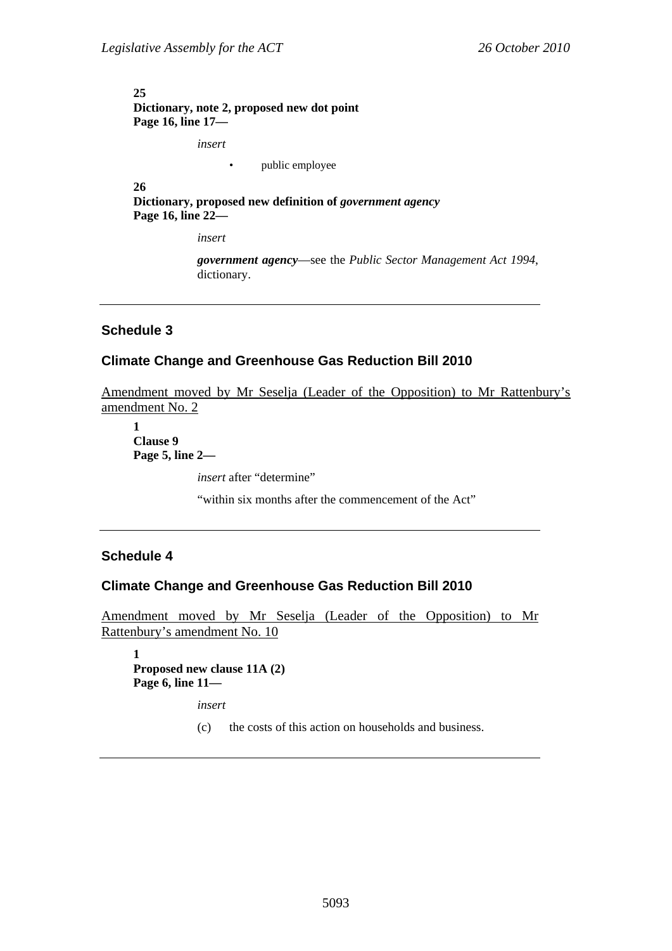### **25 Dictionary, note 2, proposed new dot point Page 16, line 17—**

*insert* 

• public employee

**26 Dictionary, proposed new definition of** *government agency* **Page 16, line 22—** 

*insert* 

*government agency*—see the *Public Sector Management Act 1994*, dictionary.

## **Schedule 3**

## **Climate Change and Greenhouse Gas Reduction Bill 2010**

Amendment moved by Mr Seselja (Leader of the Opposition) to Mr Rattenbury's amendment No. 2

**1 Clause 9 Page 5, line 2—** 

*insert* after "determine"

"within six months after the commencement of the Act"

### **Schedule 4**

### **Climate Change and Greenhouse Gas Reduction Bill 2010**

Amendment moved by Mr Seselja (Leader of the Opposition) to Mr Rattenbury's amendment No. 10

**1 Proposed new clause 11A (2) Page 6, line 11—** 

*insert* 

(c) the costs of this action on households and business.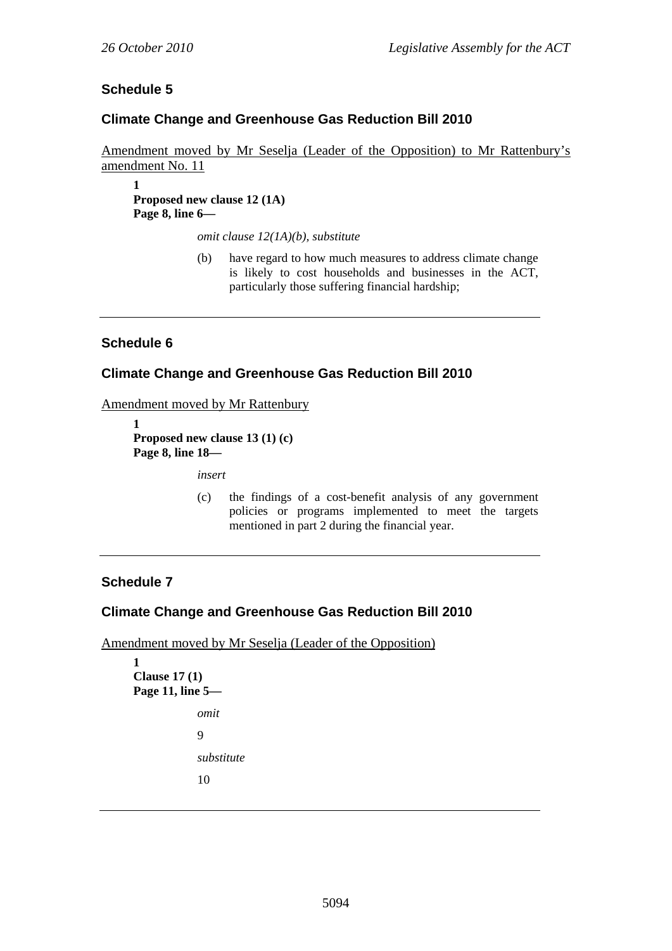## **Schedule 5**

## **Climate Change and Greenhouse Gas Reduction Bill 2010**

Amendment moved by Mr Seselja (Leader of the Opposition) to Mr Rattenbury's amendment No. 11

**1 Proposed new clause 12 (1A) Page 8, line 6—** 

*omit clause 12(1A)(b), substitute* 

(b) have regard to how much measures to address climate change is likely to cost households and businesses in the ACT, particularly those suffering financial hardship;

## **Schedule 6**

## **Climate Change and Greenhouse Gas Reduction Bill 2010**

Amendment moved by Mr Rattenbury

**1 Proposed new clause 13 (1) (c) Page 8, line 18—** 

*insert* 

(c) the findings of a cost-benefit analysis of any government policies or programs implemented to meet the targets mentioned in part 2 during the financial year.

## **Schedule 7**

**1** 

## **Climate Change and Greenhouse Gas Reduction Bill 2010**

Amendment moved by Mr Seselja (Leader of the Opposition)

```
Clause 17 (1) 
Page 11, line 5— 
             omit 
             9 
             substitute 
              10
```